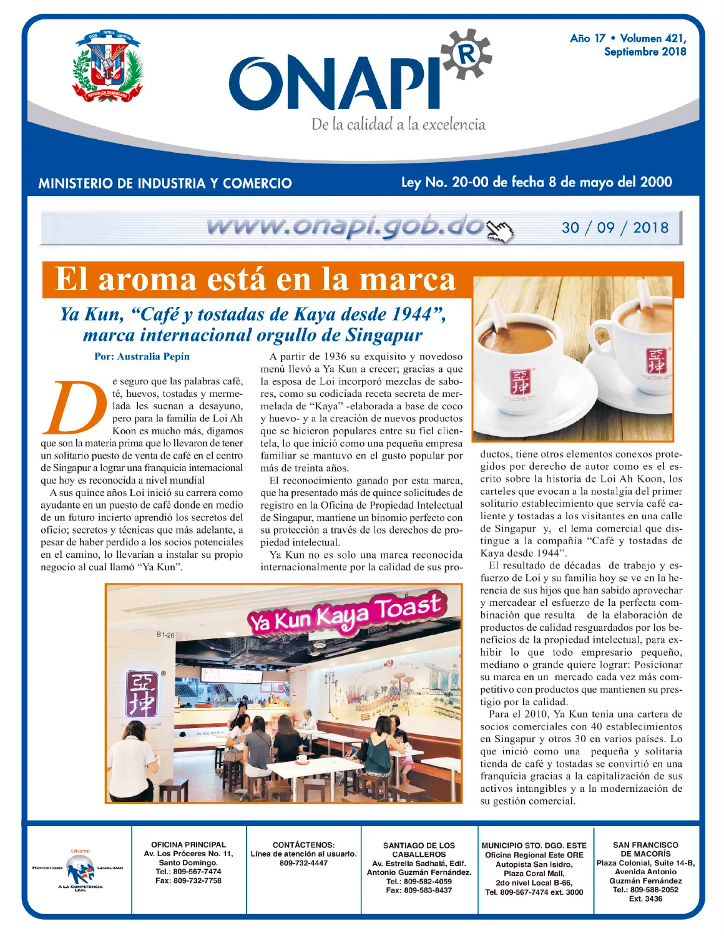

Año 17 · Volumen 421, Septiembre 2018

30 / 09 / 2018

### **MINISTERIO DE INDUSTRIA Y COMERCIO**

#### Ley No. 20-00 de fecha 8 de mayo del 2000

# www.onapi.gob.dom

## El aroma está en la marca

### Ya Kun, "Café y tostadas de Kaya desde 1944", marca internacional orgullo de Singapur

#### Por: Australia Pepín

e seguro que las palabras café, té, huevos, tostadas y mermelada les suenan a desayuno, pero para la familia de Loi Ah Koon es mucho más, digamos que son la materia prima que lo llevaron de tener un solitario puesto de venta de café en el centro de Singapur a lograr una franquicia internacional que hoy es reconocida a nivel mundial

A sus quince años Loi inició su carrera como ayudante en un puesto de café donde en medio de un futuro incierto aprendió los secretos del oficio; secretos y técnicas que más adelante, a pesar de haber perdido a los socios potenciales en el camino, lo llevarían a instalar su propio negocio al cual llamó "Ya Kun".

A partir de 1936 su exquisito y novedoso menú llevó a Ya Kun a crecer; gracias a que la esposa de Loi incorporó mezclas de sabores, como su codiciada receta secreta de mermelada de "Kaya" -elaborada a base de coco y huevo- y a la creación de nuevos productos que se hicieron populares entre su fiel clientela, lo que inició como una pequeña empresa familiar se mantuvo en el gusto popular por más de treinta años.

El reconocimiento ganado por esta marca, que ha presentado más de quince solicitudes de registro en la Oficina de Propiedad Intelectual de Singapur, mantiene un binomio perfecto con su protección a través de los derechos de propiedad intelectual.

Ya Kun no es solo una marca reconocida internacionalmente por la calidad de sus pro-





ductos, tiene otros elementos conexos protegidos por derecho de autor como es el escrito sobre la historia de Loi Ah Koon, los carteles que evocan a la nostalgia del primer solitario establecimiento que servía café caliente y tostadas a los visitantes en una calle de Singapur y, el lema comercial que distingue a la compañía "Café y tostadas de Kaya desde 1944".

El resultado de décadas de trabajo y esfuerzo de Loi y su familia hoy se ve en la herencia de sus hijos que han sabido aprovechar y mercadear el esfuerzo de la perfecta combinación que resulta de la elaboración de productos de calidad resguardados por los beneficios de la propiedad intelectual, para exhibir lo que todo empresario pequeño, mediano o grande quiere lograr: Posicionar su marca en un mercado cada vez más competitivo con productos que mantienen su prestigio por la calidad.

Para el 2010, Ya Kun tenía una cartera de socios comerciales con 40 establecimientos en Singapur y otros 30 en varios países. Lo que inició como una pequeña y solitaria tienda de café y tostadas se convirtió en una franquicia gracias a la capitalización de sus activos intangibles y a la modernización de su gestión comercial.

**OFICINA PRINCIPAL** Av. Los Próceres No. 11. Santo Domingo. Tel.: 809-567-7474 Fax: 809-732-7758

**CONTÁCTENOS:** Línea de atención al usuario. 809-732-4447

**SANTIAGO DE LOS CABALLEROS** Av Estrella Sadhalá, Edif Antonio Guzmán Fernández. Tel.: 809-582-4059 Fax: 809-583-8437

**MUNICIPIO STO, DGO, ESTE Oficina Regional Este ORE** Autopista San Isidro, Plaza Coral Mall, 2do nivel Local B-66. Tel. 809-567-7474 ext. 3000

**SAN FRANCISCO DE MACORÍS** Plaza Colonial, Suite 14-B, Avenida Antonio Guzmán Fernández Tel.: 809-588-2052 Ext. 3436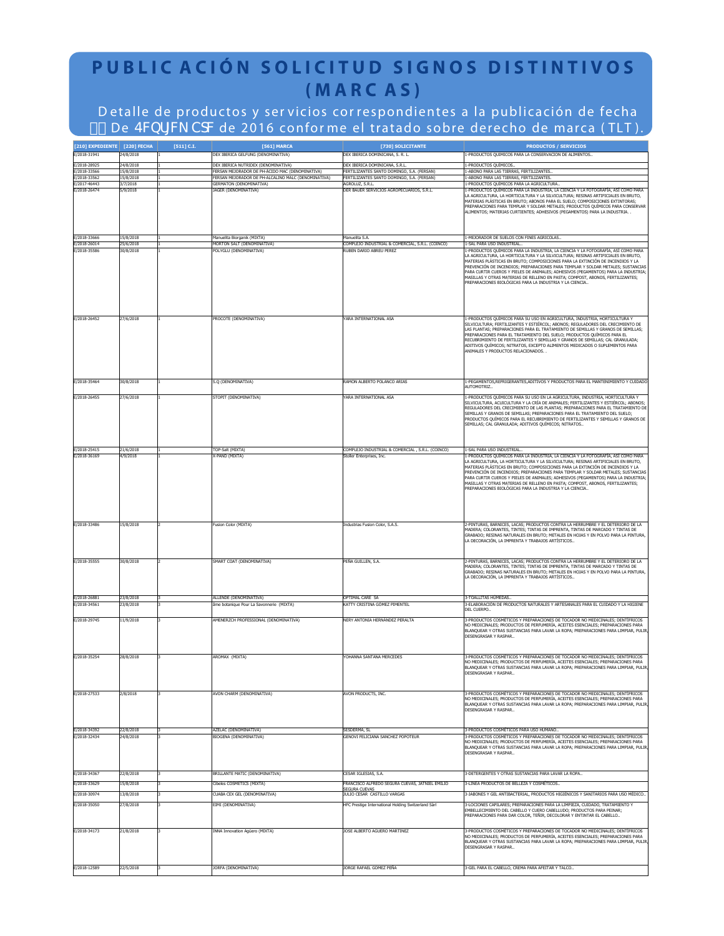## **PUBLIC ACIÓN SOLICITUD SIGNOS DISTINTIVOS (MARC AS)**

D etalle de productos y ser vicios cor respondientes a la publicación de fecha %" De EV1bf[V\_ TdWde 2016 conforme el tratado sobre derecho de marca ( TLT ).

| [210] EXPEDIENTE [220] FECHA |                        | [511] C.I. | [561] MARCA                                                                                          | [730] SOLICITANTE                                                                        | <b>PRODUCTOS / SERVICIOS</b>                                                                                                                                                                                                                                                                                                                                                                                                                                                                                                                                                  |
|------------------------------|------------------------|------------|------------------------------------------------------------------------------------------------------|------------------------------------------------------------------------------------------|-------------------------------------------------------------------------------------------------------------------------------------------------------------------------------------------------------------------------------------------------------------------------------------------------------------------------------------------------------------------------------------------------------------------------------------------------------------------------------------------------------------------------------------------------------------------------------|
| E/2018-31941                 | 24/8/2018              |            | DEX IBERICA GELFUNG (DENOMINATIVA)                                                                   | DEX IBERICA DOMINICANA, S. R. L.                                                         | -PRODUCTOS QUIMICOS PARA LA CONSERVACION DE ALIMENTOS.                                                                                                                                                                                                                                                                                                                                                                                                                                                                                                                        |
| E/2018-28925                 | 24/8/2018              |            | DEX IBERICA NUTRIDEX (DENOMINATIVA)                                                                  | DEX IBERICA DOMINICANA, S.R.L                                                            | PRODUCTOS QUÍMICOS.                                                                                                                                                                                                                                                                                                                                                                                                                                                                                                                                                           |
| E/2018-33566<br>E/2018-33562 | 15/8/2018<br>15/8/2018 |            | ERSAN MEJORADOR DE PH-ÁCIDO MAC (DENOMINATIVA)<br>ERSAN MEJORADOR DE PH-ALCALINO MALC (DENOMINATIVA) | FERTILIZANTES SANTO DOMINGO, S.A. (FERSAN)<br>FERTILIZANTES SANTO DOMINGO, S.A. (FERSAN) | -ABONO PARA LAS TIERRAS, FERTILIZANTES.<br>-ABONO PARA LAS TIERRAS, FERTILIZANTES                                                                                                                                                                                                                                                                                                                                                                                                                                                                                             |
| E/2017-46443                 | 3/7/2018               |            | <b>GERMATON (DENOMINATIVA)</b>                                                                       | <b>AGROLUZ, S.R.L</b>                                                                    | -PRODUCTOS QUÍMICOS PARA LA AGRICULTURA.                                                                                                                                                                                                                                                                                                                                                                                                                                                                                                                                      |
| E/2018-26474                 | 5/9/2018               |            | <b>IAGER (DENOMINATIVA)</b>                                                                          | DER BAUER SERVICIOS AGROPECUARIOS, S.R.L.                                                | -PRODUCTOS QUÍMICOS PARA LA INDUSTRIA, LA CIENCIA Y LA FOTOGRAFÍA, ASÍ COMO PARA<br>A AGRICULTURA, LA HORTICULTURA Y LA SILVICULTURA; RESINAS ARTIFICIALES EN BRUTO,<br>MATERIAS PLÁSTICAS EN BRUTO: ABONOS PARA EL SUELO: COMPOSICIONES EXTINTORAS:<br>PREPARACIONES PARA TEMPLAR Y SOLDAR METALES: PRODUCTOS OUÍMICOS PARA CONSERVAR<br>ALIMENTOS; MATERIAS CURTIENTES; ADHESIVOS (PEGAMENTOS) PARA LA INDUSTRIA. .                                                                                                                                                         |
| E/2018-33666                 | 15/8/2018              |            | Manuelita Biorganik (MIXTA)                                                                          | Manuelita S.A.                                                                           | -MEJORADOR DE SUELOS CON FINES AGRICOLAS<br>I-SAL PARA USO INDUSTRIAL.                                                                                                                                                                                                                                                                                                                                                                                                                                                                                                        |
| E/2018-26014<br>E/2018-35586 | 25/6/2018<br>0/8/2018  |            | MORTON SALT (DENOMINATIVA)<br><b>OLYGLU (DENOMINATIVA)</b>                                           | COMPLEJO INDUSTRIAL & COMERCIAL, S.R.L. (COINCO)<br><b>RUBEN DARIO ABREU PEREZ</b>       | PRODUCTOS QUÍMICOS PARA LA INDUSTRIA, LA CIENCIA Y LA FOTOGRAFÍA, ASÍ COMO PARA<br>A AGRICULTURA, LA HORTICULTURA Y LA SILVICULTURA; RESINAS ARTIFICIALES EN BRUTO,<br>MATERIAS PLÁSTICAS EN BRUTO; COMPOSICIONES PARA LA EXTINCIÓN DE INCENDIOS Y LA<br>PREVENCIÓN DE INCENDIOS; PREPARACIONES PARA TEMPLAR Y SOLDAR METALES; SUSTANCIAS<br>PARA CURTIR CUEROS Y PIELES DE ANIMALES: ADHESIVOS (PEGAMENTOS) PARA LA INDUSTRIA:<br>MASILLAS Y OTRAS MATERIAS DE RELLENO EN PASTA; COMPOST, ABONOS, FERTILIZANTES;<br>PREPARACIONES BIOLÓGICAS PARA LA INDUSTRIA Y LA CIENCIA  |
| E/2018-26452                 | 27/6/2018              |            | PROCOTE (DENOMINATIVA)                                                                               | YARA INTERNATIONAL ASA                                                                   | I-PRODUCTOS OUÍMICOS PARA SU USO EN AGRICULTURA, INDUSTRIA, HORTICULTURA Y<br>SILVICULTURA; FERTILIZANTES Y ESTIÉRCOL; ABONOS; REGULADORES DEL CRECIMIENTO DE<br>LAS PLANTAS; PREPARACIONES PARA EL TRATAMIENTO DE SEMILLAS Y GRANOS DE SEMILLAS;<br>PREPARACIONES PARA EL TRATAMIENTO DEL SUELO; PRODUCTOS QUÍMICOS PARA EL<br>RECUBRIMIENTO DE FERTILIZANTES Y SEMILLAS Y GRANOS DE SEMILLAS; CAL GRANULADA;<br>ADITIVOS QUÍMICOS; NITRATOS, EXCEPTO ALIMENTOS MEDICADOS O SUPLEMENTOS PARA<br>ANIMALES Y PRODUCTOS RELACIONADOS. .                                         |
| E/2018-35464                 | 30/8/2018              |            | 5.Q (DENOMINATIVA)                                                                                   | <b>RAMON ALBERTO POLANCO ARIAS</b>                                                       | -PEGAMENTOS, REFRIGERANTES, ADITIVOS Y PRODUCTOS PARA EL MANTENIMIENTO Y CUIDADO                                                                                                                                                                                                                                                                                                                                                                                                                                                                                              |
| E/2018-26455                 | 27/6/2018              |            | STOPIT (DENOMINATIVA)                                                                                | ARA INTERNATIONAL ASA                                                                    | <b>NUTOMOTRIZ.</b><br>-PRODUCTOS QUÍMICOS PARA SU USO EN LA AGRICULTURA, INDUSTRIA, HORTICULTURA Y<br>SILVICULTURA, ACUICULTURA Y LA CRÍA DE ANIMALES; FERTILIZANTES Y ESTIÉRCOL; ABONOS;<br>REGULADORES DEL CRECIMIENTO DE LAS PLANTAS; PREPARACIONES PARA EL TRATAMIENTO DE<br>SEMILLAS Y GRANOS DE SEMILLAS; PREPARACIONES PARA EL TRATAMIENTO DEL SUELO;<br>PRODUCTOS QUÍMICOS PARA EL RECUBRIMIENTO DE FERTILIZANTES Y SEMILLAS Y GRANOS DE<br>SEMILLAS; CAL GRANULADA; ADITIVOS QUÍMICOS; NITRATOS                                                                      |
| E/2018-25415                 | 21/6/2018              |            | TOP-Salt (MIXTA)                                                                                     | COMPLEJO INDUSTRIAL & COMERCIAL, S.R.L. (COINCO)                                         | 1-SAL PARA USO INDUSTRIAL.                                                                                                                                                                                                                                                                                                                                                                                                                                                                                                                                                    |
| E/2018-36169                 | 1/9/2018               |            | -PAND (MIXTA)                                                                                        | itoller Enterprises, Inc.                                                                | PRODUCTOS QUÍMICOS PARA LA INDUSTRIA, LA CIENCIA Y LA FOTOGRAFÍA, ASÍ COMO PARA<br>LA AGRICULTURA, LA HORTICULTURA Y LA SILVICULTURA; RESINAS ARTIFICIALES EN BRUTO,<br>MATERIAS PLÁSTICAS EN BRUTO; COMPOSICIONES PARA LA EXTINCIÓN DE INCENDIOS Y LA<br>PREVENCIÓN DE INCENDIOS; PREPARACIONES PARA TEMPLAR Y SOLDAR METALES; SUSTANCIAS<br>PARA CURTIR CUEROS Y PIELES DE ANIMALES; ADHESIVOS (PEGAMENTOS) PARA LA INDUSTRIA;<br>MASILLAS Y OTRAS MATERIAS DE RELLENO EN PASTA; COMPOST, ABONOS, FERTILIZANTES;<br>PREPARACIONES BIOLÓGICAS PARA LA INDUSTRIA Y LA CIENCIA |
| E/2018-33486                 | 15/8/2018              |            | Fusion Color (MIXTA)                                                                                 | Industrias Fusion Color, S.A.S.                                                          | -PINTURAS, BARNICES, LACAS; PRODUCTOS CONTRA LA HERRUMBRE Y EL DETERIORO DE LA<br>MADERA; COLORANTES, TINTES; TINTAS DE IMPRENTA, TINTAS DE MARCADO Y TINTAS DE<br>GRABADO; RESINAS NATURALES EN BRUTO; METALES EN HOJAS Y EN POLVO PARA LA PINTURA,<br>LA DECORACIÓN, LA IMPRENTA Y TRABAJOS ARTÍSTICOS                                                                                                                                                                                                                                                                      |
| E/2018-35555                 | 30/8/2018              |            | SMART COAT (DENOMINATIVA)                                                                            | PEÑA GUILLEN, S.A.                                                                       | 2-PINTURAS, BARNICES, LACAS; PRODUCTOS CONTRA LA HERRUMBRE Y EL DETERIORO DE LA<br>MADERA; COLORANTES, TINTES; TINTAS DE IMPRENTA, TINTAS DE MARCADO Y TINTAS DE<br>GRABADO; RESINAS NATURALES EN BRUTO; METALES EN HOJAS Y EN POLVO PARA LA PINTURA,<br>LA DECORACIÓN, LA IMPRENTA Y TRABAJOS ARTÍSTICOS                                                                                                                                                                                                                                                                     |
| E/2018-26881<br>E/2018-34561 | 23/8/2018<br>23/8/2018 |            | ALLENDE (DENOMINATIVA)<br>me botanique Pour La Savonnerie (MIXTA)                                    | OPTIMAL CARE SA<br>KATTY CRISTINA GÓMEZ PIMENTEL                                         | -TOALLITAS HÚMEDAS.<br>3-ELABORACIÓN DE PRODUCTOS NATURALES Y ARTESANALES PARA EL CUIDADO Y LA HIGIENE                                                                                                                                                                                                                                                                                                                                                                                                                                                                        |
|                              |                        |            |                                                                                                      |                                                                                          | DEL CUERPO.                                                                                                                                                                                                                                                                                                                                                                                                                                                                                                                                                                   |
| E/2018-29745                 | 11/9/2018              |            | AMENERZCH PROFESSIONAL (DENOMINATIVA)                                                                | NERY ANTONIA HERNÁNDEZ PERALTA                                                           | 3-PRODUCTOS COSMÉTICOS Y PREPARACIONES DE TOCADOR NO MEDICINALES; DENTÍFRICOS<br>NO MEDICINALES; PRODUCTOS DE PERFUMERÍA, ACEITES ESENCIALES; PREPARACIONES PARA<br>BLANQUEAR Y OTRAS SUSTANCIAS PARA LAVAR LA ROPA; PREPARACIONES PARA LIMPIAR, PULIR<br>DESENGRASAR Y RASPAR                                                                                                                                                                                                                                                                                                |
| E/2018-35254                 | 28/8/2018              |            | AROMAX (MIXTA)                                                                                       | YOHANNA SANTANA MERCEDES                                                                 | 3-PRODUCTOS COSMÉTICOS Y PREPARACIONES DE TOCADOR NO MEDICINALES: DENTÍFRICOS<br>NO MEDICINALES; PRODUCTOS DE PERFUMERÍA, ACEITES ESENCIALES; PREPARACIONES PARA<br>BLANOUEAR Y OTRAS SUSTANCIAS PARA LAVAR LA ROPA: PREPARACIONES PARA LIMPIAR, PULIR<br>DESENGRASAR Y RASPAR                                                                                                                                                                                                                                                                                                |
| E/2018-27533                 | 2/8/2018               |            | <b>NON CHARM (DENOMINATIVA)</b>                                                                      | AVON PRODUCTS, INC.                                                                      | -PRODUCTOS COSMÉTICOS Y PREPARACIONES DE TOCADOR NO MEDICINALES; DENTÍFRICOS<br>NO MEDICINALES; PRODUCTOS DE PERFUMERÍA, ACEITES ESENCIALES; PREPARACIONES PARA<br>BLANQUEAR Y OTRAS SUSTANCIAS PARA LAVAR LA ROPA; PREPARACIONES PARA LIMPIAR, PULIR,<br>DESENGRASAR Y RASPAR                                                                                                                                                                                                                                                                                                |
| E/2018-34392<br>E/2018-32434 | 22/8/2018<br>24/8/2018 |            | AZELAC (DENOMINATIVA)<br><b>BIOGENA (DENOMINATIVA)</b>                                               | SESDERMA, SL<br>GENOVI FELICIANA SANCHEZ POPOTEUR                                        | 3-PRODUCTOS COSMÉTICOS PARA USO HUMANO<br>3-PRODUCTOS COSMÉTICOS Y PREPARACIONES DE TOCADOR NO MEDICINALES; DENTÍFRICOS<br>NO MEDICINALES; PRODUCTOS DE PERFUMERÍA, ACEITES ESENCIALES; PREPARACIONES PARA<br>BLANOUEAR Y OTRAS SUSTANCIAS PARA LAVAR LA ROPA: PREPARACIONES PARA LIMPIAR, PULIR.<br>DESENGRASAR Y RASPAR                                                                                                                                                                                                                                                     |
| E/2018-34367                 | 22/8/2018              |            | BRILLANTE MATIC (DENOMINATIVA)                                                                       | CESAR IGLESIAS, S.A.                                                                     | 3-DETERGENTES Y OTRAS SUSTANCIAS PARA LAVAR LA ROPA                                                                                                                                                                                                                                                                                                                                                                                                                                                                                                                           |
| E/2018-33629                 | 15/8/2018              |            | ibeles COSMETICS (MIXTA)                                                                             | FRANCISCO ALFREDO SEGURA CUEVAS, JATNIEL EMILIO                                          | 3-LINEA PRODUCTOS DE BELLEZA Y COSMÉTICOS                                                                                                                                                                                                                                                                                                                                                                                                                                                                                                                                     |
| E/2018-30974                 | 13/8/2018              |            | LUABA CEX GEL (DENOMINATIVA)                                                                         | <b>SEGURA CUEVAS</b><br>JULIO CESAR CASTILLO VARGAS                                      | 3-JABONES Y GEL ANTIBACTERIAL, PRODUCTOS HIGIÉNICOS Y SANITARIOS PARA USO MÉDICO.                                                                                                                                                                                                                                                                                                                                                                                                                                                                                             |
| E/2018-35050                 | 27/8/2018              |            | EIMI (DENOMINATIVA)                                                                                  | HFC Prestige International Holding Switzerland Sarl                                      | 3-LOCIONES CAPILARES; PREPARACIONES PARA LA LIMPIEZA, CUIDADO, TRATAMIENTO Y<br>EMBELLECIMIENTO DEL CABELLO Y CUERO CABELLUDO; PRODUCTOS PARA PEINAR;<br>PREPARACIONES PARA DAR COLOR, TEÑIR, DECOLORAR Y ENTINTAR EL CABELLO                                                                                                                                                                                                                                                                                                                                                 |
| E/2018-34173                 | 21/8/2018              |            | INNA Innovation Agüero (MIXTA)                                                                       | JOSE ALBERTO AGUERO MARTINEZ                                                             | 3-PRODUCTOS COSMÉTICOS Y PREPARACIONES DE TOCADOR NO MEDICINALES; DENTÍFRICOS<br>NO MEDICINALES; PRODUCTOS DE PERFUMERÍA, ACEITES ESENCIALES; PREPARACIONES PARA<br>BLANQUEAR Y OTRAS SUSTANCIAS PARA LAVAR LA ROPA; PREPARACIONES PARA LIMPIAR, PULIR<br>DESENGRASAR Y RASPAR                                                                                                                                                                                                                                                                                                |
| E/2018-12589                 | 22/5/2018              |            | ORFA (DENOMINATIVA)                                                                                  | JORGE RAFAEL GOMEZ PEÑA                                                                  | 3-GEL PARA EL CABELLO, CREMA PARA AFEITAR Y TALCO                                                                                                                                                                                                                                                                                                                                                                                                                                                                                                                             |
|                              |                        |            |                                                                                                      |                                                                                          |                                                                                                                                                                                                                                                                                                                                                                                                                                                                                                                                                                               |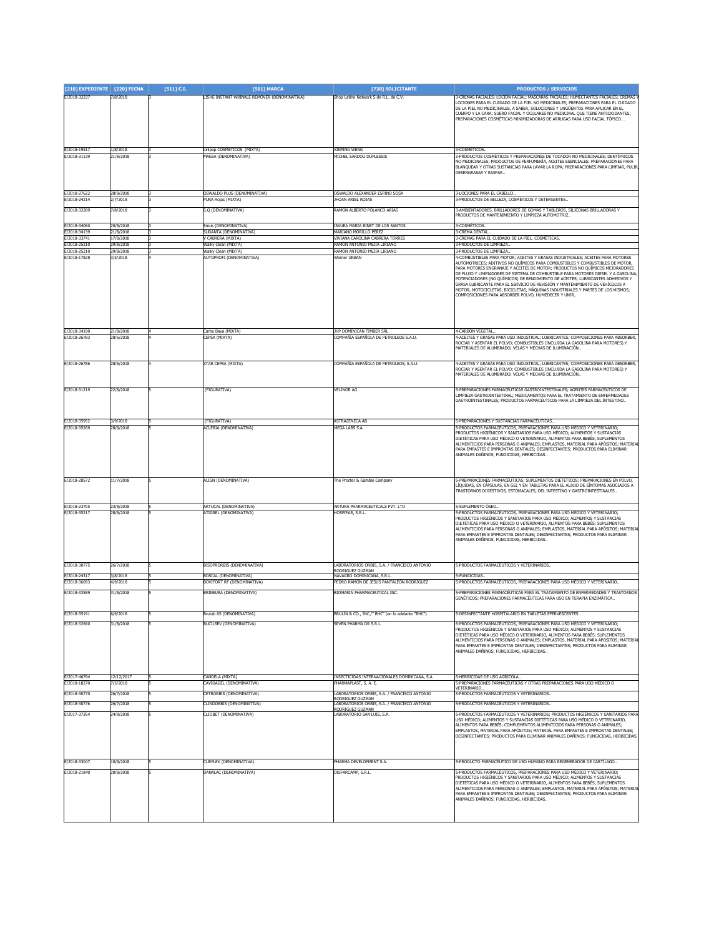| [210] EXPEDIENTE [220] FECHA |                        | [511] C.I. | [561] MARCA                                               | [730] SOLICITANTE                                                        | <b>PRODUCTOS / SERVICIOS</b>                                                                                                                                                                                                                                                                                                                                                                                                                                                                                                                                                                                                                   |
|------------------------------|------------------------|------------|-----------------------------------------------------------|--------------------------------------------------------------------------|------------------------------------------------------------------------------------------------------------------------------------------------------------------------------------------------------------------------------------------------------------------------------------------------------------------------------------------------------------------------------------------------------------------------------------------------------------------------------------------------------------------------------------------------------------------------------------------------------------------------------------------------|
| E/2018-32337                 | /8/2018                |            | ISHE INSTANT WRINKLE REMOVER (DENOMINATIVA)               | Shop Latino Network S de R.L. de C.V.                                    | -CREMAS FACIALES; LOCIÓN FACIAL; MASCARAS FACIALES; HUMECTANTES FACIALES; CREMAS<br>LOCIONES PARA EL CUIDADO DE LA PIEL NO MEDICINALES; PREPARACIONES PARA EL CUIDADO<br>DE LA PIEL NO MEDICINALES, A SABER, SOLUCIONES Y UNGÜENTOS PARA APLICAR EN EL<br>CUERPO Y LA CARA; SUERO FACIAL Y OCULARES NO MEDICINAL QUE TIENE ANTIOXIDANTES;<br>REPARACIONES COSMÉTICAS MINIMIZADORAS DE ARRUGAS PARA USO FACIAL TÓPICO. .                                                                                                                                                                                                                        |
| E/2018-19517<br>E/2018-31139 | 1/8/2018<br>21/8/2018  |            | ollipop COSMETICOS (MIXTA)<br><b>IAESA</b> (DENOMINATIVA) | <b>XINPING WENG</b><br>MICHEL SARDOU DUPLESSIS                           | 3-COSMÉTICOS.<br>-PRODUCTOS COSMÉTICOS Y PREPARACIONES DE TOCADOR NO MEDICINALES; DENTÍFRICOS<br>VO MEDICINALES; PRODUCTOS DE PERFUMERÍA, ACEITES ESENCIALES; PREPARACIONES PARA<br>BLANQUEAR Y OTRAS SUSTANCIAS PARA LAVAR LA ROPA; PREPARACIONES PARA LIMPIAR, PULIR<br>DESENGRASAR Y RASPAR                                                                                                                                                                                                                                                                                                                                                 |
| E/2018-27622<br>E/2018-24214 | 28/8/2018<br>2/7/2018  |            | <b>DSWALDO PLUS (DENOMINATIVA)</b><br>PURA Rojas (MIXTA)  | OSWALDO ALEXANDER ESPINO SOSA<br><b>HOAN ARIEL ROJAS</b>                 | -LOCIONES PARA EL CABELLO<br>3-PRODUCTOS DE BELLEZA, COSMÉTICOS Y DETERGENTES.                                                                                                                                                                                                                                                                                                                                                                                                                                                                                                                                                                 |
| E/2018-32289                 | /8/2018                |            | S.Q (DENOMINATIVA)                                        | RAMON ALBERTO POLANCO ARIAS                                              | 3-AMBIENTADORES, BRILLADORES DE GOMAS Y TABLEROS, SILICONAS BRILLADORAS Y                                                                                                                                                                                                                                                                                                                                                                                                                                                                                                                                                                      |
|                              |                        |            |                                                           |                                                                          | PRODUCTOS DE MANTENIMIENTO Y LIMPIEZA AUTOMOTRIZ                                                                                                                                                                                                                                                                                                                                                                                                                                                                                                                                                                                               |
| E/2018-34060<br>Z/2018-34139 | 20/8/2018<br>21/8/2018 |            | Smuk (DENOMINATIVA)<br>SUDANTA (DENOMINATIVA)             | <b>ISAURA MARIA BINET DE LOS SANTOS</b><br>MARIANO MORILLO PEREZ         | 3-COSMETICOS.<br>-CREMA DENTAL                                                                                                                                                                                                                                                                                                                                                                                                                                                                                                                                                                                                                 |
| E/2018-33741<br>E/2018-25210 | 17/8/2018<br>29/8/2018 |            | / CABRERA (MIXTA)<br>Walky Clean (MIXTA)                  | VIVIANA CAROLINA CABRERA TORRES<br>RAMÓN ANTONIO MEJÍA LIRIANO           | 3-CREMAS PARA EL CUIDADO DE LA PIEL, COSMÉTICAS.<br><b>B-PRODUCTOS DE LIMPIEZA</b>                                                                                                                                                                                                                                                                                                                                                                                                                                                                                                                                                             |
| E/2018-25210                 | 29/8/2018              |            | Walky Clean (MIXTA)                                       | RAMÓN ANTONIO MEJÍA LIRIANO                                              | 3-PRODUCTOS DE LIMPIEZA                                                                                                                                                                                                                                                                                                                                                                                                                                                                                                                                                                                                                        |
| E/2018-17828                 | 3/5/2018               |            | AUTOPROFI (DENOMINATIVA)                                  | Verner URBAN                                                             | -COMBUSTIBLES PARA MOTOR; ACEITES Y GRASAS INDUSTRIALES; ACEITES PARA MOTORES<br>AUTOMOTRICES; ADITIVOS NO QUÍMICOS PARA COMBUSTIBLES Y COMBUSTIBLES DE MOTOR,<br>PARA MOTORES ENGRANAJE Y ACEITES DE MOTOR; PRODUCTOS NO QUÍMICOS MEJORADORES<br>DE FLUJO Y LIMPIADORES DE SISTEMA DE COMBUSTIBLE PARA MOTORES DIESEL Y A GASOLINA<br>POTENCIADORES (NO QUÍMICOS) DE RENDIMIENTO DE ACEITES; LUBRICANTES ADHESIVOS Y<br>GRASA LUBRICANTE PARA EL SERVICIO DE REVISIÓN Y MANTENIMIENTO DE VEHÍCULOS A<br>MOTOR, MOTOCICLETAS, BICICLETAS, MÁQUINAS INDUSTRIALES Y PARTES DE LOS MISMOS;<br>COMPOSICIONES PARA ABSORBER POLVO, HUMEDECER Y UNIR |
| E/2018-34190<br>F/2018-26783 | 21/8/2018<br>28/6/2018 |            | Carbo Baya (MIXTA)<br><b>EPSA (MIXTA)</b>                 | JHP DOMINICAN TIMBER SRL<br>COMPAÑÍA ESPAÑOLA DE PETROLEOS S.A.U.        | l-CARBÓN VEGETAL<br>-ACEITES Y GRASAS PARA USO INDUSTRIAL; LUBRICANTES; COMPOSICIONES PARA ABSORBER,                                                                                                                                                                                                                                                                                                                                                                                                                                                                                                                                           |
|                              |                        |            |                                                           |                                                                          | ROCIAR Y ASENTAR EL POLVO; COMBUSTIBLES (INCLUIDA LA GASOLINA PARA MOTORES) Y<br>MATERIALES DE ALLIMBRADO: VELAS Y MECHAS DE ILLIMINACIÓN                                                                                                                                                                                                                                                                                                                                                                                                                                                                                                      |
| E/2018-26786                 | 28/6/2018              |            | (TAR CEPSA (MIXTA)                                        | COMPAÑÍA ESPAÑOLA DE PETROLEOS, S.A.U.                                   | -ACEITES Y GRASAS PARA USO INDUSTRIAL; LUBRICANTES; COMPOSICIONES PARA ABSORBER,<br>ROCIAR Y ASENTAR EL POLVO; COMBUSTIBLES (INCLUIDA LA GASOLINA PARA MOTORES) Y<br>MATERIALES DE ALUMBRADO: VELAS Y MECHAS DE ILUMINACIÓN                                                                                                                                                                                                                                                                                                                                                                                                                    |
| E/2018-31219                 | 22/8/2018              |            | (FIGURATIVA)                                              | <b>VELINOR AG</b>                                                        | -<br>- PREPARACIONES FARMACÉUTICAS GASTROINTESTINALES; AGENTES FARMACÉUTICOS DE<br>IMPIEZA GASTROINTESTINAL; MEDICAMENTOS PARA EL TRATAMIENTO DE ENFERMEDADES<br>GASTROINTESTINALES; PRODUCTOS FARMACÉUTICOS PARA LA LIMPIEZA DEL INTESTINO                                                                                                                                                                                                                                                                                                                                                                                                    |
| E/2018-35952<br>E/2018-35269 | 3/9/2018<br>28/8/2018  |            | (FIGURATIVA)<br>ACLERIA (DENOMINATIVA)                    | <b>ASTRAZENECA AB</b><br>MEGA LABS S.A.                                  | S-PREPARACIONES Y SUSTANCIAS FARMACÉUTICAS<br>-PRODUCTOS FARMACÉUTICOS, PREPARACIONES PARA USO MÉDICO Y VETERINARIO;                                                                                                                                                                                                                                                                                                                                                                                                                                                                                                                           |
|                              |                        |            |                                                           |                                                                          | PRODUCTOS HIGIÉNICOS Y SANITARIOS PARA USO MÉDICO; ALIMENTOS Y SUSTANCIAS<br>DIETÉTICAS PARA USO MÉDICO O VETERINARIO, ALIMENTOS PARA BEBÉS; SUPLEMENTOS<br>ALIMENTICIOS PARA PERSONAS O ANIMALES; EMPLASTOS, MATERIAL PARA APÓSITOS; MATERIAL<br>PARA EMPASTES E IMPRONTAS DENTALES; DESINFECTANTES; PRODUCTOS PARA ELIMINAR<br>ANIMALES DAÑINOS; FUNGICIDAS, HERBICIDAS                                                                                                                                                                                                                                                                      |
| E/2018-28572                 | 11/7/2018              |            | <b>ILIGN (DENOMINATIVA)</b>                               | he Procter & Gamble Company                                              | -PREPARACIONES FARMACÉUTICAS; SUPLEMENTOS DIETÉTICOS; PREPARACIONES EN POLVO,<br>ÍQUIDAS, EN CÁPSULAS, EN GEL Y EN TABLETAS PARA EL ALIVIO DE SÍNTOMAS ASOCIADOS A<br>RASTORNOS DIGESTIVOS, ESTOMACALES, DEL INTESTINO Y GASTROINTESTINALES.                                                                                                                                                                                                                                                                                                                                                                                                   |
| E/2018-23705<br>E/2018-35217 | 23/8/2018<br>28/8/2018 |            | ARTUCAL (DENOMINATIVA)<br>ATIGREL (DENOMINATIVA)          | ARTURA PHARMACEUTICALS PVT. LTD<br>HOSPIFAR, S.R.L.                      | 5-SUPLEMENTO ÓSEO<br>-PRODUCTOS FARMACÉUTICOS, PREPARACIONES PARA USO MÉDICO Y VETERINARIO;                                                                                                                                                                                                                                                                                                                                                                                                                                                                                                                                                    |
|                              |                        |            |                                                           |                                                                          | PRODUCTOS HIGIÉNICOS Y SANITARIOS PARA USO MÉDICO; ALIMENTOS Y SUSTANCIAS<br>DIETÉTICAS PARA USO MÉDICO O VETERINARIO, ALIMENTOS PARA BEBÉS; SUPLEMENTOS<br>ALIMENTICIOS PARA PERSONAS O ANIMALES; EMPLASTOS, MATERIAL PARA APÓSITOS; MATERIAL<br>PARA EMPASTES E IMPRONTAS DENTALES; DESINFECTANTES; PRODUCTOS PARA ELIMINAR<br>ANIMALES DAÑINOS; FUNGICIDAS, HERBICIDAS.                                                                                                                                                                                                                                                                     |
| E/2018-30775                 | 26/7/2018              |            | <b>BISOPRORBIS (DENOMINATIVA)</b>                         | ABORATORIOS ORBIS, S.A. / FRANCISCO ANTONIO                              | 5-PRODUCTOS FARMACÉUTICOS Y VETERINARIOS                                                                                                                                                                                                                                                                                                                                                                                                                                                                                                                                                                                                       |
| E/2018-24317                 | 3/8/2018               |            | BOSCAL (DENOMINATIVA)<br>BOVIFORT RF (DENOMINATIVA)       | Rodriguez Guzman<br>VAVAGRO DOMINICANA, S.R.L.                           | i-FUNGICIDAS<br>-PRODUCTOS FARMACÉUTICOS, PREPARACIONES PARA USO MÉDICO Y VETERINARIO                                                                                                                                                                                                                                                                                                                                                                                                                                                                                                                                                          |
| E/2018-36093<br>E/2018-33589 | 1/9/2018<br>31/8/2018  |            | BRINEURA (DENOMINATIVA)                                   | PEDRO RAMÓN DE JESÚS PANTALEÓN RODRÍGUEZ<br>BIOMARIN PHARMACEUTICAL INC. | -<br>PREPARACIONES FARMACÉUTICAS PARA EL TRATAMIENTO DE ENFERMEDADES Y TRASTORNOS                                                                                                                                                                                                                                                                                                                                                                                                                                                                                                                                                              |
|                              |                        |            |                                                           |                                                                          | GENÉTICOS; PREPARACIONES FARMACÉUTICAS PARA USO EN TERAPIA ENZIMÁTICA                                                                                                                                                                                                                                                                                                                                                                                                                                                                                                                                                                          |
| E/2018-35191                 | 6/9/2018               |            | Brutab 6S (DENOMINATIVA)                                  | BRULIN & CO., INC./" BHC" (en lo adelante                                | 5-DESINFECTANTE HOSPITALARIO EN TABLETAS EFERVESCENTES                                                                                                                                                                                                                                                                                                                                                                                                                                                                                                                                                                                         |
| E/2018-32660                 | 31/8/2018              |            | BUCILSEV (DENOMINATIVA)                                   | SEVEN PHARMA DR S.R.I.                                                   | -PRODUCTOS FARMACÉUTICOS, PREPARACIONES PARA USO MÉDICO Y VETERINARIO;<br>RODUCTOS HIGIÉNICOS Y SANITARIOS PARA USO MÉDICO; ALIMENTOS Y SUSTANCIAS<br>DIETÉTICAS PARA USO MÉDICO O VETERINARIO, ALIMENTOS PARA BEBÉS; SUPLEMENTOS<br>ALIMENTICIOS PARA PERSONAS O ANIMALES; EMPLASTOS, MATERIAL PARA APÓSITOS; MATERIAL<br>PARA EMPASTES E IMPRONTAS DENTALES: DESINFECTANTES: PRODUCTOS PARA ELIMINAR<br>ANIMALES DAÑINOS; FUNGICIDAS, HERBICIDAS                                                                                                                                                                                             |
| E/2017-46794<br>E/2018-18270 | 12/12/2017<br>7/5/2018 |            | CANDELA (MIXTA)<br>CAVIDAGEL (DENOMINATIVA)               | INSECTICIDAS INTERNACIONALES DOMINICANA, S.A<br>PHARMAPLAST, S. A. E.    | 5-HERBICIDAS DE USO AGRÍCOLA<br>-PREPARACIONES FARMACÉUTICAS Y OTRAS PREPARACIONES PARA USO MÉDICO O                                                                                                                                                                                                                                                                                                                                                                                                                                                                                                                                           |
| E/2018-30770                 | 26/7/2018              |            | CETRORBIS (DENOMINATIVA)                                  | ABORATORIOS ORBIS, S.A. / FRANCISCO ANTONIO                              | VETERINARIO.<br>-PRODUCTOS FARMACÉUTICOS Y VETERINARIOS                                                                                                                                                                                                                                                                                                                                                                                                                                                                                                                                                                                        |
| E/2018-30776                 | 16/7/2018              |            | LINDORBIS (DENOMINATIVA)                                  | RODRIGUEZ GUZMAN<br>ABORATORIOS ORBIS, S.A. / FRANCISCO ANTONIO          | -PRODUCTOS FARMACÉUTICOS Y VETERINARIOS                                                                                                                                                                                                                                                                                                                                                                                                                                                                                                                                                                                                        |
| E/2017-37354                 | 24/8/2018              |            | LIOBET (DENOMINATIVA)                                     | <b>RODRIGUEZ GUZMAN</b><br>ABORATORIO SAN LUIS, S.A.                     | -PRODUCTOS FARMACÉUTICOS Y VETERINARIOS; PRODUCTOS HIGIÉNICOS Y SANITARIOS PARA<br>JSO MÉDICO; ALIMENTOS Y SUSTANCIAS DIETÉTICAS PARA USO MÉDICO O VETERINARIO,<br>LIMENTOS PARA BEBÉS; COMPLEMENTOS ALIMENTICIOS PARA PERSONAS O ANIMALES;<br>EMPLASTOS, MATERIAL PARA APÓSITOS; MATERIAL PARA EMPASTES E IMPRONTAS DENTALES;<br>DESINFECTANTES; PRODUCTOS PARA ELIMINAR ANIMALES DAÑINOS; FUNGICIDAS, HERBICIDAS.                                                                                                                                                                                                                            |
| E/2018-33047                 | 10/8/2018              |            | CURFLEX (DENOMINATIVA)                                    | PHARMA DEVELOPMENT S.A.                                                  | 5-PRODUCTO FARMACÉUTICO DE USO HUMANO PARA REGENERADOR DE CARTÍLAGO                                                                                                                                                                                                                                                                                                                                                                                                                                                                                                                                                                            |
| E/2018-21840                 | 20/8/2018              |            | DANALAC (DENOMINATIVA)                                    | DISFARCAMP, S.R.L.                                                       | -PRODUCTOS FARMACÉUTICOS, PREPARACIONES PARA USO MÉDICO Y VETERINARIO:<br>RODUCTOS HIGIÉNICOS Y SANITARIOS PARA USO MÉDICO; ALIMENTOS Y SUSTANCIAS<br>DIETÉTICAS PARA USO MÉDICO O VETERINARIO, ALIMENTOS PARA BEBÉS; SUPLEMENTOS<br>ALIMENTICIOS PARA PERSONAS O ANIMALES; EMPLASTOS, MATERIAL PARA APÓSITOS; MATERIAL<br>PARA EMPASTES E IMPRONTAS DENTALES; DESINFECTANTES; PRODUCTOS PARA ELIMINAR<br>ANIMALES DAÑINOS; FUNGICIDAS, HERBICIDAS                                                                                                                                                                                             |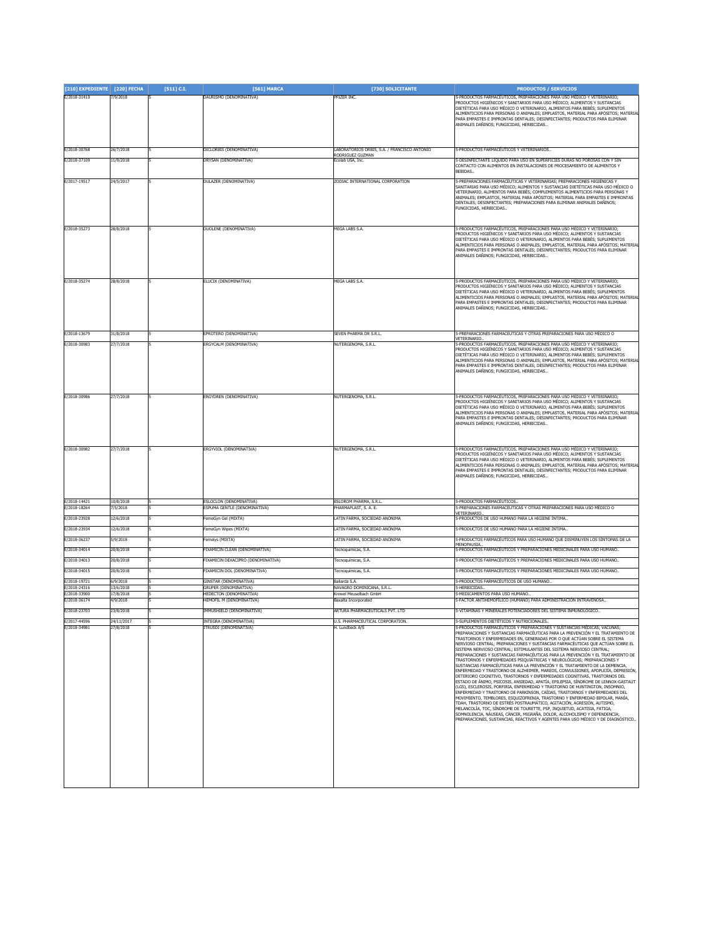| [210] EXPEDIENTE [220] FECHA |                        | [511] C.I. | [561] MARCA                                             | [730] SOLICITANTE                                    | <b>PRODUCTOS / SERVICIOS</b>                                                                                                                                                                                                                                                                                                                                                                                                                                                                                                                                                                                                                                                                                                                                                                                                                                                                                                                                                                                                                                                                                                                                                                                                                                                                                                                                                                                                                                               |
|------------------------------|------------------------|------------|---------------------------------------------------------|------------------------------------------------------|----------------------------------------------------------------------------------------------------------------------------------------------------------------------------------------------------------------------------------------------------------------------------------------------------------------------------------------------------------------------------------------------------------------------------------------------------------------------------------------------------------------------------------------------------------------------------------------------------------------------------------------------------------------------------------------------------------------------------------------------------------------------------------------------------------------------------------------------------------------------------------------------------------------------------------------------------------------------------------------------------------------------------------------------------------------------------------------------------------------------------------------------------------------------------------------------------------------------------------------------------------------------------------------------------------------------------------------------------------------------------------------------------------------------------------------------------------------------------|
| E/2018-31410                 | 7/9/2018               |            | DAURISMO (DENOMINATIVA)                                 | PFIZER INC.                                          | 5-PRODUCTOS FARMACÉUTICOS, PREPARACIONES PARA USO MÉDICO Y VETERINARIO:<br>PRODUCTOS HIGIÉNICOS Y SANITARIOS PARA USO MÉDICO; ALIMENTOS Y SUSTANCIAS<br>DIETÉTICAS PARA USO MÉDICO O VETERINARIO, ALIMENTOS PARA BEBÉS; SUPLEMENTOS<br>ALIMENTICIOS PARA PERSONAS O ANIMALES; EMPLASTOS, MATERIAL PARA APÓSITOS; MATERIAL<br>PARA EMPASTES E IMPRONTAS DENTALES; DESINFECTANTES; PRODUCTOS PARA ELIMINAR<br>ANIMALES DAÑINOS; FUNGICIDAS, HERBICIDAS                                                                                                                                                                                                                                                                                                                                                                                                                                                                                                                                                                                                                                                                                                                                                                                                                                                                                                                                                                                                                       |
| E/2018-30768                 | 26/7/2018              |            | DICLORBIS (DENOMINATIVA)                                | ABORATORIOS ORBIS, S.A. / FRANCISCO ANTONIO          | 5-PRODUCTOS FARMACÉUTICOS Y VETERINARIOS                                                                                                                                                                                                                                                                                                                                                                                                                                                                                                                                                                                                                                                                                                                                                                                                                                                                                                                                                                                                                                                                                                                                                                                                                                                                                                                                                                                                                                   |
| E/2018-37109                 | 11/9/2018              |            | DRYSAN (DENOMINATIVA)                                   | RODRIGUEZ GUZMAN<br>Ecolab USA, Inc.                 | 5-DESINFECTANTE LÍQUIDO PARA USO EN SUPERFICIES DURAS NO POROSAS CON Y SIN                                                                                                                                                                                                                                                                                                                                                                                                                                                                                                                                                                                                                                                                                                                                                                                                                                                                                                                                                                                                                                                                                                                                                                                                                                                                                                                                                                                                 |
|                              |                        |            |                                                         |                                                      | CONTACTO CON ALIMENTOS EN INSTALACIONES DE PROCESAMIENTO DE ALIMENTOS Y<br>BEBIDAS.                                                                                                                                                                                                                                                                                                                                                                                                                                                                                                                                                                                                                                                                                                                                                                                                                                                                                                                                                                                                                                                                                                                                                                                                                                                                                                                                                                                        |
| E/2017-19517                 | 24/5/2017              |            | DULAZER (DENOMINATIVA)                                  | ZODIAC INTERNATIONAL CORPORATION                     | 5-PREPARACIONES FARMACÉUTICAS Y VETERINARIAS; PREPARACIONES HIGIÉNICAS Y<br>SANITARIAS PARA USO MÉDICO; ALIMENTOS Y SUSTANCIAS DIETÉTICAS PARA USO MÉDICO O<br>VETERINARIO, ALIMENTOS PARA BEBÉS; COMPLEMENTOS ALIMENTICIOS PARA PERSONAS Y<br>ANIMALES; EMPLASTOS, MATERIAL PARA APÓSITOS; MATERIAL PARA EMPASTES E IMPRONTAS<br>DENTALES; DESINFECTANTES; PREPARACIONES PARA ELIMINAR ANIMALES DAÑINOS;<br>FUNGICIDAS, HERBICIDAS                                                                                                                                                                                                                                                                                                                                                                                                                                                                                                                                                                                                                                                                                                                                                                                                                                                                                                                                                                                                                                        |
| E/2018-35273                 | 28/8/2018              |            | DUOLENE (DENOMINATIVA)                                  | MEGA LABS S.A                                        | 5-PRODUCTOS FARMACÉUTICOS, PREPARACIONES PARA USO MÉDICO Y VETERINARIO:<br>PRODUCTOS HIGIÉNICOS Y SANITARIOS PARA USO MÉDICO; ALIMENTOS Y SUSTANCIAS<br>DIETÉTICAS PARA USO MÉDICO O VETERINARIO, ALIMENTOS PARA BEBÉS; SUPLEMENTOS<br>ALIMENTICIOS PARA PERSONAS O ANIMALES; EMPLASTOS, MATERIAL PARA APÓSITOS; MATERIAL<br>PARA EMPASTES E IMPRONTAS DENTALES; DESINFECTANTES; PRODUCTOS PARA ELIMINAR<br>ANIMALES DAÑINOS: FUNGICIDAS, HERBICIDAS                                                                                                                                                                                                                                                                                                                                                                                                                                                                                                                                                                                                                                                                                                                                                                                                                                                                                                                                                                                                                       |
| E/2018-35274                 | 28/8/2018              |            | ELUCIX (DENOMINATIVA)                                   | MEGA LABS S.A.                                       | 5-PRODUCTOS FARMACÉUTICOS, PREPARACIONES PARA USO MÉDICO Y VETERINARIO;<br>PRODUCTOS HIGIÉNICOS Y SANITARIOS PARA USO MÉDICO; ALIMENTOS Y SUSTANCIAS<br>DIETÉTICAS PARA USO MÉDICO O VETERINARIO, ALIMENTOS PARA BEBÉS; SUPLEMENTOS<br>ALIMENTICIOS PARA PERSONAS O ANIMALES; EMPLASTOS, MATERIAL PARA APÓSITOS; MATERIAL<br>PARA EMPASTES E IMPRONTAS DENTALES; DESINFECTANTES; PRODUCTOS PARA ELIMINAR<br>ANIMALES DAÑINOS; FUNGICIDAS, HERBICIDAS                                                                                                                                                                                                                                                                                                                                                                                                                                                                                                                                                                                                                                                                                                                                                                                                                                                                                                                                                                                                                       |
| F/2018-13679                 | 31/8/2018              |            | EPROTERO (DENOMINATIVA)                                 | SEVEN PHARMA DR S.R.L.                               | 5-PREPARACIONES FARMACÉUTICAS Y OTRAS PREPARACIONES PARA USO MÉDICO O<br>VETERINARIO.                                                                                                                                                                                                                                                                                                                                                                                                                                                                                                                                                                                                                                                                                                                                                                                                                                                                                                                                                                                                                                                                                                                                                                                                                                                                                                                                                                                      |
| E/2018-30983                 | 27/7/2018              |            | ERGYCALM (DENOMINATIVA)                                 | NUTERGENOMA, S.R.L.                                  | 5-PRODUCTOS FARMACÉUTICOS, PREPARACIONES PARA USO MÉDICO Y VETERINARIO;<br>PRODUCTOS HIGIÉNICOS Y SANITARIOS PARA USO MÉDICO: ALIMENTOS Y SUSTANCIAS<br>DIFTÉTICAS PARA USO MÉDICO O VETERINARIO. ALIMENTOS PARA BEBÉS: SUPLEMENTOS<br>ALIMENTICIOS PARA PERSONAS O ANIMALES; EMPLASTOS, MATERIAL PARA APÓSITOS; MATERIAL<br>PARA EMPASTES E IMPRONTAS DENTALES; DESINFECTANTES; PRODUCTOS PARA ELIMINAR<br>ANIMALES DAÑINOS; FUNGICIDAS, HERBICIDAS                                                                                                                                                                                                                                                                                                                                                                                                                                                                                                                                                                                                                                                                                                                                                                                                                                                                                                                                                                                                                       |
| E/2018-30986                 | 27/7/2018              |            | ERGYDREN (DENOMINATIVA)                                 | NUTERGENOMA, S.R.L.                                  | 5-PRODUCTOS FARMACÉUTICOS, PREPARACIONES PARA USO MÉDICO Y VETERINARIO;<br>RODUCTOS HIGIÉNICOS Y SANITARIOS PARA USO MÉDICO; ALIMENTOS Y SUSTANCIAS<br>DIETÉTICAS PARA USO MÉDICO O VETERINARIO, ALIMENTOS PARA BEBÉS; SUPLEMENTOS<br>ALIMENTICIOS PARA PERSONAS O ANIMALES; EMPLASTOS, MATERIAL PARA APÓSITOS; MATERIAL<br>PARA EMPASTES E IMPRONTAS DENTALES; DESINFECTANTES; PRODUCTOS PARA ELIMINAR<br>ANIMALES DAÑINOS; FUNGICIDAS, HERBICIDAS                                                                                                                                                                                                                                                                                                                                                                                                                                                                                                                                                                                                                                                                                                                                                                                                                                                                                                                                                                                                                        |
| E/2018-30982                 | 27/7/2018              |            | ERGYVIOL (DENOMINATIVA)                                 | NUTERGENOMA, S.R.L.                                  | 5-PRODUCTOS FARMACÉUTICOS, PREPARACIONES PARA USO MÉDICO Y VETERINARIO:<br>PRODUCTOS HIGIÉNICOS Y SANITARIOS PARA USO MÉDICO; ALIMENTOS Y SUSTANCIAS<br>DIETÉTICAS PARA USO MÉDICO O VETERINARIO, ALIMENTOS PARA BEBÉS; SUPLEMENTOS<br>ALIMENTICIOS PARA PERSONAS O ANIMALES; EMPLASTOS, MATERIAL PARA APÓSITOS; MATERIAL<br>PARA EMPASTES E IMPRONTAS DENTALES; DESINFECTANTES; PRODUCTOS PARA ELIMINAR<br>ANIMALES DAÑINOS; FUNGICIDAS, HERBICIDAS                                                                                                                                                                                                                                                                                                                                                                                                                                                                                                                                                                                                                                                                                                                                                                                                                                                                                                                                                                                                                       |
| E/2018-14421                 | 10/8/2018              |            | ESLOCLON (DENOMINATIVA)                                 | ESLOROM PHARMA, S.R.L.                               | -PRODUCTOS FARMACÉUTICOS.                                                                                                                                                                                                                                                                                                                                                                                                                                                                                                                                                                                                                                                                                                                                                                                                                                                                                                                                                                                                                                                                                                                                                                                                                                                                                                                                                                                                                                                  |
| E/2018-18264                 | /5/2018                |            | ESPUMA GENTLE (DENOMINATIVA)                            | PHARMAPLAST, S. A. E.                                | 5-PREPARACIONES FARMACÉUTICAS Y OTRAS PREPARACIONES PARA USO MÉDICO O<br><b>/ETERINARIO.</b>                                                                                                                                                                                                                                                                                                                                                                                                                                                                                                                                                                                                                                                                                                                                                                                                                                                                                                                                                                                                                                                                                                                                                                                                                                                                                                                                                                               |
| E/2018-23928                 | 12/6/2018              |            | FemeGyn Gel (MIXTA)                                     | LATIN FARMA, SOCIEDAD ANÓNIMA                        | -PRODUCTOS DE USO HUMANO PARA LA HIGIENE ÍNTIMA                                                                                                                                                                                                                                                                                                                                                                                                                                                                                                                                                                                                                                                                                                                                                                                                                                                                                                                                                                                                                                                                                                                                                                                                                                                                                                                                                                                                                            |
| E/2018-23934                 | 12/6/2018              |            | FemeGyn Wipes (MIXTA)                                   | ATIN FARMA, SOCIEDAD ANÓNIMA                         | 5-PRODUCTOS DE USO HUMANO PARA LA HIGIENE ÍNTIMA                                                                                                                                                                                                                                                                                                                                                                                                                                                                                                                                                                                                                                                                                                                                                                                                                                                                                                                                                                                                                                                                                                                                                                                                                                                                                                                                                                                                                           |
| E/2018-36237                 | 5/9/2018               |            | Femelys (MIXTA)                                         | LATIN FARMA, SOCIEDAD ANÓNIMA                        | 5-PRODUCTOS FARMACÉUTICOS PARA USO HUMANO QUE DISMINUYEN LOS SÍNTOMAS DE LA<br>MENOPAUSIA                                                                                                                                                                                                                                                                                                                                                                                                                                                                                                                                                                                                                                                                                                                                                                                                                                                                                                                                                                                                                                                                                                                                                                                                                                                                                                                                                                                  |
| E/2018-34014                 | 20/8/2018              |            | FIXAMICIN CLEAN (DENOMINATIVA)                          | Tecnoquímicas, S.A.                                  | 5-PRODUCTOS FARMACÉUTICOS Y PREPARACIONES MEDICINALES PARA USO HUMANO                                                                                                                                                                                                                                                                                                                                                                                                                                                                                                                                                                                                                                                                                                                                                                                                                                                                                                                                                                                                                                                                                                                                                                                                                                                                                                                                                                                                      |
| E/2018-34013                 | 20/8/2018              |            | FIXAMICIN DEXACIPRO (DENOMINATIVA)                      | Tecnoquímicas, S.A.                                  | 5-PRODUCTOS FARMACÉUTICOS Y PREPARACIONES MEDICINALES PARA USO HUMANO                                                                                                                                                                                                                                                                                                                                                                                                                                                                                                                                                                                                                                                                                                                                                                                                                                                                                                                                                                                                                                                                                                                                                                                                                                                                                                                                                                                                      |
| E/2018-34015                 | 20/8/2018              |            | FIXAMICIN DOL (DENOMINATIVA)                            | Tecnoquímicas, S.A.                                  | 5-PRODUCTOS FARMACÉUTICOS Y PREPARACIONES MEDICINALES PARA USO HUMANO                                                                                                                                                                                                                                                                                                                                                                                                                                                                                                                                                                                                                                                                                                                                                                                                                                                                                                                                                                                                                                                                                                                                                                                                                                                                                                                                                                                                      |
| E/2018-19721                 | 6/9/2018               |            | <b>GINSTAR (DENOMINATIVA)</b>                           | Baliarda S.A.                                        | 5-PRODUCTOS FARMACÉUTICOS DE USO HUMANO                                                                                                                                                                                                                                                                                                                                                                                                                                                                                                                                                                                                                                                                                                                                                                                                                                                                                                                                                                                                                                                                                                                                                                                                                                                                                                                                                                                                                                    |
| E/2018-24316<br>E/2018-33900 | 13/6/2018<br>17/8/2018 |            | GRUPER (DENOMINATIVA)<br><b>HEDECTON (DENOMINATIVA)</b> | NAVAGRO DOMINICANA, S.R.L.<br>Krewel Meuselbach GmbH | 5-HERBICIDAS.<br>5-MEDICAMENTOS PARA USO HUMANO.                                                                                                                                                                                                                                                                                                                                                                                                                                                                                                                                                                                                                                                                                                                                                                                                                                                                                                                                                                                                                                                                                                                                                                                                                                                                                                                                                                                                                           |
| E/2018-36174                 | 4/9/2018               |            | HEMOFIL M (DENOMINATIVA)                                | Baxalta Incorporated                                 | 5-FACTOR ANTIHEMOFÍLICO (HUMANO) PARA ADMINISTRACIÓN INTRAVENOSA.                                                                                                                                                                                                                                                                                                                                                                                                                                                                                                                                                                                                                                                                                                                                                                                                                                                                                                                                                                                                                                                                                                                                                                                                                                                                                                                                                                                                          |
| E/2018-23703                 | 23/8/2018              |            | IMMUSHIELD (DENOMINATIVA)                               | ARTURA PHARMACEUTICALS PVT. LTD                      | 5-VITAMINAS Y MINERALES POTENCIADORES DEL SISTEMA INMUNOLÓGICO.                                                                                                                                                                                                                                                                                                                                                                                                                                                                                                                                                                                                                                                                                                                                                                                                                                                                                                                                                                                                                                                                                                                                                                                                                                                                                                                                                                                                            |
| E/2017-44596                 | 24/11/2017             |            | INTEGRA (DENOMINATIVA)                                  | J.S. PHARMACEUTICAL CORPORATION.                     | 5-SUPLEMENTOS DIETÉTICOS Y NUTRICIONALES.                                                                                                                                                                                                                                                                                                                                                                                                                                                                                                                                                                                                                                                                                                                                                                                                                                                                                                                                                                                                                                                                                                                                                                                                                                                                                                                                                                                                                                  |
| E/2018-34981                 | 27/8/2018              |            | TRUSDI (DENOMINATIVA)                                   | H. Lundbeck A/S                                      | 5-PRODUCTOS FARMACÉUTICOS Y PREPARACIONES Y SUSTANCIAS MÉDICAS; VACUNAS;<br>PREPARACIONES Y SUSTANCIAS FARMACÉUTICAS PARA LA PREVENCIÓN Y EL TRATAMIENTO DE<br>TRASTORNOS Y ENFERMEDADES EN, GENERADAS POR O OUE ACTÚAN SOBRE EL SISTEMA<br>NERVIOSO CENTRAL: PREPARACIONES Y SUSTANCIAS FARMACÉUTICAS OUE ACTÚAN SOBRE EL<br>SISTEMA NERVIOSO CENTRAL; ESTIMULANTES DEL SISTEMA NERVIOSO CENTRAL;<br>PREPARACIONES Y SUSTANCIAS FARMACÉUTICAS PARA LA PREVENCIÓN Y EL TRATAMIENTO DE<br>TRASTORNOS Y ENFERMEDADES PSIQUIÁTRICAS Y NEUROLÓGICAS; PREPARACIONES Y<br>SUSTANCIAS FARMACÉUTICAS PARA LA PREVENCIÓN Y EL TRATAMIENTO DE LA DEMENCIA,<br>ENFERMEDAD Y TRASTORNO DE ALZHEIMER, MAREOS, CONVULSIONES, APOPLEJÍA, DEPRESIÓN,<br>DETERIORO COGNITIVO, TRASTORNOS Y ENFERMEDADES COGNITIVAS, TRASTORNOS DEL<br>ESTADO DE ÁNIMO, PSICOSIS, ANSIEDAD, APATÍA, EPILEPSIA, SÍNDROME DE LENNOX-GASTAUT<br>(LGS), ESCLEROSIS, PORFIRIA, ENFERMEDAD Y TRASTORNO DE HUNTINGTON, INSOMNIO,<br>ENFERMEDAD Y TRASTORNO DE PARKINSON, CAÍDAS, TRASTORNOS Y ENFERMEDADES DEL<br>MOVIMIENTO, TEMBLORES, ESQUIZOFRENIA, TRASTORNO Y ENFERMEDAD BIPOLAR, MANÍA,<br>TDAH, TRASTORNO DE ESTRÉS POSTRAUMÁTICO, AGITACIÓN, AGRESIÓN, AUTISMO,<br>MELANCOLÍA, TOC, SÍNDROME DE TOURETTE, PSP, INQUIETUD, ACATISIA, FATIGA,<br>SOMNOLENCIA, NÁUSEAS, CÁNCER, MIGRAÑA, DOLOR, ALCOHOLISMO Y DEPENDENCIA;<br>PREPARACIONES, SUSTANCIAS, REACTIVOS Y AGENTES PARA USO MÉDICO Y DE DIAGNÓSTICO |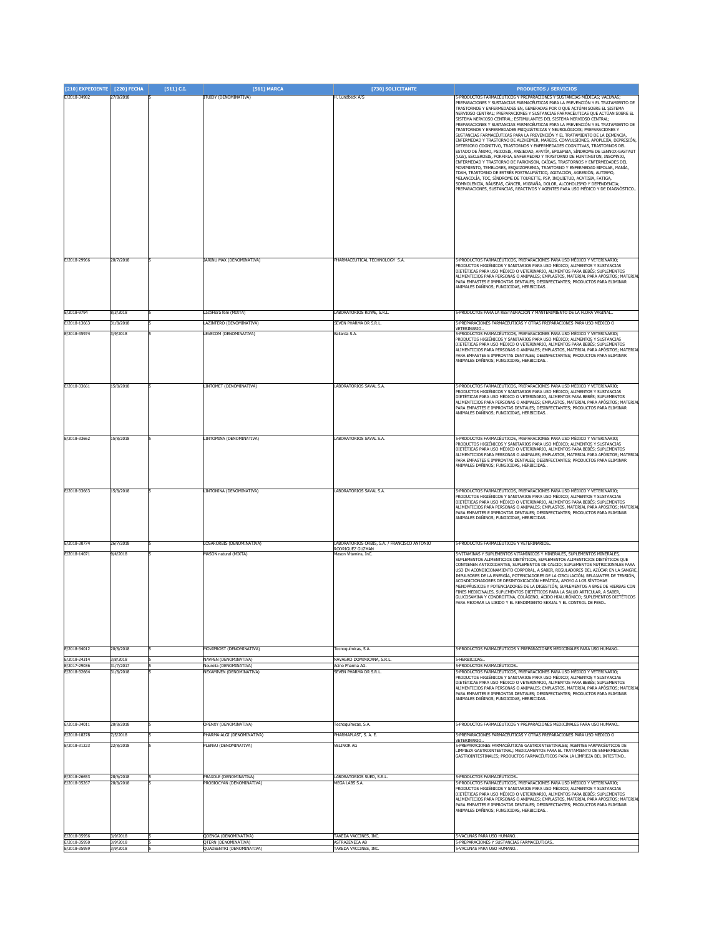| [210] EXPEDIENTE [220] FECHA |                        | $[511]$ C.I. | [561] MARCA                                          | [730] SOLICITANTE                                  | <b>PRODUCTOS / SERVICIOS</b>                                                                                                                                                                                                                                                                                                                                                                                                                                                                                                                                                                                                                                                                                                                                                                                                                                                                                                                                                                                                                                                                                                                                                                                                                                                                                                                                                                                                                                               |
|------------------------------|------------------------|--------------|------------------------------------------------------|----------------------------------------------------|----------------------------------------------------------------------------------------------------------------------------------------------------------------------------------------------------------------------------------------------------------------------------------------------------------------------------------------------------------------------------------------------------------------------------------------------------------------------------------------------------------------------------------------------------------------------------------------------------------------------------------------------------------------------------------------------------------------------------------------------------------------------------------------------------------------------------------------------------------------------------------------------------------------------------------------------------------------------------------------------------------------------------------------------------------------------------------------------------------------------------------------------------------------------------------------------------------------------------------------------------------------------------------------------------------------------------------------------------------------------------------------------------------------------------------------------------------------------------|
| E/2018-34982                 | 27/8/2018              |              | <b>ITUIDY (DENOMINATIVA)</b>                         | H. Lundbeck A/S                                    | 5-PRODUCTOS FARMACÉUTICOS Y PREPARACIONES Y SUSTANCIAS MÉDICAS: VACUNAS:<br>PREPARACIONES Y SUSTANCIAS FARMACÉUTICAS PARA LA PREVENCIÓN Y EL TRATAMIENTO DE<br>TRASTORNOS Y ENFERMEDADES EN, GENERADAS POR O QUE ACTÚAN SOBRE EL SISTEMA<br>NERVIOSO CENTRAL: PREPARACIONES Y SUSTANCIAS FARMACÉUTICAS OUE ACTÚAN SOBRE EL<br>SISTEMA NERVIOSO CENTRAL; ESTIMULANTES DEL SISTEMA NERVIOSO CENTRAL;<br>PREPARACIONES Y SUSTANCIAS FARMACÉUTICAS PARA LA PREVENCIÓN Y EL TRATAMIENTO DE<br>TRASTORNOS Y ENFERMEDADES PSIQUIÁTRICAS Y NEUROLÓGICAS; PREPARACIONES Y<br>SUSTANCIAS FARMACÉUTICAS PARA LA PREVENCIÓN Y EL TRATAMIENTO DE LA DEMENCIA,<br>ENFERMEDAD Y TRASTORNO DE ALZHEIMER, MAREOS, CONVULSIONES, APOPLEJÍA, DEPRESIÓN,<br>DETERIORO COGNITIVO, TRASTORNOS Y ENFERMEDADES COGNITIVAS, TRASTORNOS DEL<br>ESTADO DE ÁNIMO, PSICOSIS, ANSIEDAD, APATÍA, EPILEPSIA, SÍNDROME DE LENNOX-GASTAUT<br>(LGS), ESCLEROSIS, PORFIRIA, ENFERMEDAD Y TRASTORNO DE HUNTINGTON, INSOMNIO,<br>ENFERMEDAD Y TRASTORNO DE PARKINSON, CAÍDAS, TRASTORNOS Y ENFERMEDADES DEL<br>MOVIMIENTO, TEMBLORES, ESQUIZOFRENIA, TRASTORNO Y ENFERMEDAD BIPOLAR, MANÍA,<br>TDAH, TRASTORNO DE ESTRÉS POSTRAUMÁTICO, AGITACIÓN, AGRESIÓN, AUTISMO,<br>MELANCOLÍA, TOC, SÍNDROME DE TOURETTE, PSP, INQUIETUD, ACATISIA, FATIGA,<br>SOMNOLENCIA, NÁUSEAS, CÁNCER, MIGRAÑA, DOLOR, ALCOHOLISMO Y DEPENDENCIA;<br>PREPARACIONES, SUSTANCIAS, REACTIVOS Y AGENTES PARA USO MÉDICO Y DE DIAGNÓSTICO |
| E/2018-29966                 | 20/7/2018              |              | JARINU MAX (DENOMINATIVA)                            | PHARMACEUTICAL TECHNOLOGY S.A.                     | 5-PRODUCTOS FARMACÉUTICOS, PREPARACIONES PARA USO MÉDICO Y VETERINARIO;<br>PRODUCTOS HIGIÉNICOS Y SANITARIOS PARA USO MÉDICO; ALIMENTOS Y SUSTANCIAS<br>DIETÉTICAS PARA USO MÉDICO O VETERINARIO, ALIMENTOS PARA BEBÉS; SUPLEMENTOS<br>ALIMENTICIOS PARA PERSONAS O ANIMALES; EMPLASTOS, MATERIAL PARA APÓSITOS; MATERIAL<br>PARA EMPASTES E IMPRONTAS DENTALES; DESINFECTANTES; PRODUCTOS PARA ELIMINAR<br>ANIMALES DAÑINOS; FUNGICIDAS, HERBICIDAS                                                                                                                                                                                                                                                                                                                                                                                                                                                                                                                                                                                                                                                                                                                                                                                                                                                                                                                                                                                                                       |
| E/2018-9794                  | 3/3/2018               |              | actiFlora fem (MIXTA)                                | ABORATORIOS ROWE, S.R.L.                           | 5-PRODUCTOS PARA LA RESTAURACIÓN Y MANTENIMIENTO DE LA FLORA VAGINAL.                                                                                                                                                                                                                                                                                                                                                                                                                                                                                                                                                                                                                                                                                                                                                                                                                                                                                                                                                                                                                                                                                                                                                                                                                                                                                                                                                                                                      |
| E/2018-13663                 | 31/8/2018              |              | AZINTERO (DENOMINATIVA)                              | Seven Pharma Dr S.R.L.                             | 5-PREPARACIONES FARMACÉUTICAS Y OTRAS PREPARACIONES PARA USO MÉDICO O<br>VETERINARIO                                                                                                                                                                                                                                                                                                                                                                                                                                                                                                                                                                                                                                                                                                                                                                                                                                                                                                                                                                                                                                                                                                                                                                                                                                                                                                                                                                                       |
| E/2018-35974                 | 3/9/2018               |              | LEVECOM (DENOMINATIVA)                               | Baliarda S.A.                                      | 5-PRODUCTOS FARMACÉUTICOS, PREPARACIONES PARA USO MÉDICO Y VETERINARIO;<br>PRODUCTOS HIGIÉNICOS Y SANITARIOS PARA USO MÉDICO; ALIMENTOS Y SUSTANCIAS<br>DIETÉTICAS PARA USO MÉDICO O VETERINARIO, ALIMENTOS PARA BEBÉS; SUPLEMENTOS<br>ALIMENTICIOS PARA PERSONAS O ANIMALES; EMPLASTOS, MATERIAL PARA APÓSITOS; MATERIAI<br>PARA EMPASTES E IMPRONTAS DENTALES; DESINFECTANTES; PRODUCTOS PARA ELIMINAR<br>ANIMALES DAÑINOS; FUNGICIDAS, HERBICIDAS                                                                                                                                                                                                                                                                                                                                                                                                                                                                                                                                                                                                                                                                                                                                                                                                                                                                                                                                                                                                                       |
| E/2018-33661                 | 15/8/2018              |              | LINTOMET (DENOMINATIVA)                              | LABORATORIOS SAVAL S.A.                            | 5-PRODUCTOS FARMACÉUTICOS, PREPARACIONES PARA USO MÉDICO Y VETERINARIO:<br>PRODUCTOS HIGIÉNICOS Y SANITARIOS PARA USO MÉDICO: ALIMENTOS Y SUSTANCIAS<br>DIETÉTICAS PARA USO MÉDICO O VETERINARIO, ALIMENTOS PARA BEBÉS; SUPLEMENTOS<br>ALIMENTICIOS PARA PERSONAS O ANIMALES; EMPLASTOS, MATERIAL PARA APÓSITOS; MATERIAL<br>PARA EMPASTES E IMPRONTAS DENTALES; DESINFECTANTES; PRODUCTOS PARA ELIMINAR<br>ANIMALES DAÑINOS; FUNGICIDAS, HERBICIDAS                                                                                                                                                                                                                                                                                                                                                                                                                                                                                                                                                                                                                                                                                                                                                                                                                                                                                                                                                                                                                       |
| E/2018-33662                 | 5/8/2018               |              | LINTOMINA (DENOMINATIVA)                             | LABORATORIOS SAVAL S.A.                            | 5-PRODUCTOS FARMACÉUTICOS, PREPARACIONES PARA USO MÉDICO Y VETERINARIO;<br>PRODUCTOS HIGIÉNICOS Y SANITARIOS PARA USO MÉDICO; ALIMENTOS Y SUSTANCIAS<br>DIETÉTICAS PARA USO MÉDICO O VETERINARIO, ALIMENTOS PARA BEBÉS; SUPLEMENTOS<br>ALIMENTICIOS PARA PERSONAS O ANIMALES; EMPLASTOS, MATERIAL PARA APÓSITOS; MATERIAL<br>PARA EMPASTES E IMPRONTAS DENTALES; DESINFECTANTES; PRODUCTOS PARA ELIMINAR<br>ANIMALES DAÑINOS; FUNGICIDAS, HERBICIDAS                                                                                                                                                                                                                                                                                                                                                                                                                                                                                                                                                                                                                                                                                                                                                                                                                                                                                                                                                                                                                       |
| E/2018-33663                 | 15/8/2018              |              | LINTONINA (DENOMINATIVA)                             | LABORATORIOS SAVAL S.A.                            | 5-PRODUCTOS FARMACÉUTICOS, PREPARACIONES PARA USO MÉDICO Y VETERINARIO:<br>PRODUCTOS HIGIÉNICOS Y SANITARIOS PARA USO MÉDICO: ALIMENTOS Y SUSTANCIAS<br>DIETÉTICAS PARA USO MÉDICO O VETERINARIO, ALIMENTOS PARA BEBÉS; SUPLEMENTOS<br>ALIMENTICIOS PARA PERSONAS O ANIMALES; EMPLASTOS, MATERIAL PARA APÓSITOS; MATERIAL<br>PARA EMPASTES E IMPRONTAS DENTALES; DESINFECTANTES; PRODUCTOS PARA ELIMINAR<br>ANIMALES DAÑINOS; FUNGICIDAS, HERBICIDAS                                                                                                                                                                                                                                                                                                                                                                                                                                                                                                                                                                                                                                                                                                                                                                                                                                                                                                                                                                                                                       |
| E/2018-30774                 | 26/7/2018              |              | OSARORBIS (DENOMINATIVA)                             | ABORATORIOS ORBIS, S.A. / FRANCISCO ANTONIO        | 5-PRODUCTOS FARMACÉUTICOS Y VETERINARIOS                                                                                                                                                                                                                                                                                                                                                                                                                                                                                                                                                                                                                                                                                                                                                                                                                                                                                                                                                                                                                                                                                                                                                                                                                                                                                                                                                                                                                                   |
| E/2018-14071                 | 9/4/2018               |              | MASON natural (MIXTA)                                | RODRIGUEZ GUZMAN<br>Mason Vitamins, InC.           | 5-VITAMINAS Y SUPLEMENTOS VITAMÍNICOS Y MINERALES, SUPLEMENTOS MINERALES,<br>SUPLEMENTOS ALIMENTICIOS DIETÉTICOS, SUPLEMENTOS ALIMENTICIOS DIETÉTICOS QUE<br>CONTIENEN ANTIOXIDANTES, SUPLEMENTOS DE CALCIO; SUPLEMENTOS NUTRICIONALES PARA<br>USO EN ACONDICIONAMIENTO CORPORAL, A SABER, REGULADORES DEL AZÚCAR EN LA SANGRE,<br>IMPULSORES DE LA ENERGÍA, POTENCIADORES DE LA CIRCULACIÓN, RELAJANTES DE TENSIÓN,<br>ACONDICIONADORES DE DESINTOXICACIÓN HEPÁTICA, APOYO A LOS SÍNTOMAS<br>MENOPÁUSICOS Y POTENCIADORES DE LA DIGESTIÓN, SUPLEMENTOS A BASE DE HIERBAS CON<br>FINES MEDICINALES, SUPLEMENTOS DIETÉTICOS PARA LA SALUD ARTICULAR, A SABER,<br>GLUCOSAMINA Y CONDROITINA, COLÁGENO, ÁCIDO HIALURÓNICO: SUPLEMENTOS DIETÉTICOS<br>PARA MEJORAR LA LIBIDO Y EL RENDIMIENTO SEXUAL Y EL CONTROL DE PESO                                                                                                                                                                                                                                                                                                                                                                                                                                                                                                                                                                                                                                                      |
| E/2018-34012                 | 20/8/2018              |              | MOVIPROST (DENOMINATIVA)                             | Tecnoquímicas, S.A.                                | 5-PRODUCTOS FARMACÉUTICOS Y PREPARACIONES MEDICINALES PARA USO HUMANO.                                                                                                                                                                                                                                                                                                                                                                                                                                                                                                                                                                                                                                                                                                                                                                                                                                                                                                                                                                                                                                                                                                                                                                                                                                                                                                                                                                                                     |
| E/2018-24314<br>E/2017-29036 | 3/8/2018<br>31/7/2017  |              | NAVPEN (DENOMINATIVA)<br>Veurelia (DENOMINATIVA)     | NAVAGRO DOMINICANA, S.R.L.<br>Acino Pharma AG.     | 5-HERBICIDAS<br>5-PRODUCTOS FARMACÉUTICOS                                                                                                                                                                                                                                                                                                                                                                                                                                                                                                                                                                                                                                                                                                                                                                                                                                                                                                                                                                                                                                                                                                                                                                                                                                                                                                                                                                                                                                  |
| E/2018-32664                 | 31/8/2018              |              | NEXAMIVEN (DENOMINATIVA)                             | SEVEN PHARMA DR S.R.L.                             | 5-PRODUCTOS FARMACÉUTICOS. PREPARACIONES PARA USO MÉDICO Y VETERINARIO:<br>PRODUCTOS HIGIÉNICOS Y SANITARIOS PARA USO MÉDICO: ALIMENTOS Y SUSTANCIAS<br>DIETÉTICAS PARA USO MÉDICO O VETERINARIO. ALIMENTOS PARA BEBÉS: SUPLEMENTOS<br>ALIMENTICIOS PARA PERSONAS O ANIMALES; EMPLASTOS, MATERIAL PARA APÓSITOS; MATERIAL<br>PARA EMPASTES E IMPRONTAS DENTALES; DESINFECTANTES; PRODUCTOS PARA ELIMINAR<br>ANIMALES DAÑINOS; FUNGICIDAS, HERBICIDAS                                                                                                                                                                                                                                                                                                                                                                                                                                                                                                                                                                                                                                                                                                                                                                                                                                                                                                                                                                                                                       |
| E/2018-34011                 | 20/8/2018              |              | <b>DPENXY (DENOMINATIVA)</b>                         | Fecnoquímicas, S.A.                                | 5-PRODUCTOS FARMACÉUTICOS Y PREPARACIONES MEDICINALES PARA USO HUMANO.                                                                                                                                                                                                                                                                                                                                                                                                                                                                                                                                                                                                                                                                                                                                                                                                                                                                                                                                                                                                                                                                                                                                                                                                                                                                                                                                                                                                     |
| E/2018-18278                 | 7/5/2018               |              | HARMA-ALGI (DENOMINATIVA)                            | HARMAPLAST, S. A. E.                               | 5-PREPARACIONES FARMACÉUTICAS Y OTRAS PREPARACIONES PARA USO MÉDICO O<br>VETERINARIO.                                                                                                                                                                                                                                                                                                                                                                                                                                                                                                                                                                                                                                                                                                                                                                                                                                                                                                                                                                                                                                                                                                                                                                                                                                                                                                                                                                                      |
| E/2018-31223                 | 22/8/2018              |              | PLENVU (DENOMINATIVA)                                | VELINOR AG                                         | 5-PREPARACIONES FARMACÉUTICAS GASTROINTESTINALES; AGENTES FARMACÉUTICOS DE<br>LIMPIEZA GASTROINTESTINAL; MEDICAMENTOS PARA EL TRATAMIENTO DE ENFERMEDADES<br>GASTROINTESTINALES; PRODUCTOS FARMACÉUTICOS PARA LA LIMPIEZA DEL INTESTINO                                                                                                                                                                                                                                                                                                                                                                                                                                                                                                                                                                                                                                                                                                                                                                                                                                                                                                                                                                                                                                                                                                                                                                                                                                    |
| E/2018-26653<br>E/2018-35267 | 28/6/2018<br>28/8/2018 |              | PRAXOLE (DENOMINATIVA)<br>PROBIOCYAN (DENOMINATIVA)  | LABORATORIOS SUED, S.R.L.<br><b>MEGA LABS S.A.</b> | 5-PRODUCTOS FARMACÉUTICOS<br>5-PRODUCTOS FARMACÉUTICOS, PREPARACIONES PARA USO MÉDICO Y VETERINARIO;                                                                                                                                                                                                                                                                                                                                                                                                                                                                                                                                                                                                                                                                                                                                                                                                                                                                                                                                                                                                                                                                                                                                                                                                                                                                                                                                                                       |
|                              |                        |              |                                                      |                                                    | PRODUCTOS HIGIÉNICOS Y SANITARIOS PARA USO MÉDICO; ALIMENTOS Y SUSTANCIAS<br>DIETÉTICAS PARA USO MÉDICO O VETERINARIO, ALIMENTOS PARA BEBÉS; SUPLEMENTOS<br>ALIMENTICIOS PARA PERSONAS O ANIMALES; EMPLASTOS, MATERIAL PARA APÓSITOS; MATERIAL<br>PARA EMPASTES E IMPRONTAS DENTALES; DESINFECTANTES; PRODUCTOS PARA ELIMINAR<br>ANIMALES DAÑINOS; FUNGICIDAS, HERBICIDAS                                                                                                                                                                                                                                                                                                                                                                                                                                                                                                                                                                                                                                                                                                                                                                                                                                                                                                                                                                                                                                                                                                  |
| E/2018-35956<br>E/2018-35950 | /9/2018<br>3/9/2018    |              | QDENGA (DENOMINATIVA)<br><b>DTERN (DENOMINATIVA)</b> | TAKEDA VACCINES, INC.<br><b>ASTRAZENECA AB</b>     | 5-VACUNAS PARA USO HUMANO.<br>5-PREPARACIONES Y SUSTANCIAS FARMACÉUTICAS.                                                                                                                                                                                                                                                                                                                                                                                                                                                                                                                                                                                                                                                                                                                                                                                                                                                                                                                                                                                                                                                                                                                                                                                                                                                                                                                                                                                                  |
| E/2018-35959                 | 3/9/2018               |              | <b>OUADSENTRI (DENOMINATIVA)</b>                     | TAKEDA VACCINES, INC                               | 5-VACUNAS PARA USO HUMANO.                                                                                                                                                                                                                                                                                                                                                                                                                                                                                                                                                                                                                                                                                                                                                                                                                                                                                                                                                                                                                                                                                                                                                                                                                                                                                                                                                                                                                                                 |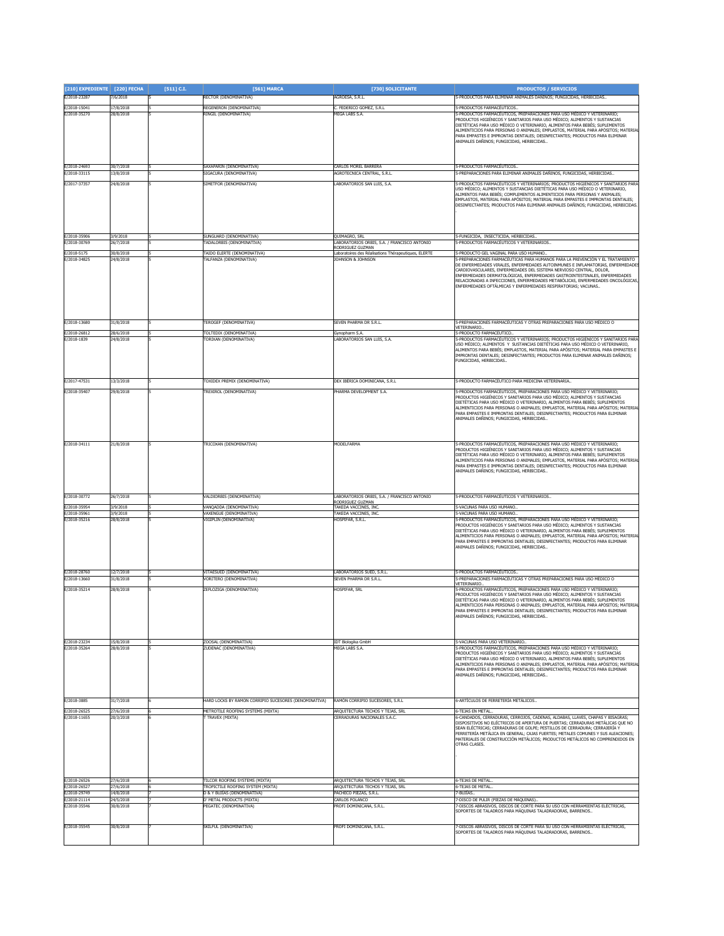| [210] EXPEDIENTE [220] FECHA |                        | [511] C.I. | [561] MARCA                                                         | [730] SOLICITANTE                                                         | <b>PRODUCTOS / SERVICIOS</b>                                                                                                                                         |
|------------------------------|------------------------|------------|---------------------------------------------------------------------|---------------------------------------------------------------------------|----------------------------------------------------------------------------------------------------------------------------------------------------------------------|
| E/2018-23287                 | 7/6/2018               |            | RECTOR (DENOMINATIVA)                                               | AGROESA, S.R.L.                                                           | i-PRODUCTOS PARA ELIMINAR ANIMALES DAÑINOS; FUNGICIDAS, HERBICIDAS                                                                                                   |
| E/2018-15041                 | 17/8/2018              |            | REGENERON (DENOMINATIVA)                                            | C. FEDERICO GOMEZ, S.R.L<br><b>MEGA LABS S.A.</b>                         | -PRODUCTOS FARMACÉUTICOS.                                                                                                                                            |
| E/2018-35270                 | 28/8/2018              |            | RINGIL (DENOMINATIVA)                                               |                                                                           | -PRODUCTOS FARMACÉUTICOS, PREPARACIONES PARA USO MÉDICO Y VETERINARIO;<br>RODUCTOS HIGIÉNICOS Y SANITARIOS PARA USO MÉDICO; ALIMENTOS Y SUSTANCIAS                   |
|                              |                        |            |                                                                     |                                                                           | DIETÉTICAS PARA USO MÉDICO O VETERINARIO, ALIMENTOS PARA BEBÉS; SUPLEMENTOS<br>LIMENTICIOS PARA PERSONAS O ANIMALES; EMPLASTOS, MATERIAL PARA APÓSITOS; MATERIAL     |
|                              |                        |            |                                                                     |                                                                           | ARA EMPASTES E IMPRONTAS DENTALES; DESINFECTANTES; PRODUCTOS PARA ELIMINAR<br>ANIMALES DAÑINOS; FUNGICIDAS, HERBICIDAS                                               |
|                              |                        |            |                                                                     |                                                                           |                                                                                                                                                                      |
|                              |                        |            |                                                                     |                                                                           |                                                                                                                                                                      |
| E/2018-24693<br>E/2018-33115 | 30/7/2018<br>13/8/2018 |            | SAXAPARIN (DENOMINATIVA)<br>SIGACURA (DENOMINATIVA)                 | <b>CARLOS MOREL BARRERA</b><br>AGROTECNICA CENTRAL, S.R.L.                | 5-PRODUCTOS FARMACÉUTICOS.<br>-PREPARACIONES PARA ELIMINAR ANIMALES DAÑINOS, FUNGICIDAS, HERBICIDAS                                                                  |
| E/2017-37357                 | 24/8/2018              |            | SIMETFOR (DENOMINATIVA)                                             | LABORATORIOS SAN LUIS, S.A.                                               | PRODUCTOS FARMACÉUTICOS Y VETERINARIOS; PRODUCTOS HIGIÉNICOS Y SANITARIOS PARA                                                                                       |
|                              |                        |            |                                                                     |                                                                           | JSO MÉDICO; ALIMENTOS Y SUSTANCIAS DIETÉTICAS PARA USO MÉDICO O VETERINARIO,<br>ALIMENTOS PARA BEBÉS; COMPLEMENTOS ALIMENTICIOS PARA PERSONAS Y ANIMALES;            |
|                              |                        |            |                                                                     |                                                                           | EMPLASTOS, MATERIAL PARA APÓSITOS; MATERIAL PARA EMPASTES E IMPRONTAS DENTALES;<br>DESINFECTANTES: PRODUCTOS PARA ELIMINAR ANIMALES DAÑINOS: FUNGICIDAS, HERBICIDAS, |
|                              |                        |            |                                                                     |                                                                           |                                                                                                                                                                      |
|                              |                        |            |                                                                     |                                                                           |                                                                                                                                                                      |
| E/2018-35906                 | 3/9/2018               |            | SUNGUARD (DENOMINATIVA)                                             | QUIMAGRO, SRL                                                             | -FUNGICIDA, INSECTICIDA, HERBICIDAS                                                                                                                                  |
| E/2018-30769                 | 26/7/2018              |            | TADALORBIS (DENOMINATIVA)                                           | LABORATORIOS ORBIS, S.A. / FRANCISCO ANTONIO<br>RODRIGUEZ GUZMAN          | -PRODUCTOS FARMACÉUTICOS Y VETERINARIOS                                                                                                                              |
| E/2018-5175<br>E/2018-34825  | 30/8/2018<br>4/8/2018  |            | TAIDO ELERTE (DENOMINATIVA)<br><b>ALFANZA (DENOMINATIVA)</b>        | Laboratoires des Réalisations Thérapeutiques, ELERTE<br>JOHNSON & JOHNSON | -PRODUCTO GEL VAGINAL PARA USO HUMANO.<br>-PREPARACIONES FARMACÉUTICAS PARA HUMANOS PARA LA PREVENCIÓN Y EL TRATAMIENTO                                              |
|                              |                        |            |                                                                     |                                                                           | DE ENFERMEDADES VIRALES, ENFERMEDADES AUTOINMUNES E INFLAMATORIAS, ENFERMEDADES<br>CARDIOVASCULARES, ENFERMEDADES DEL SISTEMA NERVIOSO CENTRAL, DOLOR,               |
|                              |                        |            |                                                                     |                                                                           | ENFERMEDADES DERMATOLÓGICAS, ENFERMEDADES GASTROINTESTINALES, ENFERMEDADES<br>RELACIONADAS A INFECCIONES, ENFERMEDADES METABÓLICAS, ENFERMEDADES ONCOLÓGICAS         |
|                              |                        |            |                                                                     |                                                                           | ENFERMEDADES OFTÁLMICAS Y ENFERMEDADES RESPIRATORIAS; VACUNAS                                                                                                        |
|                              |                        |            |                                                                     |                                                                           |                                                                                                                                                                      |
|                              |                        |            |                                                                     |                                                                           |                                                                                                                                                                      |
| F/2018-13680                 | 31/8/2018              |            | TEROGEF (DENOMINATIVA)                                              | SEVEN PHARMA DR S.R.L.                                                    | -PREPARACIONES FARMACÉUTICAS Y OTRAS PREPARACIONES PARA USO MÉDICO O                                                                                                 |
| E/2018-26812                 | 28/6/2018              |            | TOLTEDIX (DENOMINATIVA)                                             | Gynopharm S.A.                                                            | <b>/ETERINARIO</b><br>-PRODUCTO FARMACÉUTICO                                                                                                                         |
| E/2018-1839                  | 24/8/2018              |            | <b>FORIXAN (DENOMINATIVA)</b>                                       | LABORATORIOS SAN LUIS, S.A.                                               | -PRODUCTOS FARMACÉUTICOS Y VETERINARIOS; PRODUCTOS HIGIÉNICOS Y SANITARIOS PARA<br>JSO MÉDICO; ALIMENTOS Y SUSTANCIAS DIETÉTICAS PARA USO MÉDICO O VETERINARIO,      |
|                              |                        |            |                                                                     |                                                                           | ALIMENTOS PARA BEBÉS; EMPLASTOS, MATERIAL PARA APÓSITOS; MATERIAL PARA EMPASTES E<br>MPRONTAS DENTALES; DESINFECTANTES; PRODUCTOS PARA ELIMINAR ANIMALES DAÑINOS;    |
|                              |                        |            |                                                                     |                                                                           | FUNGICIDAS, HERBICIDAS                                                                                                                                               |
|                              |                        |            |                                                                     |                                                                           |                                                                                                                                                                      |
| E/2017-47531                 | 13/3/2018              |            | <b>FOXIDEX PREMIX (DENOMINATIVA)</b>                                | DEX IBÉRICA DOMINICANA. S.R.I.                                            | i-PRODUCTO FARMACÉUTICO PARA MEDICINA VETERINARIA                                                                                                                    |
| E/2018-35407                 | 29/8/2018              |            | TREXIROL (DENOMINATIVA)                                             | PHARMA DEVELOPMENT S.A.                                                   | 5-PRODUCTOS FARMACÉUTICOS, PREPARACIONES PARA USO MÉDICO Y VETERINARIO;<br>PRODUCTOS HIGIÉNICOS Y SANITARIOS PARA USO MÉDICO; ALIMENTOS Y SUSTANCIAS                 |
|                              |                        |            |                                                                     |                                                                           | DIETÉTICAS PARA USO MÉDICO O VETERINARIO, ALIMENTOS PARA BEBÉS; SUPLEMENTOS<br>ALIMENTICIOS PARA PERSONAS O ANIMALES; EMPLASTOS, MATERIAL PARA APÓSITOS; MATERIAL    |
|                              |                        |            |                                                                     |                                                                           | PARA EMPASTES E IMPRONTAS DENTALES; DESINFECTANTES; PRODUCTOS PARA ELIMINAR<br>ANIMALES DAÑINOS; FUNGICIDAS, HERBICIDAS                                              |
|                              |                        |            |                                                                     |                                                                           |                                                                                                                                                                      |
|                              |                        |            |                                                                     |                                                                           |                                                                                                                                                                      |
| E/2018-34111                 | 21/8/2018              |            | <b>FRICOXAN (DENOMINATIVA)</b>                                      | <b>MODELFARMA</b>                                                         | PRODUCTOS FARMACÉUTICOS, PREPARACIONES PARA USO MÉDICO Y VETERINARIO;<br>RODUCTOS HIGIÉNICOS Y SANITARIOS PARA USO MÉDICO; ALIMENTOS Y SUSTANCIAS                    |
|                              |                        |            |                                                                     |                                                                           | DIETÉTICAS PARA USO MÉDICO O VETERINARIO, ALIMENTOS PARA BEBÉS; SUPLEMENTOS<br>ALIMENTICIOS PARA PERSONAS O ANIMALES; EMPLASTOS, MATERIAL PARA APÓSITOS; MATERIAL    |
|                              |                        |            |                                                                     |                                                                           | PARA EMPASTES E IMPRONTAS DENTALES; DESINFECTANTES; PRODUCTOS PARA ELIMINAR<br>ANIMALES DAÑINOS; FUNGICIDAS, HERBICIDAS                                              |
|                              |                        |            |                                                                     |                                                                           |                                                                                                                                                                      |
|                              |                        |            |                                                                     |                                                                           |                                                                                                                                                                      |
| E/2018-30772                 | 26/7/2018              |            | VALDIORBIS (DENOMINATIVA)                                           | LABORATORIOS ORBIS, S.A. / FRANCISCO ANTONIO<br>RODRIGUEZ GUZMAN          | -PRODUCTOS FARMACÉUTICOS Y VETERINARIOS                                                                                                                              |
| E/2018-35954<br>E/2018-35961 | 3/9/2018<br>3/9/2018   |            | VANQADDA (DENOMINATIVA)<br>VAXENGUE (DENOMINATIVA)                  | TAKEDA VACCINES, INC<br>TAKEDA VACCINES, INC.                             | 5-VACUNAS PARA USO HUMANO.<br>5-VACUNAS PARA USO HUMANO.                                                                                                             |
| E/2018-35216                 | 28/8/2018              |            | VIGIPLIN (DENOMINATIVA)                                             | HOSPIFAR, S.R.L.                                                          | i-PRODUCTOS FARMACÉUTICOS, PREPARACIONES PARA USO MÉDICO Y VETERINARIO;<br>PRODUCTOS HIGIÉNICOS Y SANITARIOS PARA USO MÉDICO; ALIMENTOS Y SUSTANCIAS                 |
|                              |                        |            |                                                                     |                                                                           | DIETÉTICAS PARA USO MÉDICO O VETERINARIO, ALIMENTOS PARA BEBÉS; SUPLEMENTOS                                                                                          |
|                              |                        |            |                                                                     |                                                                           | ALIMENTICIOS PARA PERSONAS O ANIMALES; EMPLASTOS, MATERIAL PARA APÓSITOS; MATERIAL<br>PARA EMPASTES E IMPRONTAS DENTALES; DESINFECTANTES; PRODUCTOS PARA ELIMINAR    |
|                              |                        |            |                                                                     |                                                                           | ANIMALES DAÑINOS; FUNGICIDAS, HERBICIDAS                                                                                                                             |
|                              |                        |            |                                                                     |                                                                           |                                                                                                                                                                      |
| E/2018-28760                 | 2/7/2018               |            | <b>VITAFSUED (DENOMINATIVA)</b>                                     | LABORATORIOS SUED, S.R.L.                                                 | -PRODUCTOS FARMACÉUTICOS.                                                                                                                                            |
| E/2018-13660<br>E/2018-35214 | 31/8/2018<br>28/8/2018 |            | /ORITERO (DENOMINATIVA)<br>ZEFLOZIGA (DENOMINATIVA)                 | SEVEN PHARMA DR S.R.L.<br>HOSPIFAR, SRL                                   | -PREPARACIONES FARMACÉUTICAS Y OTRAS PREPARACIONES PARA USO MÉDICO O<br>ETERINARIO.<br>PRODUCTOS FARMACÉUTICOS, PREPARACIONES PARA USO MÉDICO Y VETERINARIO;         |
|                              |                        |            |                                                                     |                                                                           | RODUCTOS HIGIÉNICOS Y SANITARIOS PARA USO MÉDICO; ALIMENTOS Y SUSTANCIAS                                                                                             |
|                              |                        |            |                                                                     |                                                                           | DIETÉTICAS PARA USO MÉDICO O VETERINARIO, ALIMENTOS PARA BEBÉS; SUPLEMENTOS<br>ALIMENTICIOS PARA PERSONAS O ANIMALES; EMPLASTOS, MATERIAL PARA APÓSITOS; MATERIAL    |
|                              |                        |            |                                                                     |                                                                           | PARA EMPASTES E IMPRONTAS DENTALES; DESINFECTANTES; PRODUCTOS PARA ELIMINAR<br>ANIMALES DAÑINOS; FUNGICIDAS, HERBICIDAS                                              |
|                              |                        |            |                                                                     |                                                                           |                                                                                                                                                                      |
| E/2018-23234                 | 15/8/2018              |            | ZOOSAL (DENOMINATIVA)                                               | <b>IDT Biologika GmbH</b>                                                 | -VACUNAS PARA USO VETERINARIO                                                                                                                                        |
| E/2018-35264                 | 28/8/2018              |            | ZUDENAC (DENOMINATIVA)                                              | MEGA LABS S.A                                                             | -PRODUCTOS FARMACÉUTICOS, PREPARACIONES PARA USO MÉDICO Y VETERINARIO;                                                                                               |
|                              |                        |            |                                                                     |                                                                           | RODUCTOS HIGIÉNICOS Y SANITARIOS PARA USO MÉDICO; ALIMENTOS Y SUSTANCIAS<br>DIETÉTICAS PARA USO MÉDICO O VETERINARIO, ALIMENTOS PARA BEBÉS: SUPLEMENTOS              |
|                              |                        |            |                                                                     |                                                                           | ALIMENTICIOS PARA PERSONAS O ANIMALES; EMPLASTOS, MATERIAL PARA APÓSITOS; MATERIAI<br>PARA EMPASTES E IMPRONTAS DENTALES; DESINFECTANTES; PRODUCTOS PARA ELIMINAR    |
|                              |                        |            |                                                                     |                                                                           | ANIMALES DAÑINOS; FUNGICIDAS, HERBICIDAS                                                                                                                             |
|                              |                        |            |                                                                     |                                                                           |                                                                                                                                                                      |
| E/2018-3885                  | 31/7/2018              |            | HARD LOCKS BY RAMON CORRIPIO SUCESORES (DENOMINATIVA)               | RAMÓN CORRIPIO SUCESORES, S.R.L.                                          | S-ARTÍCULOS DE FERRETERÍA METÁLICOS                                                                                                                                  |
| E/2018-26525                 | 27/6/2018              |            | METROTILE ROOFING SYSTEMS (MIXTA)                                   | ARQUITECTURA TECHOS Y TEJAS, SRL                                          | -TFIAS FN MFTAL                                                                                                                                                      |
| E/2018-11655                 | 20/3/2018              |            | T TRAVEX (MIXTA)                                                    | CERRADURAS NACIONALES S.A.C.                                              | -CANDADOS, CERRADURAS, CERROJOS, CADENAS, ALDABAS, LLAVES, CHAPAS Y BISAGRAS;<br>DISPOSITIVOS NO ELÉCTRICOS DE APERTURA DE PUERTAS; CERRADURAS METÁLICAS QUE NO      |
|                              |                        |            |                                                                     |                                                                           | SEAN ELÉCTRICAS; CERRADURAS DE GOLPE; PESTILLOS DE CERRADURA; CERRAJERÍA Y<br>FERRETERÍA METÁLICA EN GENERAL; CAJAS FUERTES; METALES COMUNES Y SUS ALEACIONES;       |
|                              |                        |            |                                                                     |                                                                           | MATERIALES DE CONSTRUCCIÓN METÁLICOS; PRODUCTOS METÁLICOS NO COMPRENDIDOS EN<br>OTRAS CLASES.                                                                        |
|                              |                        |            |                                                                     |                                                                           |                                                                                                                                                                      |
|                              |                        |            |                                                                     |                                                                           |                                                                                                                                                                      |
|                              |                        |            |                                                                     |                                                                           |                                                                                                                                                                      |
| E/2018-26526<br>E/2018-26527 | 27/6/2018<br>27/6/2018 |            | TILCOR ROOFING SYSTEMS (MIXTA)<br>TROPICTILE ROOFING SYSTEM (MIXTA) | ARQUITECTURA TECHOS Y TEJAS, SRL<br>ARQUITECTURA TECHOS Y TEJAS, SRL      | 5-TEJAS DE METAL.<br>S-TEJAS DE METAL                                                                                                                                |
| E/2018-29749                 | 4/8/2018               |            | D & Y BUJÍAS (DENOMINATIVA)<br>D' METAL PRODUCTS (MIXTA)            | PACHECO PIEZAS, S.R.L.<br>CARLOS POLANCO                                  | -BUJÍAS.<br>'-DISCO DE PULIR (PIEZAS DE MÁQUINAS).                                                                                                                   |
| E/2018-21114<br>E/2018-35546 | 24/5/2018<br>30/8/2018 |            | <b>EGATEC (DENOMINATIVA)</b>                                        | PROFI DOMINICANA, S.R.L.                                                  | -DISCOS ABRASIVOS, DISCOS DE CORTE PARA SU USO CON HERRAMIENTAS ELÉCTRICAS,                                                                                          |
|                              |                        |            |                                                                     |                                                                           | SOPORTES DE TALADROS PARA MÁQUINAS TALADRADORAS, BARRENOS                                                                                                            |
| E/2018-35545                 | 30/8/2018              |            | SKILFUL (DENOMINATIVA)                                              | PROFI DOMINICANA, S.R.L.                                                  | -DISCOS ABRASIVOS, DISCOS DE CORTE PARA SU USO CON HERRAMIENTAS ELÉCTRICAS,                                                                                          |
|                              |                        |            |                                                                     |                                                                           | SOPORTES DE TALADROS PARA MÁQUINAS TALADRADORAS, BARRENOS                                                                                                            |
|                              |                        |            |                                                                     |                                                                           |                                                                                                                                                                      |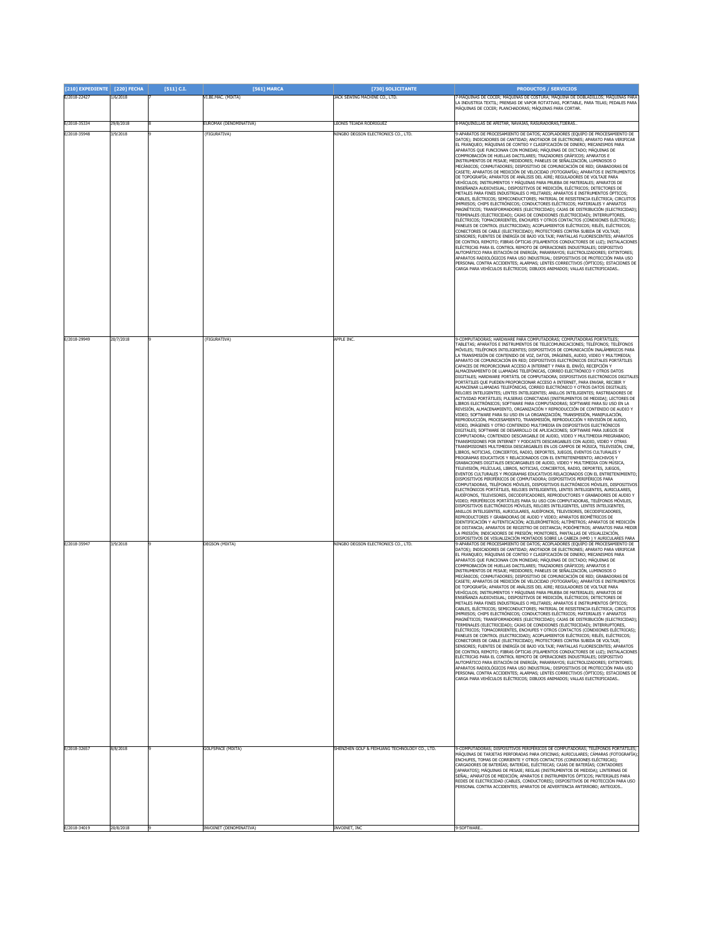| [210] EXPEDIENTE [220] FECHA |                       | [511] C.I. | [561] MARCA                           | [730] SOLICITANTE                                 | <b>PRODUCTOS / SERVICIOS</b>                                                                                                                                                                                                                                                                                                                                                                                                                                                                                                                                                                                                                                                                                                                                                                                                                                                                                                                                                                                                                                                                                                                                                                                                                                                                                                                                                                                                                                                                                                                                                                                                                                                                                                                                                                                                                                                                                                                                                                                                                                                                                                                                                                                                                                                                                                                                                                                                                                                                                                                                                                                                                                                                                                                                                                                                                                                                                                                                                                                                                                                                                                                                                                                                        |
|------------------------------|-----------------------|------------|---------------------------------------|---------------------------------------------------|-------------------------------------------------------------------------------------------------------------------------------------------------------------------------------------------------------------------------------------------------------------------------------------------------------------------------------------------------------------------------------------------------------------------------------------------------------------------------------------------------------------------------------------------------------------------------------------------------------------------------------------------------------------------------------------------------------------------------------------------------------------------------------------------------------------------------------------------------------------------------------------------------------------------------------------------------------------------------------------------------------------------------------------------------------------------------------------------------------------------------------------------------------------------------------------------------------------------------------------------------------------------------------------------------------------------------------------------------------------------------------------------------------------------------------------------------------------------------------------------------------------------------------------------------------------------------------------------------------------------------------------------------------------------------------------------------------------------------------------------------------------------------------------------------------------------------------------------------------------------------------------------------------------------------------------------------------------------------------------------------------------------------------------------------------------------------------------------------------------------------------------------------------------------------------------------------------------------------------------------------------------------------------------------------------------------------------------------------------------------------------------------------------------------------------------------------------------------------------------------------------------------------------------------------------------------------------------------------------------------------------------------------------------------------------------------------------------------------------------------------------------------------------------------------------------------------------------------------------------------------------------------------------------------------------------------------------------------------------------------------------------------------------------------------------------------------------------------------------------------------------------------------------------------------------------------------------------------------------------|
| E/2018-22427                 | 1/6/2018              |            | VI.BE.MAC. (MIXTA)                    | JACK SEWING MACHINE CO., LTD.                     | -MÁQUINAS DE COCER; MÁQUINAS DE COSTURA; MÁQUINA DE DOBLADILLOS; MÁQUINAS PARA<br>A INDUSTRIA TEXTIL; PRENSAS DE VAPOR ROTATIVAS, PORTABLE, PARA TELAS; PEDALES PARA<br>MÁQUINAS DE COCER; PLANCHADORAS; MÁQUINAS PARA CORTAR.                                                                                                                                                                                                                                                                                                                                                                                                                                                                                                                                                                                                                                                                                                                                                                                                                                                                                                                                                                                                                                                                                                                                                                                                                                                                                                                                                                                                                                                                                                                                                                                                                                                                                                                                                                                                                                                                                                                                                                                                                                                                                                                                                                                                                                                                                                                                                                                                                                                                                                                                                                                                                                                                                                                                                                                                                                                                                                                                                                                                      |
| E/2018-35334                 | 29/8/2018             |            | EUROMAX (DENOMINATIVA)                | LEONIS TEJADA RODRIGUEZ                           | -MAQUINILLAS DE AFEITAR, NAVAJAS, RASURADORAS, TIJERAS.                                                                                                                                                                                                                                                                                                                                                                                                                                                                                                                                                                                                                                                                                                                                                                                                                                                                                                                                                                                                                                                                                                                                                                                                                                                                                                                                                                                                                                                                                                                                                                                                                                                                                                                                                                                                                                                                                                                                                                                                                                                                                                                                                                                                                                                                                                                                                                                                                                                                                                                                                                                                                                                                                                                                                                                                                                                                                                                                                                                                                                                                                                                                                                             |
| E/2018-35948                 | 3/9/2018              |            | (FIGURATIVA)                          | NINGBO DEGSON ELECTRONICS CO., LTD.               | 9-APARATOS DE PROCESAMIENTO DE DATOS; ACOPLADORES (EQUIPO DE PROCESAMIENTO DE<br>)ATOS): INDICADORES DE CANTIDAD: ANOTADOR DE ELECTRONES: APARATO PARA VERIFICAR<br>EL FRANQUEO; MÁQUINAS DE CONTEO Y CLASIFICACIÓN DE DINERO; MECANISMOS PARA<br>APARATOS QUE FUNCIONAN CON MONEDAS; MÁQUINAS DE DICTADO; MÁQUINAS DE<br>COMPROBACIÓN DE HUELLAS DACTILARES: TRAZADORES GRÁFICOS: APARATOS E<br>INSTRUMENTOS DE PESAJE; MEDIDORES; PANELES DE SEÑALIZACIÓN, LUMINOSOS O<br>MECÁNICOS; CONMUTADORES; DISPOSITIVO DE COMUNICACIÓN DE RED; GRABADORAS DE<br>CASETE; APARATOS DE MEDICIÓN DE VELOCIDAD (FOTOGRAFÍA); APARATOS E INSTRUMENTOS<br>DE TOPOGRAFÍA; APARATOS DE ANÁLISIS DEL AIRE; REGULADORES DE VOLTAJE PARA<br>VEHÍCULOS; INSTRUMENTOS Y MÁQUINAS PARA PRUEBA DE MATERIALES; APARATOS DE<br>ENSEÑANZA AUDIOVISUAL; DISPOSITIVOS DE MEDICIÓN, ELÉCTRICOS; DETECTORES DE<br>METALES PARA FINES INDUSTRIALES O MILITARES; APARATOS E INSTRUMENTOS ÓPTICOS;<br>CABLES, ELÉCTRICOS; SEMICONDUCTORES; MATERIAL DE RESISTENCIA ELÉCTRICA; CIRCUITOS<br>IMPRESOS; CHIPS ELECTRÓNICOS; CONDUCTORES ELÉCTRICOS; MATERIALES Y APARATOS<br>MAGNÉTICOS; TRANSFORMADORES (ELECTRICIDAD); CAJAS DE DISTRIBUCIÓN (ELECTRICIDAD);<br>TERMINALES (ELECTRICIDAD); CAJAS DE CONEXIONES (ELECTRICIDAD); INTERRUPTORES,<br>ELÉCTRICOS; TOMACORRIENTES, ENCHUFES Y OTROS CONTACTOS (CONEXIONES ELÉCTRICAS);<br>PANELES DE CONTROL (ELECTRICIDAD); ACOPLAMIENTOS ELÉCTRICOS; RELÉS, ELÉCTRICOS;<br>CONECTORES DE CABLE (ELECTRICIDAD); PROTECTORES CONTRA SUBIDA DE VOLTAJE;<br>SENSORES; FUENTES DE ENERGÍA DE BAJO VOLTAJE; PANTALLAS FLUORESCENTES; APARATOS<br>DE CONTROL REMOTO; FIBRAS ÓPTICAS (FILAMENTOS CONDUCTORES DE LUZ); INSTALACIONES<br>ELÉCTRICAS PARA EL CONTROL REMOTO DE OPERACIONES INDUSTRIALES; DISPOSITIVO<br>IUTOMÁTICO PARA ESTACIÓN DE ENERGÍA; PARARRAYOS; ELECTROLIZADORES; EXTINTORES;<br>APARATOS RADIOLÓGICOS PARA USO INDUSTRIAL; DISPOSITIVOS DE PROTECCIÓN PARA USO<br>ERSONAL CONTRA ACCIDENTES; ALARMAS; LENTES CORRECTIVOS (ÓPTICOS); ESTACIONES DE<br>CARGA PARA VEHÍCULOS ELÉCTRICOS; DIBUJOS ANIMADOS; VALLAS ELECTRIFICADAS                                                                                                                                                                                                                                                                                                                                                                                                                                                                                                                                                                                                                                                                                                                                                                                                                                                                                                                                                                                                                                                                             |
| E/2018-29949<br>F/2018-35947 | 20/7/2018<br>3/9/2018 |            | (FIGURATIVA)<br><b>DEGSON</b> (MIXTA) | APPLE INC.<br>NINGBO DEGSON ELECTRONICS CO., LTD. | 0-COMPUTADORAS; HARDWARE PARA COMPUTADORAS; COMPUTADORAS PORTÁTILES<br>TABLETAS; APARATOS E INSTRUMENTOS DE TELECOMUNICACIONES; TELÉFONOS; TELÉFONOS<br>MÓVILES; TELÉFONOS INTELIGENTES; DISPOSITIVOS DE COMUNICACIÓN INALÁMBRICOS PARA<br>LA TRANSMISIÓN DE CONTENIDO DE VOZ, DATOS, IMÁGENES, AUDIO, VIDEO Y MULTIMEDIA;<br>APARATO DE COMUNICACIÓN EN RED; DISPOSITIVOS ELECTRÓNICOS DIGITALES PORTÁTILES<br>CAPACES DE PROPORCIONAR ACCESO A INTERNET Y PARA EL ENVÍO, RECEPCIÓN Y<br>ALMACENAMIENTO DE LLAMADAS TELEFÓNICAS, CORREO ELECTRÓNICO Y OTROS DATOS<br>DIGITALES; HARDWARE PORTÁTIL DE COMPUTADORA; DISPOSITIVOS ELECTRÓNICOS DIGITALES<br>PORTÁTILES QUE PUEDEN PROPORCIONAR ACCESO A INTERNET, PARA ENVIAR, RECIBIR Y<br>LMACENAR LLAMADAS TELEFÓNICAS, CORREO ELECTRÓNICO Y OTROS DATOS DIGITALES;<br>RELOJES INTELIGENTES; LENTES INTELIGENTES; ANILLOS INTELIGENTES; RASTREADORES DE<br>ACTIVIDAD PORTÁTILES; PULSERAS CONECTADAS [INSTRUMENTOS DE MEDIDA]; LECTORES DE<br>LIBROS ELECTRÓNICOS: SOFTWARE PARA COMPUTADORAS: SOFTWARE PARA SÚ USO EN LA<br>REVISIÓN, ALMACENAMIENTO, ORGANIZACIÓN Y REPRODUCCIÓN DE CONTENIDO DE AUDIO Y<br>VIDEO; SOFTWARE PARA SU USO EN LA ORGANIZACIÓN, TRANSMISIÓN, MANIPULACIÓN,<br>REPRODUCCIÓN, PROCESAMIENTO, TRANSMISIÓN, REPRODUCCIÓN Y REVISIÓN DE AUDIO,<br>VIDEO, IMÁGENES Y OTRO CONTENIDO MULTIMEDIA EN DISPOSITIVOS ELECTRÓNICOS<br>DIGITALES; SOFTWARE DE DESARROLLO DE APLICACIONES; SOFTWARE PARA JUEGOS DE<br>COMPUTADORA; CONTENIDO DESCARGABLE DE AUDIO, VIDEO Y MULTIMEDIA PREGRABADO;<br>RANSMISIONES POR INTERNET Y PODCASTS DESCARGABLES CON AUDIO, VIDEO Y OTRAS<br>TRANSMISIONES MULTIMEDIA DESCARGABLES EN LOS CAMPOS DE MÚSICA, TELEVISIÓN, CINE,<br>IBROS, NOTICIAS, CONCIERTOS, RADIO, DEPORTES, JUEGOS, EVENTOS CULTURALES Y<br>PROGRAMAS EDUCATIVOS Y RELACIONADOS CON EL ENTRETENIMIENTO; ARCHIVOS Y<br>GRABACIONES DIGITALES DESCARGABLES DE AUDIO, VIDEO Y MULTIMEDIA CON MÚSICA,<br>TELEVISIÓN, PELÍCULAS, LIBROS, NOTICIAS, CONCIERTOS, RADIO, DEPORTES, JUEGOS,<br>EVENTOS CULTURALES Y PROGRAMAS EDUCATIVOS RELACIONADOS CON EL ENTRETENIMIENTO;<br>DISPOSITIVOS PERIFÉRICOS DE COMPUTADORA; DISPOSITIVOS PERIFÉRICOS PARA<br>COMPUTADORAS, TELÉFONOS MÓVILES, DISPOSITIVOS ELECTRÓNICOS MÓVILES, DISPOSITIVOS<br>ELECTRÓNICOS PORTÁTILES, RELOJES INTELIGENTES, LENTES INTELIGENTES, AURICULARES,<br>AUDÍFONOS, TELEVISORES, DECODIFICADORES, REPRODUCTORES Y GRABADORES DE AUDIO Y<br>VIDEO; PERIFÉRICOS PORTÁTILES PARA SU USO CON COMPUTADORAS, TELÉFONOS MÓVILES,<br>DISPOSITIVOS ELECTRÓNICOS MÓVILES, RELOJES INTELIGENTES, LENTES INTELIGENTES,<br>ANILLOS INTELIGENTES, AURICULARES, AUDÍFONOS, TELEVISORES, DECODIFICADORES<br>REPRODUCTORES Y GRABADORAS DE AUDIO Y VIDEO; APARATOS BIOMÉTRICOS DE<br>IDENTIFICACIÓN Y AUTENTICACIÓN; ACELERÓMETROS; ALTÍMETROS; APARATOS DE MEDICIÓN<br>DE DISTANCIA; APARATOS DE REGISTRO DE DISTANCIA; PODÓMETROS; APARATOS PARA MEDIR<br>LA PRESIÓN; INDICADORES DE PRESIÓN; MONITORES, PANTALLAS DE VISUALIZACIÓN,<br>DISPOSITIVOS DE VISUALIZACIÓN MONTADOS SOBRE LA CABEZA (HMD ) Y AURICULARES PARA<br>-APARATOS DE PROCESAMIENTO DE DATOS; ACOPLADORES (EQUIPO DE PROCESAMIENTO DE |
|                              |                       |            |                                       |                                                   | DATOS); INDICADORES DE CANTIDAD; ANOTADOR DE ELECTRONES; APARATO PARA VERIFICAR<br>EL FRANQUEO; MÁQUINAS DE CONTEO Y CLASIFICACIÓN DE DINERO; MECANISMOS PARA<br>APARATOS QUE FUNCIONAN CON MONEDAS; MÁQUINAS DE DICTADO; MÁQUINAS DE<br>COMPROBACIÓN DE HUELLAS DACTILARES; TRAZADORES GRÁFICOS; APARATOS E<br>INSTRUMENTOS DE PESAJE; MEDIDORES; PANELES DE SEÑALIZACIÓN, LUMINOSOS O<br>MECÁNICOS; CONMUTADORES; DISPOSITIVO DE COMUNICACIÓN DE RED; GRABADORAS DE<br>CASETE; APARATOS DE MEDICIÓN DE VELOCIDAD (FOTOGRAFÍA); APARATOS E INSTRUMENTOS<br>DE TOPOGRAFÍA; APARATOS DE ANÁLISIS DEL AIRE; REGULADORES DE VOLTAJE PARA<br>VEHÍCULOS; INSTRUMENTOS Y MÁQUINAS PARA PRUEBA DE MATERIALES; APARATOS DE<br>ENSEÑANZA AUDIOVISUAL; DISPOSITIVOS DE MEDICIÓN, ELÉCTRICOS; DETECTORES DE<br>METALES PARA FINES INDUSTRIALES O MILITARES; APARATOS E INSTRUMENTOS ÓPTICOS;<br>CABLES, ELÉCTRICOS; SEMICONDUCTORES; MATERIAL DE RESISTENCIA ELÉCTRICA; CIRCUITOS<br>PRESOS; CHIPS ELECTRÓNICOS; CONDUCTORES ELECTRICOS; MATERIALES<br>MAGNÉTICOS; TRANSFORMADORES (ELECTRICIDAD); CAJAS DE DISTRIBUCIÓN (ELECTRICIDAD);<br>ERMINALES (ELECTRICIDAD); CAJAS DE CONEXIONES (ELECTRICIDAD); INTERRUPTORES,<br>ELÉCTRICOS; TOMACORRIENTES, ENCHUFES Y OTROS CONTACTOS (CONEXIONES ELÉCTRICAS);<br>PANELES DE CONTROL (ELECTRICIDAD); ACOPLAMIENTOS ELÉCTRICOS; RELÉS, ELÉCTRICOS;<br>CONECTORES DE CABLE (ELECTRICIDAD); PROTECTORES CONTRA SUBIDA DE VOLTAJE;<br>SENSORES; FUENTES DE ENERGÍA DE BAJO VOLTAJE; PANTALLAS FLUORESCENTES; APARATOS<br>DE CONTROL REMOTO; FIBRAS ÓPTICAS (FILAMENTOS CONDUCTORES DE LUZ); INSTALACIONES<br>ELÉCTRICAS PARA EL CONTROL REMOTO DE OPERACIONES INDUSTRIALES; DISPOSITIVO<br>AUTOMÁTICO PARA ESTACIÓN DE ENERGÍA; PARARRAYOS; ELECTROLIZADORES; EXTINTORES;<br>APARATOS RADIOLÓGICOS PARA USO INDUSTRIAL; DISPOSITIVOS DE PROTECCIÓN PARA USO<br>PERSONAL CONTRA ACCIDENTES; ALARMAS; LENTES CORRECTIVOS (ÓPTICOS); ESTACIONES DE<br>CARGA PARA VEHÍCULOS ELÉCTRICOS; DIBUJOS ANIMADOS; VALLAS ELECTRIFICADAS                                                                                                                                                                                                                                                                                                                                                                                                                                                                                                                                                                                                                                                                                                                                                                                                                                                                                                                                                                                                                                                                                                                                                                           |
| E/2018-32657                 | 8/8/2018              |            | <b>GOLFSPACE (MIXTA)</b>              | SHENZHEN GOLF & FEIHUANG TECHNOLOGY CO., LTD.     | -COMPUTADORAS; DISPOSITIVOS PERIFÉRICOS DE COMPUTADORAS; TELÉFONOS PORTÁTILES;<br>MÁQUINAS DE TARJETAS PERFORADAS PARA OFICINAS; AURICULARES; CÁMARAS (FOTOGRAFÍA);<br>ENCHUFES, TOMAS DE CORRIENTE Y OTROS CONTACTOS (CONEXIONES ELÉCTRICAS);<br>CARGADORES DE BATERÍAS; BATERÍAS, ELÉCTRICAS; CAJAS DE BATERÍAS; CONTADORES<br>APARATOS]; MÁQUINAS DE PESAJE; REGLAS (INSTRUMENTOS DE MEDIDA); LINTERNAS DE<br>SEÑAL; APARATOS DE MEDICIÓN; APARATOS E INSTRUMENTOS ÓPTICOS; MATERIALES PARA<br>REDES DE ELECTRICIDAD (CABLES, CONDUCTORES); DISPOSITIVOS DE PROTECCIÓN PARA USO<br>PERSONAL CONTRA ACCIDENTES; APARATOS DE ADVERTENCIA ANTIRROBO; ANTEOJOS                                                                                                                                                                                                                                                                                                                                                                                                                                                                                                                                                                                                                                                                                                                                                                                                                                                                                                                                                                                                                                                                                                                                                                                                                                                                                                                                                                                                                                                                                                                                                                                                                                                                                                                                                                                                                                                                                                                                                                                                                                                                                                                                                                                                                                                                                                                                                                                                                                                                                                                                                                       |
| E/2018-34019                 | 20/8/2018             |            | INVOINET (DENOMINATIVA)               | INVOINET. INC                                     | 9-SOFTWARE                                                                                                                                                                                                                                                                                                                                                                                                                                                                                                                                                                                                                                                                                                                                                                                                                                                                                                                                                                                                                                                                                                                                                                                                                                                                                                                                                                                                                                                                                                                                                                                                                                                                                                                                                                                                                                                                                                                                                                                                                                                                                                                                                                                                                                                                                                                                                                                                                                                                                                                                                                                                                                                                                                                                                                                                                                                                                                                                                                                                                                                                                                                                                                                                                          |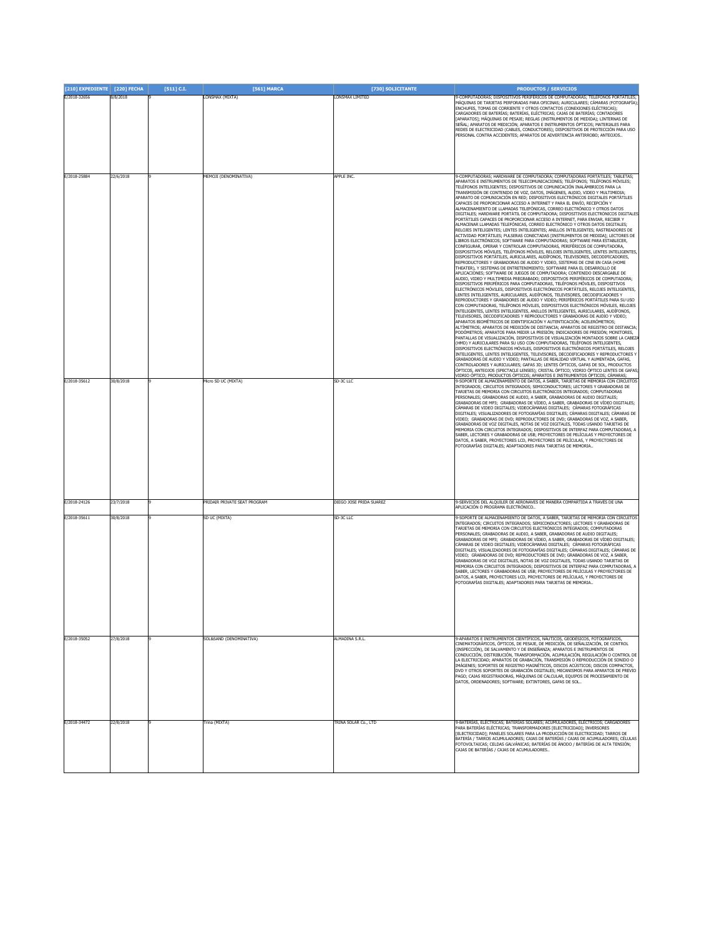| [210] EXPEDIENTE [220] FECHA |                        | $[511]$ C.I. | [561] MARCA                                                | [730] SOLICITANTE                    | <b>PRODUCTOS / SERVICIOS</b>                                                                                                                                                                                                                                                                                                                                                                                                                                                                                                                                                                                                                                                                                                                                                                                                                                                                                                                                                                                                                                                                                                                                                                                                                                                                                                                                                                                                                                                                                                                                                                                                                                                                                                                                                                                                                                                                                                                                                                                                                                                                                                                                                                                                                                                                                                                                                                                                                                                                                                                                                                                                                                                                                                                                                                                                                      |
|------------------------------|------------------------|--------------|------------------------------------------------------------|--------------------------------------|---------------------------------------------------------------------------------------------------------------------------------------------------------------------------------------------------------------------------------------------------------------------------------------------------------------------------------------------------------------------------------------------------------------------------------------------------------------------------------------------------------------------------------------------------------------------------------------------------------------------------------------------------------------------------------------------------------------------------------------------------------------------------------------------------------------------------------------------------------------------------------------------------------------------------------------------------------------------------------------------------------------------------------------------------------------------------------------------------------------------------------------------------------------------------------------------------------------------------------------------------------------------------------------------------------------------------------------------------------------------------------------------------------------------------------------------------------------------------------------------------------------------------------------------------------------------------------------------------------------------------------------------------------------------------------------------------------------------------------------------------------------------------------------------------------------------------------------------------------------------------------------------------------------------------------------------------------------------------------------------------------------------------------------------------------------------------------------------------------------------------------------------------------------------------------------------------------------------------------------------------------------------------------------------------------------------------------------------------------------------------------------------------------------------------------------------------------------------------------------------------------------------------------------------------------------------------------------------------------------------------------------------------------------------------------------------------------------------------------------------------------------------------------------------------------------------------------------------------|
| E/2018-32656                 | 3/8/2018               |              | LONSMAX (MIXTA)                                            | LONSMAX LIMITED                      | 9-COMPUTADORAS: DISPOSITIVOS PERIFÉRICOS DE COMPUTADORAS: TELÉFONOS PORTÁTILES:<br>MÁQUINAS DE TARJETAS PERFORADAS PARA OFICINAS; AURICULARES; CÁMARAS (FOTOGRAFÍA)<br>ENCHUFES, TOMAS DE CORRIENTE Y OTROS CONTACTOS (CONEXIONES ELÉCTRICAS);<br>CARGADORES DE BATERÍAS; BATERÍAS, ELÉCTRICAS; CAJAS DE BATERÍAS; CONTADORES<br>APARATOS]; MÁQUINAS DE PESAJE; REGLAS (INSTRUMENTOS DE MEDIDA); LINTERNAS DE<br>SEÑAL; APARATOS DE MEDICIÓN; APARATOS E INSTRUMENTOS ÓPTICOS; MATERIALES PARA<br>REDES DE ELECTRICIDAD (CABLES, CONDUCTORES); DISPOSITIVOS DE PROTECCIÓN PARA USO<br>PERSONAL CONTRA ACCIDENTES; APARATOS DE ADVERTENCIA ANTIRROBO; ANTEOJOS                                                                                                                                                                                                                                                                                                                                                                                                                                                                                                                                                                                                                                                                                                                                                                                                                                                                                                                                                                                                                                                                                                                                                                                                                                                                                                                                                                                                                                                                                                                                                                                                                                                                                                                                                                                                                                                                                                                                                                                                                                                                                                                                                                                     |
| E/2018-25884                 | 22/6/2018              |              | <b>MEMOJI</b> (DENOMINATIVA)                               | APPLE INC.                           | -COMPUTADORAS; HARDWARE DE COMPUTADORA; COMPUTADORAS PORTÁTILES; TABLETAS;<br>PARATOS E INSTRUMENTOS DE TELECOMUNICACIONES; TELÉFONOS; TELÉFONOS MÓVILES;                                                                                                                                                                                                                                                                                                                                                                                                                                                                                                                                                                                                                                                                                                                                                                                                                                                                                                                                                                                                                                                                                                                                                                                                                                                                                                                                                                                                                                                                                                                                                                                                                                                                                                                                                                                                                                                                                                                                                                                                                                                                                                                                                                                                                                                                                                                                                                                                                                                                                                                                                                                                                                                                                         |
|                              |                        |              |                                                            |                                      | TELÉFONOS INTELIGENTES; DISPOSITIVOS DE COMUNICACIÓN INALÁMBRICOS PARA LA<br>FRANSMISIÓN DE CONTENIDO DE VOZ, DATOS, IMÁGENES, AUDIO, VIDEO Y MULTIMEDIA;<br>APARATO DE COMUNICACIÓN EN RED; DISPOSITIVOS ELECTRÓNICOS DIGITALES PORTÁTILES<br>CAPACES DE PROPORCIONAR ACCESO A INTERNET Y PARA EL ENVÍO, RECEPCIÓN Y<br>ALMACENAMIENTO DE LLAMADAS TELEFÓNICAS, CORREO ELECTRÓNICO Y OTROS DATOS<br>DIGITALES; HARDWARE PORTÁTIL DE COMPUTADORA; DISPOSITIVOS ELECTRÓNICOS DIGITALES<br>PORTÁTILES CAPACES DE PROPORCIONAR ACCESO A INTERNET, PARA ENVIAR, RECIBIR Y<br>ALMACENAR LLAMADAS TELEFÓNICAS, CORREO ELECTRÓNICO Y OTROS DATOS DIGITALES:<br>RELOJES INTELIGENTES; LENTES INTELIGENTES; ANILLOS INTELIGENTES; RASTREADORES DE<br>ACTIVIDAD PORTÁTILES; PULSERAS CONECTADAS [INSTRUMENTOS DE MEDIDA]; LECTORES DE<br>LIBROS ELECTRÓNICOS; SOFTWARE PARA COMPUTADORAS; SOFTWARE PARA ESTABLECER,<br>CONFIGURAR, OPERAR Y CONTROLAR COMPUTADORAS, PERIFÉRICOS DE COMPUTADORA<br>DISPOSITIVOS MÓVILES, TELÉFONOS MÓVILES, RELOJES INTELIGENTES, LENTES INTELIGENTES,<br>DISPOSITIVOS PORTÁTILES, AURICULARES, AUDÍFONOS, TELEVISORES, DECODIFICADORES,<br>REPRODUCTORES Y GRABADORAS DE AUDIO Y VIDEO, SISTEMAS DE CINE EN CASA (HOME<br>THEATER), Y SISTEMAS DE ENTRETENIMIENTO; SOFTWARE PARA EL DESARROLLO DE<br>APLICACIONES; SOFTWARE DE JUEGOS DE COMPUTADORA; CONTENIDO DESCARGABLE DE<br>AUDIO, VIDEO Y MULTIMEDIA PREGRABADO; DISPOSITIVOS PERIFÉRICOS DE COMPUTADORA;<br>DISPOSITIVOS PERIFÉRICOS PARA COMPUTADORAS, TELÉFONOS MÓVILES, DISPOSITIVOS<br>ELECTRÓNICOS MÓVILES, DISPOSITIVOS ELECTRÓNICOS PORTÁTILES, RELOJES INTELIGENTES,<br>LENTES INTELIGENTES, AURICULARES, AUDÍFONOS, TELEVISORES, DECODIFICADORES Y<br>REPRODUCTORES Y GRABADORES DE AUDIO Y VIDEO; PERIFÉRICOS PORTÁTILES PARA SU USO<br>CON COMPUTADORAS, TELÉFONOS MÓVILES, DISPOSITIVOS ELECTRÓNICOS MÓVILES, RELOJES<br>INTELIGENTES, LENTES INTELIGENTES, ANILLOS INTELIGENTES, AURICULARES, AUDÍFONOS,<br>TELEVISORES, DECODIFICADORES Y REPRODUCTORES Y GRABADORAS DE AUDIO Y VIDEO;<br>APARATOS BIOMÉTRICOS DE IDENTIFICACIÓN Y AUTENTICACIÓN; ACELERÓMETROS;<br>ALTÍMETROS; APARATOS DE MEDICIÓN DE DISTANCIA; APARATOS DE REGISTRO DE DISTANCIA;<br>PODÓMETROS; APARATOS PARA MEDIR LA PRESIÓN; INDICADORES DE PRESIÓN; MONITORES,<br>ANTALLAS DE VISUALIZACIÓN, DISPOSITIVOS DE VISUALIZACIÓN MONTADOS SOBRE LA CABEZ<br>(HMD) Y AURICULARES PARA SU USO CON COMPUTADORAS, TELÉFONOS INTELIGENTES.<br>DISPOSITIVOS ELECTRÓNICOS MÓVILES, DISPOSITIVOS ELECTRÓNICOS PORTÁTILES, RELOJES<br>INTELIGENTES, LENTES INTELIGENTES, TELEVISORES, DECODIFICADORES Y REPRODUCTORES Y<br>GRABADORAS DE AUDIO Y VIDEO; PANTALLAS DE REALIDAD VIRTUAL Y AUMENTADA, GAFAS,<br>CONTROLADORES Y AURICULARES; GAFAS 3D; LENTES ÓPTICOS, GAFAS DE SOL, PRODUCTOS |
|                              |                        |              |                                                            |                                      | .<br>DPTICOS, ANTEOJOS (SPECTACLE LENSES); CRISTAL ÓPTICO; VIDRIO ÓPTICO LENTES DE GAFAS;<br>VIDRIO ÓPTICO; PRODUCTOS ÓPTICOS; APARATOS E INSTRUMENTOS ÓPTICOS; CÁMARAS;                                                                                                                                                                                                                                                                                                                                                                                                                                                                                                                                                                                                                                                                                                                                                                                                                                                                                                                                                                                                                                                                                                                                                                                                                                                                                                                                                                                                                                                                                                                                                                                                                                                                                                                                                                                                                                                                                                                                                                                                                                                                                                                                                                                                                                                                                                                                                                                                                                                                                                                                                                                                                                                                          |
| E/2018-35612<br>E/2018-24126 | 30/8/2018<br>23/7/2018 |              | Vicro SD UC (MIXTA)<br><b>PRIDAIR PRIVATE SEAT PROGRAM</b> | SD-3C LLC<br>DIEGO JOSE PRIDA SUAREZ | 3-SOPORTE DE ALMACENAMIENTO DE DATOS, A SABER, TARJETAS DE MEMORIA CON CIRCUITOS<br>INTEGRADOS; CIRCUITOS INTEGRADOS; SEMICONDUCTORES; LECTORES Y GRABADORAS DE<br>TARJETAS DE MEMORIA CON CIRCUITOS ELECTRÓNICOS INTEGRADOS; COMPUTADORAS<br>PERSONALES; GRABADORAS DE AUDIO, A SABER, GRABADORAS DE AUDIO DIGITALES;<br>GRABADORAS DE MP3; GRABADORAS DE VÍDEO, A SABER, GRABADORAS DE VÍDEO DIGITALES;<br>CÁMARAS DE VIDEO DIGITALES; VIDEOCÁMARAS DIGITALES; CÁMARAS FOTOGRÁFICAS<br>DIGITALES; VISUALIZADORES DE FOTOGRAFÍAS DIGITALES; CÁMARAS DIGITALES; CÁMARAS DE<br>VIDEO; GRABADORAS DE DVD; REPRODUCTORES DE DVD; GRABADORAS DE VOZ, A SABER,<br>GRABADORAS DE VOZ DIGITALES, NOTAS DE VOZ DIGITALES, TODAS USANDO TARJETAS DE<br>MEMORIA CON CIRCUITOS INTEGRADOS; DISPOSITIVOS DE INTERFAZ PARA COMPUTADORAS, A<br>SABER, LECTORES Y GRABADORAS DE USB; PROYECTORES DE PELÍCULAS Y PROYECTORES DE<br>ATOS, A SABER, PROYECTORES LCD, PROYECTORES DE PELÍCULAS, Y PROYECTORES DE<br>FOTOGRAFÍAS DIGITALES; ADAPTADORES PARA TARJETAS DE MEMORIA.<br>9-SERVICIOS DEL ALQUILER DE AERONAVES DE MANERA COMPARTIDA A TRAVÉS DE UNA                                                                                                                                                                                                                                                                                                                                                                                                                                                                                                                                                                                                                                                                                                                                                                                                                                                                                                                                                                                                                                                                                                                                                                                                                                                                                                                                                                                                                                                                                                                                                                                                                                                                                                       |
|                              |                        |              |                                                            |                                      | APLICACIÓN O PROGRAMA ELECTRÓNICO                                                                                                                                                                                                                                                                                                                                                                                                                                                                                                                                                                                                                                                                                                                                                                                                                                                                                                                                                                                                                                                                                                                                                                                                                                                                                                                                                                                                                                                                                                                                                                                                                                                                                                                                                                                                                                                                                                                                                                                                                                                                                                                                                                                                                                                                                                                                                                                                                                                                                                                                                                                                                                                                                                                                                                                                                 |
| E/2018-35611                 | 30/8/2018              |              | SD UC (MIXTA)                                              | SD-3C LLC                            | 3-SOPORTE DE ALMACENAMIENTO DE DATOS, A SABER, TARJETAS DE MEMORIA CON CIRCUITOS<br>INTEGRADOS; CIRCUITOS INTEGRADOS; SEMICONDUCTORES; LECTORES Y GRABADORAS DE<br>TARJETAS DE MEMORIA CON CIRCUITOS ELECTRÓNICOS INTEGRADOS; COMPUTADORAS<br>PERSONALES; GRABADORAS DE AUDIO, A SABER, GRABADORAS DE AUDIO DIGITALES;<br>GRABADORAS DE MP3; GRABADORAS DE VÍDEO, A SABER, GRABADORAS DE VÍDEO DIGITALES;<br>CÁMARAS DE VIDEO DIGITALES; VIDEOCÁMARAS DIGITALES; CÁMARAS FOTOGRÁFICAS<br>DIGITALES; VISUALIZADORES DE FOTOGRAFÍAS DIGITALES; CÁMARAS DIGITALES; CÁMARAS DE<br>VIDEO; GRABADORAS DE DVD; REPRODUCTORES DE DVD; GRABADORAS DE VOZ, A SABER,<br>GRABADORAS DE VOZ DIGITALES, NOTAS DE VOZ DIGITALES, TODAS USANDO TARJETAS DE<br>MEMORIA CON CIRCUITOS INTEGRADOS; DISPOSITIVOS DE INTERFAZ PARA COMPUTADORAS, A<br>ABER, LECTORES Y GRABADORAS DE USB; PROYECTORES DE PELÍCULAS Y PROYECTORES DE<br>DATOS, A SABER, PROYECTORES LCD, PROYECTORES DE PELÍCULAS, Y PROYECTORES DE<br>OTOGRAFÍAS DIGITALES; ADAPTADORES PARA TARJETAS DE MEMORIA                                                                                                                                                                                                                                                                                                                                                                                                                                                                                                                                                                                                                                                                                                                                                                                                                                                                                                                                                                                                                                                                                                                                                                                                                                                                                                                                                                                                                                                                                                                                                                                                                                                                                                                                                                                       |
| E/2018-35052                 | 27/8/2018              |              | <b>SOL&amp;SAND (DENOMINATIVA)</b>                         | ALMADINA S.R.L.                      | APARATOS E INSTRUMENTOS CIENTÍFICOS, NÁUTICOS, GEODÉSICOS, FOTOGRÁFICOS<br>CINEMATOGRÁFICOS, ÓPTICOS, DE PESAJE, DE MEDICIÓN, DE SEÑALIZACIÓN, DE CONTROL<br>INSPECCIÓN), DE SALVAMENTO Y DE ENSEÑANZA; APARATOS E INSTRUMENTOS DE<br>.<br>CONDUCCIÓN, DISTRIBUCIÓN, TRANSFORMACIÓN, ACUMULACIÓN, REGULACIÓN O CONTROL DE<br>A ELECTRICIDAD; APARATOS DE GRABACIÓN, TRANSMISIÓN O REPRODUCCIÓN DE SONIDO O<br>IMÁGENES; SOPORTES DE REGISTRO MAGNÉTICOS, DISCOS ACÚSTICOS; DISCOS COMPACTOS,<br>DVD Y OTROS SOPORTES DE GRABACIÓN DIGITALES; MECANISMOS PARA APARATOS DE PREVIO<br>PAGO; CAJAS REGISTRADORAS, MÁQUINAS DE CALCULAR, EQUIPOS DE PROCESAMIENTO DE<br>DATOS, ORDENADORES; SOFTWARE; EXTINTORES, GAFAS DE SOL                                                                                                                                                                                                                                                                                                                                                                                                                                                                                                                                                                                                                                                                                                                                                                                                                                                                                                                                                                                                                                                                                                                                                                                                                                                                                                                                                                                                                                                                                                                                                                                                                                                                                                                                                                                                                                                                                                                                                                                                                                                                                                                         |
| E/2018-34472                 | 22/8/2018              |              | Trina (MIXTA)                                              | TRINA SOLAR Co., LTD                 | 9-BATERÍAS, ELÉCTRICAS: BATERÍAS SOLARES: ACUMULADORES, ELÉCTRICOS: CARGADORES<br>PARA BATERÍAS ELÉCTRICAS; TRANSFORMADORES [ELECTRICIDAD]; INVERSORES                                                                                                                                                                                                                                                                                                                                                                                                                                                                                                                                                                                                                                                                                                                                                                                                                                                                                                                                                                                                                                                                                                                                                                                                                                                                                                                                                                                                                                                                                                                                                                                                                                                                                                                                                                                                                                                                                                                                                                                                                                                                                                                                                                                                                                                                                                                                                                                                                                                                                                                                                                                                                                                                                            |
|                              |                        |              |                                                            |                                      | [ELECTRICIDAD]; PANELES SOLARES PARA LA PRODUCCIÓN DE ELECTRICIDAD; TARROS DE<br>FOTOVOLTAICAS; CELDAS GALVÁNICAS; BATERÍAS DE ÁNODO / BATERÍAS DE ALTA TENSIÓN;<br>CAJAS DE BATERÍAS / CAJAS DE ACUMULADORES                                                                                                                                                                                                                                                                                                                                                                                                                                                                                                                                                                                                                                                                                                                                                                                                                                                                                                                                                                                                                                                                                                                                                                                                                                                                                                                                                                                                                                                                                                                                                                                                                                                                                                                                                                                                                                                                                                                                                                                                                                                                                                                                                                                                                                                                                                                                                                                                                                                                                                                                                                                                                                     |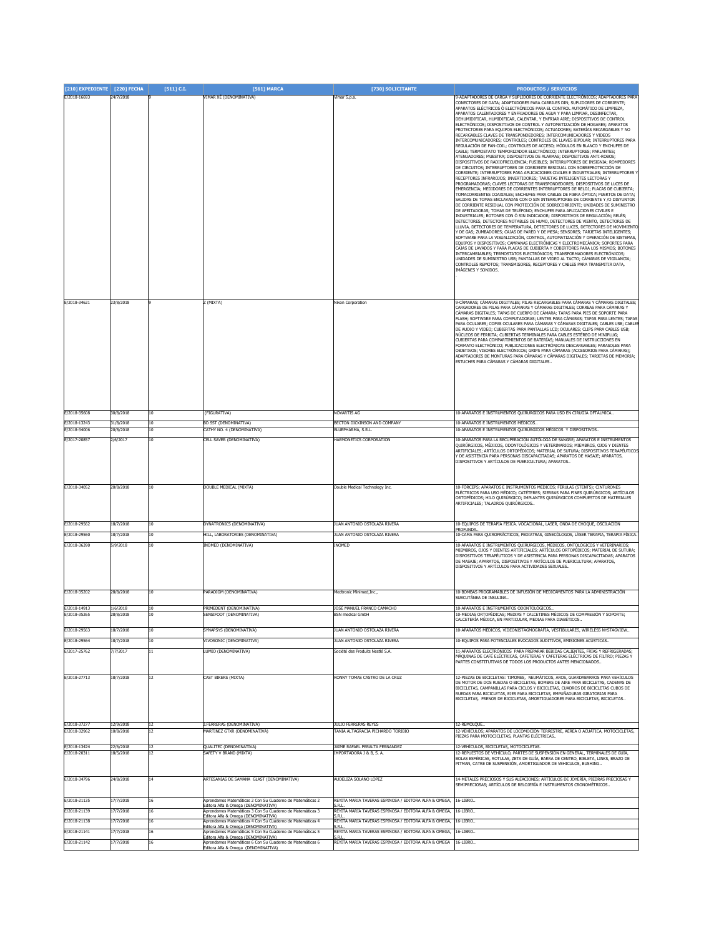| [210] EXPEDIENTE [220] FECHA |           | [511] C.I.      | [561] MARCA                                                                                     | [730] SOLICITANTE                                     | <b>PRODUCTOS / SERVICIOS</b>                                                                                                                                           |
|------------------------------|-----------|-----------------|-------------------------------------------------------------------------------------------------|-------------------------------------------------------|------------------------------------------------------------------------------------------------------------------------------------------------------------------------|
| E/2018-16693                 | 24/7/2018 |                 | VIMAR XÉ (DENOMINATIVA)                                                                         | Vimar S.p.a                                           | 9-ADAPTADORES DE CARGA Y SUPLIDORES DE CORRIENTE ELECTRÓNICOS; ADAPTADORES PARA                                                                                        |
|                              |           |                 |                                                                                                 |                                                       | CONECTORES DE DATA; ADAPTADORES PARA CARRILES DIN; SUPLIDORES DE CORRIENTE;<br>APARATOS ELÉCTRICOS Ó ELECTRÓNICOS PARA EL CONTROL AUTOMÁTICO DE LIMPIEZA,              |
|                              |           |                 |                                                                                                 |                                                       | APARATOS CALENTADORES Y ENFRIADORES DE AGUA Y PARA LIMPIAR, DESINFECTAR,                                                                                               |
|                              |           |                 |                                                                                                 |                                                       | DEHUMIDIFICAR, HUMIDIFICAR, CALENTAR, Y ENFRIAR AIRE; DISPOSITIVOS DE CONTROL                                                                                          |
|                              |           |                 |                                                                                                 |                                                       | ELECTRÓNICOS; DISPOSITIVOS DE CONTROL Y AUTOMATIZACIÓN DE HOGARES; APARATOS<br>PROTECTORES PARA EQUIPOS ELECTRÓNICOS; ACTUADORES; BATERÍAS RECARGABLES Y NO            |
|                              |           |                 |                                                                                                 |                                                       | RECARGABLES CLAVES DE TRANSPONDEDORES; INTERCOMUNICADORES Y VIDEOS                                                                                                     |
|                              |           |                 |                                                                                                 |                                                       | INTERCOMUNICADORES; CONTROLES; CONTROLES DE LLAVES BIPOLAR; INTERRUPTORES PARA<br>REGULACIÓN DE FAN-COIL; CONTROLES DE ACCESO; MÓDULOS EN BLANCO Y ENCHUFES DE         |
|                              |           |                 |                                                                                                 |                                                       | CABLE; TERMOSTATO TEMPORIZADOR ELECTRÓNICO; INTERRUPTORES; PARLANTES;                                                                                                  |
|                              |           |                 |                                                                                                 |                                                       | ATENUADORES; MUESTRA; DISPOSITIVOS DE ALARMAS; DISPOSITIVOS ANTI-ROBOS;<br>DISPOSITIVOS DE RADIOFRECUENCIA: FUSIBLES: INTERRUPTORES DE INSIGNIA: ROMPEDORES            |
|                              |           |                 |                                                                                                 |                                                       | DE CIRCUITOS: INTERRUPTORES DE CORRIENTE RESIDUAL CON SOBREPROTECCIÓN DE                                                                                               |
|                              |           |                 |                                                                                                 |                                                       | CORRIENTE; INTERRUPTORES PARA APLICACIONES CIVILES E INDUSTRIALES; INTERRUPTORES Y<br>RECEPTORES INFRAROJOS; INVERTIDORES; TARJETAS INTELIGENTES LECTORAS Y            |
|                              |           |                 |                                                                                                 |                                                       | PROGRAMADORAS: CLAVES LECTORAS DE TRANSPONDEDORES: DISPOSITIVOS DE LUCES DE                                                                                            |
|                              |           |                 |                                                                                                 |                                                       | EMERGENCIA; MEDIDORES DE CORRIENTES INTERRUPTORES DE RELOJ; PLACAS DE CUBIERTA;<br>TOMACORRIENTES COAXIALES; ENCHUFES PARA CABLES DE FIBRA ÓPTICA; PUERTOS DE DATA;    |
|                              |           |                 |                                                                                                 |                                                       | SALIDAS DE TOMAS ENCLAVADAS CON O SIN INTERRUPTORES DE CORRIENTE Y /O DISYUNTOR                                                                                        |
|                              |           |                 |                                                                                                 |                                                       | DE CORRIENTE RESIDUAL CON PROTECCIÓN DE SOBRECORRIENTE; UNIDADES DE SUMINISTRO<br>DE AFEITADORAS; TOMAS DE TELÉFONO; ENCHUFES PARA APLICACIONES CIVILES E              |
|                              |           |                 |                                                                                                 |                                                       | INDUSTRIALES; BOTONES CON Ó SIN INDICADOR; DISPOSITIVOS DE REGULACIÓN; RELÉS;                                                                                          |
|                              |           |                 |                                                                                                 |                                                       | DETECTORES, DETECTORES NOTABLES DE HUMO, DETECTORES DE VIENTO, DETECTORES DE<br>LLUVIA, DETECTORES DE TEMPERATURA, DETECTORES DE LUCES, DETECTORES DE MOVIMIENTO       |
|                              |           |                 |                                                                                                 |                                                       | Y DE GAS; ZUMBADORES; CAJAS DE PARED Y DE MESA; SENSORES; TARJETAS INTELIGENTES;                                                                                       |
|                              |           |                 |                                                                                                 |                                                       | SOFTWARE PARA LA VISUALIZACIÓN, CONTROL, AUTOMATIZACIÓN Y OPERACIÓN DE SISTEMAS,<br>EQUIPOS Y DISPOSITIVOS; CAMPANAS ELECTRÓNICAS Y ELECTROMECÁNICA; SOPORTES PARA     |
|                              |           |                 |                                                                                                 |                                                       | CAJAS DE LAVADOS Y PARA PLACAS DE CUBIERTA Y COBERTORES PARA LOS MISMOS; BOTONES                                                                                       |
|                              |           |                 |                                                                                                 |                                                       | INTERCAMBIABLES; TERMOSTATOS ELECTRÓNICOS; TRANSFORMADORES ELECTRÓNICOS;<br>UNIDADES DE SUMINISTRO USB; PANTALLAS DE VIDEO AL TACTO; CÁMARAS DE VIGILANCIA;            |
|                              |           |                 |                                                                                                 |                                                       | CONTROLES REMOTOS; TRANSMISORES, RECEPTORES Y CABLES PARA TRANSMITIR DATA,                                                                                             |
|                              |           |                 |                                                                                                 |                                                       | IMÁGENES Y SONIDOS.                                                                                                                                                    |
|                              |           |                 |                                                                                                 |                                                       |                                                                                                                                                                        |
|                              |           |                 |                                                                                                 |                                                       |                                                                                                                                                                        |
|                              |           |                 |                                                                                                 |                                                       |                                                                                                                                                                        |
| E/2018-34621                 | 23/8/2018 |                 | Z (MIXTA)                                                                                       | Nikon Corporation                                     | 9-CÁMARAS; CÁMARAS DIGITALES; PILAS RECARGABLES PARA CÁMARAS Y CÁMARAS DIGITALES;<br>CARGADORES DE PILAS PARA CÁMARAS Y CÁMARAS DIGITALES; CORREAS PARA CÁMARAS Y      |
|                              |           |                 |                                                                                                 |                                                       | CÁMARAS DIGITALES; TAPAS DE CUERPO DE CÁMARA; TAPAS PARA PIES DE SOPORTE PARA                                                                                          |
|                              |           |                 |                                                                                                 |                                                       | FLASH; SOFTWARE PARA COMPUTADORAS; LENTES PARA CÁMARAS; TAPAS PARA LENTES; TAPAS<br>PARA OCULARES; COPAS OCULARES PARA CÁMARAS Y CÁMARAS DIGITALES; CABLES USB; CABLES |
|                              |           |                 |                                                                                                 |                                                       | DE AUDIO Y VIDEO; CUBIERTAS PARA PANTALLAS LCD; OCULARES; CLIPS PARA CABLES USB;                                                                                       |
|                              |           |                 |                                                                                                 |                                                       | NÚCLEOS DE FERRITA; CUBIERTAS TERMINALES PARA CABLES ESTÉREO DE MINIPLUG;<br>CUBIERTAS PARA COMPARTIMIENTOS DE BATERÍAS; MANUALES DE INSTRUCCIONES EN                  |
|                              |           |                 |                                                                                                 |                                                       | FORMATO ELECTRÓNICO; PUBLICACIONES ELECTRÓNICAS DESCARGABLES; PARASOLES PARA                                                                                           |
|                              |           |                 |                                                                                                 |                                                       | OBJETIVOS; VISORES ELECTRÓNICOS; GRIPS PARA CÁMARAS (ACCESORIOS PARA CÁMARAS);<br>ADAPTADORES DE MONTURAS PARA CÁMARAS Y CÁMARAS DIGITALES; TARJETAS DE MEMORIA;       |
|                              |           |                 |                                                                                                 |                                                       | ESTUCHES PARA CÁMARAS Y CÁMARAS DIGITALES                                                                                                                              |
|                              |           |                 |                                                                                                 |                                                       |                                                                                                                                                                        |
|                              |           |                 |                                                                                                 |                                                       |                                                                                                                                                                        |
|                              |           |                 |                                                                                                 |                                                       |                                                                                                                                                                        |
|                              |           |                 |                                                                                                 |                                                       |                                                                                                                                                                        |
|                              |           |                 |                                                                                                 |                                                       |                                                                                                                                                                        |
| E/2018-35608                 | 30/8/2018 | 10              | (FIGURATIVA)                                                                                    | NOVARTIS AG                                           | 10-APARATOS E INSTRUMENTOS QUIRÚRGICOS PARA USO EN CIRUGÍA OFTÁLMICA                                                                                                   |
|                              |           |                 |                                                                                                 |                                                       |                                                                                                                                                                        |
| E/2018-13243                 | 31/8/2018 | 10              | BD SST (DENOMINATIVA)                                                                           | BECTON DICKINSON AND COMPANY                          | 10-APARATOS E INSTRUMENTOS MÉDICOS.                                                                                                                                    |
| E/2018-34006                 | 20/8/2018 | 10              | CATHY NO. 4 (DENOMINATIVA)                                                                      | BLUEPHARMA, S.R.L.                                    | 10-APARATOS E INSTRUMENTOS QUIRÚRGICOS MÉDICOS Y DISPOSITIVOS.                                                                                                         |
| E/2017-20857                 | 2/6/2017  | 10              | CELL SAVER (DENOMINATIVA)                                                                       | HAEMONETICS CORPORATION                               | 10-APARATOS PARA LA RECUPERACIÓN AUTÓLOGA DE SANGRE; APARATOS E INSTRUMENTOS                                                                                           |
|                              |           |                 |                                                                                                 |                                                       | QUIRÚRGICOS, MÉDICOS, ODONTOLÓGICOS Y VETERINARIOS; MIEMBROS, OJOS Y DIENTES<br>ARTIFICIALES; ARTÍCULOS ORTOPÉDICOS; MATERIAL DE SUTURA; DISPOSITIVOS TERAPÉUTICOS     |
|                              |           |                 |                                                                                                 |                                                       | Y DE ASISTENCIA PARA PERSONAS DISCAPACITADAS; APARATOS DE MASAJE; APARATOS,                                                                                            |
|                              |           |                 |                                                                                                 |                                                       | DISPOSITIVOS Y ARTÍCULOS DE PUERICULTURA; APARATOS.                                                                                                                    |
|                              |           |                 |                                                                                                 |                                                       |                                                                                                                                                                        |
|                              |           |                 |                                                                                                 |                                                       |                                                                                                                                                                        |
| E/2018-34052                 | 20/8/2018 | 10 <sup>1</sup> | DOUBLE MEDICAL (MIXTA)                                                                          | Double Medical Technology Inc.                        | 10-FÓRCEPS; APARATOS E INSTRUMENTOS MÉDICOS; FÉRULAS (STENTS); CINTURONES                                                                                              |
|                              |           |                 |                                                                                                 |                                                       | ELÉCTRICOS PARA USO MÉDICO; CATÉTERES; SIERRAS PARA FINES QUIRÚRGICOS; ARTÍCULOS<br>ORTOPÉDICOS; HILO QUIRÚRGICO; IMPLANTES QUIRÚRGICOS COMPUESTOS DE MATERIALES       |
|                              |           |                 |                                                                                                 |                                                       | ARTIFICIALES; TALADROS QUIRÚRGICOS                                                                                                                                     |
|                              |           |                 |                                                                                                 |                                                       |                                                                                                                                                                        |
| E/2018-29562                 | 18/7/2018 | 10              | DYNATRONICS (DENOMINATIVA)                                                                      | JUAN ANTONIO OSTOLAZA RIVERA                          | 10-EQUIPOS DE TERAPIA FÍSICA. VOCACIONAL, LÁSER, ONDA DE CHOQUE, OSCILACIÓN                                                                                            |
|                              |           |                 |                                                                                                 |                                                       | PROFUNDA                                                                                                                                                               |
| E/2018-29560                 | 18/7/2018 | 10              | HILL, LABORATORIES (DENOMINATIVA)                                                               | JUAN ANTONIO OSTOLAZA RIVERA                          | 10-CAMA PARA QUIROPRÁCTICOS, PEDIATRAS, GINECÓLOGOS, LÁSER TERAPIA, TERAPIA FÍSICA.                                                                                    |
| E/2018-36390                 | 5/9/2018  | 10              | INOMED (DENOMINATIVA)                                                                           | INOMED                                                | 10-APARATOS E INSTRUMENTOS OUIRÚRGICOS, MÉDICOS, ONTOLÓGICOS Y VETERINARIOS:                                                                                           |
|                              |           |                 |                                                                                                 |                                                       | MIEMBROS, OJOS Y DIENTES ARTIFICIALES; ARTÍCULOS ORTOPÉDICOS; MATERIAL DE SUTURA;<br>DISPOSITIVOS TERAPÉUTICOS Y DE ASISTENCIA PARA PERSONAS DISCAPACITADAS: APARATOS  |
|                              |           |                 |                                                                                                 |                                                       | DE MASAIE: APARATOS, DISPOSITIVOS Y ARTÍCULOS DE PUERICULTURA: APARATOS,                                                                                               |
|                              |           |                 |                                                                                                 |                                                       | DISPOSITIVOS Y ARTÍCULOS PARA ACTIVIDADES SEXUALES.                                                                                                                    |
|                              |           |                 |                                                                                                 |                                                       |                                                                                                                                                                        |
|                              |           |                 |                                                                                                 |                                                       |                                                                                                                                                                        |
| E/2018-35202                 | 28/8/2018 | 10              | PARADIGM (DENOMINATIVA)                                                                         | Medtronic Minimed, Inc.,                              | 10-BOMBAS PROGRAMABLES DE INFUSIÓN DE MEDICAMENTOS PARA LA ADMINISTRACIÓN                                                                                              |
|                              |           |                 |                                                                                                 |                                                       | SUBCUTÁNEA DE INSULINA                                                                                                                                                 |
| E/2018-14913                 | 1/6/2018  | 10              | PRIMEDENT (DENOMINATIVA)                                                                        | JOSÉ MANUEL ERANCO CAMACHO                            | 10-APARATOS E INSTRUMENTOS ODONTOLÓGICOS.                                                                                                                              |
|                              |           |                 |                                                                                                 |                                                       | CALCETERÍA MÉDICA, EN PARTICULAR, MEDIAS PARA DIABÉTICOS                                                                                                               |
|                              |           |                 |                                                                                                 |                                                       |                                                                                                                                                                        |
| E/2018-29563                 | 18/7/2018 | 10              | SYNAPSYS (DENOMINATIVA)                                                                         | JUAN ANTONIO OSTOLAZA RIVERA                          | 10-APARATOS MÉDICOS, VIDEONISTAGMOGRAFÍA, VESTIBULARES, WIRELESS NYSTAGVIEW                                                                                            |
| E/2018-29564                 | 18/7/2018 | 10              | <b>/IVOSONIC (DENOMINATIVA)</b>                                                                 | UAN ANTONIO OSTOLAZA RIVERA                           | 10-EQUIPOS PARA POTENCIALES EVOCADOS AUDITIVOS, EMISIONES ACÚSTICAS.                                                                                                   |
| E/2017-25762                 | 7/7/2017  | 11              | LUMIO (DENOMINATIVA)                                                                            | Société des Produits Nestlé S.A.                      | 11-APARATOS ELECTRÓNICOS PARA PREPARAR BEBIDAS CALIENTES, FRÍAS Y REFRIGERADAS;                                                                                        |
|                              |           |                 |                                                                                                 |                                                       | MÁQUINAS DE CAFÉ ELÉCTRICAS, CAFETERAS Y CAFETERAS ELÉCTRICAS DE FILTRO; PIEZAS Y<br>PARTES CONSTITUTIVAS DE TODOS LOS PRODUCTOS ANTES MENCIONADOS.                    |
|                              |           |                 |                                                                                                 |                                                       |                                                                                                                                                                        |
| E/2018-27713                 | 18/7/2018 | 12              | CAST BIKERS (MIXTA)                                                                             | RONNY TOMAS CASTRO DE LA CRUZ                         | 12-PIEZAS DE BICICLETAS: TIMONES, NEUMÁTICOS, AROS, GUARDABARROS PARA VEHÍCULOS                                                                                        |
|                              |           |                 |                                                                                                 |                                                       | DE MOTOR DE DOS RUEDAS O BICICLETAS, BOMBAS DE AIRE PARA BICICLETAS, CADENAS DE                                                                                        |
|                              |           |                 |                                                                                                 |                                                       | BICICLETAS, CAMPANILLAS PARA CICLOS Y BICICLETAS, CUADROS DE BICICLETAS CUBOS DE<br>RUEDAS PARA BICICLETAS, EJES PARA BICICLETAS, EMPUÑADURAS GIRATORIAS PARA          |
|                              |           |                 |                                                                                                 |                                                       | BICICLETAS, FRENOS DE BICICLETAS, AMORTIGUADORES PARA BICICLETAS, BICICLETAS                                                                                           |
|                              |           |                 |                                                                                                 |                                                       |                                                                                                                                                                        |
|                              |           |                 |                                                                                                 |                                                       |                                                                                                                                                                        |
| E/2018-37277                 | 12/9/2018 | 12              | FERRERAS (DENOMINATIVA)                                                                         | JULIO FERRERAS REYES                                  | 12-REMOLQUE                                                                                                                                                            |
| E/2018-32962                 | 10/8/2018 | $\overline{12}$ | IARTINEZ GTXR (DENOMINATIVA)                                                                    | ANIA ALTAGRACIA PICHARDO TORIBIO                      | 12-VEHÍCULOS; APARATOS DE LOCOMOCIÓN TERRESTRE, AÉREA O ACUÁTICA, MOTOCICLETAS,                                                                                        |
|                              |           |                 |                                                                                                 |                                                       | PIEZAS PARA MOTOCICLETAS, PLANTAS ELÉCTRICAS                                                                                                                           |
| E/2018-13424                 | 22/6/2018 | 12              | QUALITEC (DENOMINATIVA)                                                                         | JAIME RAFAEL PERALTA FERNANDEZ                        | 12-VEHÍCULOS, BICICLETAS, MOTOCICLETAS.                                                                                                                                |
| E/2018-20311                 | 18/5/2018 | 12              | <b>SAFETY V BRAND (MIXTA)</b>                                                                   | IMPORTADORA J & B. S. A.                              | 12-REPUESTOS DE VEHÍCULO, PARTES DE SUSPENSIÓN EN GENERAL, TERMINALES DE GUÍA,<br>BOLAS ESFÉRICAS, ROTULAS, ZETA DE GUÍA, BARRA DE CENTRO, BIELETA, LINKS, BRAZO DE    |
|                              |           |                 |                                                                                                 |                                                       | PITMAN, CATRE DE SUSPENSIÓN, AMORTIGUADOR DE VEHICULOS, BUSHING                                                                                                        |
|                              |           |                 |                                                                                                 |                                                       |                                                                                                                                                                        |
| E/2018-34796                 | 24/8/2018 | 14              | ARTESANIAS DE SAMANA GLAST (DENOMINATIVA)                                                       | AUDELIZA SOLANO LOPEZ                                 | 14-METALES PRECIOSOS Y SUS ALEACIONES; ARTÍCULOS DE JOYERÍA, PIEDRAS PRECIOSAS Y                                                                                       |
|                              |           |                 |                                                                                                 |                                                       | SEMIPRECIOSAS: ARTÍCULOS DE RELOJERÍA E INSTRUMENTOS CRONOMÉTRICOS                                                                                                     |
|                              |           |                 |                                                                                                 |                                                       |                                                                                                                                                                        |
| E/2018-21135                 | 17/7/2018 | 16              | Aprendamos Matemáticas 2 Con Su Cuaderno de Matemáticas 2<br>ditora Alfa & Omega (DENOMINATIVA) | REYITA MARIA TAVERAS ESPINOSA / EDITORA ALFA & OMEGA, | 16-LIBRO                                                                                                                                                               |
| E/2018-21139                 | 17/7/2018 | 16              | Aprendamos Matemáticas 3 Con Su Cuaderno de Matemáticas 3                                       | REYITA MARIA TAVERAS ESPINOSA / EDITORA ALFA & OMEGA, | 16-LIBRO                                                                                                                                                               |
| E/2018-21138                 | 17/7/2018 | 16              | ditora Alfa & Omega (DENOMINATIVA)<br>Aprendamos Matemáticas 4 Con Su Cuaderno de Matemáticas 4 | REYITA MARIA TAVERAS ESPINOSA / EDITORA ALFA & OMEGA, | 16-LIBRO.                                                                                                                                                              |
|                              |           |                 | ditora Alfa & Omega (DENOMINATIVA)                                                              | 5.R.                                                  |                                                                                                                                                                        |
| E/2018-21141                 | 17/7/2018 | 16              | prendamos Matemáticas 5 Con Su Cuaderno de Matemáticas 5<br>ditora Alfa & Omega (DENOMINATIVA)  | REYITA MARIA TAVERAS ESPINOSA / EDITORA ALFA & OMEGA  | 16-LIBRO.                                                                                                                                                              |
| E/2018-21142                 | 17/7/2018 | 16              | prendamos Matemáticas 6 Con Su Cuaderno de Matemáticas 6                                        | REYITA MARIA TAVERAS ESPINOSA / EDITORA ALFA & OMEGA  | 16-LIBRO                                                                                                                                                               |
|                              |           |                 | Editora Alfa & Omega (DENOMINATIVA)                                                             |                                                       |                                                                                                                                                                        |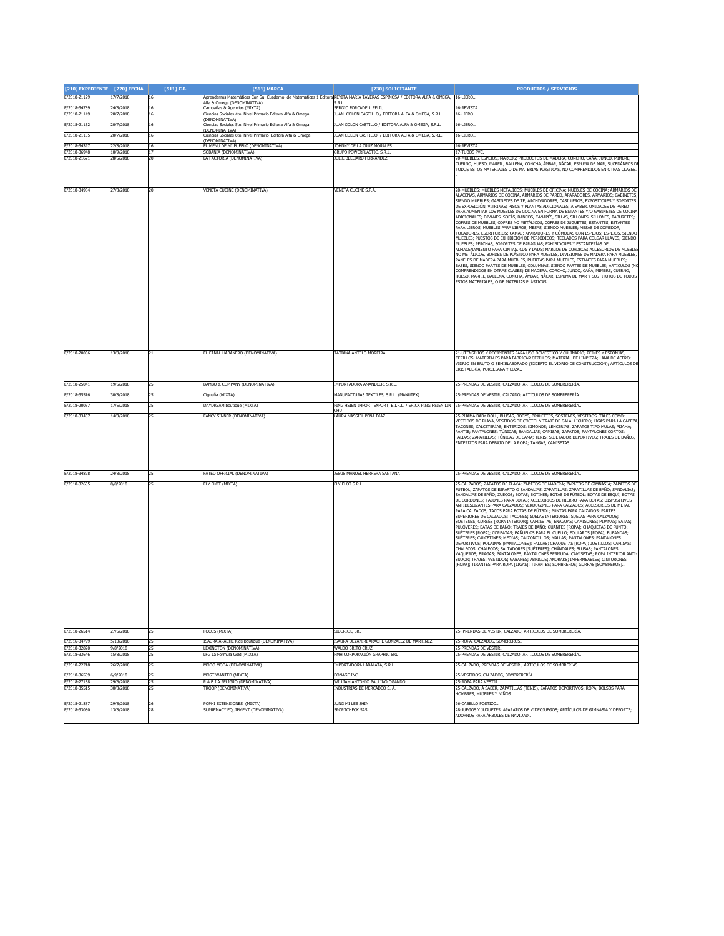| [210] EXPEDIENTE [220] FECHA |                        | $[511]$ C.I.          | [561] MARCA                                                                                                                                         | [730] SOLICITANTE                                                            | <b>PRODUCTOS / SERVICIOS</b>                                                                                                                                                                                                                                                                                                                                                                                                                                                                                                                                                                                                                                                                                                                                                                                                                                                                                                                                                                                                                                                                                                                                                                                                                                                                                                                                                                                                                                                                                   |
|------------------------------|------------------------|-----------------------|-----------------------------------------------------------------------------------------------------------------------------------------------------|------------------------------------------------------------------------------|----------------------------------------------------------------------------------------------------------------------------------------------------------------------------------------------------------------------------------------------------------------------------------------------------------------------------------------------------------------------------------------------------------------------------------------------------------------------------------------------------------------------------------------------------------------------------------------------------------------------------------------------------------------------------------------------------------------------------------------------------------------------------------------------------------------------------------------------------------------------------------------------------------------------------------------------------------------------------------------------------------------------------------------------------------------------------------------------------------------------------------------------------------------------------------------------------------------------------------------------------------------------------------------------------------------------------------------------------------------------------------------------------------------------------------------------------------------------------------------------------------------|
| E/2018-21129                 | 17/7/2018              | $16\,$                | Aprendamos Matemáticas Con Su Cuaderno de Matemáticas 1 Editora REYITA MARIA TAVERAS ESPINOSA / EDITORA ALFA & OMEGA,<br>Ifa & Omega (DENOMINATIVA) |                                                                              | 16-LIBRO.                                                                                                                                                                                                                                                                                                                                                                                                                                                                                                                                                                                                                                                                                                                                                                                                                                                                                                                                                                                                                                                                                                                                                                                                                                                                                                                                                                                                                                                                                                      |
| E/2018-34789<br>E/2018-21149 | 24/8/2018<br>20/7/2018 | 16<br>16              | Campañas & Agencias (MIXTA)<br>Ciencias Sociales 4to. Nivel Primario Editora Alfa & Omega                                                           | SERGIO FORCADELL FELIU<br>JUAN COLON CASTILLO / EDITORA ALFA & OMEGA, S.R.L. | 16-REVISTA.<br>16-LIBRO.                                                                                                                                                                                                                                                                                                                                                                                                                                                                                                                                                                                                                                                                                                                                                                                                                                                                                                                                                                                                                                                                                                                                                                                                                                                                                                                                                                                                                                                                                       |
| E/2018-21152                 | 20/7/2018              | 16                    | .<br>Ciencias Sociales 5to. Nivel Primario Editora Alfa & Omega<br>Ciencias Sociales 5to. Nivel Primario Editora Alfa & Omega                       | JUAN COLON CASTILLO / EDITORA ALFA & OMEGA, S.R.L.                           | 16-LIBRO                                                                                                                                                                                                                                                                                                                                                                                                                                                                                                                                                                                                                                                                                                                                                                                                                                                                                                                                                                                                                                                                                                                                                                                                                                                                                                                                                                                                                                                                                                       |
| E/2018-21155                 | 20/7/2018              | 16                    | DENOMINATIVA)<br>liencias Sociales 6to. Nivel Primario Editora Alfa & Omega                                                                         | JUAN COLON CASTILLO / EDITORA ALFA & OMEGA, S.R.L.                           | 16-LIBRO                                                                                                                                                                                                                                                                                                                                                                                                                                                                                                                                                                                                                                                                                                                                                                                                                                                                                                                                                                                                                                                                                                                                                                                                                                                                                                                                                                                                                                                                                                       |
| E/2018-34397                 | 22/8/2018              | 16                    | DENOMINATIVA)<br>L MENU DE MI PUEBLO (DENOMINATIVA)                                                                                                 | <b>JOHNNY DE LA CRUZ MORALES</b>                                             | 16-REVISTA.                                                                                                                                                                                                                                                                                                                                                                                                                                                                                                                                                                                                                                                                                                                                                                                                                                                                                                                                                                                                                                                                                                                                                                                                                                                                                                                                                                                                                                                                                                    |
| E/2018-36948                 | 10/9/2018              | 17                    | GOBANIA (DENOMINATIVA)                                                                                                                              | GRUPO POWERPLASTIC, S.R.L                                                    | 17-TUBOS PVC                                                                                                                                                                                                                                                                                                                                                                                                                                                                                                                                                                                                                                                                                                                                                                                                                                                                                                                                                                                                                                                                                                                                                                                                                                                                                                                                                                                                                                                                                                   |
| E/2018-21621                 | 28/5/2018              | 2O.                   | LA FACTORIA (DENOMINATIVA)                                                                                                                          | JULIE BELLIARD FERNANDEZ                                                     | 20-MUEBLES, ESPEIOS, MARCOS: PRODUCTOS DE MADERA, CORCHO, CAÑA, JUNCO, MIMBRE,<br>CUERNO, HUESO, MARFIL, BALLENA, CONCHA, ÁMBAR, NÁCAR, ESPUMA DE MAR, SUCEDÁNEOS DI<br>TODOS ESTOS MATERIALES O DE MATERIAS PLÁSTICAS, NO COMPRENDIDOS EN OTRAS CLASES.                                                                                                                                                                                                                                                                                                                                                                                                                                                                                                                                                                                                                                                                                                                                                                                                                                                                                                                                                                                                                                                                                                                                                                                                                                                       |
| E/2018-34984                 | 27/8/2018              | 20                    | VENETA CUCINE (DENOMINATIVA)                                                                                                                        | VENETA CUCINE S.P.A.                                                         | 20-MUEBLES; MUEBLES METÁLICOS; MUEBLES DE OFICINA; MUEBLES DE COCINA; ARMARIOS DE<br>ALACENAS, ARMARIOS DE COCINA, ARMARIOS DE PARED, APARADORES, ARMARIOS; GABINETES,<br>SIENDO MUEBLES: GABINETES DE TÉ, ARCHIVADORES, CASILLEROS, EXPOSITORES Y SOPORTES<br>DE EXPOSICIÓN, VITRINAS; PISOS Y PLANTAS ADICIONALES, A SABER, UNIDADES DE PARED<br>PARA AUMENTAR LOS MUEBLES DE COCINA EN FORMA DE ESTANTES Y/O GABINETES DE COCINA<br>ADICIONALES; DIVANES, SOFÁS, BANCOS, CANAPÉS, SILLAS, SILLONES, SILLONES, TABURETES;<br>COFRES DE MUEBLES, COFRES NO METÁLICOS, COFRES DE JUGUETES; ESTANTES, ESTANTES<br>PARA LIBROS, MUEBLES PARA LIBROS; MESAS, SIENDO MUEBLES; MESAS DE COMEDOR,<br>TOCADORES, ESCRITORIOS; CAMAS; APARADORES Y CÓMODAS CON ESPEJOS; ESPEJOS, SIENDO<br>MUEBLES; PUESTOS DE EXHIBICIÓN DE PERIÓDICOS; TECLADOS PARA COLGAR LLAVES, SIENDO<br>MUEBLES; PERCHAS, SOPORTES DE PARAGUAS; EXHIBIDORES Y ESTANTERÍAS DE<br>ALMACENAMIENTO PARA CINTAS, CDS Y DVDS; MARCOS DE CUADROS; ACCESORIOS DE MUEBLES<br>NO METÁLICOS, BORDES DE PLÁSTICO PARA MUEBLES, DIVISIONES DE MADERA PARA MUEBLES,<br>PANELES DE MADERA PARA MUEBLES, PUERTAS PARA MUEBLES, ESTANTES PARA MUEBLES;<br>BASES, SIENDO PARTES DE MUEBLES; COLUMNAS, SIENDO PARTES DE MUEBLES; ARTÍCULOS (NO<br>COMPRENDIDOS EN OTRAS CLASES) DE MADERA, CORCHO, JUNCO, CAÑA, MIMBRE, CUERNO,<br>HUESO, MARFIL, BALLENA, CONCHA, ÁMBAR, NÁCAR, ESPUMA DE MAR Y SUSTITUTOS DE TODOS<br>ESTOS MATERIALES, O DE MATERIAS PLÁSTICAS |
| E/2018-20036                 | 13/8/2018              | 21                    | EL FANAL HABANERO (DENOMINATIVA)                                                                                                                    | TATIANA ANTELO MOREIRA                                                       | 21-UTENSILIOS Y RECIPIENTES PARA USO DOMÉSTICO Y CULINARIO; PEINES Y ESPONJAS;<br>CEPILLOS; MATERIALES PARA FABRICAR CEPILLOS; MATERIAL DE LIMPIEZA; LANA DE ACERO;<br>VIDRIO EN BRUTO O SEMIELABORADO (EXCEPTO EL VIDRIO DE CONSTRUCCIÓN); ARTÍCULOS DE<br>CRISTALERÍA, PORCELANA Y LOZA.                                                                                                                                                                                                                                                                                                                                                                                                                                                                                                                                                                                                                                                                                                                                                                                                                                                                                                                                                                                                                                                                                                                                                                                                                     |
| E/2018-25041                 | 19/6/2018              | 25                    | BAMBU & COMPANY (DENOMINATIVA)                                                                                                                      | IMPORTADORA AMANECER, S.R.L.                                                 | 25-PRENDAS DE VESTIR, CALZADO, ARTÍCULOS DE SOMBRERERÍA.                                                                                                                                                                                                                                                                                                                                                                                                                                                                                                                                                                                                                                                                                                                                                                                                                                                                                                                                                                                                                                                                                                                                                                                                                                                                                                                                                                                                                                                       |
| E/2018-35516                 | 30/8/2018              | 25                    | Cigueña (MIXTA)                                                                                                                                     | MANUFACTURAS TEXTILES, S.R.L. (MANUTEX)                                      | 25-PRENDAS DE VESTIR, CALZADO, ARTÍCULOS DE SOMBRERERÍA                                                                                                                                                                                                                                                                                                                                                                                                                                                                                                                                                                                                                                                                                                                                                                                                                                                                                                                                                                                                                                                                                                                                                                                                                                                                                                                                                                                                                                                        |
| E/2018-20067                 | 17/5/2018              | 25                    | DAYDREAM boutique (MIXTA)                                                                                                                           |                                                                              | PING HSIEN IMPORT EXPORT, E.I.R.L. / ERICK PING HSIEN LIN 25-PRENDAS DE VESTIR, CALZADO, ARTÍCULOS DE SOMBRERERÍA                                                                                                                                                                                                                                                                                                                                                                                                                                                                                                                                                                                                                                                                                                                                                                                                                                                                                                                                                                                                                                                                                                                                                                                                                                                                                                                                                                                              |
| E/2018-33407                 | 14/8/2018              | 25                    | FANCY SINNER (DENOMINATIVA)                                                                                                                         | ĴН,<br>LAURA MASSIEL PEÑA DIAZ                                               | 25-PIJAMA BABY DOLL, BLUSAS, BODYS, BRALETTES, SOSTENES, VESTIDOS, TALES COMO:                                                                                                                                                                                                                                                                                                                                                                                                                                                                                                                                                                                                                                                                                                                                                                                                                                                                                                                                                                                                                                                                                                                                                                                                                                                                                                                                                                                                                                 |
|                              |                        |                       |                                                                                                                                                     |                                                                              | VESTIDOS DE PLAYA, VESTIDOS DE CÓCTEL Y TRAJE DE GALA; LIGUERO; LIGAS PARA LA CABEZA<br>TACONES; CALCETERÍAS; ENTERIZOS; KIMONOS; LENCERÍAS; ZAPATOS TIPO MULAS; PIJAMA;<br>PANTIE; PANTALONES; TÚNICAS; SANDALIAS; CAMISAS; ZAPATOS; PANTALONES CORTOS;<br>FALDAS; ZAPATILLAS; TÚNICAS DE CAMA; TENIS; SUJETADOR DEPORTIVOS; TRAJES DE BAÑOS,<br>ENTERIZOS PARA DEBAJO DE LA ROPA; TANGAS, CAMISETAS                                                                                                                                                                                                                                                                                                                                                                                                                                                                                                                                                                                                                                                                                                                                                                                                                                                                                                                                                                                                                                                                                                          |
| E/2018-34828                 | 24/8/2018              | 25                    | ATED OFFICIAL (DENOMINATIVA)                                                                                                                        | JESUS MANUEL HERRERA SANTANA                                                 | 25-PRENDAS DE VESTIR, CALZADO, ARTÍCULOS DE SOMBRERERÍA.                                                                                                                                                                                                                                                                                                                                                                                                                                                                                                                                                                                                                                                                                                                                                                                                                                                                                                                                                                                                                                                                                                                                                                                                                                                                                                                                                                                                                                                       |
| E/2018-32655                 | 3/8/2018               | 25                    | <b>LY FLOT (MIXTA)</b>                                                                                                                              | FLY FLOT S.R.L.                                                              | 25-CALZADOS; ZAPATOS DE PLAYA; ZAPATOS DE MADERA; ZAPATOS DE GIMNASIA; ZAPATOS DE<br>FÚTBOL; ZAPATOS DE ESPARTO O SANDALIAS; ZAPATILLAS; ZAPATILLAS DE BAÑO; SANDALIAS;<br>SANDALIAS DE BAÑO; ZUECOS; BOTAS; BOTINES; BOTAS DE FÚTBOL; BOTAS DE ESQUÍ; BOTAS<br>DE CORDONES; TALONES PARA BOTAS; ACCESORIOS DE HIERRO PARA BOTAS; DISPOSITIVOS<br>ANTIDESLIZANTES PARA CALZADOS; VERDUGONES PARA CALZADOS; ACCESORIOS DE METAL<br>PARA CALZADOS; TACOS PARA BOTAS DE FÚTBOL; PUNTAS PARA CALZADOS; PARTES<br>SUPERIORES DE CALZADOS; TACONES; SUELAS INTERIORES; SUELAS PARA CALZADOS;<br>SOSTENES; CORSÉS [ROPA INTERIOR]; CAMISETAS; ENAGUAS; CAMISONES; PIJAMAS; BATAS;<br>PULÓVERES; BATAS DE BAÑO; TRAJES DE BAÑO; GUANTES [ROPA]; CHAQUETAS DE PUNTO;<br>SUÉTERES [ROPA]; CORBATAS; PAÑUELOS PARA EL CUELLO; FOULARDS [ROPA]; BUFANDAS;<br>SUÉTERES; CALCETINES; MEDIAS; CALZONCILLOS; MALLAS; PANTALONES; PANTALONES<br>DEPORTIVOS; POLAINAS [PANTALONES]; FALDAS; CHAQUETAS [ROPA]; JUSTILLOS; CAMISAS;<br>CHALECOS; CHALECOS; SALTADORES [SUÉTERES]; CHÁNDALES; BLUSAS; PANTALONES<br>VAQUEROS; BRAGAS; PANTALONES; PANTALONES BERMUDA; CAMISETAS; ROPA INTERIOR ANTI-<br>SUDOR; TRAJES; VESTIDOS; GABANES; ABRIGOS; ANORAKS; IMPERMEABLES; CINTURONES<br>[ROPA]; TIRANTES PARA ROPA [LIGAS]; TIRANTES; SOMBREROS; GORRAS [SOMBREROS]                                                                                                                                                                 |
| E/2018-26514                 | 27/6/2018              | 25                    | OCUS (MIXTA)                                                                                                                                        | SIDERICK, SRL                                                                | 25- PRENDAS DE VESTIR, CALZADO, ARTÍCULOS DE SOMBRERERÍA                                                                                                                                                                                                                                                                                                                                                                                                                                                                                                                                                                                                                                                                                                                                                                                                                                                                                                                                                                                                                                                                                                                                                                                                                                                                                                                                                                                                                                                       |
| E/2016-34799<br>E/2018-32820 | 5/10/2016<br>9/8/2018  | 25<br>25              | SAURA ARACHE Kids Boutique (DENOMINATIVA)<br>LEXINGTON (DENOMINATIVA)                                                                               | ISAURA DEYANIRI ARACHE GONZALEZ DE MARTINEZ<br>WALDO BRITO CRUZ              | 25-ROPA, CALZADOS, SOMBREROS<br>25-PRENDAS DE VESTIR                                                                                                                                                                                                                                                                                                                                                                                                                                                                                                                                                                                                                                                                                                                                                                                                                                                                                                                                                                                                                                                                                                                                                                                                                                                                                                                                                                                                                                                           |
| E/2018-33646                 | 15/8/2018              | 25                    | LFG La Formula Gold (MIXTA)                                                                                                                         | <b>RMH CORPORACIÓN GRAPHIC SRL</b>                                           | 25-PRENDAS DE VESTIR, CALZADO, ARTÍCULOS DE SOMBRERERÍA.                                                                                                                                                                                                                                                                                                                                                                                                                                                                                                                                                                                                                                                                                                                                                                                                                                                                                                                                                                                                                                                                                                                                                                                                                                                                                                                                                                                                                                                       |
| E/2018-22718                 | 26/7/2018              | 25                    | <b>MODO MODA (DENOMINATIVA)</b>                                                                                                                     | IMPORTADORA LABALATA, S.R.L.                                                 | 25-CALZADO, PRENDAS DE VESTIR, ARTÍCULOS DE SOMBRERÍAS.                                                                                                                                                                                                                                                                                                                                                                                                                                                                                                                                                                                                                                                                                                                                                                                                                                                                                                                                                                                                                                                                                                                                                                                                                                                                                                                                                                                                                                                        |
| E/2018-36559                 | 6/9/2018               | 25                    | MOST WANTED (MIXTA)                                                                                                                                 | <b>BONAGE INC.</b>                                                           | 25-VESTIDOS, CALZADOS, SOMBRERERÍA.                                                                                                                                                                                                                                                                                                                                                                                                                                                                                                                                                                                                                                                                                                                                                                                                                                                                                                                                                                                                                                                                                                                                                                                                                                                                                                                                                                                                                                                                            |
| F/2018-27138<br>E/2018-35515 | 29/6/2018<br>30/8/2018 | 25<br>$\overline{25}$ | R.A.B.I.A PELIGRO (DENOMINATIVA)<br><b>FROOP (DENOMINATIVA)</b>                                                                                     | WILLIAM ANTONIO PAULINO OGANDO<br>INDUSTRIAS DE MERCADEO S. A.               | 25-ROPA PARA VESTIR.<br>25-CALZADO, A SABER, ZAPATILLAS (TENIS), ZAPATOS DEPORTIVOS; ROPA, BOLSOS PARA                                                                                                                                                                                                                                                                                                                                                                                                                                                                                                                                                                                                                                                                                                                                                                                                                                                                                                                                                                                                                                                                                                                                                                                                                                                                                                                                                                                                         |
|                              |                        |                       |                                                                                                                                                     |                                                                              | HOMBRES, MUJERES Y NIÑOS                                                                                                                                                                                                                                                                                                                                                                                                                                                                                                                                                                                                                                                                                                                                                                                                                                                                                                                                                                                                                                                                                                                                                                                                                                                                                                                                                                                                                                                                                       |
| E/2018-21887<br>E/2018-33080 | 29/8/2018<br>13/8/2018 | 26<br>28              | POPHI EXTENSIONES (MIXTA)<br>SUPREMACY EQUIPMENT (DENOMINATIVA)                                                                                     | JUNG MI LEE SHIN<br>SPORTCHECK SAS                                           | 26-CABELLO POSTIZO.<br>28-JUEGOS Y JUGUETES; APARATOS DE VIDEOJUEGOS; ARTÍCULOS DE GIMNASIA Y DEPORTE;                                                                                                                                                                                                                                                                                                                                                                                                                                                                                                                                                                                                                                                                                                                                                                                                                                                                                                                                                                                                                                                                                                                                                                                                                                                                                                                                                                                                         |
|                              |                        |                       |                                                                                                                                                     |                                                                              | ADORNOS PARA ÁRBOLES DE NAVIDAD.                                                                                                                                                                                                                                                                                                                                                                                                                                                                                                                                                                                                                                                                                                                                                                                                                                                                                                                                                                                                                                                                                                                                                                                                                                                                                                                                                                                                                                                                               |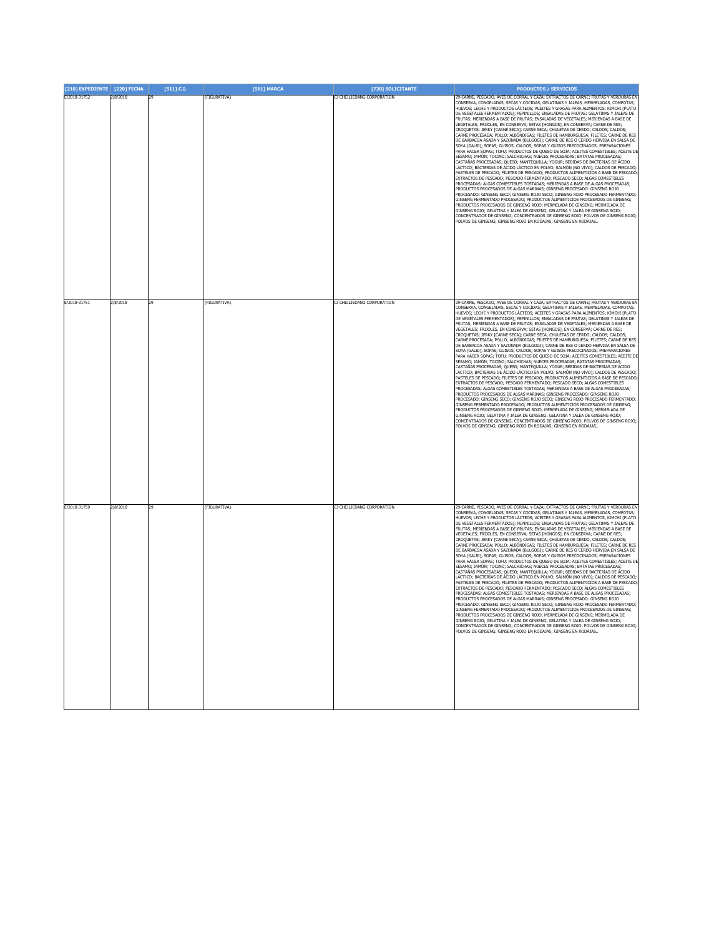| [210] EXPEDIENTE [220] FECHA |          | $[511]$ C.I. | [561] MARCA  | [730] SOLICITANTE          | <b>PRODUCTOS / SERVICIOS</b>                                                                                                                                                                                                                                                                                                                                                                                                                                                                                                                                                                                                                                                                                                                                                                                                                                                                                                                                                                                                                                                                                                                                                                                                                                                                                                                                                                                                                                                                                                                                                                                                                                                                                                                                                                                                                                                                                                                                                                                             |
|------------------------------|----------|--------------|--------------|----------------------------|--------------------------------------------------------------------------------------------------------------------------------------------------------------------------------------------------------------------------------------------------------------------------------------------------------------------------------------------------------------------------------------------------------------------------------------------------------------------------------------------------------------------------------------------------------------------------------------------------------------------------------------------------------------------------------------------------------------------------------------------------------------------------------------------------------------------------------------------------------------------------------------------------------------------------------------------------------------------------------------------------------------------------------------------------------------------------------------------------------------------------------------------------------------------------------------------------------------------------------------------------------------------------------------------------------------------------------------------------------------------------------------------------------------------------------------------------------------------------------------------------------------------------------------------------------------------------------------------------------------------------------------------------------------------------------------------------------------------------------------------------------------------------------------------------------------------------------------------------------------------------------------------------------------------------------------------------------------------------------------------------------------------------|
| E/2018-31752                 | 2/8/2018 | 29           | (FIGURATIVA) | CJ CHEILJEDANG CORPORATION | 29-CARNE, PESCADO, AVES DE CORRAL Y CAZA; EXTRACTOS DE CARNE; FRUTAS Y VERDURAS EN<br>CONSERVA, CONGELADAS, SECAS Y COCIDAS; GELATINAS Y JALEAS, MERMELADAS, COMPOTAS;<br>HUEVOS; LECHE Y PRODUCTOS LÁCTEOS; ACEITES Y GRASAS PARA ALIMENTOS; KIMCHI [PLATO<br>DE VEGETALES FERMENTADOS]; PEPINILLOS; ENSALADAS DE FRUTAS; GELATINAS Y JALEAS DE<br>FRUTAS; MERIENDAS A BASE DE FRUTAS; ENSALADAS DE VEGETALES; MERIENDAS A BASE DE<br>VEGETALES; FRIJOLES, EN CONSERVA; SETAS [HONGOS], EN CONSERVA; CARNE DE RES;<br>CROQUETAS; JERKY [CARNE SECA]; CARNE SECA; CHULETAS DE CERDO; CALDOS; CALDOS;<br>CARNE PROCESADA; POLLO; ALBÓNDIGAS; FILETES DE HAMBURGUESA; FILETES; CARNE DE RES<br>DE BARBACOA ASADA Y SAZONADA (BULGOGI); CARNE DE RES O CERDO HERVIDA EN SALSA DE<br>SOYA (GALBI); SOPAS; GUISOS; CALDOS; SOPAS Y GUISOS PRECOCINADOS; PREPARACIONES<br>PARA HACER SOPAS; TOFU; PRODUCTOS DE QUESO DE SOJA; ACEITES COMESTIBLES; ACEITE DE<br>SÉSAMO; JAMÓN; TOCINO; SALCHICHAS; NUECES PROCESADAS; BATATAS PROCESADAS;<br>CASTAÑAS PROCESADAS; QUESO; MANTEQUILLA; YOGUR; BEBIDAS DE BACTERIAS DE ÁCIDO<br>ÁCTICO; BACTERIAS DE ÁCIDO LÁCTICO EN POLVO; SALMÓN (NO VIVO); CALDOS DE PESCADO;<br>PASTELES DE PESCADO; FILETES DE PESCADO; PRODUCTOS ALIMENTICIOS A BASE DE PESCADO;<br>EXTRACTOS DE PESCADO; PESCADO FERMENTADO; PESCADO SECO; ALGAS COMESTIBLES<br>PROCESADAS; ALGAS COMESTIBLES TOSTADAS; MERIENDAS A BASE DE ALGAS PROCESADAS;<br>PRODUCTOS PROCESADOS DE ALGAS MARINAS; GINSENG PROCESADO: GINSENG ROJO<br>PROCESADO; GINSENG SECO; GINSENG ROJO SECO; GINSENG ROJO PROCESADO FERMENTADO;<br>GINSENG FERMENTADO PROCESADO; PRODUCTOS ALIMENTICIOS PROCESADOS DE GINSENG;<br>PRODUCTOS PROCESADOS DE GINSENG ROJO; MERMELADA DE GINSENG; MERMELADA DE<br>GINSENG ROJO; GELATINA Y JALEA DE GINSENG; GELATINA Y JALEA DE GINSENG ROJO;<br>CONCENTRADOS DE GINSENG; CONCENTRADOS DE GINSENG ROJO; POLVOS DE GINSENG ROJO;<br>POLVOS DE GINSENG; GINSENG ROJO EN RODAJAS; GINSENG EN RODAJAS |
| E/2018-31751                 | 2/8/2018 | 29           | (FIGURATIVA) | CJ CHEILJEDANG CORPORATION | 29-CARNE, PESCADO, AVES DE CORRAL Y CAZA; EXTRACTOS DE CARNE; FRUTAS Y VERDURAS EN<br>CONSERVA, CONGELADAS, SECAS Y COCIDAS; GELATINAS Y JALEAS, MERMELADAS, COMPOTAS;<br>HUEVOS; LECHE Y PRODUCTOS LÁCTEOS; ACEITES Y GRASAS PARA ALIMENTOS; KIMCHI [PLATO<br>DE VEGETALES FERMENTADOS]; PEPINILLOS; ENSALADAS DE FRUTAS; GELATINAS Y JALEAS DE<br>RUTAS; MERIENDAS A BASE DE FRUTAS; ENSALADAS DE VEGETALES; MERIENDAS A BASE DE<br>VEGETALES; FRIJOLES, EN CONSERVA; SETAS [HONGOS], EN CONSERVA; CARNE DE RES;<br>CROQUETAS; JERKY [CARNE SECA]; CARNE SECA; CHULETAS DE CERDO; CALDOS; CALDOS;<br>CARNE PROCESADA; POLLO; ALBÓNDIGAS; FILETES DE HAMBURGUESA; FILETES; CARNE DE RES<br>DE BARBACOA ASADA Y SAZONADA (BULGOGI); CARNE DE RES O CERDO HERVIDA EN SALSA DE<br>SOYA (GALBI); SOPAS; GUISOS; CALDOS; SOPAS Y GUISOS PRECOCINADOS; PREPARACIONES<br>PARA HACER SOPAS; TOFU; PRODUCTOS DE QUESO DE SOJA; ACEITES COMESTIBLES; ACEITE DE<br>SÉSAMO; JAMÓN; TOCINO; SALCHICHAS; NUECES PROCESADAS; BATATAS PROCESADAS;<br>CASTAÑAS PROCESADAS; QUESO; MANTEQUILLA; YOGUR; BEBIDAS DE BACTERIAS DE ÁCIDO<br>LÁCTICO; BACTERIAS DE ÁCIDO LÁCTICO EN POLVO; SALMÓN (NO VIVO); CALDOS DE PESCADO;<br>PASTELES DE PESCADO; FILETES DE PESCADO; PRODUCTOS ALIMENTICIOS A BASE DE PESCADO;<br>EXTRACTOS DE PESCADO; PESCADO FERMENTADO; PESCADO SECO; ALGAS COMESTIBLES<br>PROCESADAS: ALGAS COMESTIBLES TOSTADAS: MERIENDAS A BASE DE ALGAS PROCESADAS:<br>PRODUCTOS PROCESADOS DE ALGAS MARINAS; GINSENG PROCESADO: GINSENG ROJO<br>PROCESADO; GINSENG SECO; GINSENG ROJO SECO; GINSENG ROJO PROCESADO FERMENTADO;<br>GINSENG FERMENTADO PROCESADO: PRODUCTOS ALIMENTICIOS PROCESADOS DE GINSENG:<br>RODUCTOS PROCESADOS DE GINSENG ROJO; MERMELADA DE GINSENG; MERMELADA DE<br>GINSENG ROJO; GELATINA Y JALEA DE GINSENG; GELATINA Y JALEA DE GINSENG ROJO;<br>CONCENTRADOS DE GINSENG; CONCENTRADOS DE GINSENG ROJO; POLVOS DE GINSENG ROJO;<br>POLVOS DE GINSENG; GINSENG ROJO EN RODAJAS; GINSENG EN RODAJAS. |
| E/2018-31759                 | 2/8/2018 | 29           | (FIGURATIVA) | CJ CHEILJEDANG CORPORATION | 29-CARNE, PESCADO, AVES DE CORRAL Y CAZA; EXTRACTOS DE CARNE; FRUTAS Y VERDURAS EN<br>CONSERVA, CONGELADAS, SECAS Y COCIDAS; GELATINAS Y JALEAS, MERMELADAS, COMPOTAS;<br>HUEVOS; LECHE Y PRODUCTOS LÁCTEOS; ACEITES Y GRASAS PARA ALIMENTOS; KIMCHI [PLATO<br>DE VEGETALES FERMENTADOS]; PEPINILLOS; ENSALADAS DE FRUTAS; GELATINAS Y JALEAS DE<br>FRUTAS; MERIENDAS A BASE DE FRUTAS; ENSALADAS DE VEGETALES; MERIENDAS A BASE DE<br>VEGETALES; FRIJOLES, EN CONSERVA; SETAS [HONGOS], EN CONSERVA; CARNE DE RES;<br>CROQUETAS; JERKY [CARNE SECA]; CARNE SECA; CHULETAS DE CERDO; CALDOS; CALDOS;<br>CARNE PROCESADA; POLLO; ALBÓNDIGAS; FILETES DE HAMBURGUESA; FILETES; CARNE DE RES<br>DE BARBACOA ASADA Y SAZONADA (BULGOGI); CARNE DE RES O CERDO HERVIDA EN SALSA DE<br>SOYA (GALBI); SOPAS; GUISOS; CALDOS; SOPAS Y GUISOS PRECOCINADOS; PREPARACIONES<br>PARA HACER SOPAS; TOFU; PRODUCTOS DE QUESO DE SOJA; ACEITES COMESTIBLES; ACEITE DE<br>SÉSAMO; JAMÓN; TOCINO; SALCHICHAS; NUECES PROCESADAS; BATATAS PROCESADAS;<br>CASTAÑAS PROCESADAS; QUESO; MANTEQUILLA; YOGUR; BEBIDAS DE BACTERIAS DE ÁCIDO<br>ÁCTICO; BACTERIAS DE ÁCIDO LÁCTICO EN POLVO; SALMÓN (NO VIVO); CALDOS DE PESCADO;<br>ASTELES DE PESCADO; FILETES DE PESCADO; PRODUCTOS ALIMENTICIOS A BASE DE PESCADO;<br>EXTRACTOS DE PESCADO; PESCADO FERMENTADO; PESCADO SECO; ALGAS COMESTIBLES<br>ROCESADAS; ALGAS COMESTIBLES TOSTADAS; MERIENDAS A BASE DE ALGAS PROCESADAS;<br>RODUCTOS PROCESADOS DE ALGAS MARINAS; GINSENG PROCESADO: GINSENG ROJO<br>ROCESADO; GINSENG SECO; GINSENG ROJO SECO; GINSENG ROJO PROCESADO FERMENTADO;<br>GINSENG FERMENTADO PROCESADO; PRODUCTOS ALIMENTICIOS PROCESADOS DE GINSENG;<br>RODUCTOS PROCESADOS DE GINSENG ROJO: MERMELADA DE GINSENG: MERMELADA DE<br>GINSENG ROJO; GELATINA Y JALEA DE GINSENG; GELATINA Y JALEA DE GINSENG ROJO;<br>CONCENTRADOS DE GINSENG; CONCENTRADOS DE GINSENG ROJO; POLVOS DE GINSENG ROJO;<br>POLVOS DE GINSENG: GINSENG ROJO EN RODAJAS: GINSENG EN RODAJAS      |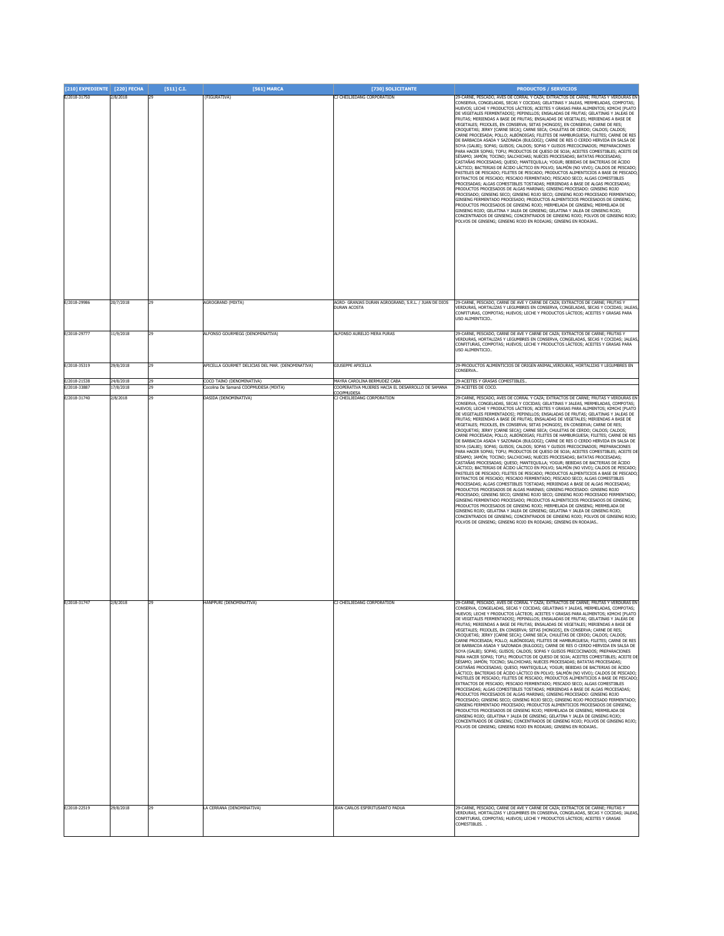| [210] EXPEDIENTE [220] FECHA |                        | $[511]$ C.I. | [561] MARCA                                                        | [730] SOLICITANTE                                                                 | <b>PRODUCTOS / SERVICIOS</b>                                                                                                                                                                                                                                                                                                                                                                                                                                                                                                                                                                                                                                                                                                                                                                                                                                                                                                                                                                                                                                                                                                                                                                                                                                                                                                                                                                                                                                                                                                                                                                                                                                                                                                                                                                                                                                                                                                                                                                                             |
|------------------------------|------------------------|--------------|--------------------------------------------------------------------|-----------------------------------------------------------------------------------|--------------------------------------------------------------------------------------------------------------------------------------------------------------------------------------------------------------------------------------------------------------------------------------------------------------------------------------------------------------------------------------------------------------------------------------------------------------------------------------------------------------------------------------------------------------------------------------------------------------------------------------------------------------------------------------------------------------------------------------------------------------------------------------------------------------------------------------------------------------------------------------------------------------------------------------------------------------------------------------------------------------------------------------------------------------------------------------------------------------------------------------------------------------------------------------------------------------------------------------------------------------------------------------------------------------------------------------------------------------------------------------------------------------------------------------------------------------------------------------------------------------------------------------------------------------------------------------------------------------------------------------------------------------------------------------------------------------------------------------------------------------------------------------------------------------------------------------------------------------------------------------------------------------------------------------------------------------------------------------------------------------------------|
| E/2018-31750                 | 2/8/2018               | 29           | (FIGURATIVA)                                                       | CJ CHEILJEDANG CORPORATION                                                        | 29-CARNE, PESCADO, AVES DE CORRAL Y CAZA; EXTRACTOS DE CARNE; FRUTAS Y VERDURAS EN<br>CONSERVA, CONGELADAS, SECAS Y COCIDAS; GELATINAS Y JALEAS, MERMELADAS, COMPOTAS;<br>HUEVOS; LECHE Y PRODUCTOS LÁCTEOS; ACEITES Y GRASAS PARA ALIMENTOS; KIMCHI [PLATO<br>DE VEGETALES FERMENTADOS]; PEPINILLOS; ENSALADAS DE FRUTAS; GELATINAS Y JALEAS DE<br>FRUTAS; MERIENDAS A BASE DE FRUTAS; ENSALADAS DE VEGETALES; MERIENDAS A BASE DE<br>VEGETALES; FRIJOLES, EN CONSERVA; SETAS [HONGOS], EN CONSERVA; CARNE DE RES;<br>CROQUETAS; JERKY [CARNE SECA]; CARNE SECA; CHULETAS DE CERDO; CALDOS; CALDOS;<br>CARNE PROCESADA; POLLO; ALBÓNDIGAS; FILETES DE HAMBURGUESA; FILETES; CARNE DE RES<br>DE BARBACOA ASADA Y SAZONADA (BULGOGI); CARNE DE RES O CERDO HERVIDA EN SALSA DE<br>SOYA (GALBI); SOPAS; GUISOS; CALDOS; SOPAS Y GUISOS PRECOCINADOS; PREPARACIONES<br>PARA HACER SOPAS; TOFU; PRODUCTOS DE QUESO DE SOJA; ACEITES COMESTIBLES; ACEITE DE<br>SÉSAMO; JAMÓN; TOCINO; SALCHICHAS; NUECES PROCESADAS; BATATAS PROCESADAS;<br>CASTAÑAS PROCESADAS; QUESO; MANTEQUILLA; YOGUR; BEBIDAS DE BACTERIAS DE ÁCIDO<br>LÁCTICO; BACTERIAS DE ÁCIDO LÁCTICO EN POLVO; SALMÓN (NO VIVO); CALDOS DE PESCADO;<br>PASTELES DE PESCADO; FILETES DE PESCADO; PRODUCTOS ALIMENTICIOS A BASE DE PESCADO<br>EXTRACTOS DE PESCADO; PESCADO FERMENTADO; PESCADO SECO; ALGAS COMESTIBLES<br>PROCESADAS; ALGAS COMESTIBLES TOSTADAS; MERIENDAS A BASE DE ALGAS PROCESADAS;<br>PRODUCTOS PROCESADOS DE ALGAS MARINAS; GINSENG PROCESADO: GINSENG ROJO<br>PROCESADO; GINSENG SECO; GINSENG ROJO SECO; GINSENG ROJO PROCESADO FERMENTADO;<br>GINSENG FERMENTADO PROCESADO; PRODUCTOS ALIMENTICIOS PROCESADOS DE GINSENG;<br>PRODUCTOS PROCESADOS DE GINSENG ROJO; MERMELADA DE GINSENG; MERMELADA DE<br>GINSENG ROJO; GELATINA Y JALEA DE GINSENG; GELATINA Y JALEA DE GINSENG ROJO;<br>CONCENTRADOS DE GINSENG; CONCENTRADOS DE GINSENG ROJO; POLVOS DE GINSENG ROJO;<br>POLVOS DE GINSENG; GINSENG ROJO EN RODAJAS; GINSENG EN RODAJAS |
| E/2018-29986                 | 20/7/2018              | 29           | AGROGRAND (MIXTA)                                                  | AGRO- GRANJAS DURAN AGROGRAND, S.R.L. / JUAN DE DIOS<br>DURAN ACOSTA              | 29-CARNE, PESCADO, CARNE DE AVE Y CARNE DE CAZA; EXTRACTOS DE CARNE; FRUTAS Y<br>VERDURAS, HORTALIZAS Y LEGUMBRES EN CONSERVA, CONGELADAS, SECAS Y COCIDAS; JALEAS,<br>CONFITURAS, COMPOTAS; HUEVOS; LECHE Y PRODUCTOS LÁCTEOS; ACEITES Y GRASAS PARA                                                                                                                                                                                                                                                                                                                                                                                                                                                                                                                                                                                                                                                                                                                                                                                                                                                                                                                                                                                                                                                                                                                                                                                                                                                                                                                                                                                                                                                                                                                                                                                                                                                                                                                                                                    |
| E/2018-29777                 | 11/9/2018              | 29           | ALFONSO GOURMEGG (DENOMINATIVA)                                    | ALFONSO AURELIO MERA PURAS                                                        | <b>LISO ALTMENTICIO.</b><br>29-CARNE, PESCADO, CARNE DE AVE Y CARNE DE CAZA; EXTRACTOS DE CARNE; FRUTAS Y<br>VERDURAS, HORTALIZAS Y LEGUMBRES EN CONSERVA, CONGELADAS, SECAS Y COCIDAS; JALEAS,<br>CONFITURAS, COMPOTAS; HUEVOS; LECHE Y PRODUCTOS LÁCTEOS; ACEITES Y GRASAS PARA<br>USO ALIMENTICIO.                                                                                                                                                                                                                                                                                                                                                                                                                                                                                                                                                                                                                                                                                                                                                                                                                                                                                                                                                                                                                                                                                                                                                                                                                                                                                                                                                                                                                                                                                                                                                                                                                                                                                                                    |
| E/2018-35319                 | 29/8/2018              |              | APICELLA GOURMET DELICIAS DEL MAR. (DENOMINATIVA)                  | GIUSEPPE APICELLA                                                                 | 29-PRODUCTOS ALIMENTICIOS DE ORIGEN ANIMAL, VERDURAS, HORTALIZAS Y LEGUMBRES EN<br>CONSERVA.                                                                                                                                                                                                                                                                                                                                                                                                                                                                                                                                                                                                                                                                                                                                                                                                                                                                                                                                                                                                                                                                                                                                                                                                                                                                                                                                                                                                                                                                                                                                                                                                                                                                                                                                                                                                                                                                                                                             |
| E/2018-21538<br>E/2018-33887 | 24/8/2018<br>17/8/2018 | 29<br>29     | COCO TAINO (DENOMINATIVA)<br>Cocolina De Samaná COOPMUDESA (MIXTA) | MAYRA CAROLINA BERMUDEZ CABA<br>COOPERATIVA MUJERES HACIA EL DESARROLLO DE SAMANA | 29-ACEITES Y GRASAS COMESTIBLES<br>29-ACEITES DE COCO.                                                                                                                                                                                                                                                                                                                                                                                                                                                                                                                                                                                                                                                                                                                                                                                                                                                                                                                                                                                                                                                                                                                                                                                                                                                                                                                                                                                                                                                                                                                                                                                                                                                                                                                                                                                                                                                                                                                                                                   |
| E/2018-31740                 | 2/8/2018               | 29           | DASIDA (DENOMINATIVA)                                              | COOPMUDESA<br>CJ CHEILJEDANG CORPORATION                                          | 29-CARNE, PESCADO, AVES DE CORRAL Y CAZA; EXTRACTOS DE CARNE; FRUTAS Y VERDURAS EN                                                                                                                                                                                                                                                                                                                                                                                                                                                                                                                                                                                                                                                                                                                                                                                                                                                                                                                                                                                                                                                                                                                                                                                                                                                                                                                                                                                                                                                                                                                                                                                                                                                                                                                                                                                                                                                                                                                                       |
|                              |                        |              |                                                                    |                                                                                   | HUEVOS; LECHE Y PRODUCTOS LÁCTEOS; ACEITES Y GRASAS PARA ALIMENTOS; KIMCHI [PLATO<br>DE VEGETALES FERMENTADOS]; PEPINILLOS; ENSALADAS DE FRUTAS; GELATINAS Y JALEAS DE<br>FRUTAS; MERIENDAS A BASE DE FRUTAS; ENSALADAS DE VEGETALES; MERIENDAS A BASE DE<br>VEGETALES; FRIJOLES, EN CONSERVA; SETAS [HONGOS], EN CONSERVA; CARNE DE RES;<br>CROQUETAS; JERKY [CARNE SECA]; CARNE SECA; CHULETAS DE CERDO; CALDOS; CALDOS;<br>CARNE PROCESADA; POLLO; ALBÓNDIGAS; FILETES DE HAMBURGUESA; FILETES; CARNE DE RES<br>DE BARBACOA ASADA Y SAZONADA (BULGOGI); CARNE DE RES O CERDO HERVIDA EN SALSA DE<br>SOYA (GALBI); SOPAS; GUISOS; CALDOS; SOPAS Y GUISOS PRECOCINADOS; PREPARACIONES<br>PARA HACER SOPAS; TOFU; PRODUCTOS DE QUESO DE SOJA; ACEITES COMESTIBLES; ACEITE DE<br>SÉSAMO; JAMÓN; TOCINO; SALCHICHAS; NUECES PROCESADAS; BATATAS PROCESADAS<br>CASTAÑAS PROCESADAS; QUESO; MANTEQUILLA; YOGUR; BEBIDAS DE BACTERIAS DE ÁCIDO<br>LÁCTICO; BACTERIAS DE ÁCIDO LÁCTICO EN POLVO; SALMÓN (NO VIVO); CALDOS DE PESCADO;<br>PASTELES DE PESCADO; FILETES DE PESCADO; PRODUCTOS ALIMENTICIOS A BASE DE PESCADO;<br>EXTRACTOS DE PESCADO; PESCADO FERMENTADO; PESCADO SECO; ALGAS COMESTIBLES<br>PROCESADAS; ALGAS COMESTIBLES TOSTADAS; MERIENDAS A BASE DE ALGAS PROCESADAS;<br>PRODUCTOS PROCESADOS DE ALGAS MARINAS; GINSENG PROCESADO: GINSENG ROJO<br>PROCESADO; GINSENG SECO; GINSENG ROJO SECO; GINSENG ROJO PROCESADO FERMENTADO;<br>GINSENG FERMENTADO PROCESADO; PRODUCTOS ALIMENTICIOS PROCESADOS DE GINSENG;<br>PRODUCTOS PROCESADOS DE GINSENG ROJO; MERMELADA DE GINSENG; MERMELADA DE<br>GINSENG ROJO; GELATINA Y JALEA DE GINSENG; GELATINA Y JALEA DE GINSENG ROJO;<br>CONCENTRADOS DE GINSENG; CONCENTRADOS DE GINSENG ROJO; POLVOS DE GINSENG ROJO;<br>POLVOS DE GINSENG; GINSENG ROJO EN RODAJAS; GINSENG EN RODAJAS                                                                                                                                                                           |
| E/2018-31747                 | 2/8/2018               | 29           | HANPPURI (DENOMINATIVA)                                            | CJ CHEILJEDANG CORPORATION                                                        | 29-CARNE, PESCADO, AVES DE CORRAL Y CAZA; EXTRACTOS DE CARNE; FRUTAS Y VERDURAS EN<br>CONSERVA, CONGELADAS, SECAS Y COCIDAS; GELATINAS Y JALEAS, MERMELADAS, COMPOTAS;<br>UEVOS; LECHE Y PRODUCTOS LACTEOS; ACEITES Y GRASAS PARA ALIMENTOS; KIMCHI [PLATC<br>DE VEGETALES FERMENTADOS]; PEPINILLOS; ENSALADAS DE FRUTAS; GELATINAS Y JALEAS DE<br>FRUTAS; MERIENDAS A BASE DE FRUTAS; ENSALADAS DE VEGETALES; MERIENDAS A BASE DE<br>VEGETALES; FRIJOLES, EN CONSERVA; SETAS [HONGOS], EN CONSERVA; CARNE DE RES;<br>CROQUETAS; JERKY [CARNE SECA]; CARNE SECA; CHULETAS DE CERDO; CALDOS; CALDOS;<br>CARNE PROCESADA; POLLO; ALBÓNDIGAS; FILETES DE HAMBURGUESA; FILETES; CARNE DE RES<br>DE BARBACOA ASADA Y SAZONADA (BULGOGI); CARNE DE RES O CERDO HERVIDA EN SALSA DE<br>SOYA (GALBI); SOPAS; GUISOS; CALDOS; SOPAS Y GUISOS PRECOCINADOS; PREPARACIONES<br>PARA HACER SOPAS; TOFU; PRODUCTOS DE QUESO DE SOJA; ACEITES COMESTIBLES; ACEITE DE<br>SÉSAMO; JAMÓN; TOCINO; SALCHICHAS; NUECES PROCESADAS; BATATAS PROCESADAS;<br>CASTAÑAS PROCESADAS; QUESO; MANTEQUILLA; YOGUR; BEBIDAS DE BACTERIAS DE ÁCIDO<br>LÁCTICO; BACTERIAS DE ÁCIDO LÁCTICO EN POLVO; SALMÓN (NO VIVO); CALDOS DE PESCADO;<br>PASTELES DE PESCADO; FILETES DE PESCADO; PRODUCTOS ALIMENTICIOS A BASE DE PESCADO;<br>EXTRACTOS DE PESCADO; PESCADO FERMENTADO; PESCADO SECO; ALGAS COMESTIBLES<br>PROCESADAS: ALGAS COMESTIBLES TOSTADAS: MERIENDAS A BASE DE ALGAS PROCESADAS:<br>PRODUCTOS PROCESADOS DE ALGAS MARINAS: GINSENG PROCESADO: GINSENG ROJO<br>PROCESADO; GINSENG SECO; GINSENG ROJO SECO; GINSENG ROJO PROCESADO FERMENTADO;<br>GINSENG FERMENTADO PROCESADO; PRODUCTOS ALIMENTICIOS PROCESADOS DE GINSENG;<br>PRODUCTOS PROCESADOS DE GINSENG ROJO: MERMELADA DE GINSENG: MERMELADA DE<br>GINSENG ROJO; GELATINA Y JALEA DE GINSENG; GELATINA Y JALEA DE GINSENG ROJO;<br>CONCENTRADOS DE GINSENG; CONCENTRADOS DE GINSENG ROJO; POLVOS DE GINSENG ROJO;<br>POLVOS DE GINSENG; GINSENG ROJO EN RODAJAS; GINSENG EN RODAJAS |
| E/2018-22519                 | 29/8/2018              | 29           | LA CERRANA (DENOMINATIVA)                                          | JEAN CARLOS ESPIRITUSANTO PADUA                                                   | 29-CARNE, PESCADO, CARNE DE AVE Y CARNE DE CAZA; EXTRACTOS DE CARNE; FRUTAS Y<br>VERDURAS, HORTALIZAS Y LEGUMBRES EN CONSERVA, CONGELADAS, SECAS Y COCIDAS; JALEAS,                                                                                                                                                                                                                                                                                                                                                                                                                                                                                                                                                                                                                                                                                                                                                                                                                                                                                                                                                                                                                                                                                                                                                                                                                                                                                                                                                                                                                                                                                                                                                                                                                                                                                                                                                                                                                                                      |
|                              |                        |              |                                                                    |                                                                                   | CONFITURAS, COMPOTAS; HUEVOS; LECHE Y PRODUCTOS LÁCTEOS; ACEITES Y GRASAS<br>COMESTIBLES.                                                                                                                                                                                                                                                                                                                                                                                                                                                                                                                                                                                                                                                                                                                                                                                                                                                                                                                                                                                                                                                                                                                                                                                                                                                                                                                                                                                                                                                                                                                                                                                                                                                                                                                                                                                                                                                                                                                                |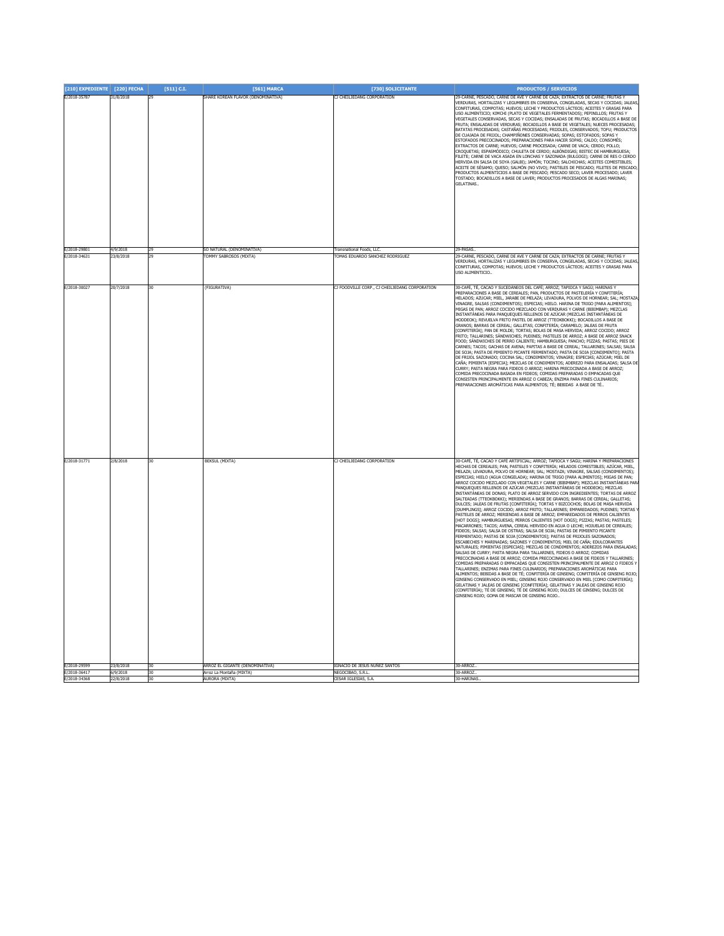| [210] EXPEDIENTE [220] FECHA |                       | $[511]$ C.I. | [561] MARCA                                                 | [730] SOLICITANTE                                  | <b>PRODUCTOS / SERVICIOS</b>                                                                                                                                                                                                                                                                                                                                                                                                                                                                                                                                                                                                                                                                                                                                                                                                                                                                                                                                                                                                                                                                                                                                                                                                                                                                                                                                                                                                                                                                                                                                                                                                                                                                                                                                                                                                                                                                                                                                                                                                                                                                                                                                                            |
|------------------------------|-----------------------|--------------|-------------------------------------------------------------|----------------------------------------------------|-----------------------------------------------------------------------------------------------------------------------------------------------------------------------------------------------------------------------------------------------------------------------------------------------------------------------------------------------------------------------------------------------------------------------------------------------------------------------------------------------------------------------------------------------------------------------------------------------------------------------------------------------------------------------------------------------------------------------------------------------------------------------------------------------------------------------------------------------------------------------------------------------------------------------------------------------------------------------------------------------------------------------------------------------------------------------------------------------------------------------------------------------------------------------------------------------------------------------------------------------------------------------------------------------------------------------------------------------------------------------------------------------------------------------------------------------------------------------------------------------------------------------------------------------------------------------------------------------------------------------------------------------------------------------------------------------------------------------------------------------------------------------------------------------------------------------------------------------------------------------------------------------------------------------------------------------------------------------------------------------------------------------------------------------------------------------------------------------------------------------------------------------------------------------------------------|
| E/2018-35787                 | 31/8/2018             |              | SHARE KOREAN FLAVOR (DENOMINATIVA)                          | CJ CHEILJEDANG CORPORATION                         | 29-CARNE, PESCADO, CARNE DE AVE Y CARNE DE CAZA; EXTRACTOS DE CARNE; FRUTAS Y<br>VERDURAS, HORTALIZAS Y LEGUMBRES EN CONSERVA, CONGELADAS, SECAS Y COCIDAS; JALEAS,<br>.<br>CONFITURAS, COMPOTAS; HUEVOS; LECHE Y PRODUCTOS LÁCTEOS; ACEITES Y GRASAS PARA<br>USO ALIMENTICIO; KIMCHI (PLATO DE VEGETALES FERMENTADOS); PEPINILLOS; FRUTAS Y<br>VEGETALES CONSERVADAS, SECAS Y COCIDAS; ENSALADAS DE FRUTAS; BOCADILLOS A BASE DE<br>FRUTA; ENSALADAS DE VERDURAS; BOCADILLOS A BASE DE VEGETALES; NUECES PROCESADAS;<br>BATATAS PROCESADAS; CASTAÑAS PROCESADAS; FRIJOLES, CONSERVADOS; TOFU; PRODUCTOS<br>DE CUAJADA DE FRIJOL; CHAMPIÑONES CONSERVADAS; SOPAS; ESTOFADOS; SOPAS Y<br>ESTOFADOS PRECOCINADOS; PREPARACIONES PARA HACER SOPAS; CALDO; CONSOMÉS;<br>EXTRACTOS DE CARNE; HUEVOS; CARNE PROCESADA; CARNE DE VACA; CERDO; POLLO;<br>CROQUETAS; ESPASMÓDICO; CHULETA DE CERDO; ALBÓNDIGAS; BISTEC DE HAMBURGUESA;<br>FILETE; CARNE DE VACA ASADA EN LONCHAS Y SAZONADA (BULGOGI); CARNE DE RES O CERDO<br>HERVIDA EN SALSA DE SOYA (GALBI); JAMÓN; TOCINO; SALCHICHAS; ACEITES COMESTIBLES;<br>.<br>ACEITE DE SÉSAMO; QUESO; SALMÓN (NO VIVO); PASTELES DE PESCADO; FILETES DE PESCADO;<br>PRODUCTOS ALIMENTICIOS A BASE DE PESCADO; PESCADO SECO; LAVER PROCESADO; LAVER<br>TOSTADO; BOCADILLOS A BASE DE LAVER; PRODUCTOS PROCESADOS DE ALGAS MARINAS;<br>GFI ATINAS.                                                                                                                                                                                                                                                                                                                                                                                                                                                                                                                                                                                                                                                                                                                                                                                                     |
| E/2018-29801                 | 4/9/2018              |              | SO NATURAL (DENOMINATIVA)                                   | <b>Transnational Foods, LLC</b>                    | 29-PASAS                                                                                                                                                                                                                                                                                                                                                                                                                                                                                                                                                                                                                                                                                                                                                                                                                                                                                                                                                                                                                                                                                                                                                                                                                                                                                                                                                                                                                                                                                                                                                                                                                                                                                                                                                                                                                                                                                                                                                                                                                                                                                                                                                                                |
| E/2018-34631                 | 23/8/2018             | 29           | TOMMY SABROSOS (MIXTA)                                      | TOMAS EDUARDO SANCHEZ RODRIGUEZ                    | 29-CARNE, PESCADO, CARNE DE AVE Y CARNE DE CAZA; EXTRACTOS DE CARNE; FRUTAS '<br>VERDURAS, HORTALIZAS Y LEGUMBRES EN CONSERVA, CONGELADAS, SECAS Y COCIDAS; JALEAS<br>CONFITURAS, COMPOTAS; HUEVOS; LECHE Y PRODUCTOS LÁCTEOS; ACEITES Y GRASAS PARA<br>USO ALIMENTICIO.                                                                                                                                                                                                                                                                                                                                                                                                                                                                                                                                                                                                                                                                                                                                                                                                                                                                                                                                                                                                                                                                                                                                                                                                                                                                                                                                                                                                                                                                                                                                                                                                                                                                                                                                                                                                                                                                                                                |
| E/2018-30027                 | 20/7/2018             | 30           | (FIGURATIVA)                                                | CJ FOODVILLE CORP., CJ CHEILJEDANG CORPORATION     | 30-CAFÉ, TÉ, CACAO Y SUCEDÁNEOS DEL CAFÉ; ARROZ; TAPIOCA Y SAGÚ; HARINAS Y<br>PREPARACIONES A BASE DE CEREALES: PAN. PRODUCTOS DE PASTELERÍA Y CONFITERÍA:<br>HELADOS; AZÚCAR; MIEL, JARABE DE MELAZA; LEVADURA, POLVOS DE HORNEAR; SAL; MOSTAZA<br><br>VINAGRE, SALSAS (CONDIMENTOS); ESPECIAS; HIELO. HARINA DE TRIGO [PARA ALIMENTOS];<br>MIGAS DE PAN; ARROZ COCIDO MEZCLADO CON VERDURAS Y CARNE (BIBIMBAP); MEZCLAS<br>INSTANTÁNEAS PARA PANQUEQUES RELLENOS DE AZÚCAR (MEZCLAS INSTANTÁNEAS DE<br>HODDEOK); REVUELVA FRITO PASTEL DE ARROZ (TTEOKBOKKI); BOCADILLOS A BASE DE<br>GRANOS; BARRAS DE CEREAL; GALLETAS; CONFITERÍA; CARAMELO; JALEAS DE FRUTA<br>[CONFITERÍA]; PAN DE MOLDE; TORTAS; BOLAS DE MASA HERVIDA; ARROZ COCIDO; ARROZ<br>.<br>FRITO; TALLARINES; SÁNDWICHES; PUDINES; PASTELES DE ARROZ; A BASE DE ARROZ SNACK<br>FOOD; SÁNDWICHES DE PERRO CALIENTE; HAMBURGUESA; PANCHO; PIZZAS; PASTAS; PIES DE<br>CARNES: TACOS: GACHAS DE AVENA: PAPITAS A BASE DE CEREAL: TALLARINES: SALSAS: SALSA<br>DE SOJA; PASTA DE PIMIENTO PICANTE FERMENTADO; PASTA DE SOJA [CONDIMENTO]; PASTA<br>DE FRIJOL SAZONADO; COCINA SAL; CONDIMENTOS; VINAGRE; ESPECIAS; AZÚCAR; MIEL DE<br>CAÑA; PIMIENTA [ESPECIA]; MEZCLAS DE CONDIMENTOS; ADEREZO PARA ENSALADAS; SALSA DE<br>CURRY; PASTA NEGRA PARA FIDEOS O ARROZ; HARINA PRECOCINADA A BASE DE ARROZ;<br>COMIDA PRECOCINADA BASADA EN FIDEOS; COMIDAS PREPARADAS O EMPACADAS QUE<br>CONSISTEN PRINCIPALMENTE EN ARROZ O CABEZA; ENZIMA PARA FINES CULINARIOS;<br>REPARACIONES AROMÁTICAS PARA ALIMENTOS: TÉ: BEBIDAS A BASE DE TÉ.                                                                                                                                                                                                                                                                                                                                                                                                                                                                                                                                                                                        |
| E/2018-31771                 | 2/8/2018              | $30^{\circ}$ | <b>BEKSUL (MIXTA)</b>                                       | CJ CHEILJEDANG CORPORATION                         | -<br>30-CAFÉ, TÉ, CACAO Y CAFÉ ARTIFICIAL; ARROZ; TAPIOCA Y SAGÚ; HARINA Y PREPARACIONES<br>HECHAS DE CEREALES; PAN, PASTELES Y CONFITERÍA; HELADOS COMESTIBLES; AZÚCAR, MIEL,<br>MELAZA; LEVADURA, POLVO DE HORNEAR; SAL; MOSTAZA; VINAGRE, SALSAS (CONDIMENTOS);<br>ESPECIAS; HIELO (AGUA CONGELADA); HARINA DE TRIGO [PARA ALIMENTOS]; MIGAS DE PAN;<br>ARROZ CÓCIDO MEZCLADO CON VEGÉTALES Y CARNE (BIBIMBAP); MEZCLAS INSTANTÁNEAS PAR.<br>PANQUEQUES RELLENOS DE AZÚCAR (MEZCLAS INSTANTÁNEAS DE HODDEOK); MEZCLAS<br>INSTANTÂNEAS DE DONAS; PLATO DE ARROZ SERVIDO CON INGREDIENTES; TORTAS DE ARROZ<br>SALTEADAS (TTEOKBOKKI); MERIENDAS A BASE DE GRANOS; BARRAS DE CEREAL; GALLETAS;<br>DULCES; JALEAS DE FRUTAS [CONFITERÍA]; TORTAS Y BIZCOCHOS; BOLAS DE MASA HERVIDA<br>[DUMPLINGS]; ARROZ COCIDO; ARROZ FRITO; TALLARINES; EMPAREDADOS; PUDINES; TORTAS<br>PASTELES DE ARROZ; MERIENDAS A BASE DE ARROZ; EMPAREDADOS DE PERROS CALIENTES<br>[HOT DOGS]; HAMBURGUESAS; PERROS CALIENTES [HOT DOGS]; PIZZAS; PASTAS; PASTELES;<br>MACARRONES; TACOS; AVENA, CEREAL HERVIDO EN AGUA O LECHE; HOJUELAS DE CEREALES;<br>-<br>FIDEOS; SALSAS; SALSA DE OSTRAS; SALSA DE SOJA; PASTAS DE PIMIENTO PICANTE<br>FERMENTADO; PASTAS DE SOJA [CONDIMENTOS]; PASTAS DE FRIJOLES SAZONADOS;<br>ESCABECHES Y MARINADAS; SAZONES Y CONDIMENTOS; MIEL DE CAÑA; EDULCORANTES<br>NATURALES; PIMIENTAS [ESPECIAS]; MEZCLAS DE CONDIMENTOS; ADEREZOS PARA ENSALADAS;<br>SALSAS DE CURRY; PASTÀ NEGRA PARA TALLARINES, FIDEOS O ARROZ; COMIDAS<br>PRECOCINADAS A BASE DE ARROZ; COMIDA PRECOCINADAS A BASE DE FIDEOS Y TALLARINES;<br>COMIDAS PREPARADAS O EMPACADAS QUE CONSISTEN PRINCIPALMENTE DE ARROZ O FIDEOS Y<br>TALLARINES; ENZIMAS PARA FINES CULINARIOS; PREPARACIONES AROMÁTICAS PARA<br>ALIMENTOS: BEBIDAS A BASE DE TÉ: CONFITERÍA DE GINSENG: CONFITERÍA DE GINSENG ROJO:<br>GINSENG CONSERVADO EN MIEL; GINSENG ROJO CONSERVADO EN MIEL [COMO CONFITERÍA];<br>GELATINAS Y JALEAS DE GINSENG [CONFITERÍA]; GELATINAS Y JALEAS DE GINSENG ROJO<br>'CONFITERÍA): TÉ DE GINSENG: TÉ DE GINSENG ROJO: DULCES DE GINSENG: DULCES DE<br>GINSENG ROJO; GOMA DE MASCAR DE GINSENG ROJO. |
| E/2018-29599<br>E/2018-36417 | 23/8/2018<br>6/9/2018 | 30<br>30     | ARROZ EL GIGANTE (DENOMINATIVA)<br>Arroz La Montaña (MIXTA) | IGNACIO DE 1FSUS NUÑEZ SANTOS<br>NEGOCIBAO, S.R.L. | 30-ARROZ<br>30-ARROZ                                                                                                                                                                                                                                                                                                                                                                                                                                                                                                                                                                                                                                                                                                                                                                                                                                                                                                                                                                                                                                                                                                                                                                                                                                                                                                                                                                                                                                                                                                                                                                                                                                                                                                                                                                                                                                                                                                                                                                                                                                                                                                                                                                    |
| F/2018-34368                 | 22/8/2018             | 30           | ΔΗΡΩΡΑ (ΜΙΥΤΑ)                                              | CESAR IGLESIAS.                                    | 30-HARTNAS                                                                                                                                                                                                                                                                                                                                                                                                                                                                                                                                                                                                                                                                                                                                                                                                                                                                                                                                                                                                                                                                                                                                                                                                                                                                                                                                                                                                                                                                                                                                                                                                                                                                                                                                                                                                                                                                                                                                                                                                                                                                                                                                                                              |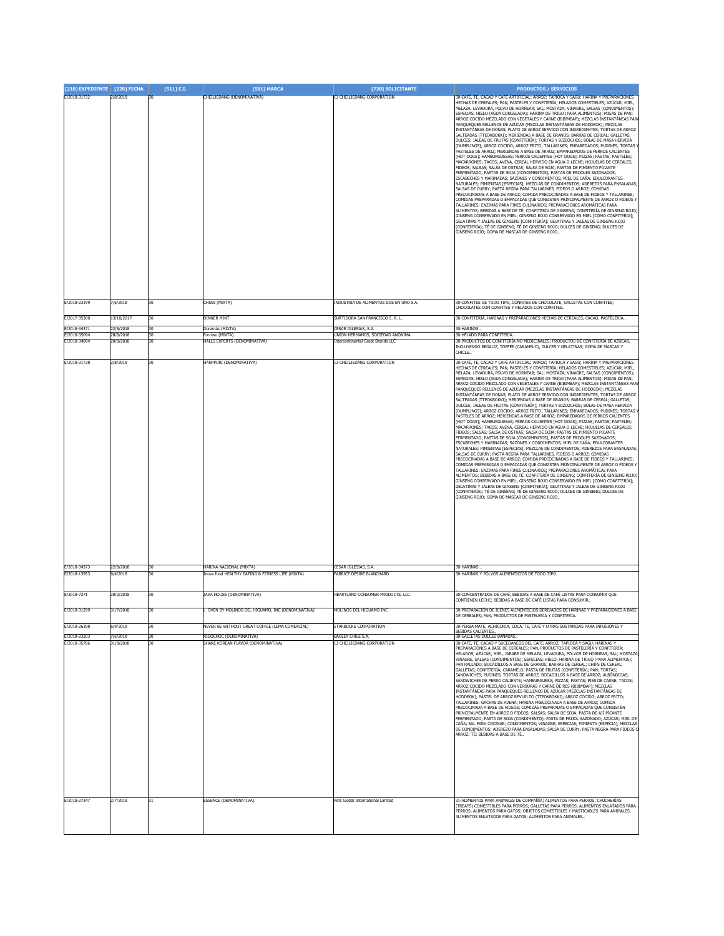| [210] EXPEDIENTE [220] FECHA                 |                                   | [511] C.I.     | <b>[561] MARCA</b>                                                                      | [730] SOLICITANTE                                                                           | <b>PRODUCTOS / SERVICIOS</b>                                                                                                                                                                                                                                                                                                                                                                                                                                                                                                                                                                                                                                                                                                                                                                                                                                                                                                                                                                                                                                                                                                                                                                                                                                                                                                                                                                                                                                                                                                                                                                                                                                                                                                                                                                                                                                                                                                                                                                                                                                                                                                                                                                 |
|----------------------------------------------|-----------------------------------|----------------|-----------------------------------------------------------------------------------------|---------------------------------------------------------------------------------------------|----------------------------------------------------------------------------------------------------------------------------------------------------------------------------------------------------------------------------------------------------------------------------------------------------------------------------------------------------------------------------------------------------------------------------------------------------------------------------------------------------------------------------------------------------------------------------------------------------------------------------------------------------------------------------------------------------------------------------------------------------------------------------------------------------------------------------------------------------------------------------------------------------------------------------------------------------------------------------------------------------------------------------------------------------------------------------------------------------------------------------------------------------------------------------------------------------------------------------------------------------------------------------------------------------------------------------------------------------------------------------------------------------------------------------------------------------------------------------------------------------------------------------------------------------------------------------------------------------------------------------------------------------------------------------------------------------------------------------------------------------------------------------------------------------------------------------------------------------------------------------------------------------------------------------------------------------------------------------------------------------------------------------------------------------------------------------------------------------------------------------------------------------------------------------------------------|
| E/2018-31732                                 | 2/8/2018                          | 30             | CHEILJEDANG (DENOMINATIVA)                                                              | CJ CHEILJEDANG CORPORATION                                                                  | 30-CAFÉ, TÉ, CACAO Y CAFÉ ARTIFICIAL; ARROZ; TAPIOCA Y SAGÚ; HARINA Y PREPARACIONES<br>HECHAS DE CEREALES; PAN, PASTELES Y CONFITERÍA; HELADOS COMESTIBLES; AZÚCAR, MIEL,<br>MELAZA; LEVADURA, POLVO DE HORNEAR; SAL; MOSTAZA; VINAGRE, SALSAS (CONDIMENTOS);<br>ESPECIAS; HIELO (AGUA CONGELADA); HARINA DE TRIGO [PARA ALIMENTOS]; MIGAS DE PAN;<br>ARROZ COCIDO MEZCLADO CON VEGETALES Y CARNE (BIBIMBAP); MEZCLAS INSTANTÁNEAS PARA<br>PANQUEQUES RELLENOS DE AZÚCAR (MEZCLAS INSTANTÁNEAS DE HODDEOK); MEZCLAS<br>INSTANTÁNEAS DE DONAS; PLATO DE ARROZ SERVIDO CON INGREDIENTES; TORTAS DE ARROZ<br>SALTEADAS (TTEOKBOKKI); MERIENDAS A BASE DE GRANOS; BARRAS DE CEREAL; GALLETAS;<br>DULCES; JALEAS DE FRUTAS [CONFITERÍA]; TORTAS Y BIZCOCHOS; BOLAS DE MASA HERVIDA<br>[DUMPLINGS]; ARROZ COCIDO; ARROZ FRITO; TALLARINES; EMPAREDADOS; PUDINES; TORTAS '<br>PASTELES DE ARROZ; MERIENDAS A BASE DE ARROZ; EMPAREDADOS DE PERROS CALIENTES<br>[HOT DOGS]; HAMBURGUESAS; PERROS CALIENTES [HOT DOGS]; PIZZAS; PASTAS; PASTELES;<br>MACARRONES; TACOS; AVENA, CEREAL HERVIDO EN AGUA O LECHE; HOJUELAS DE CEREALES;<br>FIDEOS; SALSAS; SALSA DE OSTRAS; SALSA DE SOJA; PASTAS DE PIMIENTO PICANTE<br>FERMENTADO; PASTAS DE SOJA [CONDIMENTOS]; PASTAS DE FRIJOLES SAZONADOS;<br>ESCABECHES Y MARINADAS; SAZONES Y CONDIMENTOS; MIEL DE CAÑA; EDULCORANTES<br>NATURALES; PIMIENTAS [ESPECIAS]; MEZCLAS DE CONDIMENTOS; ADEREZOS PARA ENSALADAS;<br>SALSAS DE CURRY; PASTA NEGRA PARA TALLARINES, FIDEOS O ARROZ; COMIDAS<br>PRECOCINADAS A BASE DE ARROZ; COMIDA PRECOCINADAS A BASE DE FIDEOS Y TALLARINES;<br>COMIDAS PREPARADAS O EMPACADAS QUE CONSISTEN PRINCIPALMENTE DE ARROZ O FIDEOS Y<br>TALLARINES; ENZIMAS PARA FINES CULINARIOS; PREPARACIONES AROMÁTICAS PARA<br>ALIMENTOS; BEBIDAS A BASE DE TÉ; CONFITERÍA DE GINSENG; CONFITERÍA DE GINSENG ROJO;<br>GINSENG CONSERVADO EN MIEL; GINSENG ROJO CONSERVADO EN MIEL [COMO CONFITERÍA];<br>GELATINAS Y JALEAS DE GINSENG [CONFITERÍA]; GELATINAS Y JALEAS DE GINSENG ROJO<br>(CONFITERÍA); TÉ DE GINSENG; TÉ DE GINSENG ROJO; DULCES DE GINSENG; DULCES DE<br>GINSENG ROJO; GOMA DE MASCAR DE GINSENG ROJO               |
| E/2018-23199                                 | 7/6/2018                          | 30             | CHUBI (MIXTA)                                                                           | INDUSTRIA DE ALIMENTOS DOS EN UNO S.A.                                                      | 30-CONFITES DE TODO TIPO, CONFITES DE CHOCOLATE: GALLETAS CON CONFITES:<br>CHOCOLATES CON CONFITES Y HELADOS CON CONFITES.                                                                                                                                                                                                                                                                                                                                                                                                                                                                                                                                                                                                                                                                                                                                                                                                                                                                                                                                                                                                                                                                                                                                                                                                                                                                                                                                                                                                                                                                                                                                                                                                                                                                                                                                                                                                                                                                                                                                                                                                                                                                   |
| E/2017-35300                                 | 13/10/2017                        | 30             | <b>DINNER MINT</b>                                                                      | SURTIDORA SAN FRANCISCO S. R. L.                                                            | 30-CONFITERÍA, HARINAS Y PREPARACIONES HECHAS DE CEREALES, CACAO, PASTELERÍA                                                                                                                                                                                                                                                                                                                                                                                                                                                                                                                                                                                                                                                                                                                                                                                                                                                                                                                                                                                                                                                                                                                                                                                                                                                                                                                                                                                                                                                                                                                                                                                                                                                                                                                                                                                                                                                                                                                                                                                                                                                                                                                 |
| E/2018-34371<br>E/2018-35094                 | 22/8/2018<br>28/8/2018            | 30<br>30       | Doramás (MIXTA)<br>frio-oso (MIXTA)                                                     | CESAR IGLESIAS, S.A.<br>UNION HERMANOS, SOCIEDAD ANÓNIMA                                    | 30-HARINAS.<br>30-HELADO PARA CONFITERÍA.                                                                                                                                                                                                                                                                                                                                                                                                                                                                                                                                                                                                                                                                                                                                                                                                                                                                                                                                                                                                                                                                                                                                                                                                                                                                                                                                                                                                                                                                                                                                                                                                                                                                                                                                                                                                                                                                                                                                                                                                                                                                                                                                                    |
| E/2018-34094                                 | 20/8/2018                         | 30             | HALLS EXPERTS (DENOMINATIVA)                                                            | <b>Intercontinental Great Brands LLC</b>                                                    | 30-PRODUCTOS DE CONFITERÍA NO MEDICINALES; PRODUCTOS DE CONFITERÍA DE AZÚCAR,<br>INCLUYENDO REGALIZ, TOFFEE (CARAMELO), DULCES Y GELATINAS; GOMA DE MASCAR Y<br>CHICLE.                                                                                                                                                                                                                                                                                                                                                                                                                                                                                                                                                                                                                                                                                                                                                                                                                                                                                                                                                                                                                                                                                                                                                                                                                                                                                                                                                                                                                                                                                                                                                                                                                                                                                                                                                                                                                                                                                                                                                                                                                      |
| E/2018-31738<br>/2018-34373                  | 2/8/2018<br>22/8/2018             | 30<br>30       | HANPPURI (DENOMINATIVA)<br>HARINA NACIONAL (MIXTA)                                      | CJ CHEILJEDANG CORPORATION<br>CESAR IGLESIAS, S.A.                                          | 30-CAFÉ, TÉ, CACAO Y CAFÉ ARTIFICIAL; ARROZ; TAPIOCA Y SAGÚ; HARINA Y PREPARACIONES<br>HECHAS DE CEREALES; PAN, PASTELES Y CONFITERÍA; HELADOS COMESTIBLES; AZÚCAR, MIEL,<br>MELAZA; LEVADURA, POLVO DE HORNEAR; SAL; MOSTAZA; VINAGRE, SALSAS (CONDIMENTOS);<br>ESPECIAS; HIELO (AGUA CONGELADA); HARINA DE TRIGO [PARA ALIMENTOS]; MIGAS DE PAN;<br>ARROZ COCIDO MEZCLADO CON VEGETALES Y CARNE (BIBIMBAP); MEZCLAS INSTANTÁNEAS PARA<br>PANQUEQUES RELLENOS DE AZÚCAR (MEZCLAS INSTANTÁNEAS DE HODDEOK); MEZCLAS<br>INSTANTÁNEAS DE DONAS; PLATO DE ARROZ SERVIDO CON INGREDIENTES; TORTAS DE ARROZ<br>SALTEADAS (TTEOKBOKKI); MERIENDAS A BASE DE GRANOS; BARRAS DE CEREAL; GALLETAS;<br>DULCES; JALEAS DE FRUTAS [CONFITERÍA]; TORTAS Y BIZCOCHOS; BOLAS DE MASA HERVIDA<br>[DUMPLINGS]; ARROZ COCIDO; ARROZ FRITO; TALLARINES; EMPAREDADOS; PUDINES; TORTAS '<br>PASTELES DE ARROZ; MERIENDAS A BASE DE ARROZ; EMPAREDADOS DE PERROS CALIENTES<br>[HOT DOGS]; HAMBURGUESAS; PERROS CALIENTES [HOT DOGS]; PIZZAS; PASTAS; PASTELES;<br>MACARRONES; TACOS; AVENA, CEREAL HERVIDO EN AGUA O LECHE; HOJUELAS DE CEREALES;<br>FIDEOS; SALSAS; SALSA DE OSTRAS; SALSA DE SOJA; PASTAS DE PIMIENTO PICANTE<br>FERMENTADO; PASTAS DE SOJA [CONDIMENTOS]; PASTAS DE FRIJOLES SAZONADOS;<br>ESCABECHES Y MARINADAS; SAZONES Y CONDIMENTOS; MIEL DE CAÑA; EDULCORANTES<br>NATURALES; PIMIENTAS [ESPECIAS]; MEZCLAS DE CONDIMENTOS; ADEREZOS PARA ENSALADAS;<br>SALSAS DE CURRY; PASTA NEGRA PARA TALLARINES, FIDEOS O ARROZ; COMIDAS<br>PRECOCINADAS A BASE DE ARROZ; COMIDA PRECOCINADAS A BASE DE FIDEOS Y TALLARINES;<br>COMIDAS PREPARADAS O EMPACADAS QUE CONSISTEN PRINCIPALMENTE DE ARROZ O FIDEOS Y<br>TALLARINES; ENZIMAS PARA FINES CULINARIOS; PREPARACIONES AROMÁTICAS PARA<br>ALIMENTOS; BEBIDAS A BASE DE TÉ; CONFITERÍA DE GINSENG; CONFITERÍA DE GINSENG ROJO;<br>GINSENG CONSERVADO EN MIEL; GINSENG ROJO CONSERVADO EN MIEL [COMO CONFITERÍA];<br>GELATINAS Y JALEAS DE GINSENG [CONFITERÍA]; GELATINAS Y JALEAS DE GINSENG ROJO<br>(CONFITERÍA); TÉ DE GINSENG; TÉ DE GINSENG ROJO; DULCES DE GINSENG; DULCES DE<br>GINSENG ROJO; GOMA DE MASCAR DE GINSENG ROJO<br>30-HARINAS |
| E/2018-13953                                 | 9/4/2018                          |                | Inova food HEALTHY EATING & FITNESS LIFE (MIXTA)                                        | FABRICE DÉSIRÉ BLANCHARD                                                                    | 30-HARINAS Y POLVOS ALIMENTICIOS DE TODO TIPO.                                                                                                                                                                                                                                                                                                                                                                                                                                                                                                                                                                                                                                                                                                                                                                                                                                                                                                                                                                                                                                                                                                                                                                                                                                                                                                                                                                                                                                                                                                                                                                                                                                                                                                                                                                                                                                                                                                                                                                                                                                                                                                                                               |
| E/2018-7271                                  | 20/2/2018                         | 30             | JAVA HOUSE (DENOMINATIVA)                                                               | HEARTLAND CONSUMER PRODUCTS. LLC                                                            | 30-CONCENTRADOS DE CAFÉ: BEBIDAS A BASE DE CAFÉ LISTAS PARA CONSUMIR OUE                                                                                                                                                                                                                                                                                                                                                                                                                                                                                                                                                                                                                                                                                                                                                                                                                                                                                                                                                                                                                                                                                                                                                                                                                                                                                                                                                                                                                                                                                                                                                                                                                                                                                                                                                                                                                                                                                                                                                                                                                                                                                                                     |
| E/2018-31299                                 | 31/7/2018                         | 30             | L'OVEN BY MOLINOS DEL HIGUAMO, INC (DENOMINATIVA)                                       | MOLINOS DEL HIGUAMO INC                                                                     | CONTIENEN LECHE; BEBIDAS A BASE DE CAFÉ LISTAS PARA CONSUMIR<br>30-PREPARACIÓN DE BIENES ALIMENTICIOS DERIVADOS DE HARINAS Y PREPARACIONES A BASE<br>DE CEREALES; PAN, PRODUCTOS DE PASTELERÍA Y CONFITERÍA                                                                                                                                                                                                                                                                                                                                                                                                                                                                                                                                                                                                                                                                                                                                                                                                                                                                                                                                                                                                                                                                                                                                                                                                                                                                                                                                                                                                                                                                                                                                                                                                                                                                                                                                                                                                                                                                                                                                                                                  |
| E/2018-26398                                 | 6/9/2018                          | 30             | NEVER BE WITHOUT GREAT COFFEE (LEMA COMERCIAL)                                          | STARBUCKS CORPORATION                                                                       | 30-YERBA MATE, ACHICORIA, COCA, TE, CAFÉ Y OTRAS SUSTANCIAS PARA INFUSIONES Y                                                                                                                                                                                                                                                                                                                                                                                                                                                                                                                                                                                                                                                                                                                                                                                                                                                                                                                                                                                                                                                                                                                                                                                                                                                                                                                                                                                                                                                                                                                                                                                                                                                                                                                                                                                                                                                                                                                                                                                                                                                                                                                |
| E/2018-23203<br>E/2018-35786<br>E/2018-27347 | 7/6/2018<br>31/8/2018<br>2/7/2018 | 30<br>30<br>31 | RIGOCHOC (DENOMINATIVA)<br>SHARE KOREAN FLAVOR (DENOMINATIVA)<br>ESSENCE (DENOMINATIVA) | <b>BAGLEY CHILE S.A.</b><br>CJ CHEILJEDANG CORPORATION<br>Pets Global International Limited | BEBIDAS CALIENTES<br>30-GALLETAS DULCES BAÑADAS.<br>30-CAFÉ, TÉ, CACAO Y SUCEDÁNEOS DEL CAFÉ; ARROZ; TAPIOCA Y SAGÚ; HARINAS Y<br>PREPARACIONES A BASE DE CEREALES; PAN, PRODUCTOS DE PASTELERÍA Y CONFITERÍA;<br>HELADOS; AZÚCAR, MIEL, JARABE DE MELAZA; LEVADURA, POLVOS DE HORNEAR; SAL; MOSTAZA<br>VINAGRE, SALSAS (CONDIMENTOS); ESPECIAS; HIELO; HARINA DE TRIGO (PARA ALIMENTOS);<br>PAN RALLADO; BOCADILLOS A BASE DE GRANOS; BARRAS DE CEREAL; CHIPS DE CEREAL;<br>GALLETAS; CONFITERÍA; CARAMELO; PASTA DE FRUTAS (CONFITERÍA); PAN; TORTAS;<br>SANDWICHES; PUDINES; TORTAS DE ARROZ; BOCADILLOS A BASE DE ARROZ; ALBÓNDIGAS;<br>SÁNDWICHES DE PERRO CALIENTE; HAMBURGUESA; PIZZAS; PASTAS; PIES DE CARNE; TACOS;<br>ARROZ COCIDO MEZCLADO CON VERDURAS Y CARNE DE RES (BIBIMBAP); MEZCLAS<br>INSTANTÁNEAS PARA PANQUEQUES RELLENOS DE AZÚCAR (MEZCLAS INSTANTÁNEAS DE<br>HODDEOK); PASTEL DE ARROZ REVUELTO (TTEOKBOKKI); ARROZ COCIDO; ARROZ FRITO;<br>TALLARINES; GACHAS DE AVENA; HARINA PRECOCINADA A BASE DE ARROZ; COMIDA<br>PRECOCINADA A BASE DE FIDEOS; COMIDAS PREPARADAS O EMPACADAS QUE CONSISTEN<br>PRINCIPALMENTE EN ARROZ O FIDEOS; SALSAS; SALSA DE SOJA; PASTA DE AJÍ PICANTE<br>FERMENTADO; PASTA DE SOJA (CONDIMENTO); PASTA DE FRIJOL SAZONADO; AZÚCAR; MIEL DE<br>CAÑA; SAL PARA COCINAR; CONDIMENTOS; VINAGRE; ESPECIAS; PIMIENTA (ESPECIA); MEZCLAS<br>DE CONDIMENTOS; ADEREZO PARA ENSALADAS; SALSA DE CURRY; PASTA NEGRA PARA FIDEOS O<br>ARROZ; TÉ; BEBIDAS A BASE DE TÉ<br>31-ALIMENTOS PARA ANIMALES DE COMPAÑÍA; ALIMENTOS PARA PERROS; CHUCHERÍAS                                                                                                                                                                                                                                                                                                                                                                                                                                                                                                                                                                                                  |
|                                              |                                   |                |                                                                                         |                                                                                             | TREATS) COMESTIBLES PARA PERROS; GALLETAS PARA PERROS; ALIMENTOS ENLATADOS PARA<br>PERROS; ALIMENTOS PARA GATOS; OBJETOS COMESTIBLES Y MASTICABLES PARA ANIMALES;<br>ALIMENTOS ENLATADOS PARA GATOS; ALIMENTOS PARA ANIMALES                                                                                                                                                                                                                                                                                                                                                                                                                                                                                                                                                                                                                                                                                                                                                                                                                                                                                                                                                                                                                                                                                                                                                                                                                                                                                                                                                                                                                                                                                                                                                                                                                                                                                                                                                                                                                                                                                                                                                                 |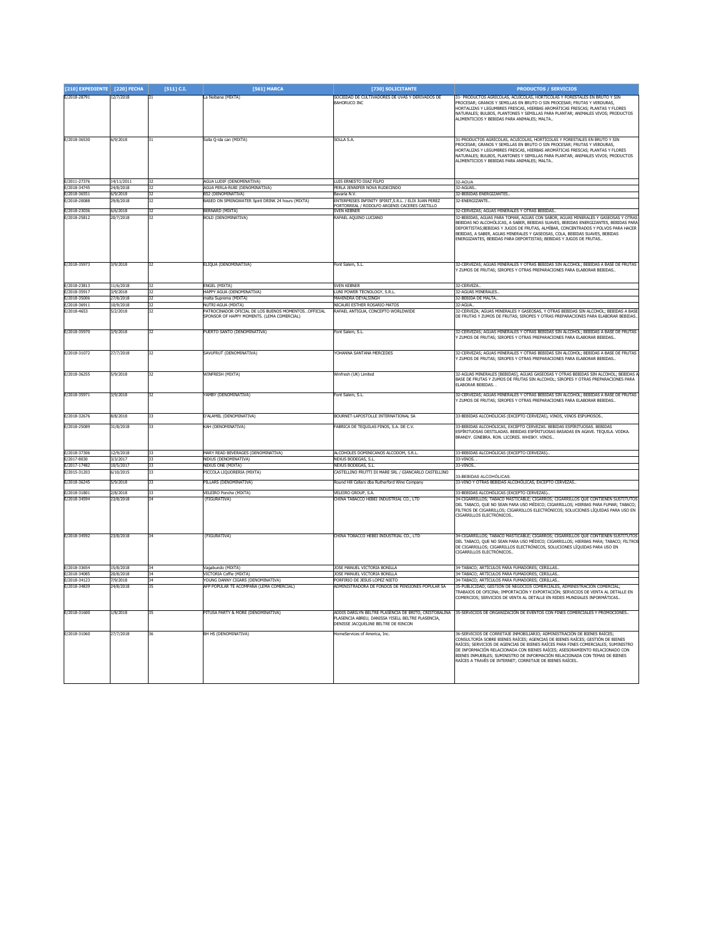| [210] EXPEDIENTE [220] FECHA |                         | [511] C.I.      | [561] MARCA                                                                                         | [730] SOLICITANTE                                                                                                                                 | <b>PRODUCTOS / SERVICIOS</b>                                                                                                                                                                                                                                                                                                                                                                                                                                             |
|------------------------------|-------------------------|-----------------|-----------------------------------------------------------------------------------------------------|---------------------------------------------------------------------------------------------------------------------------------------------------|--------------------------------------------------------------------------------------------------------------------------------------------------------------------------------------------------------------------------------------------------------------------------------------------------------------------------------------------------------------------------------------------------------------------------------------------------------------------------|
| E/2018-28791                 | 12/7/2018               |                 | La Neibana (MIXTA)                                                                                  | SOCIEDAD DE CULTIVADORES DE UVAS Y DERIVADOS DE<br>BAHORUCO INC                                                                                   | 31- PRODUCTOS AGRÍCOLAS, ACUÍCOLAS, HORTÍCOLAS Y FORESTALES EN BRUTO Y SIN<br>ROCESAR; GRANOS Y SEMILLAS EN BRUTO O SIN PROCESAR; FRUTAS Y VERDURAS,<br>HORTALIZAS Y LEGUMBRES ERESCAS. HIERRAS AROMÁTICAS ERESCAS: PLANTAS Y ELORES<br>NATURALES; BULBOS, PLANTONES Y SEMILLAS PARA PLANTAR; ANIMALES VIVOS; PRODUCTOS<br>ALIMENTICIOS Y BEBIDAS PARA ANIMALES; MALTA                                                                                                   |
| E/2018-36530                 | 6/9/2018                |                 | Solla Q-ida can (MIXTA)                                                                             | SOLLA S.A.                                                                                                                                        | 31-PRODUCTOS AGRÍCOLAS, ACUÍCOLAS, HORTÍCOLAS Y FORESTALES EN BRUTO Y SIN<br>PROCESAR; GRANOS Y SEMILLAS EN BRUTO O SIN PROCESAR; FRUTAS Y VERDURAS,<br>HORTALIZAS Y LEGUMBRES FRESCAS, HIERBAS AROMÁTICAS FRESCAS; PLANTAS Y FLORES<br>NATURALES; BULBOS, PLANTONES Y SEMILLAS PARA PLANTAR; ANIMALES VIVOS; PRODUCTOS<br>ALIMENTICIOS Y BEBIDAS PARA ANIMALES; MALTA                                                                                                   |
| E/2011-27376<br>F/2018-34745 | 14/11/2011<br>24/8/2018 | 32              | AGUA LUDIF (DENOMINATIVA)<br>AGUA PERLA-RURI (DENOMINATIVA)                                         | LUIS ERNESTO DIAZ FILPO<br>PERLA JENNIFER NOVA RUDECINDO                                                                                          | 32-AGUA<br>32-AGUAS.                                                                                                                                                                                                                                                                                                                                                                                                                                                     |
| F/2018-36551                 | 6/9/2018                | 32              | <b>R52 (DENOMINATIVA)</b>                                                                           | Bayaria N.V.                                                                                                                                      | 32-BEBIDAS ENERGIZANTES                                                                                                                                                                                                                                                                                                                                                                                                                                                  |
| E/2018-20088                 | 29/8/2018               | 37              | BASED ON SPRINGWATER Spirit DRINK 24 hours (MIXTA)                                                  | ENTERPRISES INFINITY SPIRIT S.R.I. / ELIX JUAN PEREZ                                                                                              | 32-FNFRGIZANTE.                                                                                                                                                                                                                                                                                                                                                                                                                                                          |
|                              |                         |                 |                                                                                                     | ORTORREAL / RODOLFO ARGENIS CACERES CASTILLO                                                                                                      |                                                                                                                                                                                                                                                                                                                                                                                                                                                                          |
| E/2018-23036<br>E/2018-25812 | 6/6/2018<br>20/7/2018   |                 | BERNARD (MIXTA)<br>BOLD (DENOMINATIVA)                                                              | <b>VEN KEBNER</b><br>afael aquino luciano                                                                                                         | 2-CERVEZAS: AGUAS MINERALES Y OTRAS BEBIDAS<br>2-BEBIDAS, AGUAS PARA TOMAR, AGUAS CON SABOR, AGUAS MINERALES Y GASEOSAS Y OTRAS<br>EBIDAS NO ALCOHÓLICAS, A SABER, BEBIDAS SUAVES, BEBIDAS ENERGIZANTES, BEBIDAS PARA<br>DEPORTISTAS; BEBIDAS Y JUGOS DE FRUTAS, ALMÍBAR, CONCENTRADOS Y POLVOS PARA HACER<br>BEBIDAS, A SABER, AGUAS MINERALES Y GASEOSAS, COLA, BEBIDAS SUAVES, BEBIDAS<br>NERGIZANTES, BEBIDAS PARA DEPORTISTAS; BEBIDAS Y JUGOS DE FRUTAS.           |
| E/2018-35973                 | 3/9/2018                | $\overline{32}$ | ELIQUA (DENOMINATIVA)                                                                               | Font Salem, S.L.                                                                                                                                  | 2-CERVEZAS; AGUAS MINERALES Y OTRAS BEBIDAS SIN ALCOHOL; BEBIDAS A BASE DE FRUTAS<br>7UMOS DE ERUTAS: SIROPES Y OTRAS PREPARACIONES PARA ELABORAR BEBIDAS.                                                                                                                                                                                                                                                                                                               |
| E/2018-23813                 | 11/6/2018               |                 | ENGEL (MIXTA)                                                                                       | <b>SVEN KEBNER</b>                                                                                                                                | 32-CERVEZA.                                                                                                                                                                                                                                                                                                                                                                                                                                                              |
| E/2018-35917                 | 3/9/2018                | 32              | HAPPY AGUA (DENOMINATIVA)                                                                           | LUNI POWER TECNOLOGY, S.R.L                                                                                                                       | 32-AGLIAS MINERALES                                                                                                                                                                                                                                                                                                                                                                                                                                                      |
| E/2018-35006                 | 27/8/2018               | 37              | malta Suprema (MIXTA)                                                                               | MAHINDRA DEYALSINGH                                                                                                                               | 32-BEBIDA DE MAI TA                                                                                                                                                                                                                                                                                                                                                                                                                                                      |
| E/2018-36911                 | 10/9/2018               | $\overline{32}$ | NUTRI-AGUA (MIXTA)                                                                                  | NICAURI ESTHER ROSARIO MATOS                                                                                                                      | 32-AGUA                                                                                                                                                                                                                                                                                                                                                                                                                                                                  |
| E/2018-4653                  | 5/2/2018                |                 | PATROCINADOR OFICIAL DE LOS BUENOS MOMENTOS  OFFICIAL<br>SPONSOR OF HAPPY MOMENTS. (LEMA COMERCIAL) | RAFAEL ANTIGUA, CONCEPTO WORLDWIDE                                                                                                                | 32-CERVEZA; AGUAS MINERALES Y GASEOSAS, Y OTRAS BEBIDAS SIN ALCOHOL; BEBIDAS A BASE<br>DE FRUTAS Y ZUMOS DE FRUTAS; SIROPES Y OTRAS PREPARACIONES PARA ELABORAR BEBIDAS.                                                                                                                                                                                                                                                                                                 |
| E/2018-35970                 | 3/9/2018                | 32              | PUERTO SANTO (DENOMINATIVA)                                                                         | Font Salem, S.L.                                                                                                                                  | 32-CERVEZAS; AGUAS MINERALES Y OTRAS BEBIDAS SIN ALCOHOL; BEBIDAS A BASE DE FRUTAS<br>ZUMOS DE FRUTAS: SIROPES Y OTRAS PREPARACIONES PARA ELABORAR BEBIDAS.                                                                                                                                                                                                                                                                                                              |
| E/2018-31072                 | 27/7/2018               | 32              | SAVUFRUT (DENOMINATIVA)                                                                             | <b>CHANNA SANTANA MERCEDES</b>                                                                                                                    | 32-CERVEZAS; AGUAS MINERALES Y OTRAS BEBIDAS SIN ALCOHOL; BEBIDAS A BASE DE FRUTAS<br>ZUMOS DE FRUTAS; SIROPES Y OTRAS PREPARACIONES PARA ELABORAR BEBIDAS.                                                                                                                                                                                                                                                                                                              |
| E/2018-36255                 | 5/9/2018                | 32              | WINFRESH (MIXTA)                                                                                    | Winfresh (UK) Limited                                                                                                                             | 32-AGUAS MINERALES [BEBIDAS], AGUAS GASEOSAS Y OTRAS BEBIDAS SIN ALCOHOL; BEBIDAS<br>BASE DE FRUTAS Y ZUMOS DE FRUTAS SIN ALCOHOL; SIROPES Y OTRAS PREPARACIONES PARA<br><b>FLABORAR BEBIDAS.</b>                                                                                                                                                                                                                                                                        |
| E/2018-35971                 | 3/9/2018                |                 | YAMBY (DENOMINATIVA)                                                                                | Font Salem, S.L.                                                                                                                                  | 2-CERVEZAS; AGUAS MINERALES Y OTRAS BEBIDAS SIN ALCOHOL; BEBIDAS A BASE DE FRUTAS<br>ZUMOS DE FRUTAS; SIROPES Y OTRAS PREPARACIONES PARA ELABORAR BEBIDAS.                                                                                                                                                                                                                                                                                                               |
| E/2018-32676                 | 8/8/2018                | 33              | D'ALAMEL (DENOMINATIVA)                                                                             | BOURNET-LAPOSTOLLE INTERNATIONAL SA                                                                                                               | 33-BEBIDAS ALCOHÓLICAS (EXCEPTO CERVEZAS), VINOS, VINOS ESPUMOSOS                                                                                                                                                                                                                                                                                                                                                                                                        |
| E/2018-25089                 | 31/8/2018               | 33              | KAH (DENOMINATIVA)                                                                                  | ABRICA DE TEQUILAS FINOS, S.A. DE C.V.                                                                                                            | 3-BEBIDAS ALCOHÓLICAS, EXCEPTO CERVEZAS. BEBIDAS ESPÍRITUOSAS. BEBIDAS<br>ESPÍRITUOSAS DESTILADAS. BEBIDAS ESPÍRITUOSAS BASADAS EN AGAVE. TEQUILA. VODKA                                                                                                                                                                                                                                                                                                                 |
|                              |                         |                 |                                                                                                     |                                                                                                                                                   | BRANDY, GINEBRA, RON, LICORES, WHISKY, VINOS,                                                                                                                                                                                                                                                                                                                                                                                                                            |
| E/2018-37306                 | 12/9/2018               | 33              | MARY READ BEVERAGES (DENOMINATIVA)                                                                  | ALCOHOLES DOMINICANOS ALCODOM, S.R.L.                                                                                                             | 33-BEBIDAS ALCOHÓLICAS (EXCEPTO CERVEZAS)                                                                                                                                                                                                                                                                                                                                                                                                                                |
| E/2017-8030<br>E/2017-17482  | 3/3/2017<br>10/5/2017   | 33<br>33        | NEXUS (DENOMINATIVA)<br>NEXUS ONE (MIXTA)                                                           | NEXUS BODEGAS, S.L.<br>NEXUS BODEGAS, S.L.                                                                                                        | 33-VINOS.<br>3-VINOS.                                                                                                                                                                                                                                                                                                                                                                                                                                                    |
| E/2015-31203                 | 6/10/2015               | रर              | PICCOLA LIQUORERIA (MIXTA)                                                                          | CASTELLINO FRUTTI DI MARE SRL / GIANCARLO CASTELLINO                                                                                              |                                                                                                                                                                                                                                                                                                                                                                                                                                                                          |
| E/2018-36245                 | 5/9/2018                | 33              | PILLARS (DENOMINATIVA)                                                                              | Round Hill Cellars dba Rutherford Wine Company                                                                                                    | -BEBIDAS ALCOHÓLICAS<br>3-VINO Y OTRAS BEBIDAS ALCOHÓLICAS, EXCEPTO CERVEZAS.                                                                                                                                                                                                                                                                                                                                                                                            |
| E/2018-31801                 | 2/8/2018                | 33              | <b>VELEIRO Ponche (MIXTA)</b>                                                                       | <b>VELEIRO GROUP, S.A.</b>                                                                                                                        | 33-BEBIDAS ALCOHÓLICAS (EXCEPTO CERVEZAS).                                                                                                                                                                                                                                                                                                                                                                                                                               |
| E/2018-34594                 | 23/8/2018               | 24              | (FIGURATIVA)                                                                                        | CHINA TABACCO HEBEI INDUSTRIAL CO., LTD                                                                                                           | 34-CIGARRILLOS; TABACO MASTICABLE; CIGARROS; CIGARRILLOS QUE CONTIENEN SUSTITUTOS                                                                                                                                                                                                                                                                                                                                                                                        |
|                              |                         |                 |                                                                                                     |                                                                                                                                                   | DEL TABACO, QUE NO SEAN PARA USO MÉDICO; CIGARRILLOS; HIERBAS PARA FUMAR; TABACO;<br>FILTROS DE CIGARRILLOS: CIGARRILLOS ELECTRÓNICOS: SOLUCIONES LÍOUIDAS PARA USO EN<br>IGARRILLOS ELECTRÓNICOS.                                                                                                                                                                                                                                                                       |
| E/2018-34592<br>E/2018-33654 | 23/8/2018<br>15/8/2018  |                 | (FIGURATIVA)<br>Vagabundo (MIXTA)                                                                   | CHINA TOBACCO HEBEI INDUSTRIAL CO., LTD<br>JOSE MANUEL VICTORIA BONILLA                                                                           | 34-CIGARRILLOS: TABACO MASTICABLE: CIGARROS: CIGARRILLOS OUE CONTIENEN SUSTITUTOS<br>DEL TABACO, QUE NO SEAN PARA USO MÉDICO: CIGARRILLOS: HIERBAS PARA: TABACO: FILTROS<br>DE CIGARRILLOS; CIGARRILLOS ELECTRÓNICOS, SOLUCIONES LÍQUIDAS PARA USO EN<br>CIGARRILLOS ELECTRÓNICOS.<br>34-TABACO: ARTÍCULOS PARA FUMADORES: CERILLAS                                                                                                                                      |
| E/2018-34085                 | 20/8/2018               | 34              | VICTORIA Coffie (MIXTA)                                                                             | JOSE MANUEL VICTORIA BONILLA                                                                                                                      | 34-TABACO; ARTÍCULOS PARA FUMADORES; CERILLAS                                                                                                                                                                                                                                                                                                                                                                                                                            |
| E/2018-34123                 | 7/9/2018                | 34              | YOUNG DANNY CIGARS (DENOMINATIVA)                                                                   | PORFIRIO DE JESUS LOPEZ NIETO                                                                                                                     | 34-TABACO; ARTÍCULOS PARA FUMADORES; CERILLAS                                                                                                                                                                                                                                                                                                                                                                                                                            |
| E/2018-34839                 | 24/8/2018               | 35              | <b>IFP POPULAR TE ACOMPAÑA (LEMA COMERCIAL)</b>                                                     | ADMINISTRADORA DE FONDOS DE PENSIONES POPULAR SA                                                                                                  | 5-PUBLICIDAD; GESTIÓN DE NEGOCIOS COMERCIALES, ADMINISTRACIÓN COMERCIAL;                                                                                                                                                                                                                                                                                                                                                                                                 |
|                              |                         |                 |                                                                                                     |                                                                                                                                                   | RABAJOS DE OFICINA; IMPORTACIÓN Y EXPORTACIÓN; SERVICIOS DE VENTA AL DETALLE EN<br>OMERCIOS: SERVICIOS DE VENTA AL DETALLE EN REDES MUNDIALES INFORMÁTICAS.                                                                                                                                                                                                                                                                                                              |
| E/2018-31600                 | 1/8/2018                |                 | PITUSA PARTY & MORE (DENOMINATIVA)                                                                  | ADDIS DARILYN BELTRE PLASENCIA DE BRITO, CRISTOBALINA<br>PLASENCIA ABREU, DANISSA YISELL BELTRE PLASENCIA,<br>DENISSE JACOUELINE BELTRE DE RINCON | 35-SERVICIOS DE ORGANIZACIÓN DE EVENTOS CON FINES COMERCIALES Y PROMOCIONES.                                                                                                                                                                                                                                                                                                                                                                                             |
| E/2018-31060                 | 27/7/2018               |                 | BH HS (DENOMINATIVA)                                                                                | domeServices of America. Inc                                                                                                                      | 36-SERVICIOS DE CORRETAJE INMOBILIARIO; ADMINISTRACIÓN DE BIENES RAÍCES;<br>CONSULTORÍA SOBRE BIENES RAÍCES; AGENCIAS DE BIENES RAÍCES; GESTIÓN DE BIENES<br>RAÍCES; SERVICIOS DE AGENCIAS DE BIENES RAÍCES PARA FINES COMERCIALES; SUMINISTRO<br>DE INFORMACIÓN RELACIONADA CON BIENES RAÍCES; ASESORAMIENTO RELACIONADO CON<br>BIENES INMUERLES: SUMINISTRO DE INFORMACIÓN RELACIONADA CON TEMAS DE BIENES<br>RAÍCES A TRAVÉS DE INTERNET; CORRETAJE DE BIENES RAÍCES. |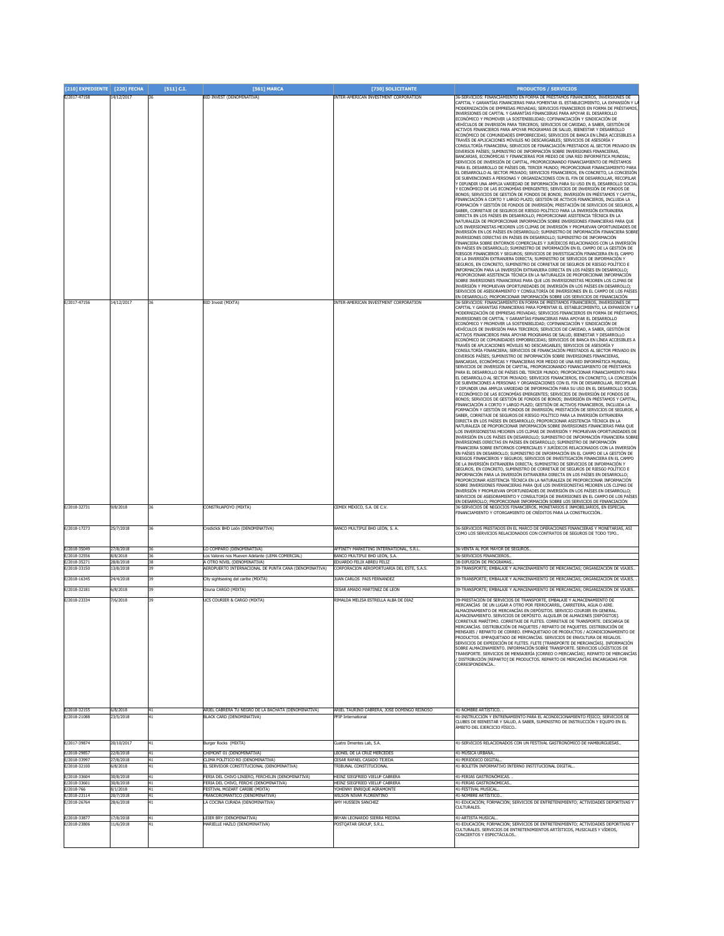| [210] EXPEDIENTE [220] FECHA               |                                    | [511] C.I.     | [561] MARCA                                                                                         | [730] SOLICITANTE                                                              | <b>PRODUCTOS / SERVICIOS</b>                                                                                                                                                                                                                                                                                                                                                                                                                                                                                                                                                                                                                                                                                                                                                                                                                                                                                                                                                                                                                                                                                                                                                                                                                                                                                                                                                                                                                                                                                                                                                                                                                                                                                                                                                                                                                                                                                                                                                                                                                                                                                                                                                                                                                                                                                                                                                                                                                                                                                                                                                                                                                                                                                                                                                                                                                                                                                                                                                                                                                                                                                                                                                                                                                                                                                                                                                                                                                                                                                                                                                                                                                                                                                                                                                                                                                                                                                                                                                                                                                                                                                                                                                                                                                                                                                                                                                             |
|--------------------------------------------|------------------------------------|----------------|-----------------------------------------------------------------------------------------------------|--------------------------------------------------------------------------------|------------------------------------------------------------------------------------------------------------------------------------------------------------------------------------------------------------------------------------------------------------------------------------------------------------------------------------------------------------------------------------------------------------------------------------------------------------------------------------------------------------------------------------------------------------------------------------------------------------------------------------------------------------------------------------------------------------------------------------------------------------------------------------------------------------------------------------------------------------------------------------------------------------------------------------------------------------------------------------------------------------------------------------------------------------------------------------------------------------------------------------------------------------------------------------------------------------------------------------------------------------------------------------------------------------------------------------------------------------------------------------------------------------------------------------------------------------------------------------------------------------------------------------------------------------------------------------------------------------------------------------------------------------------------------------------------------------------------------------------------------------------------------------------------------------------------------------------------------------------------------------------------------------------------------------------------------------------------------------------------------------------------------------------------------------------------------------------------------------------------------------------------------------------------------------------------------------------------------------------------------------------------------------------------------------------------------------------------------------------------------------------------------------------------------------------------------------------------------------------------------------------------------------------------------------------------------------------------------------------------------------------------------------------------------------------------------------------------------------------------------------------------------------------------------------------------------------------------------------------------------------------------------------------------------------------------------------------------------------------------------------------------------------------------------------------------------------------------------------------------------------------------------------------------------------------------------------------------------------------------------------------------------------------------------------------------------------------------------------------------------------------------------------------------------------------------------------------------------------------------------------------------------------------------------------------------------------------------------------------------------------------------------------------------------------------------------------------------------------------------------------------------------------------------------------------------------------------------------------------------------------------------------------------------------------------------------------------------------------------------------------------------------------------------------------------------------------------------------------------------------------------------------------------------------------------------------------------------------------------------------------------------------------------------------------------------------------------------------------------------------------------|
| E/2017-47158<br>E/2017-47156               | 14/12/2017<br>14/12/2017           | 36<br>36       | BID INVEST (DENOMINATIVA)<br><b>BID Invest (MIXTA)</b>                                              | INTER-AMERICAN INVESTMENT CORPORATION<br>INTER-AMERICAN INVESTMENT CORPORATION | 6-SERVICIOS: FINANCIAMIENTO EN FORMA DE PRÉSTAMOS FINANCIEROS, INVERSIONES DE<br>CAPITAL Y GARANTÍAS FINANCIERAS PARA FOMENTAR EL ESTABLECIMIENTO, LA EXPANSIÓN Y LA<br>MODERNIZACIÓN DE EMPRESAS PRIVADAS; SERVICIOS FINANCIEROS EN FORMA DE PRÉSTAMOS,<br>INVERSIONES DE CAPITAL Y GARANTÍAS FINANCIERAS PARA APOYAR EL DESARROLLO<br>ECONÓMICO Y PROMOVER LA SOSTENIBILIDAD; COFINANCIACIÓN Y SINDICACIÓN DE<br>/EHÍCULOS DE INVERSIÓN PARA TERCEROS; SERVICIOS DE CARIDAD, A SABER, GESTIÓN DE<br>ICTIVOS FINANCIEROS PARA APOYAR PROGRAMAS DE SALUD, BIENESTAR Y DESARROLLO<br>ECONÓMICO DE COMUNIDADES EMPOBRECIDAS; SERVICIOS DE BANCA EN LÍNEA ACCESIBLES A<br>TRAVÉS DE APLICACIONES MÓVILES NO DESCARGABLES; SERVICIOS DE ASESORÍA Y<br>CONSULTORÍA FINANCIERA; SERVICIOS DE FINANCIACIÓN PRESTADOS AL SECTOR PRIVADO EN<br>DIVERSOS PAÍSES; SUMINISTRO DE INFORMACIÓN SOBRE INVERSIONES FINANCIERAS,<br>BANCARIAS, ECONÓMICAS Y FINANCIERAS POR MEDIO DE UNA RED INFORMÁTICA MUNDIAL;<br>SERVICIOS DE INVERSIÓN DE CAPITAL, PROPORCIONANDO FINANCIAMIENTO DE PRÉSTAMOS<br>PARA EL DESARROLLO DE PAÍSES DEL TERCER MUNDO: PROPORCIONAR FINANCIAMIENTO PARA<br>EL DESARROLLO AL SECTOR PRIVADO; SERVICIOS FINANCIEROS, EN CONCRETO, LA CONCESIÓN<br>DE SUBVENCIONES A PERSONAS Y ORGANIZACIONES CON EL FIN DE DESARROLLAR. RECOPILAR<br>' DIFUNDIR UNA AMPLIA VARIEDAD DE INFORMACIÓN PARA SU USO EN EL DESARROLLO SOCIAL<br>' ECONÓMICO DE LAS ECONOMÍAS EMERGENTES: SERVICIOS DE INVERSIÓN DE FONDOS DE<br>BONOS; SERVICIOS DE GESTIÓN DE FONDOS DE BONOS; INVERSIÓN EN PRÉSTAMOS Y CAPITAL,<br>FINANCIACIÓN A CORTO Y LARGO PLAZO; GESTIÓN DE ACTIVOS FINANCIEROS, INCLUIDA LA<br>FORMACIÓN Y GESTIÓN DE FONDOS DE INVERSIÓN; PRESTACIÓN DE SERVICIOS DE SEGUROS, A<br>SABER, CORRETAJE DE SEGUROS DE RIESGO POLÍTICO PARA LA INVERSIÓN EXTRANJERA<br>DIRECTA EN LOS PAÍSES EN DESARROLLO; PROPORCIONAR ASISTENCIA TÉCNICA EN LA<br>NATURALEZA DE PROPORCIONAR INFORMACIÓN SOBRE INVERSIONES FINANCIERAS PARA QUE<br>LOS INVERSIONISTAS MEJOREN LOS CLIMAS DE INVERSIÓN Y PROMUEVAN OPORTUNIDADES DE<br>INVERSIÓN EN LOS PAÍSES EN DESARROLLO; SUMINISTRO DE INFORMACIÓN FINANCIERA SOBRE<br>INVERSIONES DIRECTAS EN PAÍSES EN DESARROLLO; SUMINISTRO DE INFORMACIÓN<br>INANCIERA SOBRE ENTORNOS COMERCIALES Y JURÍDICOS RELACIONADOS CON LA INVERSIÓN<br>EN PAÍSES EN DESARROLLO; SUMINISTRO DE INFORMACIÓN EN EL CAMPO DE LA GESTIÓN DE<br>RIESGOS FINANCIEROS Y SEGUROS; SERVICIOS DE INVESTIGACIÓN FINANCIERA EN EL CAMPO<br>DE LA INVERSIÓN EXTRANJERA DIRECTA; SUMINISTRO DE SERVICIOS DE INFORMACIÓN Y<br>SEGUROS, EN CONCRETO, SUMINISTRO DE CORRETAJE DE SEGUROS DE RIESGO POLÍTICO E<br>INFORMACIÓN PARA LA INVERSIÓN EXTRANJERA DIRECTA EN LOS PAÍSES EN DESARROLLO;<br>ROPORCIONAR ASISTENCIA TÉCNICA EN LA NATURALEZA DE PROPORCIONAR INFORMACIÓN<br>SOBRE INVERSIONES FINANCIERAS PARA QUE LOS INVERSIONISTAS MEJOREN LOS CLIMAS DE<br>NVERSIÓN Y PROMUEVAN OPORTUNIDADES DE INVERSIÓN EN LOS PAÍSES EN DESARROLLO;<br>SERVICIOS DE ASESORAMIENTO Y CONSULTORÍA DE INVERSIONES EN EL CAMPO DE LOS PAÍSES<br>N DESARROLLO; PROPORCIONAR INFORMACIÓN SOBRE LOS SERVICIOS DE FINANCIACIÓN<br>6-SERVICIOS: FINANCIAMIENTO EN FORMA DE PRÉSTAMOS FINANCIEROS, INVERSIONES DE<br>CAPITAL Y GARANTÍAS FINANCIERAS PARA FOMENTAR EL ESTABLECIMIENTO, LA EXPANSIÓN Y LA<br>MODERNIZACIÓN DE EMPRESAS PRIVADAS: SERVICIOS FINANCIEROS EN FORMA DE PRÉSTAMOS.<br>INVERSIONES DE CAPITAL Y GARANTÍAS FINANCIERAS PARA APOYAR EL DESARROLLO<br>ECONÓMICO Y PROMOVER LA SOSTENIBILIDAD; COFINANCIACIÓN Y SINDICACIÓN DE<br>/EHÍCULOS DE INVERSIÓN PARA TERCEROS; SERVICIOS DE CARIDAD, A SABER, GESTIÓN DE<br>ACTIVOS FINANCIEROS PARA APOYAR PROGRAMAS DE SALUD, BIENESTAR Y DESARROLLO<br>ECONÓMICO DE COMUNIDADES EMPOBRECIDAS; SERVICIOS DE BANCA EN LÍNEA ACCESIBLES A<br>TRAVÉS DE APLICACIONES MÓVILES NO DESCARGABLES; SERVICIOS DE ASESORÍA Y<br>CONSULTORÍA FINANCIERA; SERVICIOS DE FINANCIACIÓN PRESTADOS AL SECTOR PRIVADO EN<br>DIVERSOS PAÍSES; SUMINISTRO DE INFORMACIÓN SOBRE INVERSIONES FINANCIERAS,<br>BANCARIAS, ECONÓMICAS Y FINANCIERAS POR MEDIO DE UNA RED INFORMÁTICA MUNDIAL;<br>SERVICIOS DE INVERSIÓN DE CAPITAL, PROPORCIONANDO FINANCIAMIENTO DE PRÉSTAMOS<br>PARA EL DESARROLLO DE PAÍSES DEL TERCER MUNDO; PROPORCIONAR FINANCIAMIENTO PARA |
|                                            |                                    |                |                                                                                                     |                                                                                | EL DESARROLLO AL SECTOR PRIVADO; SERVICIOS FINANCIEROS, EN CONCRETO, LA CONCESIÓN<br>DE SUBVENCIONES A PERSONAS Y ORGANIZACIONES CON EL FIN DE DESARROLLAR, RECOPILAR<br>DIFUNDIR UNA AMPLIA VARIEDAD DE INFORMACIÓN PARA SU USO EN EL DESARROLLO SOCIAL<br>ECONÓMICO DE LAS ECONOMÍAS EMERGENTES; SERVICIOS DE INVERSIÓN DE FONDOS DE<br>BONOS; SERVICIOS DE GESTIÓN DE FONDOS DE BONOS; INVERSIÓN EN PRÉSTAMOS Y CAPITAL,<br>FINANCIACIÓN A CORTO Y LARGO PLAZO; GESTIÓN DE ACTIVOS FINANCIEROS, INCLUIDA LA<br>FORMACIÓN Y GESTIÓN DE FONDOS DE INVERSIÓN; PRESTACIÓN DE SERVICIOS DE SEGUROS, A<br>SABER, CORRETAJE DE SEGUROS DE RIESGO POLÍTICO PARA LA INVERSIÓN EXTRANJERA<br>DIRECTA EN LOS PAÍSES EN DESARROLLO; PROPORCIONAR ASISTENCIA TÉCNICA EN LA<br>NATURALEZA DE PROPORCIONAR INFORMACIÓN SOBRE INVERSIONES FINANCIERAS PARA QUE<br>LOS INVERSIONISTAS MEJOREN LOS CLIMAS DE INVERSIÓN Y PROMUEVAN OPORTUNIDADES DE<br>INVERSIÓN EN LOS PAÍSES EN DESARROLLO: SUMINISTRO DE INFORMACIÓN FINANCIERA SOBRE<br>INVERSIONES DIRECTAS EN PAÍSES EN DESARROLLO; SUMINISTRO DE INFORMACIÓN<br>FINANCIERA SOBRE ENTORNOS COMERCIALES Y JURÍDICOS RELACIONADOS CON LA INVERSIÓN<br>EN PAÍSES EN DESARROLLO: SUMINISTRO DE INFORMACIÓN EN EL CAMPO DE LA GESTIÓN DE<br>RIESGOS FINANCIEROS Y SEGUROS; SERVICIOS DE INVESTIGACIÓN FINANCIERA EN EL CAMPO<br>DE LA INVERSIÓN EXTRANJERA DIRECTA; SUMINISTRO DE SERVICIOS DE INFORMACIÓN Y<br>SEGUROS, EN CONCRETO, SUMINISTRO DE CORRETAJE DE SEGUROS DE RIESGO POLÍTICO E<br>INFORMACIÓN PARA LA INVERSIÓN EXTRANJERA DIRECTA EN LOS PAÍSES EN DESARROLLO;<br>PROPORCIONAR ASISTENCIA TÉCNICA EN LA NATURALEZA DE PROPORCIONAR INFORMACIÓN<br>SOBRE INVERSIONES FINANCIERAS PARA QUE LOS INVERSIONISTAS MEJOREN LOS CLIMAS DE<br>INVERSIÓN Y PROMUEVAN OPORTUNIDADES DE INVERSIÓN EN LOS PAÍSES EN DESARROLLO;<br>SERVICIOS DE ASESORAMIENTO Y CONSULTORÍA DE INVERSIONES EN EL CAMPO DE LOS PAÍSES<br>EN DESARROLLO; PROPORCIONAR INFORMACIÓN SOBRE LOS SERVICIOS DE FINANCIACIÓN                                                                                                                                                                                                                                                                                                                                                                                                                                                                                                                                                                                                                                                                                                                                                                                                                                                                                                                                                                                                                                                                                                                                                                                                                                                                                                                                                                                                                                                                                                                                                                                                                                                                                                                                                                                                                                                                                                                                                                                                                                                                                                                                                                                                                                                                                                                                                 |
| E/2018-32731<br>E/2018-17273               | 9/8/2018<br>25/7/2018              | 36<br>36       | CONSTRUAPOYO (MIXTA)<br>Crediclick BHD León (DENOMINATIVA)                                          | CEMEX MÉXICO, S.A. DE C.V.<br>BANCO MÚLTIPLE BHD LEÓN, S. A.                   | 36-SERVICIOS DE NEGOCIOS FINANCIEROS, MONETARIOS E INMOBILIARIOS, EN ESPECIAL<br>INANCIAMIENTO Y OTORGAMIENTO DE CRÉDITOS PARA LA CONSTRUCCIÓN.<br>36-SERVICIOS PRESTADOS EN EL MARCO DE OPERACIONES FINANCIERAS Y MONETARIAS, ASÍ<br>COMO LOS SERVICIOS RELACIONADOS CON CONTRATOS DE SEGUROS DE TODO TIPO                                                                                                                                                                                                                                                                                                                                                                                                                                                                                                                                                                                                                                                                                                                                                                                                                                                                                                                                                                                                                                                                                                                                                                                                                                                                                                                                                                                                                                                                                                                                                                                                                                                                                                                                                                                                                                                                                                                                                                                                                                                                                                                                                                                                                                                                                                                                                                                                                                                                                                                                                                                                                                                                                                                                                                                                                                                                                                                                                                                                                                                                                                                                                                                                                                                                                                                                                                                                                                                                                                                                                                                                                                                                                                                                                                                                                                                                                                                                                                                                                                                                              |
| E/2018-35049                               | 27/8/2018                          | 36             | LO COMPARO (DENOMINATIVA)                                                                           | AFFINITY MARKETING INTERNATIONAL, S.R.L.                                       | 36-VENTA AL POR MAYOR DE SEGUROS                                                                                                                                                                                                                                                                                                                                                                                                                                                                                                                                                                                                                                                                                                                                                                                                                                                                                                                                                                                                                                                                                                                                                                                                                                                                                                                                                                                                                                                                                                                                                                                                                                                                                                                                                                                                                                                                                                                                                                                                                                                                                                                                                                                                                                                                                                                                                                                                                                                                                                                                                                                                                                                                                                                                                                                                                                                                                                                                                                                                                                                                                                                                                                                                                                                                                                                                                                                                                                                                                                                                                                                                                                                                                                                                                                                                                                                                                                                                                                                                                                                                                                                                                                                                                                                                                                                                                         |
| E/2018-32556<br>E/2018-3527:               | 8/8/2018<br>28/8/2018              | 36<br>38       | Los Valores nos Mueven Adelante (LEMA COMERCIAL)<br>A OTRO NIVEL (DENOMINATIVA)                     | BANCO MÚLTIPLE BHD LEÓN. S.A.<br>EDUARDO FELIX ABREU FELIZ                     | 6-SERVICIOS EINANCIEROS<br>38-difusión de programas                                                                                                                                                                                                                                                                                                                                                                                                                                                                                                                                                                                                                                                                                                                                                                                                                                                                                                                                                                                                                                                                                                                                                                                                                                                                                                                                                                                                                                                                                                                                                                                                                                                                                                                                                                                                                                                                                                                                                                                                                                                                                                                                                                                                                                                                                                                                                                                                                                                                                                                                                                                                                                                                                                                                                                                                                                                                                                                                                                                                                                                                                                                                                                                                                                                                                                                                                                                                                                                                                                                                                                                                                                                                                                                                                                                                                                                                                                                                                                                                                                                                                                                                                                                                                                                                                                                                      |
| E/2018-33150                               | 13/8/2018                          | 39             | AEROPUERTO INTERNACIONAL DE PUNTA CANA (DENOMINATIVA)                                               | CORPORACION AEROPORTUARIA DEL ESTE, S.A.S.                                     | 19-TRANSPORTE: EMBALAJE Y ALMACENAMIENTO DE MERCANCÍAS: ORGANIZACIÓN DE VIAJES                                                                                                                                                                                                                                                                                                                                                                                                                                                                                                                                                                                                                                                                                                                                                                                                                                                                                                                                                                                                                                                                                                                                                                                                                                                                                                                                                                                                                                                                                                                                                                                                                                                                                                                                                                                                                                                                                                                                                                                                                                                                                                                                                                                                                                                                                                                                                                                                                                                                                                                                                                                                                                                                                                                                                                                                                                                                                                                                                                                                                                                                                                                                                                                                                                                                                                                                                                                                                                                                                                                                                                                                                                                                                                                                                                                                                                                                                                                                                                                                                                                                                                                                                                                                                                                                                                           |
| E/2018-16345<br>E/2018-32181               | 24/4/2018<br>6/8/2018              | 39<br>39       | City sightseeing del caribe (MIXTA)<br>Ozuna CARGO (MIXTA)                                          | JUAN CARLOS PAIS FERNANDEZ<br>CESAR AMADO MARTINEZ DE LEON                     | 39-TRANSPORTE; EMBALAJE Y ALMACENAMIENTO DE MERCANCÍAS; ORGANIZACIÓN DE VIAJES.<br>39-TRANSPORTE: EMBALAIE Y ALMACENAMIENTO DE MERCANCÍAS: ORGANIZACIÓN DE VIA1ES.                                                                                                                                                                                                                                                                                                                                                                                                                                                                                                                                                                                                                                                                                                                                                                                                                                                                                                                                                                                                                                                                                                                                                                                                                                                                                                                                                                                                                                                                                                                                                                                                                                                                                                                                                                                                                                                                                                                                                                                                                                                                                                                                                                                                                                                                                                                                                                                                                                                                                                                                                                                                                                                                                                                                                                                                                                                                                                                                                                                                                                                                                                                                                                                                                                                                                                                                                                                                                                                                                                                                                                                                                                                                                                                                                                                                                                                                                                                                                                                                                                                                                                                                                                                                                       |
| E/2018-23334                               | 7/6/2018                           | 39             | UCS COURIER & CARGO (MIXTA)                                                                         | RIMALDA MELISA ESTRELLA ALBA DE DIAZ                                           | 9-PRESTACIÓN DE SERVICIOS DE TRANSPORTE. EMBALA JE Y ALMACENAMIENTO DE<br>MERCANCÍAS DE UN LUGAR A OTRO POR FERROCARRIL, CARRETERA, AGUA O AIRE.<br>ALMACENAMIENTO DE MERCANCÍAS EN DEPÓSITOS. SERVICIO COURIER EN GENERAL<br>LMACENAMIENTO. SERVICIOS DE DEPOSITO. ALQUILER DE ALMACENES [DEPOSITOS].<br>CORRETAJE MARÍTIMO. CORRETAJE DE FLETES. CORRETAJE DE TRANSPORTE. DESCARGA DE<br>MERCANCÍAS. DISTRIBUCIÓN DE PAQUETES / REPARTO DE PAQUETES. DISTRIBUCIÓN DE<br>MENSAJES / REPARTO DE CORREO. EMPAQUETADO DE PRODUCTOS / ACONDICIONAMIENTO DE<br>PRODUCTOS, EMPAOUETADO DE MERCANCÍAS, SERVICIOS DE ENVOLTURA DE REGALOS.<br>SERVICIOS DE EXPEDICIÓN DE FLETES. FLETE [TRANSPORTE DE MERCANCÍAS]. INFORMACIÓN<br>SOBRE ALMACENAMIENTO. INFORMACIÓN SOBRE TRANSPORTE. SERVICIOS LOGÍSTICOS DE<br>TRANSPORTE. SERVICIOS DE MENSAJERÍA [CORREO O MERCANCÍAS]. REPARTO DE MERCANCÍAS<br>' DISTRIBUCIÓN [REPARTO] DE PRODUCTOS. REPARTO DE MERCANCÍAS ENCARGADAS POR<br>CORRESPONDENCIA                                                                                                                                                                                                                                                                                                                                                                                                                                                                                                                                                                                                                                                                                                                                                                                                                                                                                                                                                                                                                                                                                                                                                                                                                                                                                                                                                                                                                                                                                                                                                                                                                                                                                                                                                                                                                                                                                                                                                                                                                                                                                                                                                                                                                                                                                                                                                                                                                                                                                                                                                                                                                                                                                                                                                                                                                                                                                                                                                                                                                                                                                                                                                                                                                                                                                                                                                                                             |
| E/2018-32155<br>E/2018-21088               | 6/8/2018<br>23/5/2018              | 41<br>41       | ARIEL CABRERA TU NEGRO DE LA BACHATA (DENOMINATIVA)<br>BLACK CARD (DENOMINATIVA)                    | ARIEL TAURINO CABRERA, JOSE DOMINGO REINOSO<br>PFIP International              | 41-NOMBRE ARTÍSTICO.<br>41-INSTRUCCIÓN Y ENTRENAMIENTO PARA EL ACONDICIONAMIENTO FÍSICO; SERVICIOS DE<br>LUBES DE BIENESTAR Y SALUD, A SABER, SUMINISTRO DE INSTRUCCIÓN Y EQUIPO EN EL<br>MBITO DEL EJERCICIO FÍSICO                                                                                                                                                                                                                                                                                                                                                                                                                                                                                                                                                                                                                                                                                                                                                                                                                                                                                                                                                                                                                                                                                                                                                                                                                                                                                                                                                                                                                                                                                                                                                                                                                                                                                                                                                                                                                                                                                                                                                                                                                                                                                                                                                                                                                                                                                                                                                                                                                                                                                                                                                                                                                                                                                                                                                                                                                                                                                                                                                                                                                                                                                                                                                                                                                                                                                                                                                                                                                                                                                                                                                                                                                                                                                                                                                                                                                                                                                                                                                                                                                                                                                                                                                                     |
| E/2017-39874                               | 20/10/2017                         | 41             | Burger Rocks (MIXTA)                                                                                | uatro Dmentes Lab. S.A.                                                        | 41-SERVICIOS RELACIONADOS CON UN FESTIVAL GASTRONÓMICO DE HAMBURGUESAS                                                                                                                                                                                                                                                                                                                                                                                                                                                                                                                                                                                                                                                                                                                                                                                                                                                                                                                                                                                                                                                                                                                                                                                                                                                                                                                                                                                                                                                                                                                                                                                                                                                                                                                                                                                                                                                                                                                                                                                                                                                                                                                                                                                                                                                                                                                                                                                                                                                                                                                                                                                                                                                                                                                                                                                                                                                                                                                                                                                                                                                                                                                                                                                                                                                                                                                                                                                                                                                                                                                                                                                                                                                                                                                                                                                                                                                                                                                                                                                                                                                                                                                                                                                                                                                                                                                   |
| E/2018-29857<br>E/2018-33997               | 22/8/2018<br>27/8/2018             | 41<br>41       | CHIMONT 01 (DENOMINATIVA)<br>CLIMA POLÍTICO RD (DENOMINATIVA)                                       | EONEL DE LA CRUZ MERCEDES<br><b>CESAR RAFAEL CASADO TEJEDA</b>                 | 41-MÚSICA URBANA.<br>41-PERIÓDICO DIGITAL.                                                                                                                                                                                                                                                                                                                                                                                                                                                                                                                                                                                                                                                                                                                                                                                                                                                                                                                                                                                                                                                                                                                                                                                                                                                                                                                                                                                                                                                                                                                                                                                                                                                                                                                                                                                                                                                                                                                                                                                                                                                                                                                                                                                                                                                                                                                                                                                                                                                                                                                                                                                                                                                                                                                                                                                                                                                                                                                                                                                                                                                                                                                                                                                                                                                                                                                                                                                                                                                                                                                                                                                                                                                                                                                                                                                                                                                                                                                                                                                                                                                                                                                                                                                                                                                                                                                                               |
| E/2018-32100                               | 6/8/2018                           | 41             | EL SERVIDOR CONSTITUCIONAL (DENOMINATIVA)                                                           | TRIBUNAL CONSTITUCIONAL                                                        | 41-BOLETÍN INFORMATIVO INTERNO INSTITUCIONAL DIGITAL.                                                                                                                                                                                                                                                                                                                                                                                                                                                                                                                                                                                                                                                                                                                                                                                                                                                                                                                                                                                                                                                                                                                                                                                                                                                                                                                                                                                                                                                                                                                                                                                                                                                                                                                                                                                                                                                                                                                                                                                                                                                                                                                                                                                                                                                                                                                                                                                                                                                                                                                                                                                                                                                                                                                                                                                                                                                                                                                                                                                                                                                                                                                                                                                                                                                                                                                                                                                                                                                                                                                                                                                                                                                                                                                                                                                                                                                                                                                                                                                                                                                                                                                                                                                                                                                                                                                                    |
| E/2018-33604<br>E/2018-33601               | 30/8/2018<br>30/8/2018             | 41<br>41       | FERIA DEL CHIVO LINIERO, FERCHILIN (DENOMINATIVA)<br>FERIA DEL CHIVO, FERCHI (DENOMINATIVA)         | HEINZ SIEGFRIED VIELUF CABRERA<br>HEINZ SIEGFRIED VIELUF CABRERA               | 41-FERIAS GASTRONÓMICAS.<br>41-FERIAS GASTRONÓMICAS.                                                                                                                                                                                                                                                                                                                                                                                                                                                                                                                                                                                                                                                                                                                                                                                                                                                                                                                                                                                                                                                                                                                                                                                                                                                                                                                                                                                                                                                                                                                                                                                                                                                                                                                                                                                                                                                                                                                                                                                                                                                                                                                                                                                                                                                                                                                                                                                                                                                                                                                                                                                                                                                                                                                                                                                                                                                                                                                                                                                                                                                                                                                                                                                                                                                                                                                                                                                                                                                                                                                                                                                                                                                                                                                                                                                                                                                                                                                                                                                                                                                                                                                                                                                                                                                                                                                                     |
| E/2018-766<br>E/2018-23114<br>E/2018-26764 | 8/1/2018<br>20/7/2018<br>28/6/2018 | 41<br>41<br>41 | FESTIVAL MOZART CARIBE (MIXTA)<br>FRANCOROMANTICO (DENOMINATIVA)<br>LA COCINA CURADA (DENOMINATIVA) | OHENNY ENRIQUE AGRAMONTE<br>WILSON NIVAR FLORENTINO<br>AMY HUSSEIN SANCHEZ     | 41-FESTIVAL MUSICAL.<br>41-NOMBRE ARTÍSTICO.<br>41-EDUCACIÓN; FORMACIÓN; SERVICIOS DE ENTRETENIMIENTO; ACTIVIDADES DEPORTIVAS Y                                                                                                                                                                                                                                                                                                                                                                                                                                                                                                                                                                                                                                                                                                                                                                                                                                                                                                                                                                                                                                                                                                                                                                                                                                                                                                                                                                                                                                                                                                                                                                                                                                                                                                                                                                                                                                                                                                                                                                                                                                                                                                                                                                                                                                                                                                                                                                                                                                                                                                                                                                                                                                                                                                                                                                                                                                                                                                                                                                                                                                                                                                                                                                                                                                                                                                                                                                                                                                                                                                                                                                                                                                                                                                                                                                                                                                                                                                                                                                                                                                                                                                                                                                                                                                                          |
|                                            |                                    |                |                                                                                                     |                                                                                | CULTURALES.                                                                                                                                                                                                                                                                                                                                                                                                                                                                                                                                                                                                                                                                                                                                                                                                                                                                                                                                                                                                                                                                                                                                                                                                                                                                                                                                                                                                                                                                                                                                                                                                                                                                                                                                                                                                                                                                                                                                                                                                                                                                                                                                                                                                                                                                                                                                                                                                                                                                                                                                                                                                                                                                                                                                                                                                                                                                                                                                                                                                                                                                                                                                                                                                                                                                                                                                                                                                                                                                                                                                                                                                                                                                                                                                                                                                                                                                                                                                                                                                                                                                                                                                                                                                                                                                                                                                                                              |
| E/2018-33877<br>E/2018-23806               | 17/8/2018<br>11/6/2018             | 41<br>41       | LEIER BRY (DENOMINATIVA)<br>MARIELLE HAZLO (DENOMINATIVA)                                           | BRYAN LEONARDO SIERRA MEDINA<br>POSTQATAR GROUP, S.R.L.                        | 41-ARTISTA MUSICAL<br>41-EDUCACIÓN; FORMACIÓN; SERVICIOS DE ENTRETENIMIENTO; ACTIVIDADES DEPORTIVAS Y                                                                                                                                                                                                                                                                                                                                                                                                                                                                                                                                                                                                                                                                                                                                                                                                                                                                                                                                                                                                                                                                                                                                                                                                                                                                                                                                                                                                                                                                                                                                                                                                                                                                                                                                                                                                                                                                                                                                                                                                                                                                                                                                                                                                                                                                                                                                                                                                                                                                                                                                                                                                                                                                                                                                                                                                                                                                                                                                                                                                                                                                                                                                                                                                                                                                                                                                                                                                                                                                                                                                                                                                                                                                                                                                                                                                                                                                                                                                                                                                                                                                                                                                                                                                                                                                                    |
|                                            |                                    |                |                                                                                                     |                                                                                | CULTURALES. SERVICIOS DE ENTRETENIMIENTOS ARTÍSTICOS, MUSICALES Y VÍDEOS,<br>CONCIERTOS Y ESPECTÁCULOS                                                                                                                                                                                                                                                                                                                                                                                                                                                                                                                                                                                                                                                                                                                                                                                                                                                                                                                                                                                                                                                                                                                                                                                                                                                                                                                                                                                                                                                                                                                                                                                                                                                                                                                                                                                                                                                                                                                                                                                                                                                                                                                                                                                                                                                                                                                                                                                                                                                                                                                                                                                                                                                                                                                                                                                                                                                                                                                                                                                                                                                                                                                                                                                                                                                                                                                                                                                                                                                                                                                                                                                                                                                                                                                                                                                                                                                                                                                                                                                                                                                                                                                                                                                                                                                                                   |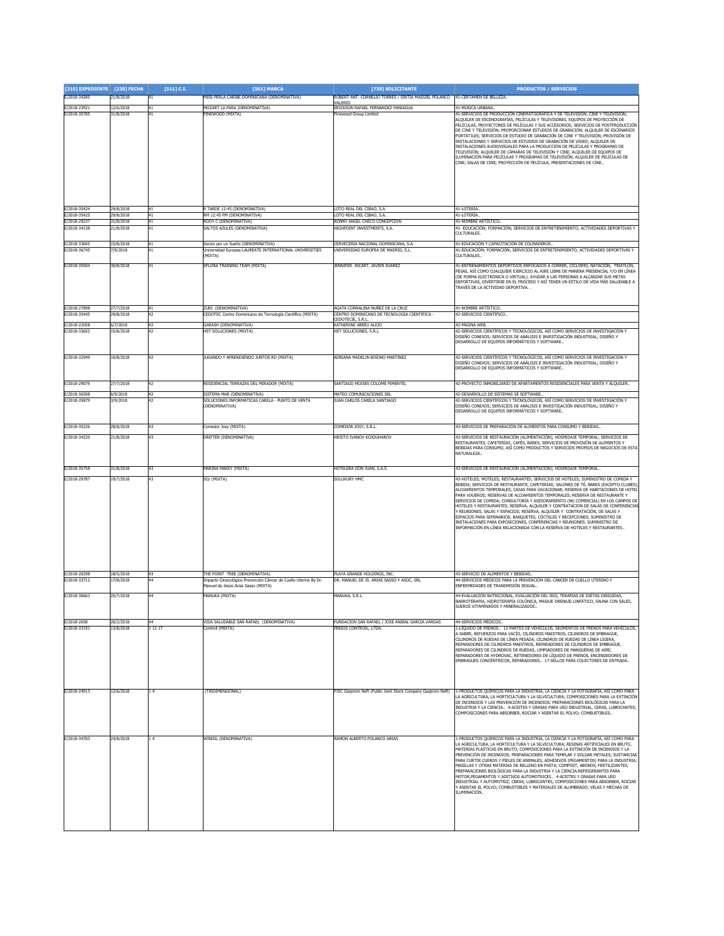| [210] EXPEDIENTE [220] FECHA |                        | $[511]$ C.I.    | [561] MARCA                                                                                            | [730] SOLICITANTE                                                        | <b>PRODUCTOS / SERVICIOS</b>                                                                                                                                                                                                                                                                                                                                                                                                                                                                                                                                                                                                                                                                                                                                                                                                                                 |
|------------------------------|------------------------|-----------------|--------------------------------------------------------------------------------------------------------|--------------------------------------------------------------------------|--------------------------------------------------------------------------------------------------------------------------------------------------------------------------------------------------------------------------------------------------------------------------------------------------------------------------------------------------------------------------------------------------------------------------------------------------------------------------------------------------------------------------------------------------------------------------------------------------------------------------------------------------------------------------------------------------------------------------------------------------------------------------------------------------------------------------------------------------------------|
| E/2018-34285                 | 21/8/2018              | 41              | MISS PERLA CARIBE DOMINICANA (DENOMINATIVA)                                                            | ROBERT ANT. CORNELIO TORRES / SINTIA MASSIEL POLANCO                     | 41-CERTAMEN DE BELLEZA.                                                                                                                                                                                                                                                                                                                                                                                                                                                                                                                                                                                                                                                                                                                                                                                                                                      |
| E/2018-23921                 | 12/6/2018              | 41              | MOZART LA PARA (DENOMINATIVA)                                                                          | RICKSON RAFAEL FERNANDEZ PANIAGUA                                        | 41-MÚSICA URBANA                                                                                                                                                                                                                                                                                                                                                                                                                                                                                                                                                                                                                                                                                                                                                                                                                                             |
| E/2018-35785                 | 31/8/2018              | 41              | PINEWOOD (MIXTA)                                                                                       | inewood Group Limited                                                    | 41-SERVICIOS DE PRODUCCIÓN CINEMATOGRÁFICA Y DE TELEVISIÓN, CINE Y TELEVISIÓN;<br>ALQUILER DE ESCENOGRAFÍAS, PELÍCULAS Y TELEVISORES, EQUIPOS DE PROYECCIÓN DE<br>PELÍCULAS, PROYECTORES DE PELÍCULAS Y SUS ACCESORIOS; SERVICIOS DE POSTPRODUCCIÓN<br>DE CINE Y TELEVISIÓN; PROPORCIONAR ESTUDIOS DE GRABACIÓN; ALQUILER DE ESCENARIOS<br>PORTÁTILES; SERVICIOS DE ESTUDIO DE GRABACIÓN DE CINE Y TELEVISIÓN; PROVISIÓN DE<br>INSTALACIONES Y SERVICIOS DE ESTUDIOS DE GRABACIÓN DE VIDEO; ALQUILER DE<br>INSTALACIONES AUDIOVISUALES PARA LA PRODUCCIÓN DE PELÍCULAS Y PROGRAMAS DE<br>TELEVISIÓN; ALQUILER DE CÁMARAS DE TELEVISIÓN Y CINE; ALQUILER DE EQUIPOS DE<br>ILUMINACIÓN PARA PELÍCULAS Y PROGRAMAS DE TELEVISIÓN; ALQUILER DE PELÍCULAS DE<br>CINE; SALAS DE CINE; PROYECCIÓN DE PELÍCULA; PRESENTACIONES DE CINE                               |
|                              |                        |                 |                                                                                                        |                                                                          |                                                                                                                                                                                                                                                                                                                                                                                                                                                                                                                                                                                                                                                                                                                                                                                                                                                              |
| E/2018-35424                 | 29/8/2018              |                 | TARDE 12:45 (DENOMINATIVA)                                                                             | OTO REAL DEL CIBAO, S.A.                                                 | 41-LOTERÍA.                                                                                                                                                                                                                                                                                                                                                                                                                                                                                                                                                                                                                                                                                                                                                                                                                                                  |
| E/2018-35425<br>E/2018-29237 | 29/8/2018<br>31/8/2018 | 41<br>41        | RM 12:45 PM (DENOMINATIVA)<br>ROOY C (DENOMINATIVA)                                                    | LOTO REAL DEL CIBAO, S.A.<br>RONNY ANGEL CHECO CONCEPCION                | 41-LOTERÍA.<br>41-NOMBRE ARTÍSTICO.                                                                                                                                                                                                                                                                                                                                                                                                                                                                                                                                                                                                                                                                                                                                                                                                                          |
| E/2018-34138                 | 21/8/2018              | 41              | SALTOS AZULES (DENOMINATIVA)                                                                           | HIGHPOINT INVESTMENTS, S.A.                                              | 41- EDUCACIÓN; FORMACIÓN; SERVICIOS DE ENTRETENIMIENTO; ACTIVIDADES DEPORTIVAS Y                                                                                                                                                                                                                                                                                                                                                                                                                                                                                                                                                                                                                                                                                                                                                                             |
|                              |                        |                 |                                                                                                        |                                                                          | CULTURALES.                                                                                                                                                                                                                                                                                                                                                                                                                                                                                                                                                                                                                                                                                                                                                                                                                                                  |
| E/2018-33605                 | 15/8/2018              | 41              | Socios por un Sueño (DENOMINATIVA)                                                                     | CERVECERIA NACIONAL DOMINICANA, S.A.                                     | 41-EDUCACIÓN Y CAPACITACIÓN DE COLMADEROS.                                                                                                                                                                                                                                                                                                                                                                                                                                                                                                                                                                                                                                                                                                                                                                                                                   |
| E/2018-36745                 | 7/9/2018               | 41              | Jniversidad Europea LAUREATE INTERNATIONAL UNIVERSITIES<br>MIXTA)                                      | UNIVERSIDAD EUROPEA DE MADRID, S.L.                                      | 41-EDUCACIÓN; FORMACIÓN; SERVICIOS DE ENTRETENIMIENTO; ACTIVIDADES DEPORTIVAS Y<br><b>ULTURALES.</b>                                                                                                                                                                                                                                                                                                                                                                                                                                                                                                                                                                                                                                                                                                                                                         |
| E/2018-35504                 | 80/8/2018              | $^{41}$         | (PLORA TRAINING TEAM (MIXTA)                                                                           | ENNIFER RICART, JAVIER SUAREZ                                            | 41-ENTRENAMIENTOS DEPORTIVOS ENFOCADOS A CORRER, CICLISMO, NATACIÓN, TRIATLÓN,<br>PESAS, ASÍ COMO CUALQUIER EJERCICIO AL AIRE LIBRE DE MANERA PRESENCIAL Y/O EN LÍNEA<br>DE FORMA ELECTRÓNICA O VIRTUAL). AYUDAR A LAS PERSONAS A ALCANZAR SUS METAS<br>DEPORTIVAS, DIVERTIRSE EN EL PROCESO Y ASÍ TENER UN ESTILO DE VIDA MÁS SALUDABLE A<br>FRAVÉS DE LA ACTIVIDAD DEPORTIVA.                                                                                                                                                                                                                                                                                                                                                                                                                                                                              |
| E/2018-27898                 | 27/7/2018              | 41              | ZURI (DENOMINATIVA)                                                                                    | AGATA CORNALINA NUÑEZ DE LA CRUZ                                         | 41-NOMBRE ARTÍSTICO                                                                                                                                                                                                                                                                                                                                                                                                                                                                                                                                                                                                                                                                                                                                                                                                                                          |
| E/2018-35445                 | 19/8/2018              | 42              | CEDOTEC Centro Dominicano de Tecnología Científica (MIXTA)                                             | CENTRO DOMINICANO DE TECNOLOGIA CIENTIFICA<br>EDOTECIE, S.R.I            | 2-SERVICIOS CIENTÍFICO.                                                                                                                                                                                                                                                                                                                                                                                                                                                                                                                                                                                                                                                                                                                                                                                                                                      |
| E/2018-22058                 | 6/7/2018               | 42              | GARASH (DENOMINATIVA)                                                                                  | KATHERINE ABREU ALEJO                                                    | 42-PÁGINA WEB.                                                                                                                                                                                                                                                                                                                                                                                                                                                                                                                                                                                                                                                                                                                                                                                                                                               |
| E/2018-33652                 | 15/8/2018              | 42              | <b>IST SOLUCIONES (MIXTA)</b>                                                                          | <b>HST SOLUCIONES, S.R.L</b>                                             | 42-SERVICIOS CIENTÍFICOS Y TECNOLÓGICOS, ASÍ COMO SERVICIOS DE INVESTIGACIÓN Y<br>DISEÑO CONEXOS; SERVICIOS DE ANÁLISIS E INVESTIGACIÓN INDUSTRIAL; DISEÑO Y<br>DESARROLLO DE EQUIPOS INFORMÁTICOS Y SOFTWARE                                                                                                                                                                                                                                                                                                                                                                                                                                                                                                                                                                                                                                                |
| E/2018-32949                 | 10/8/2018              | 42              | JUGANDO Y APRENDIENDO JUNTOS RD (MIXTA)                                                                | ADRIANA MADELIN BISONO MARTINEZ                                          | 42-SERVICIOS CIENTÍFICOS Y TECNOLÓGICOS, ASÍ COMO SERVICIOS DE INVESTIGACIÓN Y<br>DISEÑO CONEXOS: SERVICIOS DE ANÁLISIS E INVESTIGACIÓN INDUSTRIAL: DISEÑO Y<br>DESARROLLO DE EQUIPOS INFORMÁTICOS Y SOFTWARE                                                                                                                                                                                                                                                                                                                                                                                                                                                                                                                                                                                                                                                |
| E/2018-29079                 | 27/7/2018              | 42              | RESIDENCIAL TERRAZAS DEL MIRADOR (MIXTA)                                                               | SANTIAGO MOISES COLOME PIMENTEL                                          | 42-PROYECTO INMOBILIARIO DE APARTAMENTOS RESIDENCIALES PARA VENTA Y ALQUILER                                                                                                                                                                                                                                                                                                                                                                                                                                                                                                                                                                                                                                                                                                                                                                                 |
| E/2018-36508                 | /9/2018                | 42              | SISTEMA MAR (DENOMINATIVA)                                                                             | MATEO COMUNICACIONES SRL                                                 | 12-DESARROLLO DE SISTEMAS SE SOFTWARE                                                                                                                                                                                                                                                                                                                                                                                                                                                                                                                                                                                                                                                                                                                                                                                                                        |
| E/2018-35879                 | /9/2018                | $\overline{12}$ | SOLUCIONES INFORMÁTICAS CARELA - PUNTO DE VENTA                                                        | UAN CARLOS CARELA SANTIAGO                                               | 2-SERVICIOS CIENTÍFICOS Y TECNOLÓGICOS, ASÍ COMO SERVICIOS DE INVESTIGACIÓN Y                                                                                                                                                                                                                                                                                                                                                                                                                                                                                                                                                                                                                                                                                                                                                                                |
|                              |                        |                 | DENOMINATIVA)                                                                                          |                                                                          | DISEÑO CONEXOS; SERVICIOS DE ANÁLISIS E INVESTIGACIÓN INDUSTRIAL; DISEÑO Y<br>DESARROLLO DE EQUIPOS INFORMÁTICOS Y SOFTWARE                                                                                                                                                                                                                                                                                                                                                                                                                                                                                                                                                                                                                                                                                                                                  |
| E/2018-35226                 | 28/8/2018              | 43              | Comedor Josy (MIXTA)                                                                                   | COMEDOR JOSY, S.R.L.                                                     | 43-SERVICIOS DE PREPARACIÓN DE ALIMENTOS PARA CONSUMO Y BEBIDAS                                                                                                                                                                                                                                                                                                                                                                                                                                                                                                                                                                                                                                                                                                                                                                                              |
| E/2018-34220                 | 21/8/2018              | 43              | DRIFTER (DENOMINATIVA)                                                                                 | <b>HRISTO IVANOV KOJOUHAROV</b>                                          | 43-SERVICIOS DE RESTAURACIÓN (ALIMENTACIÓN); HOSPEDAJE TEMPORAL; SERVICIOS DE<br>RESTAURANTES, CAFETERÍAS, CAFÉS, BARES; SERVICIOS DE PROVISIÓN DE ALIMENTOS Y<br>BEBIDAS PARA CONSUMO, ASÍ COMO PRODUCTOS Y SERVICIOS PROPIOS DE NEGOCIOS DE ESTA<br>NATURALEZA                                                                                                                                                                                                                                                                                                                                                                                                                                                                                                                                                                                             |
|                              |                        |                 |                                                                                                        |                                                                          |                                                                                                                                                                                                                                                                                                                                                                                                                                                                                                                                                                                                                                                                                                                                                                                                                                                              |
| E/2018-35758                 | 31/8/2018              | 43              | MARINA MAKEY (MIXTA)                                                                                   | HOTELERA DON JUAN, S.A.S.                                                | 43-SERVICIOS DE RESTAURACIÓN (ALIMENTACIÓN); HOSPEDAJE TEMPORAL                                                                                                                                                                                                                                                                                                                                                                                                                                                                                                                                                                                                                                                                                                                                                                                              |
| E/2018-29787                 | 19/7/2018              | 43              | SO/ (MIXTA)                                                                                            | SOLUXURY HMC                                                             | 43-HOTELES; MOTELES; RESTAURANTES; SERVICIOS DE HOTELES; SUMINISTRO DE COMIDA Y<br>BEBIDA; SERVICIOS DE RESTAURANTE; CAFETERÍAS; SALONES DE TÉ, BARES (EXCEPTO CLUBES)<br>ALOJAMIENTOS TEMPORALES; CASAS PARA VACACIONAR; RESERVA DE HABITACIONES DE HOTEL<br>PARA VIAJEROS; RESERVAS DE ALOJAMIENTOS TEMPORALES; RESERVA DE RESTAURANTE Y<br>SERVICIOS DE COMIDA; CONSULTORÍA Y ASESORAMIENTO (NO COMERCIAL) EN LOS CAMPOS DE<br>HOTELES Y RESTAURANTES; RESERVA, ALQUILER Y CONTRATACIÓN DE SALAS DE CONFERENCIAS<br>/ REUNIONES, SALAS Y ESPACIOS; RESERVA, ALQUILER Y CONTRATACIÓN, DE SALAS Y<br>ESPACIOS PARA SEMINARIOS. BANOUETES. CÓCTELES Y RECEPCIONES: SUMINISTRO DE<br>INSTALACIONES PARA EXPOSICIONES, CONFERENCIAS Y REUNIONES; SUMINISTRO DE<br>INFORMACIÓN EN LÍNEA RELACIONADA CON LA RESERVA DE HOTELES Y RESTAURANTES                    |
| E/2018-20298                 | 18/5/2018              | 43              | THE POINT TREE (DENOMINATIVA)                                                                          | PLAYA GRANDE HOLDINGS, INC.                                              | 43-SERVICIO DE ALIMENTOS Y BEBIDAS                                                                                                                                                                                                                                                                                                                                                                                                                                                                                                                                                                                                                                                                                                                                                                                                                           |
| E/2018-33712                 | 17/8/2018              |                 | Impacto Ginecológico Prevención Cáncer de Cuello Uterino By Dr.<br>Aanuel de Jesús Arias Sasso (MIXTA) | DR. MANUEL DE JS. ARIAS SASSO Y ASOC, SRL                                | 14-SERVICIOS MÉDICOS PARA LA PREVENCIÓN DEL CÁNCER DE CUELLO UTERINO Y<br>ENFERMEDADES DE TRANSMISIÓN SEXUAL                                                                                                                                                                                                                                                                                                                                                                                                                                                                                                                                                                                                                                                                                                                                                 |
| E/2018-30663                 |                        |                 |                                                                                                        |                                                                          | 4-EVALUACIÓN NUTRICIONAL, EVALUACIÓN DEL IRIS, TERAPIAS DE DIETAS DIRIGIDAS,                                                                                                                                                                                                                                                                                                                                                                                                                                                                                                                                                                                                                                                                                                                                                                                 |
|                              | 25/7/2018              |                 | ANUKA (MIXTA)                                                                                          | MANUKA, S.R.L.                                                           | BARROTERAPIA, HIDROTERAPIA COLÓNICA, MASAJE DRENAJE LINFÁTICO, SAUNA CON SALES,<br>SUEROS VITAMINADOS Y MINERALIZADOS.                                                                                                                                                                                                                                                                                                                                                                                                                                                                                                                                                                                                                                                                                                                                       |
| E/2018-2658<br>E/2018-33191  | 20/2/2018<br>13/8/2018 | 11217           | <b>TIDA SALUDABLE SAN RAFAEL (DENOMINATIVA)</b><br>Controil (MIXTA)                                    | UNDACION SAN RAFAEL / JOSE ANIBAL GARCIA VARGAS<br>REIOS CONTROIL, LTDA. | 44-SERVICIOS MÉDICOS.<br>-LÍQUIDO DE FRENOS 12-PARTES DE VEHÍCULOS, SEGMENTOS DE FRENOS PARA VEHÍCULOS,                                                                                                                                                                                                                                                                                                                                                                                                                                                                                                                                                                                                                                                                                                                                                      |
|                              |                        |                 |                                                                                                        |                                                                          | SABER, REFUERZOS PARA VACÍO, CILINDROS MAESTROS, CILINDROS DE EMBRAGUE,<br>CILINDROS DE RUEDAS DE LÍNEA PESADA, CILINDROS DE RUEDAS DE LÍNEA LIGERA,<br>REPARADORES DE CILINDROS MAESTROS, REPARADORES DE CILINDROS DE EMBRAGUE,<br>REPARADORES DE CILINDROS DE RUEDAS, LIMPIADORES DE MANGUERAS DE AIRE,<br>REPARADORES DE HYDROVAC, RETENEDORES DE LÍQUIDO DE FRENOS, ENCENDEDORES DE<br>EMBRAGUES CONCÉNTRICOS, REPARADORES 17-SELLOS PARA COLECTORES DE ENTRADA                                                                                                                                                                                                                                                                                                                                                                                          |
| E/2018-24013                 | 2/6/2018               | $\frac{1}{4}$   | (TRIDIMENSIONAL)                                                                                       | 3SC Gazprom Neft (Public Joint Stock Company Gazprom Neft)               | -PRODUCTOS QUÍMICOS PARA LA INDUSTRIA, LA CIENCIA Y LA FOTOGRAFÍA, ASÍ COMO PARA<br>A AGRICULTURA, LA HORTICULTURA Y LA SILVICULTURA; COMPOSICIONES PARA LA EXTINCIÓN<br>DE INCENDIOS Y LAS PREVENCIÓN DE INCENDIOS: PREPARACIONES BIOLÓGICAS PARA LA<br>INDUSTRIA Y LA CIENCIA 4-ACEITES Y GRASAS PARA USO INDUSTRIAL, CERAS, LUBRICANTES:<br>COMPOSICIONES PARA ABSORBER, ROCIAR Y ASENTAR EL POLVO; COMBUSTIBLES.                                                                                                                                                                                                                                                                                                                                                                                                                                         |
| E/2018-34703                 | 24/8/2018              | 14              | WINOIL (DENOMINATIVA)                                                                                  | RAMON ALBERTO POLANCO ARTAS                                              | I-PRODUCTOS QUÍMICOS PARA LA INDUSTRIA, LA CIENCIA Y LA FOTOGRAFÍA, ASÍ COMO PARA<br>A AGRICULTURA, LA HORTICULTURA Y LA SILVICULTURA; RESINAS ARTIFICIALES EN BRUTO,<br>MATERIAS PLÁSTICAS EN BRUTO; COMPOSICIONES PARA LA EXTINCIÓN DE INCENDIOS Y LA<br>PREVENCIÓN DE INCENDIOS; PREPARACIONES PARA TEMPLAR Y SOLDAR METALES; SUSTANCIAS<br>PARA CURTIR CUEROS Y PIELES DE ANIMALES; ADHESIVOS (PEGAMENTOS) PARA LA INDUSTRIA;<br>MASILLAS Y OTRAS MATERIAS DE RELLENO EN PASTA; COMPOST, ABONOS, FERTILIZANTES;<br>PREPARACIONES BIOLÓGICAS PARA LA INDUSTRIA Y LA CIENCIA.REFRIGERANTES PARA<br>MOTOR, PEGAMENTOS Y ADITIVOS AUTOMOTRICES 4-ACEITES Y GRASAS PARA USO<br>INDUSTRIAL Y AUTOMOTRIZ, CERAS; LUBRICANTES; COMPOSICIONES PARA ABSORBER, ROCIAR<br>ASENTAR EL POLVO; COMBUSTIBLES Y MATERIALES DE ALUMBRADO; VELAS Y MECHAS DE<br>ILUMINACIÓN |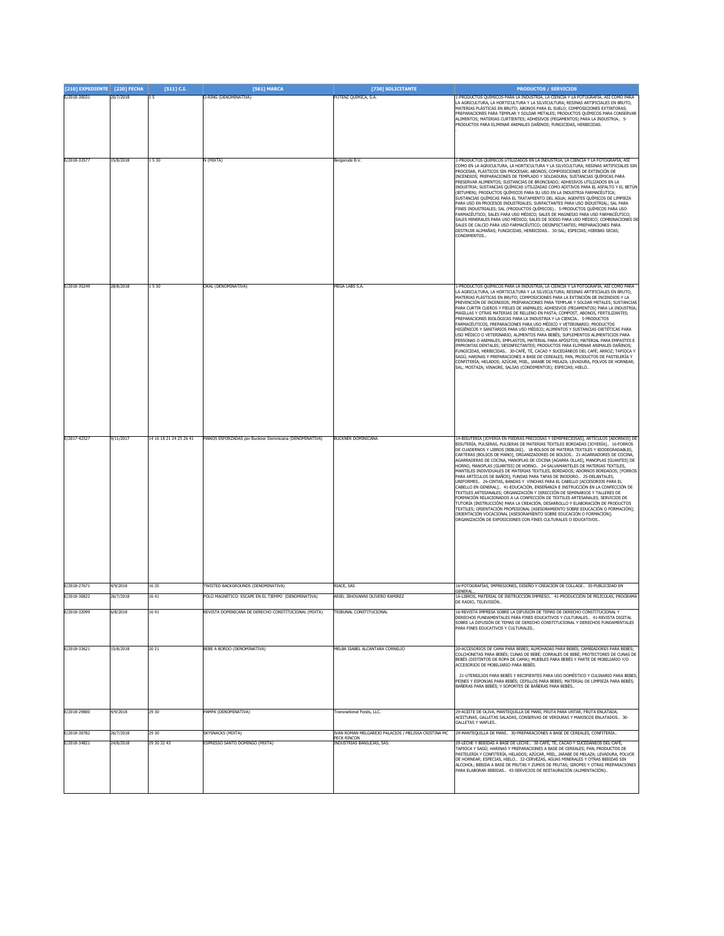| [210] EXPEDIENTE [220] FECHA |                        | $[511]$ C.I.            | [561] MARCA                                                                              | [730] SOLICITANTE                                                                               | <b>PRODUCTOS / SERVICIOS</b>                                                                                                                                                                                                                                                                                                                                                                                                                                                                                                                                                                                                                                                                                                                                                                                                                                                                                                                                                                                                                                                                                                                                                                                                                                                                                                                 |
|------------------------------|------------------------|-------------------------|------------------------------------------------------------------------------------------|-------------------------------------------------------------------------------------------------|----------------------------------------------------------------------------------------------------------------------------------------------------------------------------------------------------------------------------------------------------------------------------------------------------------------------------------------------------------------------------------------------------------------------------------------------------------------------------------------------------------------------------------------------------------------------------------------------------------------------------------------------------------------------------------------------------------------------------------------------------------------------------------------------------------------------------------------------------------------------------------------------------------------------------------------------------------------------------------------------------------------------------------------------------------------------------------------------------------------------------------------------------------------------------------------------------------------------------------------------------------------------------------------------------------------------------------------------|
| E/2018-30031                 | 20/7/2018              | 15                      | O-RING (DENOMINATIVA)                                                                    | POTENZ QUÍMICA, S.A.                                                                            | 1-PRODUCTOS QUÍMICOS PARA LA INDUSTRIA, LA CIENCIA Y LA FOTOGRAFÍA, ASÍ COMO PARA<br>LA AGRICULTURA, LA HORTICULTURA Y LA SILVICULTURA; RESINAS ARTIFICIALES EN BRUTO,<br>MATERIAS PLÁSTICAS EN BRUTO; ABONOS PARA EL SUELO; COMPOSICIONES EXTINTORAS;<br>PREPARACIONES PARA TEMPLAR Y SOLDAR METALES; PRODUCTOS QUÍMICOS PARA CONSERVAR<br>ALIMENTOS; MATERIAS CURTIENTES; ADHESIVOS (PEGAMENTOS) PARA LA INDUSTRIA 5-<br>PRODUCTOS PARA ELIMINAR ANIMALES DAÑINOS: FUNGICIDAS, HERBICIDAS,                                                                                                                                                                                                                                                                                                                                                                                                                                                                                                                                                                                                                                                                                                                                                                                                                                                 |
| E/2018-33577                 | 15/8/2018              | 1530                    | N (MIXTA)                                                                                | Bergerode B.V.                                                                                  | -PRODUCTOS QUÍMICOS UTILIZADOS EN LA INDUSTRIA, LA CIENCIA Y LA FOTOGRAFÍA, ASÍ<br>COMO EN LA AGRICULTURA, LA HORTICULTURA Y LA SILVICULTURA; RESINAS ARTIFICIALES SIN<br>PROCESAR, PLÁSTICOS SIN PROCESAR; ABONOS; COMPOSICIONES DE EXTINCIÓN DE<br>INCENDIOS; PREPARACIONES DE TEMPLADO Y SOLDADURA; SUSTANCIAS QUÍMICAS PARA<br>RESERVAR ALIMENTOS; SUSTANCIAS DE BRONCEADO; ADHESIVOS UTILIZADOS EN LA<br>INDUSTRIA; SUSTANCIAS QUÍMICAS UTILIZADAS COMO ADITIVOS PARA EL ASFALTO Y EL BETÚN<br>(BITUMEN); PRODUCTOS QUÍMICOS PARA SU USO EN LA INDUSTRIA FARMACÉUTICA;<br>SUSTANCIAS QUÍMICAS PARA EL TRATAMIENTO DEL AGUA; AGENTES QUÍMICOS DE LIMPIEZA<br>PARA USO EN PROCESOS INDUSTRIALES; SURFACTANTES PARA USO INDUSTRIAL; SAL PARA<br>FINES INDUSTRIALES; SAL (PRODUCTOS QUÍMICOS) 5-PRODUCTOS QUÍMICOS PARA USO<br>FARMACÉUTICO; SALES PARA USO MÉDICO; SALES DE MAGNESIO PARA USO FARMACÉUTICO;<br>SALES MINERALES PARA USO MÉDICO; SALES DE SODIO PARA USO MÉDICO; COMBINACIONES DE<br>SALES DE CALCIO PARA USO FARMACÉUTICO; DESINFECTANTES; PREPARACIONES PARA<br>DESTRUIR ALIMAÑAS; FUNGICIDAS, HERBICIDAS 30-SAL; ESPECIAS; HIERBAS SECAS;<br>CONDIMENTOS.                                                                                                                                                                |
| E/2018-35249                 | 28/8/2018              | 1530                    | OKAL (DENOMINATIVA)                                                                      | MEGA LABS S.A.                                                                                  | 1-PRODUCTOS QUÍMICOS PARA LA INDUSTRIA, LA CIENCIA Y LA FOTOGRAFÍA, ASÍ COMO PARA<br>LA AGRICULTURA, LA HORTICULTURA Y LA SILVICULTURA; RESINAS ARTIFICIALES EN BRUTO,<br>MATERIAS PLÁSTICAS EN BRUTO; COMPOSICIONES PARA LA EXTINCIÓN DE INCENDIOS Y LA<br>PREVENCIÓN DE INCENDIOS; PREPARACIONES PARA TEMPLAR Y SOLDAR METALES; SUSTANCIAS<br>PARA CURTIR CUEROS Y PIELES DE ANIMALES; ADHESIVOS (PEGAMENTOS) PARA LA INDUSTRIA;<br>MASILLAS Y OTRAS MATERIAS DE RELLENO EN PASTA; COMPOST, ABONOS, FERTILIZANTES;<br>PREPARACIONES BIOLÓGICAS PARA LA INDUSTRIA Y LA CIENCIA. 5-PRODUCTOS<br>FARMACÉUTICOS, PREPARACIONES PARA USO MÉDICO Y VETERINARIO; PRODUCTOS<br>HIGIÉNICOS Y SANITARIOS PARA USO MÉDICO; ALIMENTOS Y SUSTANCIAS DIETÉTICAS PARA<br>USO MÉDICO O VETERINARIO, ALIMENTOS PARA BEBÉS; SUPLEMENTOS ALIMENTICIOS PARA<br>PERSONAS O ANIMALES; EMPLASTOS, MATERIAL PARA APÓSITOS; MATERIAL PARA EMPASTES E<br>IMPRONTAS DENTALES; DESINFECTANTES; PRODUCTOS PARA ELIMINAR ANIMALES DAÑINOS;<br>FUNGICIDAS, HERBICIDAS 30-CAFÉ, TÉ, CACAO Y SUCEDÁNEOS DEL CAFÉ; ARROZ; TAPIOCA Y<br>SAGÚ; HARINAS Y PREPARACIONES A BASE DE CEREALES; PAN, PRODUCTOS DE PASTELERÍA Y<br>CONFITERÍA; HELADOS; AZÚCAR, MIEL, JARABE DE MELAZA; LEVADURA, POLVOS DE HORNEAR;<br>SAL; MOSTAZA; VINAGRE, SALSAS (CONDIMENTOS); ESPECIAS; HIELO |
| E/2017-42527                 | 9/11/2017              | 14 16 18 21 24 25 26 41 | MANOS ESFORZADAS por Buckner Dominicana (DENOMINATIVA)                                   | <b>BUCKNER DOMINICANA</b>                                                                       | 14-BISUTERÍA [JOYERÍA EN PIEDRAS PRECIOSAS Y SEMIPRECIOSAS], ARTÍCULOS [ADORNOS] DE<br>BISUTERÍA, PULSERAS, PULSERAS DE MATERIAS TEXTILES BORDADAS [JOYERÍA] 16-FORROS<br>DE CUADERNOS Y LIBROS [BIBLIAS] 18-BOLSOS DE MATERIA TEXTILES Y BIODEGRADABLES,<br>CARTERAS [BOLSOS DE MANO], ORGANIZADORES DE BOLSOS 21-AGARRADORES DE COCINA,<br>AGARRADERAS DE COCINA, MANOPLAS DE COCINA [AGARRA OLLAS], MANOPLAS [GUANTES] DE<br>HORNO, MANOPLAS [GUANTES] DE HORNO 24-SALVAMANTELES DE MATERIAS TEXTILES,<br>MANTELES INDIVIDUALES DE MATERIAS TEXTILES, BORDADOS; ADORNOS BORDADOS; [FORROS<br>PARA ARTÍCULOS DE BAÑOS], FUNDAS PARA TAPAS DE INODORO 25-DELANTALES,<br>UNIFORMES 26-CINTAS, BANDAS Y VINCHAS PARA EL CABELLO JACCESORIOS PARA EL<br>CABELLO EN GENERAL] 41-EDUCACIÓN, ENSEÑANZA E INSTRUCCIÓN EN LA CONFECCIÓN DE<br>TEXTILES ARTESANALES; ORGANIZACIÓN Y DIRECCIÓN DE SEMINARIOS Y TALLERES DE<br>FORMACIÓN RELACIONADOS A LA CONFECCIÓN DE TEXTILES ARTESANALES; SERVICIOS DE<br>TUTORÍA [INSTRUCCIÓN] PARA LA CREACIÓN, DESARROLLO Y ELABORACIÓN DE PRODUCTOS<br>TEXTILES; ORIENTACIÓN PROFESIONAL [ASESORAMIENTO SOBRE EDUCACIÓN O FORMACIÓN];<br>ORIENTACIÓN VOCACIONAL [ASESORAMIENTO SOBRE EDUCACIÓN O FORMACIÓN];<br>ORGANIZACIÓN DE EXPOSICIONES CON FINES CULTURALES O EDUCATIVOS                                |
| E/2018-27671<br>E/2018-30822 | 1/9/2018<br>26/7/2018  | 16 35<br>1641           | TWISTED BACKGROUNDS (DENOMINATIVA)<br>POLO MAGNÉTICO: ESCAPE EN EL TIEMPO (DENOMINATIVA) | RIACE, SAS<br>ARIEL JEHOVANNI OLIVERO RAMIREZ                                                   | 16-FOTOGRAFÍAS, IMPRESIONES, DISEÑO Y CREACIÓN DE COLLAGE 35-PUBLICIDAD EN<br>GENERAL<br>16-LIBROS, MATERIAL DE INSTRUCCIÓN IMPRESO 41-PRODUCCIÓN DE PELÍCULAS, PROGRAMA                                                                                                                                                                                                                                                                                                                                                                                                                                                                                                                                                                                                                                                                                                                                                                                                                                                                                                                                                                                                                                                                                                                                                                     |
| E/2018-32099                 | 6/8/2018               | 16 4:                   | REVISTA DOMINICANA DE DERECHO CONSTITUCIONAL (MIXTA)                                     | TRIBUNAL CONSTITUCIONA                                                                          | DE RADIO. TELEVISIÓN.<br>16-REVISTA IMPRESA SOBRE LA DIFUSIÓN DE TEMAS DE DERECHO CONSTITUCIONAL<br>DERECHOS FUNDAMENTALES PARA FINES EDUCATIVOS Y CULTURALES 41-REVISTA DIGITAL<br>SOBRE LA DIFUSIÓN DE TEMAS DE DERECHO CONSTITUCIONAL Y DERECHOS FUNDAMENTALES<br>PARA FINES EDUCATIVOS Y CULTURALES                                                                                                                                                                                                                                                                                                                                                                                                                                                                                                                                                                                                                                                                                                                                                                                                                                                                                                                                                                                                                                      |
| E/2018-33621                 | 15/8/2018              | 20 21                   | BEBE A BORDO (DENOMINATIVA)                                                              | MELBA ISABEL ALCANTARA CORNELIO                                                                 | 20-ACCESORIOS DE CAMA PARA BEBÉS; ALMOHADAS PARA BEBÉS; CAMBIADORES PARA BEBÉS;<br>COLCHONETAS PARA BEBÉS: CUNAS DE BEBÉ: CORRALES DE BEBÉ: PROTECTORES DE CUNAS DE<br>BEBES (DISTINTOS DE ROPA DE CAMA); MUEBLES PARA BEBÉS Y PARTE DE MOBILIARIO Y/O<br>ACCESORIOS DE MOBILIARIO PARA BEBÉS.<br>21-UTENSILIOS PARA BEBÉS Y RECIPIENTES PARA USO DOMÉSTICO Y CULINARIO PARA BEBES;<br>PEINES Y ESPONJAS PARA BEBÉS; CEPILLOS PARA BEBES; MATERIAL DE LIMPIEZA PARA BEBÉS;<br>BAÑERAS PARA BEBÉS; Y SOPORTES DE BAÑERAS PARA BEBÉS                                                                                                                                                                                                                                                                                                                                                                                                                                                                                                                                                                                                                                                                                                                                                                                                           |
| E/2018-29800                 | 4/9/2018               | 29 30                   | PAMPA (DENOMINATIVA)                                                                     | <b>Transnational Foods, LLC.</b>                                                                | 29-ACEITE DE OLIVA, MANTEQUILLA DE MANÍ, FRUTA PARA UNTAR, FRUTA ENLATADA,<br>ACEITUNAS, GALLETAS SALADAS, CONSERVAS DE VERDURAS Y MARISCOS ENLATADOS 30-<br>GALLETAS Y WAFLES.                                                                                                                                                                                                                                                                                                                                                                                                                                                                                                                                                                                                                                                                                                                                                                                                                                                                                                                                                                                                                                                                                                                                                              |
| E/2018-30782<br>E/2018-34821 | 26/7/2018<br>24/8/2018 | 29 30<br>29 30 32 43    | SKYSNACKS (MIXTA)<br>ESPRESSO SANTO DOMINGO (MIXTA)                                      | VAN ROMAN MELGAREJO PALACIOS / MELISSA CRISTINA MC<br>PECK RINCON<br>INDUSTRIAS BANILEJAS, SAS. | 29-MANTEQUILLA DE MANÍ 30-PREPARACIONES A BASE DE CEREALES, CONFITERÍA<br>29-LECHE Y BEBIDAS A BASE DE LECHE. 30-CAFÉ, TÉ, CACAO Y SUCEDÁNEOS DEL CAFÉ                                                                                                                                                                                                                                                                                                                                                                                                                                                                                                                                                                                                                                                                                                                                                                                                                                                                                                                                                                                                                                                                                                                                                                                       |
|                              |                        |                         |                                                                                          |                                                                                                 | TAPIOCA Y SAGÚ; HARINAS Y PREPARACIONES A BASE DE CEREALES; PAN, PRODUCTOS DE<br>PASTELERÍA Y CONFITERÍA, HELADOS; AZÚCAR, MIEL, JARABE DE MELAZA; LEVADURA, POLVOS<br>DE HORNEAR; ESPECIAS, HIELO 32-CERVEZAS, AGUAS MINERALES Y OTRAS BEBIDAS SIN<br>ALCOHOL; BEBIDA A BASE DE FRUTAS Y ZUMOS DE FRUTAS; SIROPES Y OTRAS PREPARACIONES<br>PARA ELABORAR BEBIDAS 43-SERVICIOS DE RESTAURACIÓN (ALIMENTACIÓN)                                                                                                                                                                                                                                                                                                                                                                                                                                                                                                                                                                                                                                                                                                                                                                                                                                                                                                                                |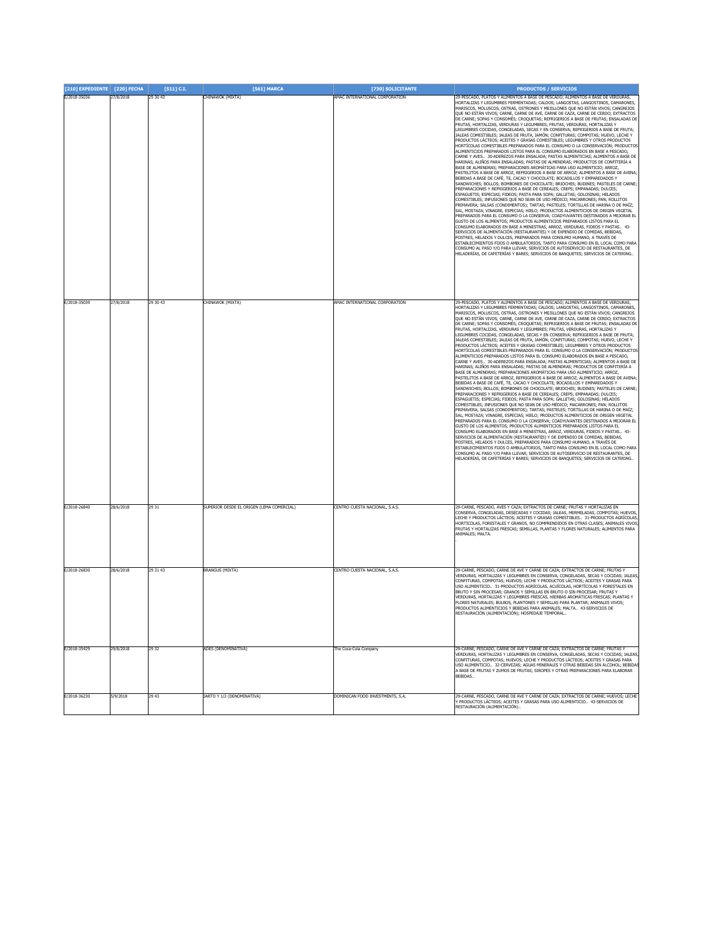| [210] EXPEDIENTE [220] FECHA |           | $[511]$ C.I. | [561] MARCA                               | [730] SOLICITANTE                | <b>PRODUCTOS / SERVICIOS</b>                                                                                                                                                                                                                                                                                                                                                                                                                                                                                                                                                                                                                                                                                                                                                                                                                                                                                                                                                                                                                                                                                                                                                                                                                                                                                                                                                                                                                                                                                                                                                                                                                                                                                                                                                                                                                                                                                                                                                                                                                                                                                                                                                                                                                                                                                                                                                                                                                                                                                                        |
|------------------------------|-----------|--------------|-------------------------------------------|----------------------------------|-------------------------------------------------------------------------------------------------------------------------------------------------------------------------------------------------------------------------------------------------------------------------------------------------------------------------------------------------------------------------------------------------------------------------------------------------------------------------------------------------------------------------------------------------------------------------------------------------------------------------------------------------------------------------------------------------------------------------------------------------------------------------------------------------------------------------------------------------------------------------------------------------------------------------------------------------------------------------------------------------------------------------------------------------------------------------------------------------------------------------------------------------------------------------------------------------------------------------------------------------------------------------------------------------------------------------------------------------------------------------------------------------------------------------------------------------------------------------------------------------------------------------------------------------------------------------------------------------------------------------------------------------------------------------------------------------------------------------------------------------------------------------------------------------------------------------------------------------------------------------------------------------------------------------------------------------------------------------------------------------------------------------------------------------------------------------------------------------------------------------------------------------------------------------------------------------------------------------------------------------------------------------------------------------------------------------------------------------------------------------------------------------------------------------------------------------------------------------------------------------------------------------------------|
| E/2018-35036                 | 27/8/2018 | 29 30 43     | CHINAWOK (MIXTA)                          | AMAC INTERNATIONAL CORPORATION   | 29-PESCADO, PLATOS Y ALIMENTOS A BASE DE PESCADO; ALIMENTOS A BASE DE VERDURAS,<br>HORTALIZAS Y LEGUMBRES EERMENTADAS: CALDOS: LANGOSTAS, LANGOSTINOS, CAMARONES<br>MARISCOS, MOLUSCOS, OSTRAS, OSTRONES Y MEJILLONES QUE NO ESTÁN VIVOS; CANGREJOS<br>QUE NO ESTÁN VIVOS; CARNE, CARNE DE AVE, CARNE DE CAZA, CARNE DE CERDO; EXTRACTOS<br>DE CARNE; SOPAS Y CONSOMÉS; CROQUETAS; REFRIGERIOS A BASE DE FRUTAS; ENSALADAS DE<br>FRUTAS, HORTALIZAS, VERDURAS Y LEGUMBRES; FRUTAS, VERDURAS, HORTALIZAS Y<br>LEGUMBRES COCIDAS, CONGELADAS, SECAS Y EN CONSERVA; REFRIGERIOS A BASE DE FRUTA;<br>JALEAS COMESTIBLES; JALEAS DE FRUTA, JAMÓN; CONFITURAS; COMPOTAS; HUEVO, LECHE Y<br>PRODUCTOS LÁCTEOS; ACEITES Y GRASAS COMESTIBLES; LEGUMBRES Y OTROS PRODUCTOS<br>HORTÍCOLAS COMESTIBLES PREPARADOS PARA EL CONSUMO O LA CONSERVACIÓN: PRODUCTOS<br>ALIMENTICIOS PREPARADOS LISTOS PARA EL CONSUMO ELABORADOS EN BASE A PESCADO,<br>CARNE Y AVES 30-ADEREZOS PARA ENSALADA; PASTAS ALIMENTICIAS; ALIMENTOS A BASE DE<br>HARINAS; ALIÑOS PARA ENSALADAS; PASTAS DE ALMENDRAS; PRODUCTOS DE CONFITERÍA A<br>BASE DE ALMENDRAS; PREPARACIONES AROMÁTICAS PARA USO ALIMENTICIO; ARROZ,<br>PASTELITOS A BASE DE ARROZ, REFRIGERIOS A BASE DE ARROZ; ALIMENTOS A BASE DE AVENA;<br>BEBIDAS A BASE DE CAFÉ, TE, CACAO Y CHOCOLATE; BOCADILLOS Y EMPAREDADOS Y<br>SANDWICHES; BOLLOS; BOMBONES DE CHOCOLATE; BRIOCHES; BUDINES; PASTELES DE CARNE;<br>PREPARACIONES Y REFRIGERIOS A BASE DE CEREALES; CREPS; EMPANADAS; DULCES;<br>ESPAGUETIS; ESPECIAS; FIDEOS; PASTA PARA SOPA; GALLETAS; GOLOSINAS; HELADOS<br>COMESTIBLES; INFUSIONES QUE NO SEAN DE USO MÉDICO; MACARRONES; PAN; ROLLITOS<br>PRIMAVERA; SALSAS (CONDIMENTOS); TARTAS; PASTELES; TORTILLAS DE HARINA O DE MAÍZ;<br>SAL, MOSTAZA; VINAGRE, ESPECIAS; HIELO; PRODUCTOS ALIMENTICIOS DE ORIGEN VEGETAL<br>PREPARADOS PARA EL CONSUMO O LA CONSERVA; COADYUVANTES DESTINADOS A MEJORAR EL<br>GUSTO DE LOS ALIMENTOS; PRODUCTOS ALIMENTICIOS PREPARADOS LISTOS PARA EL<br>CONSUMO ELABORADOS EN BASE A MENESTRAS, ARROZ, VERDURAS, FIDEOS Y PASTAS 43-<br>SERVICIOS DE ALIMENTACIÓN (RESTAURANTES) Y DE EXPENDIO DE COMIDAS, BEBIDAS,<br>POSTRES, HELADOS Y DULCES, PREPARADOS PARA CONSUMO HUMANO, A TRAVÉS DE<br>ESTABLECIMIENTOS FIJOS O AMBULATORIOS, TANTO PARA CONSUMO EN EL LOCAL COMO PARA<br>CONSUMO AL PASO Y/O PARA LLEVAR; SERVICIOS DE AUTOSERVICIO DE RESTAURANTES, DE<br>HELADERÍAS, DE CAFETERÍAS Y BARES; SERVICIOS DE BANQUETES; SERVICIOS DE CATERING. |
| E/2018-35039                 | 27/8/2018 | 29 30 43     | CHINAWOK (MIXTA)                          | AMAC INTERNATIONAL CORPORATION   | 29-PESCADO, PLATOS Y ALIMENTOS A BASE DE PESCADO; ALIMENTOS A BASE DE VERDURAS,                                                                                                                                                                                                                                                                                                                                                                                                                                                                                                                                                                                                                                                                                                                                                                                                                                                                                                                                                                                                                                                                                                                                                                                                                                                                                                                                                                                                                                                                                                                                                                                                                                                                                                                                                                                                                                                                                                                                                                                                                                                                                                                                                                                                                                                                                                                                                                                                                                                     |
|                              |           |              |                                           |                                  | HORTALIZAS Y LEGUMBRES FERMENTADAS; CALDOS; LANGOSTAS, LANGOSTINOS, CAMARONES,<br>MARISCOS, MOLUSCOS, OSTRAS, OSTRONES Y MEJILLONES QUE NO ESTÁN VIVOS; CANGREJOS<br>QUE NO ESTÁN VIVOS; CARNE, CARNE DE AVE, CARNE DE CAZA, CARNE DE CERDO; EXTRACTOS<br>DE CARNE; SOPAS Y CONSOMÉS; CROQUETAS; REFRIGERIOS A BASE DE FRUTAS; ENSALADAS DE<br>FRUTAS, HORTALIZAS, VERDURAS Y LEGUMBRES; FRUTAS, VERDURAS, HORTALIZAS Y<br>LEGUMBRES COCIDAS, CONGELADAS, SECAS Y EN CONSERVA; REFRIGERIOS A BASE DE FRUTA;<br>JALEAS COMESTIBLES; JALEAS DE FRUTA, JAMÓN; CONFITURAS; COMPOTAS; HUEVO, LECHE Y<br>PRODUCTOS LÁCTEOS; ACEITES Y GRASAS COMESTIBLES; LEGUMBRES Y OTROS PRODUCTOS<br>HORTÍCOLAS COMESTIBLES PREPARADOS PARA EL CONSUMO O LA CONSERVACIÓN; PRODUCTOS<br>ALIMENTICIOS PREPARADOS LISTOS PARA EL CONSUMO ELABORADOS EN BASE A PESCADO,<br>CARNE Y AVES 30-ADEREZOS PARA ENSALADA; PASTAS ALIMENTICIAS; ALIMENTOS A BASE DE<br>HARINAS; ALIÑOS PARA ENSALADAS; PASTAS DE ALMENDRAS; PRODUCTOS DE CONFITERÍA A<br>BASE DE ALMENDRAS; PREPARACIONES AROMÁTICAS PARA USO ALIMENTICIO; ARROZ,<br>PASTELITOS A BASE DE ARROZ, REFRIGERIOS A BASE DE ARROZ; ALIMENTOS A BASE DE AVENA;<br>BEBIDAS A BASE DE CAFÉ, TE, CACAO Y CHOCOLATE; BOCADILLOS Y EMPAREDADOS Y<br>SANDWICHES: BOLLOS: BOMBONES DE CHOCOLATE: BRIOCHES: BUDINES: PASTELES DE CARNE:<br>PREPARACIONES Y REFRIGERIOS A BASE DE CEREALES; CREPS; EMPANADAS; DULCES;<br>ESPAGUETIS; ESPECIAS; FIDEOS; PASTA PARA SOPA; GALLETAS; GOLOSINAS; HELADOS<br>COMESTIBLES; INFUSIONES QUE NO SEAN DE USO MÉDICO; MACARRONES; PAN; ROLLITOS<br>PRIMAVERA; SALSAS (CONDIMENTOS); TARTAS; PASTELES; TORTILLAS DE HARINA O DE MAÍZ;<br>SAL, MOSTAZA; VINAGRE, ESPECIAS; HIELO; PRODUCTOS ALIMENTICIOS DE ORIGEN VEGETAL<br>PREPARADOS PARA EL CONSUMO O LA CONSERVA; COADYUVANTES DESTINADOS A MEJORAR EL<br>GUSTO DE LOS ALIMENTOS; PRODUCTOS ALIMENTICIOS PREPARADOS LISTOS PARA EL<br>CONSUMO ELABORADOS EN BASE A MENESTRAS, ARROZ, VERDURAS, FIDEOS Y PASTAS 43-<br>SERVICIOS DE ALIMENTACIÓN (RESTAURANTES) Y DE EXPENDIO DE COMIDAS, BEBIDAS,<br>POSTRES, HELADOS Y DULCES, PREPARADOS PARA CONSUMO HUMANO, A TRAVÉS DE<br>ESTABLECIMIENTOS FIJOS O AMBULATORIOS, TANTO PARA CONSUMO EN EL LOCAL COMO PARA<br>CONSUMO AL PASO Y/O PARA LLEVAR; SERVICIOS DE AUTOSERVICIO DE RESTAURANTES, DE<br>HELADERÍAS, DE CAFETERÍAS Y BARES; SERVICIOS DE BANQUETES; SERVICIOS DE CATERING                                                                                    |
| E/2018-26840                 | 28/6/2018 | 29 31        | SUPERIOR DESDE EL ORIGEN (LEMA COMERCIAL) | CENTRO CUESTA NACIONAL, S.A.S.   | 29-CARNE, PESCADO, AVES Y CAZA; EXTRACTOS DE CARNE; FRUTAS Y HORTALIZAS EN<br>CONSERVA, CONGELADAS, DESECADAS Y COCIDAS: JALEAS, MERMELADAS, COMPOTAS: HUEVOS,<br>LECHE Y PRODUCTOS LÁCTEOS; ACEITES Y GRASAS COMESTIBLES 31-PRODUCTOS AGRÍCOLAS<br>HORTÍCOLAS, FORESTALES Y GRANOS, NO COMPRENDIDOS EN OTRAS CLASES; ANIMALES VIVOS<br>FRUTAS Y HORTALIZAS FRESCAS; SEMILLAS, PLANTAS Y FLORES NATURALES; ALIMENTOS PARA<br>ANIMALES; MALTA                                                                                                                                                                                                                                                                                                                                                                                                                                                                                                                                                                                                                                                                                                                                                                                                                                                                                                                                                                                                                                                                                                                                                                                                                                                                                                                                                                                                                                                                                                                                                                                                                                                                                                                                                                                                                                                                                                                                                                                                                                                                                        |
| E/2018-26830                 | 28/6/2018 | 29 31 43     | BRANGUS (MIXTA)                           | CENTRO CUESTA NACIONAL, S.A.S.   | 29-CARNE, PESCADO, CARNE DE AVE Y CARNE DE CAZA; EXTRACTOS DE CARNE; FRUTAS Y<br>VERDURAS, HORTALIZAS Y LEGUMBRES EN CONSERVA, CONGELADAS, SECAS Y COCIDAS; JALEAS<br>CONFITURAS, COMPOTAS; HUEVOS; LECHE Y PRODUCTOS LÁCTEOS; ACEITES Y GRASAS PARA<br>USO ALIMENTICIO 31-PRODUCTOS AGRÍCOLAS, ACUÍCOLAS, HORTÍCOLAS Y FORESTALES EN<br>BRUTO Y SIN PROCESAR; GRANOS Y SEMILLAS EN BRUTO O SIN PROCESAR; FRUTAS Y<br>VERDURAS, HORTALIZAS Y LEGUMBRES FRESCAS, HIERBAS AROMÁTICAS FRESCAS; PLANTAS Y<br>FLORES NATURALES; BULBOS, PLANTONES Y SEMILLAS PARA PLANTAR; ANIMALES VIVOS;<br>PRODUCTOS ALIMENTICIOS Y BEBIDAS PARA ANIMALES; MALTA 43-SERVICIOS DE<br>ESTAURACIÓN (ALIMENTACIÓN); HOSPEDAJE TEMPORAI                                                                                                                                                                                                                                                                                                                                                                                                                                                                                                                                                                                                                                                                                                                                                                                                                                                                                                                                                                                                                                                                                                                                                                                                                                                                                                                                                                                                                                                                                                                                                                                                                                                                                                                                                                                                                    |
| E/2018-35429                 | 29/8/2018 | 29 32        | ADES (DENOMINATIVA)                       | The Coca-Cola Company            | 29-CARNE, PESCADO, CARNE DE AVE Y CARNE DE CAZA; EXTRACTOS DE CARNE; FRUTAS Y<br>VERDURAS, HORTALIZAS Y LEGUMBRES EN CONSERVA, CONGELADAS, SECAS Y COCIDAS; JALEAS<br>CONFITURAS, COMPOTAS; HUEVOS; LECHE Y PRODUCTOS LÁCTEOS; ACEITES Y GRASAS PARA<br>USO ALIMENTICIO 32-CERVEZAS; AGUAS MINERALES Y OTRAS BEBIDAS SIN ALCOHOL; BEBIDA<br>A BASE DE FRUTAS Y ZUMOS DE FRUTAS; SIROPES Y OTRAS PREPARACIONES PARA ELABORAR<br>BEBIDAS                                                                                                                                                                                                                                                                                                                                                                                                                                                                                                                                                                                                                                                                                                                                                                                                                                                                                                                                                                                                                                                                                                                                                                                                                                                                                                                                                                                                                                                                                                                                                                                                                                                                                                                                                                                                                                                                                                                                                                                                                                                                                              |
| E/2018-36230                 | 5/9/2018  | 29 43        | <b>IARTO Y 1/2 (DENOMINATIVA)</b>         | DOMINICAN FOOD INVESTMENTS, S.A. | 9-CARNE, PESCADO, CARNE DE AVE Y CARNE DE CAZA; EXTRACTOS DE CARNE; HUEVOS; LECHE<br>Y PRODUCTOS LÁCTEOS; ACEITES Y GRASAS PARA USO ALIMENTICIO 43-SERVICIOS DE<br>(ESTAURACIÓN (ALIMENTACIÓN)                                                                                                                                                                                                                                                                                                                                                                                                                                                                                                                                                                                                                                                                                                                                                                                                                                                                                                                                                                                                                                                                                                                                                                                                                                                                                                                                                                                                                                                                                                                                                                                                                                                                                                                                                                                                                                                                                                                                                                                                                                                                                                                                                                                                                                                                                                                                      |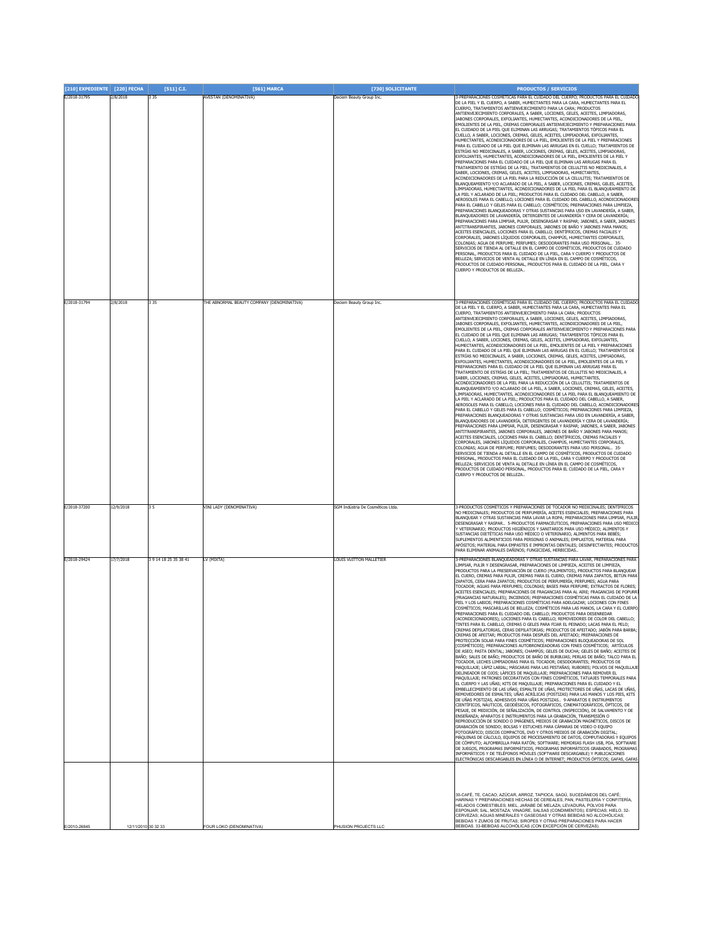| [210] EXPEDIENTE | [220] FECHA         | $[511]$ C.I.         | [561] MARCA                                | [730] SOLICITANTE                 | <b>PRODUCTOS / SERVICIOS</b>                                                                                                                                                |
|------------------|---------------------|----------------------|--------------------------------------------|-----------------------------------|-----------------------------------------------------------------------------------------------------------------------------------------------------------------------------|
| E/2018-31795     | 2/8/2018            | 3 3 5                | AVESTAN (DENOMINATIVA)                     | Deciem Beauty Group Inc           | 3-PREPARACIONES COSMÉTICAS PARA EL CUIDADO DEL CUERPO; PRODUCTOS PARA EL CUIDADO<br>DE LA PIEL Y EL CUERPO, A SABER, HUMECTANTES PARA LA CARA, HUMECTANTES PARA EL          |
|                  |                     |                      |                                            |                                   | CUERPO, TRATAMIENTOS ANTIENVEJECIMIENTO PARA LA CARA; PRODUCTOS<br>ANTIENVEJECIMIENTO CORPORALES, A SABER, LOCIONES, GELES, ACEITES, LIMPIADORAS,                           |
|                  |                     |                      |                                            |                                   | JABONES CORPORALES, EXFOLIANTES, HUMECTANTES, ACONDICIONADORES DE LA PIEL,<br>EMOLIENTES DE LA PIEL, CREMAS CORPORALES ANTIENVEJECIMIENTO Y PREPARACIONES PARA              |
|                  |                     |                      |                                            |                                   | EL CUIDADO DE LA PIEL QUE ELIMINAN LAS ARRUGAS; TRATAMIENTOS TÓPICOS PARA EL<br>CUELLO, A SABER, LOCIONES, CREMAS, GELES, ACEITES, LIMPIADORAS, EXFOLIANTES,                |
|                  |                     |                      |                                            |                                   | HUMECTANTES, ACONDICIONADORES DE LA PIEL, EMOLIENTES DE LA PIEL Y PREPARACIONES<br>PARA EL CUIDADO DE LA PIEL QUE ELIMINAN LAS ARRUGAS EN EL CUELLO; TRATAMIENTOS DE        |
|                  |                     |                      |                                            |                                   | ESTRÍAS NO MEDICINALES, A SABER, LOCIONES, CREMAS, GELES, ACEITES, LIMPIADORAS,<br>EXFOLIANTES, HUMECTANTES, ACONDICIONADORES DE LA PIEL, EMOLIENTES DE LA PIEL Y           |
|                  |                     |                      |                                            |                                   | PREPARACIONES PARA EL CUIDADO DE LA PIEL QUE ELIMINAN LAS ARRUGAS PARA EL                                                                                                   |
|                  |                     |                      |                                            |                                   | TRATAMIENTO DE ESTRÍAS DE LA PIEL; TRATAMIENTOS DE CELULITIS NO MEDICINALES, A<br>SABER, LOCIONES, CREMAS, GELES, ACEITES, LIMPIADORAS, HUMECTANTES,                        |
|                  |                     |                      |                                            |                                   | ACONDICIONADORES DE LA PIEL PARA LA REDUCCIÓN DE LA CELULITIS; TRATAMIENTOS DE<br>BLANQUEAMIENTO Y/O ACLARADO DE LA PIEL, A SABER, LOCIONES, CREMAS, GELES, ACEITES,        |
|                  |                     |                      |                                            |                                   | LIMPIADORAS, HUMECTANTES, ACONDICIONADORES DE LA PIEL PARA EL BLANQUEAMIENTO DE<br>LA PIEL Y ACLARADO DE LA PIEL; PRODUCTOS PARA EL CUIDADO DEL CABELLO, A SABER,           |
|                  |                     |                      |                                            |                                   | AEROSOLES PARA EL CABELLO, LOCIONES PARA EL CUIDADO DEL CABELLO, ACONDICIONADORES<br>PARA EL CABELLO Y GELES PARA EL CABELLO; COSMÉTICOS; PREPARACIONES PARA LIMPIEZA,      |
|                  |                     |                      |                                            |                                   | PREPARACIONES BLANQUEADORAS Y OTRAS SUSTANCIAS PARA USO EN LAVANDERÍA, A SABER,<br>BLANQUEADORES DE LAVANDERÍA, DETERGENTES DE LAVANDERÍA Y CERA DE LAVANDERÍA;             |
|                  |                     |                      |                                            |                                   | PREPARACIONES PARA LIMPIAR, PULIR, DESENGRASAR Y RASPAR; JABONES, A SABER, JABONES<br>ANTITRANSPIRANTES, JABONES CORPORALES, JABONES DE BAÑO Y JABONES PARA MANOS;          |
|                  |                     |                      |                                            |                                   | ACEITES ESENCIALES, LOCIONES PARA EL CABELLO; DENTÍFRICOS, CREMAS FACIALES Y<br>CORPORALES, JABONES LÍQUIDOS CORPORALES, CHAMPÚS, HUMECTANTES CORPORALES,                   |
|                  |                     |                      |                                            |                                   | COLONIAS; AGUA DE PERFUME; PERFUMES; DESODORANTES PARA USO PERSONAL 35-<br>SERVICIOS DE TIENDA AL DETALLE EN EL CAMPO DE COSMÉTICOS, PRODUCTOS DE CUIDADO                   |
|                  |                     |                      |                                            |                                   | PERSONAL, PRODUCTOS PARA EL CUIDADO DE LA PIEL, CARA Y CUERPO Y PRODUCTOS DE<br>BELLEZA; SERVICIOS DE VENTA AL DETALLE EN LÍNEA EN EL CAMPO DE COSMÉTICOS,                  |
|                  |                     |                      |                                            |                                   | PRODUCTOS DE CUIDADO PERSONAL, PRODUCTOS PARA EL CUIDADO DE LA PIEL, CARA Y<br>CUERPO Y PRODUCTOS DE BELLEZA                                                                |
|                  |                     |                      |                                            |                                   |                                                                                                                                                                             |
|                  |                     |                      |                                            |                                   |                                                                                                                                                                             |
| E/2018-31794     | 2/8/2018            | 335                  | THE ABNORMAL BEAUTY COMPANY (DENOMINATIVA) | Deciem Beauty Group Inc.          | 3-PREPARACIONES COSMÉTICAS PARA EL CUIDADO DEL CUERPO; PRODUCTOS PARA EL CUIDADO                                                                                            |
|                  |                     |                      |                                            |                                   | DE LA PIEL Y EL CUERPO, A SABER, HUMECTANTES PARA LA CARA, HUMECTANTES PARA EL<br>CUERPO, TRATAMIENTOS ANTIENVEJECIMIENTO PARA LA CARA; PRODUCTOS                           |
|                  |                     |                      |                                            |                                   | ANTIENVEJECIMIENTO CORPORALES, A SABER, LOCIONES, GELES, ACEITES, LIMPIADORAS,<br>JABONES CORPORALES, EXFOLIANTES, HUMECTANTES, ACONDICIONADORES DE LA PIEL,                |
|                  |                     |                      |                                            |                                   | EMOLIENTES DE LA PIEL, CREMAS CORPORALES ANTIENVEJECIMIENTO Y PREPARACIONES PARA                                                                                            |
|                  |                     |                      |                                            |                                   | EL CUIDADO DE LA PIEL QUE ELIMINAN LAS ARRUGAS; TRATAMIENTOS TÓPICOS PARA EL<br>CUELLO, A SABER, LOCIONES, CREMAS, GELES, ACEITES, LIMPIADORAS, EXFOLIANTES,                |
|                  |                     |                      |                                            |                                   | HUMECTANTES, ACONDICIONADORES DE LA PIEL, EMOLIENTES DE LA PIEL Y PREPARACIONES<br>PARA EL CUIDADO DE LA PIEL QUE ELIMINAN LAS ARRUGAS EN EL CUELLO; TRATAMIENTOS DE        |
|                  |                     |                      |                                            |                                   | ESTRÍAS NO MEDICINALES, A SABER, LOCIONES, CREMAS, GELES, ACEITES, LIMPIADORAS,<br>EXFOLIANTES, HUMECTANTES, ACONDICIONADORES DE LA PIEL, EMOLIENTES DE LA PIEL Y           |
|                  |                     |                      |                                            |                                   | PREPARACIONES PARA EL CUIDADO DE LA PIEL QUE ELIMINAN LAS ARRUGAS PARA EL<br>TRATAMIENTO DE ESTRÍAS DE LA PIEL; TRATAMIENTOS DE CELULITIS NO MEDICINALES, A                 |
|                  |                     |                      |                                            |                                   | SABER, LOCIONES, CREMAS, GELES, ACEITES, LIMPIADORAS, HUMECTANTES,<br>ACONDICIONADORES DE LA PIEL PARA LA REDUCCIÓN DE LA CELULITIS; TRATAMIENTOS DE                        |
|                  |                     |                      |                                            |                                   | BLANQUEAMIENTO Y/O ACLARADO DE LA PIEL, A SABER, LOCIONES, CREMAS, GELES, ACEITES,<br>LIMPIADORAS, HUMECTANTES, ACONDICIONADORES DE LA PIEL PARA EL BLANQUEAMIENTO DE       |
|                  |                     |                      |                                            |                                   | LA PIEL Y ACLARADO DE LA PIEL; PRODUCTOS PARA EL CUIDADO DEL CABELLO, A SABER,<br>AEROSOLES PARA EL CABELLO, LOCIONES PARA EL CUIDADO DEL CABELLO, ACONDICIONADORES         |
|                  |                     |                      |                                            |                                   | PARA EL CABELLO Y GELES PARA EL CABELLO; COSMÉTICOS; PREPARACIONES PARA LIMPIEZA,<br>PREPARACIONES BLANQUEADORAS Y OTRAS SUSTANCIAS PARA USO EN LAVANDERÍA, A SABER,        |
|                  |                     |                      |                                            |                                   | BLANQUEADORES DE LAVANDERÍA, DETERGENTES DE LAVANDERÍA Y CERA DE LAVANDERÍA;<br>PREPARACIONES PARA LIMPIAR, PULIR, DESENGRASAR Y RASPAR; JABONES, A SABER, JABONES          |
|                  |                     |                      |                                            |                                   | ANTITRANSPIRANTES, JABONES CORPORALES, JABONES DE BAÑO Y JABONES PARA MANOS;<br>ACEITES ESENCIALES, LOCIONES PARA EL CABELLO; DENTÍFRICOS, CREMAS FACIALES Y                |
|                  |                     |                      |                                            |                                   | CORPORALES, JABONES LÍQUIDOS CORPORALES, CHAMPÚS, HUMECTANTES CORPORALES,<br>COLONIAS; AGUA DE PERFUME; PERFUMES; DESODORANTES PARA USO PERSONAL 35-                        |
|                  |                     |                      |                                            |                                   | SERVICIOS DE TIENDA AL DETALLE EN EL CAMPO DE COSMÉTICOS, PRODUCTOS DE CUIDADO                                                                                              |
|                  |                     |                      |                                            |                                   | PERSONAL, PRODUCTOS PARA EL CUIDADO DE LA PIEL, CARA Y CUERPO Y PRODUCTOS DE<br>BELLEZA; SERVICIOS DE VENTA AL DETALLE EN LÍNEA EN EL CAMPO DE COSMÉTICOS                   |
|                  |                     |                      |                                            |                                   | PRODUCTOS DE CUIDADO PERSONAL, PRODUCTOS PARA EL CUIDADO DE LA PIEL, CARA Y<br>CUERPO Y PRODUCTOS DE BELLEZA.                                                               |
|                  |                     |                      |                                            |                                   |                                                                                                                                                                             |
|                  |                     |                      |                                            |                                   |                                                                                                                                                                             |
| E/2018-37200     | 12/9/2018           | 35                   | <b>/INI LADY (DENOMINATIVA)</b>            | SGM Indústria De Cosméticos Ltda. | 3-PRODUCTOS COSMÉTICOS Y PREPARACIONES DE TOCADOR NO MEDICINALES; DENTÍFRICOS                                                                                               |
|                  |                     |                      |                                            |                                   | NO MEDICINALES; PRODUCTOS DE PERFUMERÍA, ACEITES ESENCIALES; PREPARACIONES PARA<br>BLANQUEAR Y OTRAS SUSTANCIAS PARA LAVAR LA ROPA; PREPARACIONES PARA LIMPIAR, PULIR       |
|                  |                     |                      |                                            |                                   | DESENGRASAR Y RASPAR  5-PRODUCTOS FARMACÉUTICOS, PREPARACIONES PARA USO MÉDICO<br>Y VETERINARIO; PRODUCTOS HIGIÉNICOS Y SANITARIOS PARA USO MÉDICO; ALIMENTOS Y             |
|                  |                     |                      |                                            |                                   | SUSTANCIAS DIETÉTICAS PARA USO MÉDICO O VETERINARIO, ALIMENTOS PARA BEBÉS;<br>SUPLEMENTOS ALIMENTICIOS PARA PERSONAS O ANIMALES; EMPLASTOS, MATERIAL PARA                   |
|                  |                     |                      |                                            |                                   | APÓSITOS: MATERIAL PARA EMPASTES E IMPRONTAS DENTALES: DESINFECTANTES: PRODUCTOS<br>ARA ELIMINAR ANIMALES DAÑINOS: ELINGICIDAS, HERBICIDAS,                                 |
| E/2018-29424     | 17/7/2018           | 39 14 18 25 35 38 41 | LV (MIXTA)                                 | <b>LOUIS VUITTON MALLETIER</b>    | 3-PREPARACIONES BLANQUEADORAS Y OTRAS SUSTANCIAS PARA LAVAR, PREPARACIONES PARA                                                                                             |
|                  |                     |                      |                                            |                                   | LIMPIAR, PULIR Y DESENGRASAR, PREPARACIONES DE LIMPIEZA, ACEITES DE LIMPIEZA,<br>PRODUCTOS PARA LA PRESERVACIÓN DE CUERO (PULIMENTOS), PRODUCTOS PARA BLANQUEAR             |
|                  |                     |                      |                                            |                                   | EL CUERO, CREMAS PARA PULIR, CREMAS PARA EL CUERO, CREMAS PARA ZAPATOS, BETÚN PARA<br>ZAPATOS, CERA PARA ZAPATOS; PRODUCTOS DE PERFUMERÍA; PERFUMES; AGUA PARA              |
|                  |                     |                      |                                            |                                   | TOCADOR; AGUAS PARA PERFUMES; COLONIAS; BASES PARA PERFUME; EXTRACTOS DE FLORES;<br>ACEITES ESENCIALES; PREPARACIONES DE FRAGANCIAS PARA AL AIRE; FRAGANCIAS DE POPURR      |
|                  |                     |                      |                                            |                                   | (FRAGANCIAS NATURALES); INCIENSOS; PREPARACIONES COSMÉTICAS PARA EL CUIDADO DE LA<br>PIEL Y LOS LABIOS; PREPARACIONES COSMÉTICAS PARA ADELGAZAR; LOCIONES CON FINES         |
|                  |                     |                      |                                            |                                   | COSMÉTICOS; MASCARILLAS DE BELLEZA; COSMÉTICOS PARA LAS MANOS, LA CARA Y EL CUERPO                                                                                          |
|                  |                     |                      |                                            |                                   | EPARACIONES PARA EL CUIDADO DEL CABELLO; PRODUCTOS PARA DESENRED.<br>(ACONDICIONADORES); LOCIONES PARA EL CABELLO; REMOVEDORES DE COLOR DEL CABELLO;                        |
|                  |                     |                      |                                            |                                   | .<br>TINTES PARA EL CABELLO, CREMAS O GELES PARA FIJAR EL PEINADO; LACAS PARA EL PELO;<br>CREMAS DEPILATORIAS, CERAS DEPILATORIAS; PRODUCTOS DE AFEITADO; JABÓN PARA BARBA; |
|                  |                     |                      |                                            |                                   | CREMAS DE AFEITAR; PRODUCTOS PARA DESPUÉS DEL AFEITADO; PREPARACIONES DE<br>PROTECCIÓN SOLAR PARA FINES COSMÉTICOS; PREPARACIONES BLOQUEADORAS DE SOL                       |
|                  |                     |                      |                                            |                                   | [COSMÉTICOS]; PREPARACIONES AUTOBRONCEADORAS CON FINES COSMÉTICOS; ARTÍCULOS<br>DE ASEO: PASTA DENTAL: JABONES: CHAMPÚS: GELES DE DUCHA: GELES DE BAÑO: ACEITES DE          |
|                  |                     |                      |                                            |                                   | BAÑO; SALES DE BAÑO; PRODUCTOS DE BAÑO DE BURBUJAS; PERLAS DE BAÑO; TALCO PARA EL<br>TOCADOR, LECHES LIMPIADORAS PARA EL TOCADOR; DESODORANTES; PRODUCTOS DE                |
|                  |                     |                      |                                            |                                   | MAQUILLAJE; LÁPIZ LABIAL; MÁSCARAS PARA LAS PESTAÑAS; RUBORES; POLVOS DE MAQUILLAJE<br>DELINEADOR DE OJOS; LÁPICES DE MAQUILLAJE; PREPARACIONES PARA REMOVER EL             |
|                  |                     |                      |                                            |                                   | MAQUILLAJE: PATRONES DECORATIVOS CON FINES COSMÉTICOS, TATUAJES TEMPORALES PARA<br>EL CUERPO Y LAS UÑAS: KITS DE MAOUILLAJE: PREPARACIONES PARA EL CUIDADO Y EL             |
|                  |                     |                      |                                            |                                   | EMBELLECIMIENTO DE LAS UÑAS; ESMALTE DE UÑAS, PROTECTORES DE UÑAS, LACAS DE UÑAS,<br>REMOVEDORES DE ESMALTES; UÑAS ACRÍLICAS (POSTIZAS) PARA LAS MANOS Y LOS PIES, KITS     |
|                  |                     |                      |                                            |                                   | DE UÑAS POSTIZAS, ADHESIVOS PARA UÑAS POSTIZAS 9-APARATOS E INSTRUMENTOS<br>CIENTÍFICOS. NÁUTICOS. GEODÉSICOS. FOTOGRÁFICOS. CINEMATOGRÁFICOS. ÓPTICOS. DE                  |
|                  |                     |                      |                                            |                                   | PESAJE. DE MEDICIÓN. DE SEÑALIZACIÓN. DE CONTROL (INSPECCIÓN). DE SALVAMENTO Y DE                                                                                           |
|                  |                     |                      |                                            |                                   | ENSEÑANZA; APARATOS E INSTRUMENTOS PARA LA GRABACIÓN, TRANSMISIÓN O<br>REPRODUCCIÓN DE SONIDO O IMÁGENES, MEDIOS DE GRABACIÓN MAGNÉTICOS, DISCOS DE                         |
|                  |                     |                      |                                            |                                   | GRABACIÓN DE SONIDO; BOLSAS Y ESTUCHES PARA CÁMARAS DE VIDEO O EQUIPO<br>FOTOGRÁFICO; DISCOS COMPACTOS, DVD Y OTROS MEDIOS DE GRABACIÓN DIGITAL;                            |
|                  |                     |                      |                                            |                                   | MÁQUINAS DE CÁLCULO, EQUIPOS DE PROCESAMIENTO DE DATOS, COMPUTADORAS Y EQUIPOS<br>DE CÓMPUTO; ALFOMBRILLA PARA RATÓN; SOFTWARE; MEMORIAS FLASH USB, PDA, SOFTWARE           |
|                  |                     |                      |                                            |                                   | DE JUEGOS, PROGRAMAS INFORMÁTICOS, PROGRAMAS INFORMÁTICOS GRABADOS, PROGRAMAS<br>INFORMÁTICOS Y DE TELÉFONOS MÓVILES (SOFTWARE DESCARGABLE) Y PUBLICACIONES                 |
|                  |                     |                      |                                            |                                   | ELECTRÓNICAS DESCARGABLES EN LÍNEA O DE INTERNET; PRODUCTOS ÓPTICOS; GAFAS, GAFAS                                                                                           |
|                  |                     |                      |                                            |                                   |                                                                                                                                                                             |
|                  |                     |                      |                                            |                                   |                                                                                                                                                                             |
|                  |                     |                      |                                            |                                   | 30-CAFÉ, TE, CACAO, AZÚCAR, ARROZ, TAPIOCA, SAGÚ, SUCEDÁNEOS DEL CAFÉ;                                                                                                      |
|                  |                     |                      |                                            |                                   | HARINAS Y PREPARACIONES HECHAS DE CEREALES, PAN, PASTELERÍA Y CONFITERÍA,<br>HELADOS COMESTIBLES; MIEL, JARABE DE MELAZA; LEVADURA, POLVOS PARA                             |
|                  |                     |                      |                                            |                                   | ESPONJAR; SAL, MOSTAZA; VINAGRE, SALSAS (CONDIMENTOS); ESPECIAS; HIELO. 32-<br>CERVEZAS; AGUAS MINERALES Y GASEOSAS Y OTRAS BEBIDAS NO ALCOHÓLICAS;                         |
| E/2010-26845     | 12/11/2010 30 32 33 |                      | OUR LOKO (DENOMINATIVA)                    | PHUSION PROJECTS LLC              | BEBIDAS Y ZUMOS DE FRUTAS; SIROPES Y OTRAS PREPARACIONES PARA HACER<br>BEBIDAS. 33-BEBIDAS ALCOHÓLICAS (CON EXCEPCIÓN DE CERVEZAS).                                         |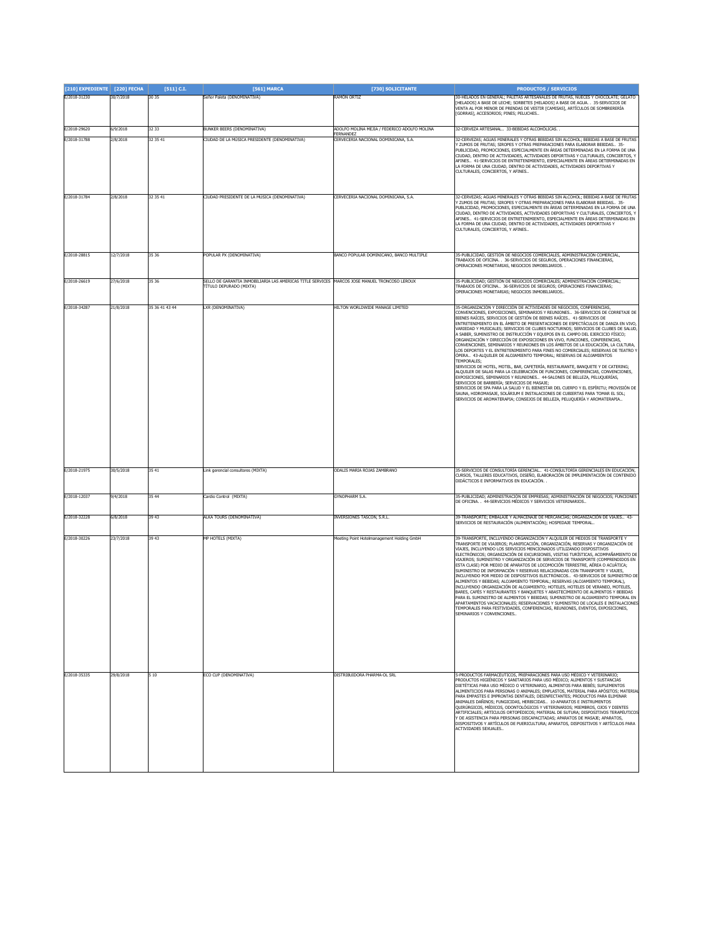| [210] EXPEDIENTE [220] FECHA |           | $[511]$ C.I.   | [561] MARCA                                                                                                                     | [730] SOLICITANTE                                        | <b>PRODUCTOS / SERVICIOS</b>                                                                                                                                                                                                                                                                                                                                                                                                                                                                                                                                                                                                                                                                                                                                                                                                                                                                                                                                                                                                                                                                                                                                                                                                                                                                                                                                                                   |
|------------------------------|-----------|----------------|---------------------------------------------------------------------------------------------------------------------------------|----------------------------------------------------------|------------------------------------------------------------------------------------------------------------------------------------------------------------------------------------------------------------------------------------------------------------------------------------------------------------------------------------------------------------------------------------------------------------------------------------------------------------------------------------------------------------------------------------------------------------------------------------------------------------------------------------------------------------------------------------------------------------------------------------------------------------------------------------------------------------------------------------------------------------------------------------------------------------------------------------------------------------------------------------------------------------------------------------------------------------------------------------------------------------------------------------------------------------------------------------------------------------------------------------------------------------------------------------------------------------------------------------------------------------------------------------------------|
| E/2018-31230                 | 30/7/2018 | 30 35          | Señor Paleta (DENOMINATIVA)                                                                                                     | RAMÓN ORTIZ                                              | 30-HELADOS EN GENERAL; PALETAS ARTESANALES DE FRUTAS, NUECES Y CHOCOLATE; GELATO<br>[HELADOS] A BASE DE LECHE; SORBETES [HELADOS] A BASE DE AGUA. . 35-SERVICIOS DE<br>VENTA AL POR MENOR DE PRENDAS DE VESTIR [CAMISAS], ARTÍCULOS DE SOMBRERERÍA<br>[GORRAS], ACCESORIOS; PINES; PELUCHES                                                                                                                                                                                                                                                                                                                                                                                                                                                                                                                                                                                                                                                                                                                                                                                                                                                                                                                                                                                                                                                                                                    |
| E/2018-29620                 | 5/9/2018  | 32 33          | BUNKER BEERS (DENOMINATIVA)                                                                                                     | ADOLFO MOLINA MEJIA / FEDERICO ADOLFO MOLINA             | 32-CERVEZA ARTESANAL 33-BEBIDAS ALCOHÓLICAS                                                                                                                                                                                                                                                                                                                                                                                                                                                                                                                                                                                                                                                                                                                                                                                                                                                                                                                                                                                                                                                                                                                                                                                                                                                                                                                                                    |
| E/2018-31788                 | 2/8/2018  | 32 35 41       | CIUDAD DE LA MÚSICA PRESIDENTE (DENOMINATIVA)                                                                                   | <b>FERNANDE2</b><br>CERVECERIA NACIONAL DOMINICANA, S.A. | 2-CERVEZAS; AGUAS MINERALES Y OTRAS BEBIDAS SIN ALCOHOL; BEBIDAS A BASE DE FRUTAS<br>Y ZUMOS DE FRUTAS; SIROPES Y OTRAS PREPARACIONES PARA ELABORAR BEBIDAS 35-<br>PUBLICIDAD. PROMOCIONES, ESPECIALMENTE EN ÁREAS DETERMINADAS EN LA FORMA DE UNA<br>CIUDAD, DENTRO DE ACTIVIDADES, ACTIVIDADES DEPORTIVAS Y CULTURALES, CONCIERTOS, Y<br>AFINES 41-SERVICIOS DE ENTRETENIMIENTO, ESPECIALMENTE EN ÁREAS DETERMINADAS EN<br>LA FORMA DE UNA CIUDAD, DENTRO DE ACTIVIDADES, ACTIVIDADES DEPORTIVAS Y<br>CULTURALES, CONCIERTOS, Y AFINES                                                                                                                                                                                                                                                                                                                                                                                                                                                                                                                                                                                                                                                                                                                                                                                                                                                       |
| E/2018-31784                 | 2/8/2018  | 32 35 41       | CIUDAD PRESIDENTE DE LA MÚSICA (DENOMINATIVA)                                                                                   | CERVECERIA NACIONAL DOMINICANA, S.A.                     | 32-CERVEZAS; AGUAS MINERALES Y OTRAS BEBIDAS SIN ALCOHOL; BEBIDAS A BASE DE FRUTAS<br>ZUMOS DE FRUTAS; SIROPES Y OTRAS PREPARACIONES PARA ELABORAR BEBIDAS 35-<br>PUBLICIDAD, PROMOCIONES, ESPECIALMENTE EN ÁREAS DETERMINADAS EN LA FORMA DE UNA<br>CIUDAD, DENTRO DE ACTIVIDADES, ACTIVIDADES DEPORTIVAS Y CULTURALES, CONCIERTOS, Y<br>AFINES 41-SERVICIOS DE ENTRETENIMIENTO, ESPECIALMENTE EN ÁREAS DETERMINADAS EN<br>LA FORMA DE UNA CIUDAD, DENTRO DE ACTIVIDADES, ACTIVIDADES DEPORTIVAS Y<br>CULTURALES, CONCIERTOS, Y AFINES                                                                                                                                                                                                                                                                                                                                                                                                                                                                                                                                                                                                                                                                                                                                                                                                                                                        |
| F/2018-28815                 | 12/7/2018 | 35 36          | <b>POPULAR PX (DENOMINATIVA)</b>                                                                                                | BANCO POPULAR DOMINICANO, BANCO MULTIPLE                 | 35-PUBLICIDAD, GESTIÓN DE NEGOCIOS COMERCIALES, ADMINISTRACIÓN COMERCIAL,<br>FRABAJOS DE OFICINA. . 36-SERVICIOS DE SEGUROS, OPERACIONES FINANCIERAS,<br>OPERACIONES MONETARIAS, NEGOCIOS INMOBILIARIOS. .                                                                                                                                                                                                                                                                                                                                                                                                                                                                                                                                                                                                                                                                                                                                                                                                                                                                                                                                                                                                                                                                                                                                                                                     |
| E/2018-26619                 | 27/6/2018 | 35 36          | SELLO DE GARANTIA INMOBILIARIA LAS AMERICAS TITLE SERVICES MARCOS JOSE MANUEL TRONCOSO LEROUX<br><b>FÍTULO DEPURADO (MIXTA)</b> |                                                          | 5-PUBLICIDAD; GESTIÓN DE NEGOCIOS COMERCIALES; ADMINISTRACIÓN COMERCIAL;<br>RABAJOS DE OFICINA 36-SERVICIOS DE SEGUROS; OPERACIONES FINANCIERAS;<br>OPERACIONES MONETARIAS; NEGOCIOS INMOBILIARIOS.                                                                                                                                                                                                                                                                                                                                                                                                                                                                                                                                                                                                                                                                                                                                                                                                                                                                                                                                                                                                                                                                                                                                                                                            |
| E/2018-34287                 | 21/8/2018 | 35 36 41 43 44 | LXR (DENOMINATIVA)                                                                                                              | HILTON WORLDWIDE MANAGE LIMITED                          | 35-ORGANIZACIÓN Y DIRECCIÓN DE ACTIVIDADES DE NEGOCIOS, CONFERENCIAS,<br>CONVENCIONES, EXPOSICIONES, SEMINARIOS Y REUNIONES 36-SERVICIOS DE CORRETAJE DE<br>BIENES RAÍCES, SERVICIOS DE GESTIÓN DE BIENES RAÍCES 41-SERVICIOS DE<br>ENTRETENIMIENTO EN EL ÁMBITO DE PRESENTACIONES DE ESPECTÁCULOS DE DANZA EN VIVO,<br>VARIEDAD Y MUSICALES; SERVICIOS DE CLUBES NOCTURNOS; SERVICIOS DE CLUBES DE SALUD<br>A SABER, SUMINISTRO DE INSTRUCCIÓN Y EQUIPOS EN EL CAMPO DEL EJERCICIO FÍSICO;<br>ORGANIZACIÓN Y DIRECCIÓN DE EXPOSICIONES EN VIVO, FUNCIONES, CONFERENCIAS,<br>CONVENCIONES, SEMINARIOS Y REUNIONES EN LOS ÁMBITOS DE LA EDUCACIÓN, LA CULTURA,<br>LOS DEPORTES Y EL ENTRETENIMIENTO PARA FINES NO COMERCIALES; RESERVAS DE TEATRO Y<br>ÓPERA 43-ALQUILER DE ALOJAMIENTO TEMPORAL; RESERVAS DE ALOJAMIENTOS<br>TEMPORALES;<br>SERVICIOS DE HOTEL, MOTEL, BAR, CAFETERÍA, RESTAURANTE, BANQUETE Y DE CATERING;<br>ALQUILER DE SALAS PARA LA CELEBRACIÓN DE FUNCIONES, CONFERENCIAS, CONVENCIONES,<br>EXPOSICIONES, SEMINARIOS Y REUNIONES 44-SALONES DE BELLEZA, PELUQUERÍAS.<br>SERVICIOS DE BARBERÍA; SERVICIOS DE MASAJE;<br>SERVICIOS DE SPA PARA LA SALUD Y EL BIENESTAR DEL CUERPO Y EL ESPÍRITU; PROVISIÓN DE<br>SAUNA, HIDROMASAJE, SOLÁRIUM E INSTALACIONES DE CUBIERTAS PARA TOMAR EL SOL;<br>SERVICIOS DE AROMATERAPIA; CONSEJOS DE BELLEZA, PELUQUERÍA Y AROMATERAPIA |
| E/2018-21975                 | 30/5/2018 | 35 41          | Link gerencial consultores (MIXTA)                                                                                              | ODALIS MARIA ROJAS ZAMBRANO                              | 35-SERVICIOS DE CONSULTORÍA GERENCIAL  41-CONSULTORÍA GERENCIALES EN EDUCACIÓN.<br>CURSOS, TALLERES EDUCATIVOS, DISEÑO, ELABORACIÓN DE IMPLEMENTACIÓN DE CONTENIDO<br>DIDÁCTICOS E INFORMATIVOS EN EDUCACIÓN                                                                                                                                                                                                                                                                                                                                                                                                                                                                                                                                                                                                                                                                                                                                                                                                                                                                                                                                                                                                                                                                                                                                                                                   |
| E/2018-12037                 | 9/4/2018  | 35 44          | Cardio Control (MIXTA)                                                                                                          | <b>GYNOPHARM S.A.</b>                                    | 35-PUBLICIDAD; ADMINISTRACIÓN DE EMPRESAS; ADMINISTRACIÓN DE NEGOCIOS; FUNCIONES<br>DE OFICINA. 44-SERVICIOS MÉDICOS Y SERVICIOS VETERINARIOS                                                                                                                                                                                                                                                                                                                                                                                                                                                                                                                                                                                                                                                                                                                                                                                                                                                                                                                                                                                                                                                                                                                                                                                                                                                  |
| E/2018-32228                 | 6/8/2018  | 39 43          | <b>ALKA TOURS (DENOMINATIVA)</b>                                                                                                | INVERSIONES TASCON, S.R.L.                               | 39-TRANSPORTE; EMBALAJE Y ALMACENAJE DE MERCANCÍAS; ORGANIZACIÓN DE VIAJES 43-<br>SERVICIOS DE RESTAURACIÓN (ALIMENTACIÓN); HOSPEDAJE TEMPORAL                                                                                                                                                                                                                                                                                                                                                                                                                                                                                                                                                                                                                                                                                                                                                                                                                                                                                                                                                                                                                                                                                                                                                                                                                                                 |
| E/2018-30226                 | 23/7/2018 | 39 43          | <b>MP HOTELS (MIXTA)</b>                                                                                                        | Meeting Point Hotelmanagement Holding GmbH               | 39-TRANSPORTE, INCLUYENDO ORGANIZACIÓN Y ALQUILER DE MEDIOS DE TRANSPORTE Y<br>TRANSPORTE DE VIAJEROS; PLANIFICACIÓN, ORGANIZACIÓN, RESERVAS Y ORGANIZACIÓN DE<br>VIAJES, INCLUYENDO LOS SERVICIOS MENCIONADOS UTILIZANDO DISPOSITIVOS<br>ELECTRÓNICOS; ORGANIZACIÓN DE EXCURSIONES, VISITAS TURÍSTICAS, ACOMPAÑAMIENTO DE<br>VIAJEROS; SUMINISTRO Y ORGANIZACIÓN DE SERVICIOS DE TRANSPORTE (COMPRENDIDOS EN<br>ESTA CLASE) POR MEDIO DE APARATOS DE LOCOMOCIÓN TERRESTRE, AÉREA O ACUÁTICA;<br>SUMINISTRO DE INFORMACIÓN Y RESERVAS RELACIONADAS CON TRANSPORTE Y VIAJES,<br>INCLUYENDO POR MEDIO DE DISPOSITIVOS ELECTRÓNICOS 43-SERVICIOS DE SUMINISTRO DE<br>ALIMENTOS Y BEBIDAS; ALOJAMIENTO TEMPORAL; RESERVAS (ALOJAMIENTO TEMPORAL),<br>INCLUYENDO ORGANIZACIÓN DE ALOJAMIENTO; HOTELES, HOTELES DE VERANEO, MOTELES,<br>BARES, CAFÉS Y RESTAURANTES Y BANQUETES Y ABASTECIMIENTO DE ALIMENTOS Y BEBIDAS<br>PARA EL SUMINISTRO DE ALIMENTOS Y BEBIDAS; SUMINISTRO DE ALOJAMIENTO TEMPORAL EN<br>APARTAMENTOS VACACIONALES; RESERVACIONES Y SUMINISTRO DE LOCALES E INSTALACIONES<br>TEMPORALES PARA FESTIVIDADES, CONFERENCIAS, REUNIONES, EVENTOS, EXPOSICIONES,<br>MINARIOS Y CONVENCIUNES.                                                                                                                                                                                         |
| E/2018-35335                 | 29/8/2018 | 5 10           | ECO CUP (DENOMINATIVA)                                                                                                          | DISTRIBUIDORA PHARMA-OL SRL                              | 5-PRODUCTOS FARMACÉUTICOS, PREPARACIONES PARA USO MÉDICO Y VETERINARIO;<br>PRODUCTOS HIGIÉNICOS Y SANITARIOS PARA USO MÉDICO; ALIMENTOS Y SUSTANCIAS<br>DIETÉTICAS PARA USO MÉDICO O VETERINARIO, ALIMENTOS PARA BEBÉS; SUPLEMENTOS<br>ALIMENTICIOS PARA PERSONAS O ANIMALES; EMPLASTOS, MATERIAL PARA APÓSITOS; MATERIAL<br>PARA EMPASTES E IMPRONTAS DENTALES; DESINFECTANTES; PRODUCTOS PARA ELIMINAR<br>ANIMALES DAÑINOS; FUNGICIDAS, HERBICIDAS 10-APARATOS E INSTRUMENTOS<br>QUIRÚRGICOS, MÉDICOS, ODONTOLÓGICOS Y VETERINARIOS; MIEMBROS, OJOS Y DIENTES<br>DISPOSITIVOS Y ARTÍCULOS DE PUERICULTURA; APARATOS, DISPOSITIVOS Y ARTÍCULOS PARA<br>ACTIVIDADES SEXUALES                                                                                                                                                                                                                                                                                                                                                                                                                                                                                                                                                                                                                                                                                                                   |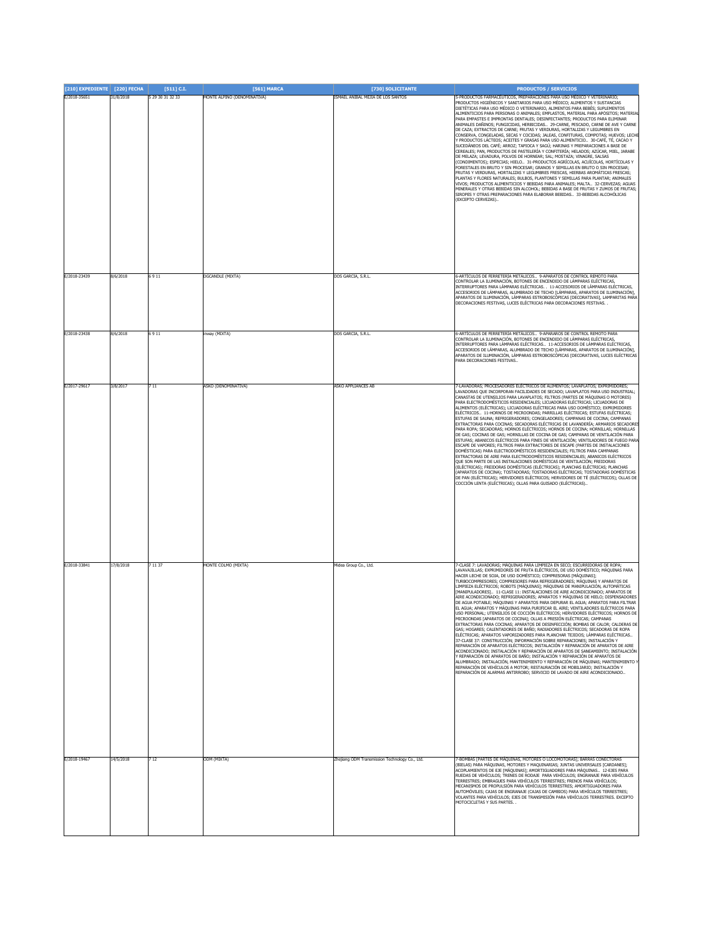| [210] EXPEDIENTE [220] FECHA |           | $[511]$ C.I.     | [561] MARCA                 | [730] SOLICITANTE                              | <b>PRODUCTOS / SERVICIOS</b>                                                                                                                                                                                                                                                                                                                                                                                                                                                                                                                                                                                                                                                                                                                                                                                                                                                                                                                                                                                                                                                                                                                                                                                                                                                                                                                                                                                                                                                                                                                                                                                                                                                                                                     |
|------------------------------|-----------|------------------|-----------------------------|------------------------------------------------|----------------------------------------------------------------------------------------------------------------------------------------------------------------------------------------------------------------------------------------------------------------------------------------------------------------------------------------------------------------------------------------------------------------------------------------------------------------------------------------------------------------------------------------------------------------------------------------------------------------------------------------------------------------------------------------------------------------------------------------------------------------------------------------------------------------------------------------------------------------------------------------------------------------------------------------------------------------------------------------------------------------------------------------------------------------------------------------------------------------------------------------------------------------------------------------------------------------------------------------------------------------------------------------------------------------------------------------------------------------------------------------------------------------------------------------------------------------------------------------------------------------------------------------------------------------------------------------------------------------------------------------------------------------------------------------------------------------------------------|
| E/2018-35651                 | 31/8/2018 | 5 29 30 31 32 33 | MONTE ALPINO (DENOMINATIVA) | ISMAEL ANIBAL MEJIA DE LOS SANTOS              | 5-PRODUCTOS FARMACÉUTICOS, PREPARACIONES PARA USO MÉDICO Y VETERINARIO;<br>PRODUCTOS HIGIÉNICOS Y SANITARIOS PARA USO MÉDICO; ALIMENTOS Y SUSTANCIAS<br>DIETÉTICAS PARA USO MÉDICO O VETERINARIO, ALIMENTOS PARA BEBÉS; SUPLEMENTOS<br>ALIMENTICIOS PARA PERSONAS O ANIMALES; EMPLASTOS, MATERIAL PARA APÓSITOS; MATERIAL<br>PARA EMPASTES E IMPRONTAS DENTALES; DESINFECTANTES; PRODUCTOS PARA ELIMINAR<br>ANIMALES DAÑINOS; FUNGICIDAS, HERBICIDAS 29-CARNE, PESCADO, CARNE DE AVE Y CARNE<br>DE CAZA; EXTRACTOS DE CARNE; FRUTAS Y VERDURAS, HORTALIZAS Y LEGUMBRES EN<br>CONSERVA, CONGELADAS, SECAS Y COCIDAS; JALEAS, CONFITURAS, COMPOTAS; HUEVOS; LECHE<br>/ PRODUCTOS LÁCTEOS; ACEITES Y GRASAS PARA USO ALIMENTICIO 30-CAFÉ, TÉ, CACAO Y<br>SUCEDÁNEOS DEL CAFÉ; ARROZ; TAPIOCA Y SAGÚ; HARINAS Y PREPARACIONES A BASE DE<br>CEREALES; PAN, PRODUCTOS DE PASTELERÍA Y CONFITERÍA; HELADOS; AZÚCAR, MIEL, JARABE<br>DE MELAZA; LEVADURA, POLVOS DE HORNEAR; SAL; MOSTAZA; VINAGRE, SALSAS<br>(CONDIMENTOS); ESPECIAS; HIELO 31-PRODUCTOS AGRÍCOLAS, ACUÍCOLAS, HORTÍCOLAS Y<br>FORESTALES EN BRUTO Y SIN PROCESAR; GRANOS Y SEMILLAS EN BRUTO O SIN PROCESAR;<br>FRUTAS Y VERDURAS, HORTALIZAS Y LEGUMBRES FRESCAS, HIERBAS AROMÁTICAS FRESCAS;<br>PLANTAS Y FLORES NATURALES; BULBOS, PLANTONES Y SEMILLAS PARA PLANTAR; ANIMALES<br>VIVOS; PRODUCTOS ALIMENTICIOS Y BEBIDAS PARA ANIMALES; MALTA 32-CERVEZAS; AGUAS<br>MINERALES Y OTRAS BEBIDAS SIN ALCOHOL; BEBIDAS A BASE DE FRUTAS Y ZUMOS DE FRUTAS;<br>SIROPES Y OTRAS PREPARACIONES PARA ELABORAR BEBIDAS 33-BEBIDAS ALCOHÓLICAS<br>(EXCEPTO CERVEZAS)                                                                                                         |
| E/2018-23439                 | 8/6/2018  | 6911             | <b>DGCANDLE</b> (MIXTA)     | DOS GARCIA, S.R.L.                             | 6-ARTÍCULOS DE FERRETERÍA METÁLICOS 9-APARATOS DE CONTROL REMOTO PARA<br>CONTROLAR LA ILUMINACIÓN, BOTONES DE ENCENDIDO DE LÁMPARAS ELÉCTRICAS,<br>INTERRUPTORES PARA LÁMPARAS ELÉCTRICAS 11-ACCESORIOS DE LÁMPARAS ELÉCTRICAS,<br>ACCESORIOS DE LÁMPARAS, ALUMBRADO DE TECHO [LÁMPARAS, APARATOS DE ILUMINACIÓN],<br>APARATOS DE ILUMINACIÓN, LÁMPARAS ESTROBOSCÓPICAS [DECORATIVAS], LAMPARITAS PARA<br>DECORACIONES FESTIVAS, LUCES ELÉCTRICAS PARA DECORACIONES FESTIVAS. .                                                                                                                                                                                                                                                                                                                                                                                                                                                                                                                                                                                                                                                                                                                                                                                                                                                                                                                                                                                                                                                                                                                                                                                                                                                  |
| E/2018-23438                 | 8/6/2018  | 6911             | nway (MIXTA)                | DOS GARCIA, S.R.L.                             | 5-ARTÍCULOS DE FERRETERÍA METÁLICOS 9-APARAROS DE CONTROL REMOTO PARA<br>CONTROLAR LA ILUMINACIÓN, BOTONES DE ENCENDIDO DE LÁMPARAS ELÉCTRICAS,<br>INTERRUPTORES PARA LÁMPARAS ELÉCTRICAS 11-ACCESORIOS DE LÁMPARAS ELÉCTRICAS,<br>ACCESORIOS DE LÁMPARAS, ALUMBRADO DE TECHO [LÁMPARAS, APARATOS DE ILUMINACIÓN],<br>APARATOS DE ILUMINACIÓN, LÁMPARAS ESTROBOSCÓPICAS [DECORATIVAS, LUCES ELÉCTRICAS<br>PARA DECORACIONES FESTIVAS                                                                                                                                                                                                                                                                                                                                                                                                                                                                                                                                                                                                                                                                                                                                                                                                                                                                                                                                                                                                                                                                                                                                                                                                                                                                                             |
| E/2017-29617                 | 3/8/2017  | 711              | ASKO (DENOMINATIVA)         | ASKO APPLIANCES AB                             | 7-LAVADORAS; PROCESADORES ELÉCTRICOS DE ALIMENTOS; LAVAPLATOS; EXPRIMIDORES;<br>AVADORAS QUE INCORPORAN FACILIDADES DE SECADO; LAVAPLATOS PARA USO INDUSTRIAL;<br>CANASTAS DE UTENSILIOS PARA LAVAPLATOS; FILTROS (PARTES DE MÁQUINAS O MOTORES)<br>PARA ELECTRODOMÉSTICOS RESIDENCIALES; LICUADORAS ELÉCTRICAS; LICUADORAS DE<br>ALIMENTOS (ELÉCTRICAS); LICUADORAS ELÉCTRICAS PARA USO DOMÉSTICO; EXPRIMIDORES<br>ELÉCTRICOS 11-HORNOS DE MICROONDAS; PARRILLAS ELÉCTRICAS; ESTUFAS ELÉCTRICAS;<br>ESTUFAS DE SAUNA; REFRIGERADORES; CONGELADORES; CAMPANAS DE COCINA; CAMPANAS<br>EXTRACTORAS PARA COCINAS; SECADORAS ELÉCTRICAS DE LAVANDERÍA; ARMARIOS SECADORE<br>PARA ROPA; SECADORAS; HORNOS ELÉCTRICOS; HORNOS DE COCINA; HORNILLAS; HORNILLAS<br>DE GAS; COCINAS DE GAS; HORNILLAS DE COCINA DE GAS; CAMPANAS DE VENTILACIÓN PARA<br>ESTUFAS; ABANICOS ELÉCTRICOS PARA FINES DE VENTILACIÓN; VENTILADORES DE FUEGO PARA<br>ESCAPE DE VAPORES; FILTROS PARA EXTRACTORES DE ESCAPE (PARTES DE INSTALACIONES<br>DOMÉSTICAS) PARA ELECTRODOMÉSTICOS RESIDENCIALES; FILTROS PARA CAMPANAS<br>EXTRACTORAS DE AIRE PARA ELECTRODOMÉSTICOS RESIDENCIALES; ABANICOS ELÉCTRICOS<br>QUE SON PARTE DE LAS INSTALACIONES DOMÉSTICAS DE VENTILACIÓN; FREIDORAS<br>(ELÉCTRICAS); FREIDORAS DOMÉSTICAS (ELÉCTRICAS); PLANCHAS ELÉCTRICAS; PLANCHAS<br>APARATOS DE COCINA); TOSTADORAS; TOSTADORAS ELÉCTRICAS; TOSTADORAS DOMÉSTICAS<br>.<br>DE PAN (ELÉCTRICAS); HERVIDORES ELÉCTRICOS; HERVIDORES DE TÉ (ELÉCTRICOS); OLLAS DE<br>COCCIÓN LENTA (ELÉCTRICAS); OLLAS PARA GUISADO (ELÉCTRICAS)                                                                                                                                         |
| E/2018-33841                 | 17/8/2018 | 7 11 37          | MONTE COLMO (MIXTA)         | Midea Group Co., Ltd                           | 7-CLASE 7: LAVADORAS; MÁQUINAS PARA LIMPIEZA EN SECO; ESCURRIDORAS DE ROPA;<br>LAVAVAJILLAS; EXPRIMIDORES DE FRUTA ELÉCTRICOS, DE USO DOMÉSTICO; MÁQUINAS PARA<br>HACER LECHE DE SOJA, DE USO DOMÉSTICO; COMPRESORAS [MÁQUINAS];<br>TURBOCOMPRESORES; COMPRESORES PARA REFRIGERADORES; MÁQUINAS Y APARATOS DE<br>LIMPIEZA ELÉCTRICOS; ROBOTS [MÁQUINAS]; MÁQUINAS DE MANIPULACIÓN, AUTOMÁTICAS<br>[MANIPULADORES] 11-CLASE 11: INSTALACIONES DE AIRE ACONDICIONADO; APARATOS DE<br>AIRE ACONDICIONADO; REFRIGERADORES; APARATOS Y MÁQUINAS DE HIELO; DISPENSADORES<br>DE AGUA POTABLE; MÁQUINAS Y APARATOS PARA DEPURAR EL AGUA; APARATOS PARA FILTRAR<br>EL AGUA; APARATOS Y MÁQUINAS PARA PURIFICAR EL AIRE; VENTILADORES ELÉCTRICOS PARA<br>CO DEDCONAL - LITENCTI TOC DE COCCTÓN EL ÉCTE<br>ne- ucovinnose ci com<br>MICROONDAS [APARATOS DE COCINA]; OLLAS A PRESIÓN ELÉCTRICAS; CAMPANAS<br>EXTRACTORAS PARA COCINAS; APARATOS DE DESINFECCIÓN; BOMBAS DE CALOR; CALDERAS DE<br>GAS; HOGARES; CALENTADORES DE BAÑO; RADIADORES ELÉCTRICOS; SECADORAS DE ROPA<br>ELÉCTRICAS; APARATOS VAPORIZADORES PARA PLANCHAR TEJIDOS; LÁMPARAS ELÉCTRICAS<br>37-CLASE 37: CONSTRUCCIÓN; INFORMACIÓN SOBRE REPARACIONES; INSTALACIÓN Y<br>REPARACIÓN DE APARATOS ELÉCTRICOS; INSTALACIÓN Y REPARACIÓN DE APARATOS DE AIRE<br>ACONDICIONADO; INSTALACIÓN Y REPARACIÓN DE APARATOS DE SANEAMIENTO; INSTALACIÓN<br>Y REPARACIÓN DE APARATOS DE BAÑO; INSTALACIÓN Y REPARACIÓN DE APARATOS DE<br>ALUMBRADO; INSTALACIÓN, MANTENIMIENTO Y REPARACIÓN DE MÁQUINAS; MANTENIMIENTO Y<br>REPARACIÓN DE VEHÍCULOS A MOTOR; RESTAURACIÓN DE MOBILIARIO; INSTALACIÓN Y<br>REPARACIÓN DE ALARMAS ANTIRROBO; SERVICIO DE LAVADO DE AIRE ACONDICIONADO |
| E/2018-19467                 | 14/5/2018 | 712              | ODM (MIXTA)                 | Zhejiang ODM Transmission Technology Co., Ltd. | -BOMBAS [PARTES DE MÁQUINAS, MOTORES O LOCOMOTORAS]; BARRAS CONECTORAS<br>(BIELAS) PARA MÁQUINAS, MOTORES Y MAQUINARIAS; JUNTAS UNIVERSALES [CARDANES];<br>ACOPLAMIENTOS DE EJE [MÁQUINAS]; AMORTIGUADORES PARA MÁQUINAS 12-EJES PARA<br>RUEDAS DE VEHÍCULOS; TRENES DE RODAJE PARA VEHÍCULOS; ENGRANAJE PARA VEHÍCULOS<br>TERRESTRES; EMBRAGUES PARA VEHÍCULOS TERRESTRES; FRENOS PARA VEHÍCULOS;<br>MECANISMOS DE PROPULSIÓN PARA VEHÍCULOS TERRESTRES; AMORTIGUADORES PARA<br>AUTOMÓVILES; CAJAS DE ENGRANAJE (CAJAS DE CAMBIOS) PARA VEHÍCULOS TERRESTRES;<br>VOLANTES PARA VEHÍCULOS; EJES DE TRANSMISIÓN PARA VEHÍCULOS TERRESTRES. EXCEPTO<br>MOTOCICLETAS Y SUS PARTES                                                                                                                                                                                                                                                                                                                                                                                                                                                                                                                                                                                                                                                                                                                                                                                                                                                                                                                                                                                                                                                   |